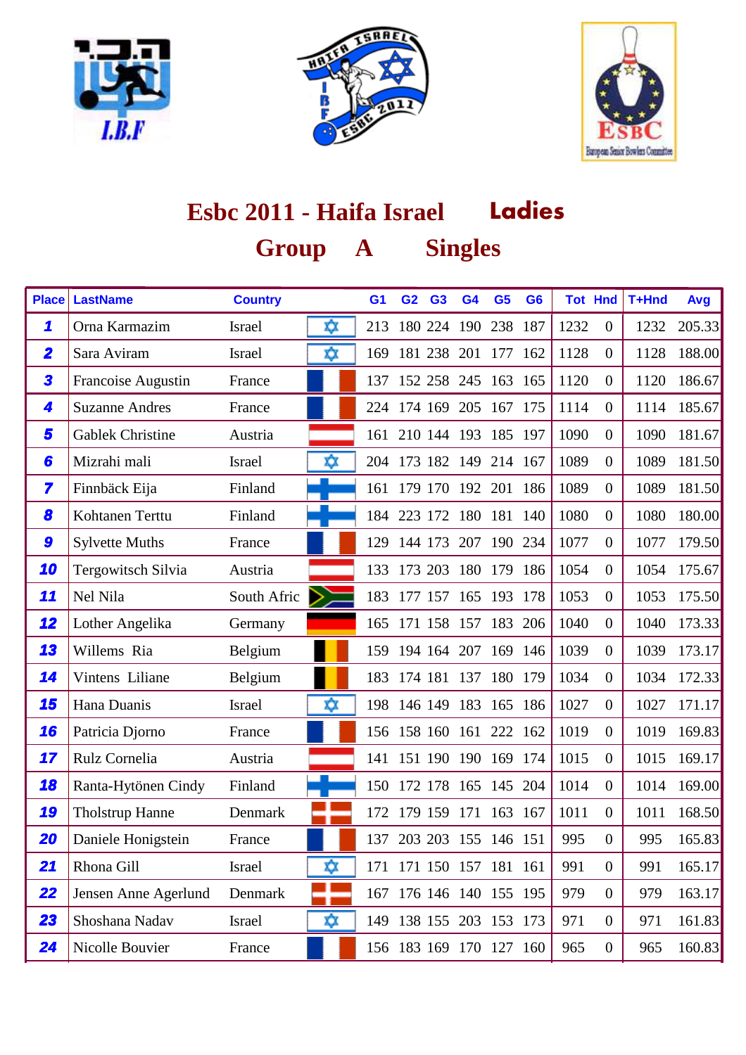





| <b>Place</b>            | <b>LastName</b>         | <b>Country</b> |    | G <sub>1</sub> | G <sub>2</sub> | <b>G3</b>       | G <sub>4</sub> | G <sub>5</sub>          | G <sub>6</sub> |      | <b>Tot Hnd</b>   | T+Hnd | <b>Avg</b> |
|-------------------------|-------------------------|----------------|----|----------------|----------------|-----------------|----------------|-------------------------|----------------|------|------------------|-------|------------|
| 1                       | Orna Karmazim           | <b>Israel</b>  | ΧX | 213            |                | 180 224 190     |                | 238 187                 |                | 1232 | $\theta$         | 1232  | 205.33     |
| $\overline{\mathbf{2}}$ | Sara Aviram             | <b>Israel</b>  | xχ | 169            |                | 181 238         | 201            | 177                     | 162            | 1128 | $\overline{0}$   | 1128  | 188.00     |
| 3                       | Francoise Augustin      | France         |    | 137            |                |                 |                | 152 258 245 163 165     |                | 1120 | $\overline{0}$   | 1120  | 186.67     |
| 4                       | <b>Suzanne Andres</b>   | France         |    |                | 224 174 169    |                 |                | 205 167 175             |                | 1114 | $\overline{0}$   | 1114  | 185.67     |
| 5                       | <b>Gablek Christine</b> | Austria        |    |                |                |                 |                | 161 210 144 193 185 197 |                | 1090 | $\overline{0}$   | 1090  | 181.67     |
| 6                       | Mizrahi mali            | <b>Israel</b>  | xχ |                |                |                 |                | 204 173 182 149 214 167 |                | 1089 | $\overline{0}$   | 1089  | 181.50     |
| 7                       | Finnbäck Eija           | Finland        |    |                |                |                 |                | 161 179 170 192 201 186 |                | 1089 | $\overline{0}$   | 1089  | 181.50     |
| 8                       | Kohtanen Terttu         | Finland        |    | 184            | 223 172        |                 | 180            | 181                     | 140            | 1080 | $\overline{0}$   | 1080  | 180.00     |
| 9                       | <b>Sylvette Muths</b>   | France         |    | 129            | 144 173        |                 | 207            | 190 234                 |                | 1077 | $\overline{0}$   | 1077  | 179.50     |
| 10                      | Tergowitsch Silvia      | Austria        |    |                |                |                 |                | 133 173 203 180 179 186 |                | 1054 | $\overline{0}$   | 1054  | 175.67     |
| 11                      | Nel Nila                | South Afric    |    | 183            |                |                 |                | 177 157 165 193 178     |                | 1053 | $\overline{0}$   | 1053  | 175.50     |
| 12                      | Lother Angelika         | Germany        |    |                |                | 165 171 158 157 |                | 183 206                 |                | 1040 | $\overline{0}$   | 1040  | 173.33     |
| 13                      | Willems Ria             | Belgium        |    |                | 159 194 164    |                 | 207            | 169 146                 |                | 1039 | $\overline{0}$   | 1039  | 173.17     |
| 14                      | Vintens Liliane         | Belgium        |    |                | 183 174 181    |                 | 137            | 180 179                 |                | 1034 | $\overline{0}$   | 1034  | 172.33     |
| 15                      | Hana Duanis             | <b>Israel</b>  | xχ |                |                |                 |                | 198 146 149 183 165 186 |                | 1027 | $\overline{0}$   | 1027  | 171.17     |
| 16                      | Patricia Djorno         | France         |    |                |                |                 |                | 156 158 160 161 222 162 |                | 1019 | $\overline{0}$   | 1019  | 169.83     |
| 17                      | Rulz Cornelia           | Austria        |    | 141            |                |                 |                | 151 190 190 169 174     |                | 1015 | $\overline{0}$   | 1015  | 169.17     |
| 18                      | Ranta-Hytönen Cindy     | Finland        |    | 150            | 172 178        |                 | 165            | 145 204                 |                | 1014 | $\overline{0}$   | 1014  | 169.00     |
| 19                      | <b>Tholstrup Hanne</b>  | Denmark        |    | 172            |                | 179 159         | 171            | 163 167                 |                | 1011 | $\overline{0}$   | 1011  | 168.50     |
| 20                      | Daniele Honigstein      | France         |    |                |                |                 |                | 137 203 203 155 146 151 |                | 995  | $\overline{0}$   | 995   | 165.83     |
| 21                      | Rhona Gill              | <b>Israel</b>  | ⋩  |                |                |                 |                | 171 171 150 157 181 161 |                | 991  | $\theta$         | 991   | 165.17     |
| 22                      | Jensen Anne Agerlund    | Denmark        |    |                |                |                 |                | 167 176 146 140 155 195 |                | 979  | $\overline{0}$   | 979   | 163.17     |
| 23                      | Shoshana Nadav          | Israel         | ΧX |                |                |                 |                | 149 138 155 203 153 173 |                | 971  | $\boldsymbol{0}$ | 971   | 161.83     |
| 24                      | Nicolle Bouvier         | France         |    |                |                |                 |                | 156 183 169 170 127 160 |                | 965  | $\boldsymbol{0}$ | 965   | 160.83     |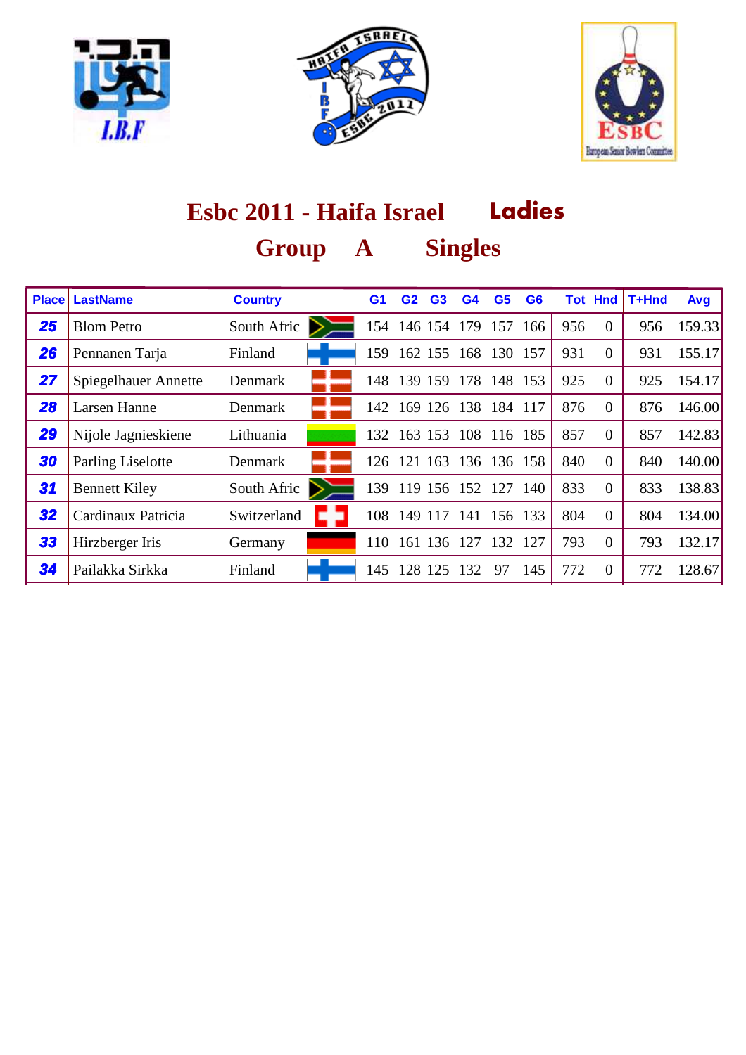





| <b>Place</b> | <b>LastName</b>          | <b>Country</b> | G <sub>1</sub> | G2          | G <sub>3</sub> | G4          | G <sub>5</sub> | G <sub>6</sub> |     | <b>Tot Hnd</b> | T+Hnd | Avg    |
|--------------|--------------------------|----------------|----------------|-------------|----------------|-------------|----------------|----------------|-----|----------------|-------|--------|
| 25           | <b>Blom Petro</b>        | South Afric    | 154            |             | 146 154        | 179         | 157            | 166            | 956 | $\Omega$       | 956   | 159.33 |
| 26           | Pennanen Tarja           | Finland        | 159            |             | 162 155        | 168         | 130 157        |                | 931 | $\Omega$       | 931   | 155.17 |
| 27           | Spiegelhauer Annette     | Denmark        | 148-           |             | 139 159        | 178         |                | 148 153        | 925 | $\overline{0}$ | 925   | 154.17 |
| 28           | <b>Larsen Hanne</b>      | Denmark        |                | 142 169     | 126            | 138         | 184            | -117           | 876 | $\Omega$       | 876   | 146.00 |
| 29           | Nijole Jagnieskiene      | Lithuania      | 132            |             | 163 153        | 108         | 116 185        |                | 857 | $\overline{0}$ | 857   | 142.83 |
| 30           | <b>Parling Liselotte</b> | Denmark        | 126            | 121         | 163            | 136         |                | 136 158        | 840 | $\Omega$       | 840   | 140.00 |
| 31           | <b>Bennett Kiley</b>     | South Afric    | 139            |             |                | 119 156 152 | 127            | - 140          | 833 | $\Omega$       | 833   | 138.83 |
| 32           | Cardinaux Patricia       | Switzerland    |                | 108 149 117 |                | 141         | 156 133        |                | 804 | $\Omega$       | 804   | 134.00 |
| 33           | Hirzberger Iris          | Germany        | 110            | 161         | 136            | 127         | 132            | 127            | 793 | $\Omega$       | 793   | 132.17 |
| 34           | Pailakka Sirkka          | Finland        | 145.           | 128         | 125            | 132         | 97             | 145            | 772 | $\Omega$       | 772   | 128.67 |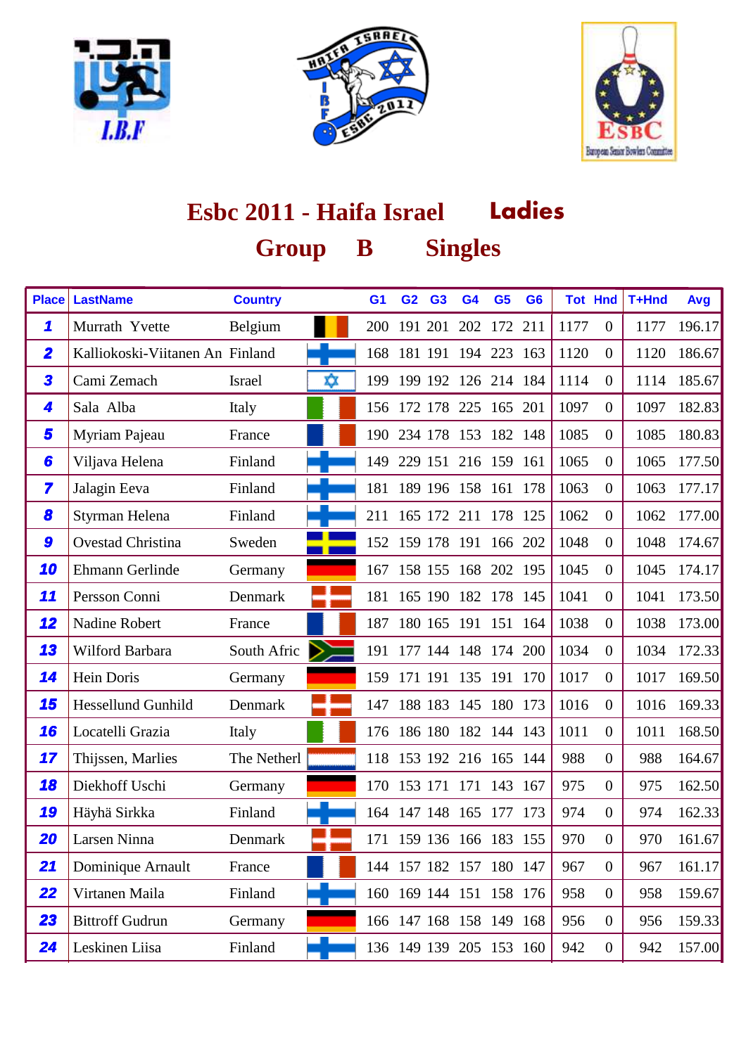





| <b>Place</b>            | <b>LastName</b>                 | <b>Country</b> |    | G <sub>1</sub> | G <sub>2</sub>  | G <sub>3</sub> | G <sub>4</sub>          | G <sub>5</sub> | G <sub>6</sub> |      | <b>Tot Hnd</b>   | T+Hnd | Avg    |
|-------------------------|---------------------------------|----------------|----|----------------|-----------------|----------------|-------------------------|----------------|----------------|------|------------------|-------|--------|
| 1                       | Murrath Yvette                  | Belgium        |    | 200            | 191 201         |                | 202                     | 172 211        |                | 1177 | $\theta$         | 1177  | 196.17 |
| $\overline{\mathbf{2}}$ | Kalliokoski-Viitanen An Finland |                |    | 168            |                 |                | 181 191 194 223         |                | 163            | 1120 | $\overline{0}$   | 1120  | 186.67 |
| 3                       | Cami Zemach                     | <b>Israel</b>  | xχ | 199            |                 |                | 199 192 126             | 214 184        |                | 1114 | $\overline{0}$   | 1114  | 185.67 |
| 4                       | Sala Alba                       | Italy          |    |                | 156 172 178     |                |                         | 225 165        | 201            | 1097 | $\overline{0}$   | 1097  | 182.83 |
| 5                       | Myriam Pajeau                   | France         |    |                |                 |                | 190 234 178 153 182 148 |                |                | 1085 | $\overline{0}$   | 1085  | 180.83 |
| 6                       | Viljava Helena                  | Finland        |    |                |                 |                | 149 229 151 216 159 161 |                |                | 1065 | $\overline{0}$   | 1065  | 177.50 |
| $\overline{\mathbf{z}}$ | Jalagin Eeva                    | Finland        |    | 181            |                 |                | 189 196 158 161 178     |                |                | 1063 | $\overline{0}$   | 1063  | 177.17 |
| 8                       | Styrman Helena                  | Finland        |    | 211            |                 |                | 165 172 211             | 178 125        |                | 1062 | $\overline{0}$   | 1062  | 177.00 |
| 9                       | Ovestad Christina               | Sweden         |    |                | 152 159 178 191 |                |                         | 166 202        |                | 1048 | $\overline{0}$   | 1048  | 174.67 |
| 10                      | Ehmann Gerlinde                 | Germany        |    | 167            |                 |                | 158 155 168 202 195     |                |                | 1045 | $\overline{0}$   | 1045  | 174.17 |
| 11                      | Persson Conni                   | Denmark        |    | 181            |                 |                | 165 190 182 178 145     |                |                | 1041 | $\overline{0}$   | 1041  | 173.50 |
| 12                      | Nadine Robert                   | France         |    | 187            |                 |                | 180 165 191 151 164     |                |                | 1038 | $\overline{0}$   | 1038  | 173.00 |
| 13                      | Wilford Barbara                 | South Afric    |    | 191            |                 |                | 177 144 148 174         |                | 200            | 1034 | $\overline{0}$   | 1034  | 172.33 |
| 14                      | Hein Doris                      | Germany        |    | 159            | 171 191         |                | 135                     | 191            | 170            | 1017 | $\overline{0}$   | 1017  | 169.50 |
| 15                      | <b>Hessellund Gunhild</b>       | Denmark        |    | 147            |                 |                | 188 183 145 180 173     |                |                | 1016 | $\overline{0}$   | 1016  | 169.33 |
| 16                      | Locatelli Grazia                | Italy          |    |                |                 |                | 176 186 180 182 144 143 |                |                | 1011 | $\overline{0}$   | 1011  | 168.50 |
| 17                      | Thijssen, Marlies               | The Netherl    |    |                |                 |                | 118 153 192 216 165 144 |                |                | 988  | $\overline{0}$   | 988   | 164.67 |
| 18                      | Diekhoff Uschi                  | Germany        |    |                | 170 153 171     |                | 171 143                 |                | 167            | 975  | $\overline{0}$   | 975   | 162.50 |
| 19                      | Häyhä Sirkka                    | Finland        |    |                | 164 147 148     |                |                         | 165 177 173    |                | 974  | $\overline{0}$   | 974   | 162.33 |
| 20                      | Larsen Ninna                    | Denmark        |    |                |                 |                | 171 159 136 166 183     |                | 155            | 970  | $\overline{0}$   | 970   | 161.67 |
| 21                      | Dominique Arnault               | France         |    |                |                 |                | 144 157 182 157 180 147 |                |                | 967  | $\overline{0}$   | 967   | 161.17 |
| 22                      | Virtanen Maila                  | Finland        |    |                |                 |                | 160 169 144 151 158 176 |                |                | 958  | $\boldsymbol{0}$ | 958   | 159.67 |
| 23                      | <b>Bittroff Gudrun</b>          | Germany        |    |                |                 |                | 166 147 168 158 149 168 |                |                | 956  | $\boldsymbol{0}$ | 956   | 159.33 |
| 24                      | Leskinen Liisa                  | Finland        |    |                |                 |                | 136 149 139 205 153 160 |                |                | 942  | $\boldsymbol{0}$ | 942   | 157.00 |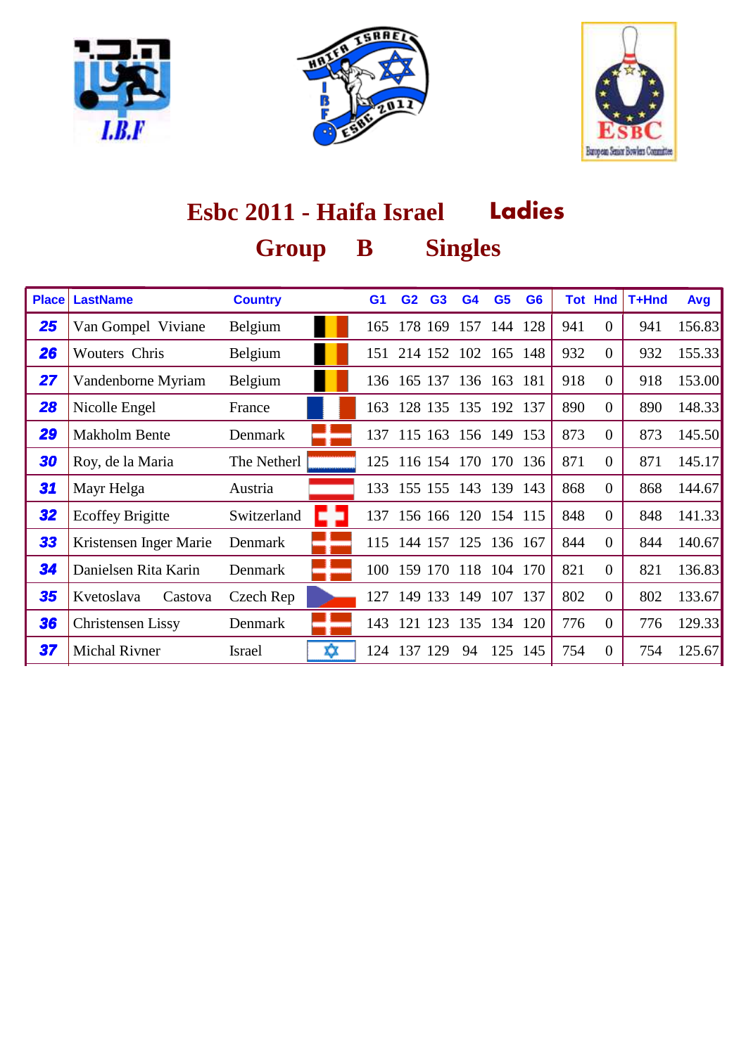





| <b>Place</b> | <b>LastName</b>          | <b>Country</b>     | G1  | G <sub>2</sub>          | G <sub>3</sub> | G <sub>4</sub> | G <sub>5</sub> | G <sub>6</sub> |     | <b>Tot Hnd</b> | T+Hnd | Avg    |
|--------------|--------------------------|--------------------|-----|-------------------------|----------------|----------------|----------------|----------------|-----|----------------|-------|--------|
| 25           | Van Gompel Viviane       | Belgium            | 165 |                         | 178 169        |                | 157 144 128    |                | 941 | $\Omega$       | 941   | 156.83 |
| 26           | <b>Wouters Chris</b>     | Belgium            |     | 151 214 152             |                | 102            | 165 148        |                | 932 | $\theta$       | 932   | 155.33 |
| 27           | Vandenborne Myriam       | Belgium            | 136 | 165 137                 |                |                | 136 163 181    |                | 918 | $\overline{0}$ | 918   | 153.00 |
| 28           | Nicolle Engel            | France             | 163 |                         | 128 135        | 135 192 137    |                |                | 890 | $\theta$       | 890   | 148.33 |
| 29           | <b>Makholm Bente</b>     | Denmark            |     | 137 115 163 156 149 153 |                |                |                |                | 873 | $\overline{0}$ | 873   | 145.50 |
| 30           | Roy, de la Maria         | The Netherl        | 125 |                         | 116 154 170    |                | 170            | 136            | 871 | $\Omega$       | 871   | 145.17 |
| 31           | Mayr Helga               | Austria            |     | 133 155 155 143 139 143 |                |                |                |                | 868 | $\overline{0}$ | 868   | 144.67 |
| 32           | <b>Ecoffey Brigitte</b>  | Switzerland        |     | 137 156 166 120 154 115 |                |                |                |                | 848 | $\overline{0}$ | 848   | 141.33 |
| 33           | Kristensen Inger Marie   | Denmark            | 115 | 144 157                 |                | 125            | 136 167        |                | 844 | $\theta$       | 844   | 140.67 |
| 34           | Danielsen Rita Karin     | Denmark            | 100 |                         | 159 170        | 118 104 170    |                |                | 821 | $\theta$       | 821   | 136.83 |
| 35           | Kvetoslava<br>Castova    | Czech Rep          | 127 |                         | 149 133        | 149            | 107            | 137            | 802 | $\theta$       | 802   | 133.67 |
| 36           | <b>Christensen Lissy</b> | Denmark            | 143 |                         | 121 123        | 135            |                | 134 120        | 776 | $\overline{0}$ | 776   | 129.33 |
| 37           | <b>Michal Rivner</b>     | x<br><b>Israel</b> | 124 | 137                     | 129            | 94             |                | 125 145        | 754 | $\Omega$       | 754   | 125.67 |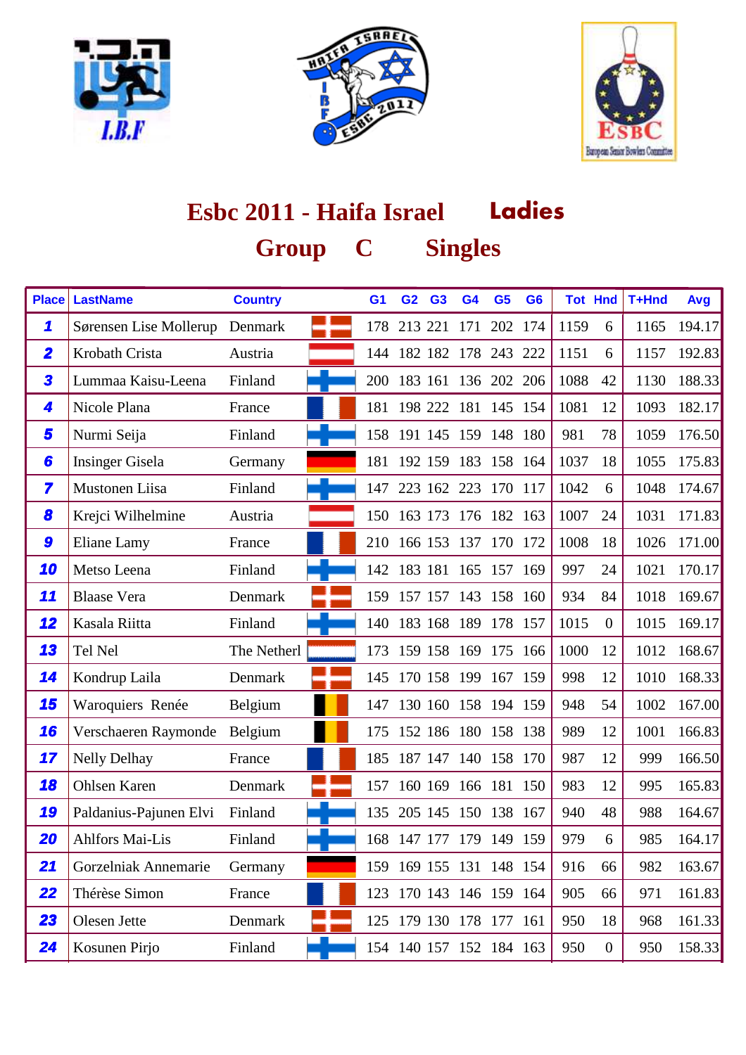





## **Ladies Esbc 2011 - Haifa Israel Group Singles C**

| <b>Place</b>            | <b>LastName</b>        | <b>Country</b> | G <sub>1</sub> | G <sub>2</sub> | G <sub>3</sub> | G <sub>4</sub>          | G <sub>5</sub> | G <sub>6</sub> |      | <b>Tot Hnd</b>   | T+Hnd | Avg    |
|-------------------------|------------------------|----------------|----------------|----------------|----------------|-------------------------|----------------|----------------|------|------------------|-------|--------|
| 1                       | Sørensen Lise Mollerup | Denmark        | 178            |                |                | 213 221 171             | 202 174        |                | 1159 | 6                | 1165  | 194.17 |
| $\overline{\mathbf{2}}$ | Krobath Crista         | Austria        |                |                |                | 144 182 182 178 243 222 |                |                | 1151 | 6                | 1157  | 192.83 |
| 3                       | Lummaa Kaisu-Leena     | Finland        |                | 200 183 161    |                | 136 202 206             |                |                | 1088 | 42               | 1130  | 188.33 |
| 4                       | Nicole Plana           | France         |                |                |                | 181 198 222 181 145 154 |                |                | 1081 | 12               | 1093  | 182.17 |
| 5                       | Nurmi Seija            | Finland        |                |                |                | 158 191 145 159 148 180 |                |                | 981  | 78               | 1059  | 176.50 |
| 6                       | <b>Insinger Gisela</b> | Germany        |                |                |                | 181 192 159 183 158 164 |                |                | 1037 | 18               | 1055  | 175.83 |
| 7                       | Mustonen Liisa         | Finland        | 147            |                |                | 223 162 223 170 117     |                |                | 1042 | 6                | 1048  | 174.67 |
| 8                       | Krejci Wilhelmine      | Austria        |                | 150 163 173    |                | 176                     | 182 163        |                | 1007 | 24               | 1031  | 171.83 |
| 9                       | Eliane Lamy            | France         |                |                |                | 210 166 153 137 170 172 |                |                | 1008 | 18               | 1026  | 171.00 |
| 10                      | Metso Leena            | Finland        |                |                |                | 142 183 181 165 157 169 |                |                | 997  | 24               | 1021  | 170.17 |
| 11                      | <b>Blaase Vera</b>     | Denmark        |                |                |                | 159 157 157 143 158 160 |                |                | 934  | 84               | 1018  | 169.67 |
| 12                      | Kasala Riitta          | Finland        | 140            |                |                | 183 168 189 178 157     |                |                | 1015 | $\overline{0}$   | 1015  | 169.17 |
| 13                      | Tel Nel                | The Netherl    | 173            |                | 159 158        | 169                     | 175 166        |                | 1000 | 12               | 1012  | 168.67 |
| 14                      | Kondrup Laila          | Denmark        |                |                |                | 145 170 158 199         | 167 159        |                | 998  | 12               | 1010  | 168.33 |
| 15                      | Waroquiers Renée       | Belgium        |                |                |                | 147 130 160 158 194 159 |                |                | 948  | 54               | 1002  | 167.00 |
| 16                      | Verschaeren Raymonde   | Belgium        |                |                |                | 175 152 186 180 158 138 |                |                | 989  | 12               | 1001  | 166.83 |
| 17                      | <b>Nelly Delhay</b>    | France         | 185            |                |                | 187 147 140 158 170     |                |                | 987  | 12               | 999   | 166.50 |
| 18                      | <b>Ohlsen Karen</b>    | Denmark        | 157            |                |                | 160 169 166 181 150     |                |                | 983  | 12               | 995   | 165.83 |
| 19                      | Paldanius-Pajunen Elvi | Finland        | 135            |                |                | 205 145 150 138 167     |                |                | 940  | 48               | 988   | 164.67 |
| 20                      | <b>Ahlfors Mai-Lis</b> | Finland        |                |                |                | 168 147 177 179 149 159 |                |                | 979  | 6                | 985   | 164.17 |
| 21                      | Gorzelniak Annemarie   | Germany        |                |                |                | 159 169 155 131 148 154 |                |                | 916  | 66               | 982   | 163.67 |
| 22                      | Thérèse Simon          | France         |                |                |                | 123 170 143 146 159 164 |                |                | 905  | 66               | 971   | 161.83 |
| 23                      | Olesen Jette           | Denmark        |                |                |                | 125 179 130 178 177 161 |                |                | 950  | 18               | 968   | 161.33 |
| 24                      | Kosunen Pirjo          | Finland        |                |                |                | 154 140 157 152 184 163 |                |                | 950  | $\boldsymbol{0}$ | 950   | 158.33 |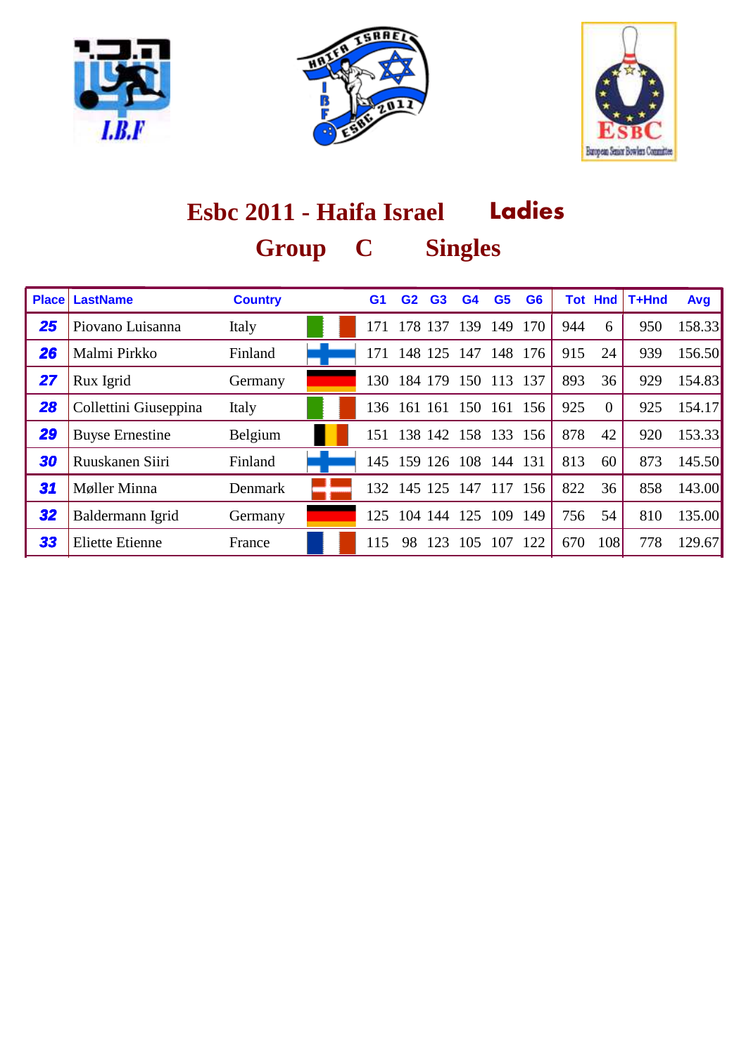





### **Ladies Esbc 2011 - Haifa Israel Group Singles C**

| <b>Place</b> | <b>LastName</b>        | <b>Country</b> | G1  | G2          | G <sub>3</sub> | G <sub>4</sub> | G <sub>5</sub> | G <sub>6</sub> |     | <b>Tot Hnd</b> | T+Hnd | Avg    |
|--------------|------------------------|----------------|-----|-------------|----------------|----------------|----------------|----------------|-----|----------------|-------|--------|
| 25           | Piovano Luisanna       | Italy          | 171 | 178         | 137            | 139            | 149            | 170            | 944 | 6              | 950   | 158.33 |
| 26           | Malmi Pirkko           | Finland        | 171 | 148         | 125            | 147            | 148            | 176            | 915 | 24             | 939   | 156.50 |
| 27           | Rux Igrid              | Germany        | 130 |             | 184 179        | 150            | 113            | 137            | 893 | 36             | 929   | 154.83 |
| 28           | Collettini Giuseppina  | Italy          |     | 136 161 161 |                |                | 150 161 156    |                | 925 | $\Omega$       | 925   | 154.17 |
| 29           | <b>Buyse Ernestine</b> | Belgium        | 151 |             | 138 142        | 158            |                | 133 156        | 878 | 42             | 920   | 153.33 |
| 30           | Ruuskanen Siiri        | Finland        |     | 145 159 126 |                | 108            | 144            | 131            | 813 | 60             | 873   | 145.50 |
| 31           | Møller Minna           | Denmark        | 132 | 145 125     |                | 147            | 117            | 156            | 822 | 36             | 858   | 143.00 |
| 32           | Baldermann Igrid       | Germany        | 125 | 104 144     |                | 125            | 109            | 149            | 756 | 54             | 810   | 135.00 |
| 33           | <b>Eliette Etienne</b> | France         | 115 | 98          | 123            | 105            | 107            | 122            | 670 | 108            | 778   | 129.67 |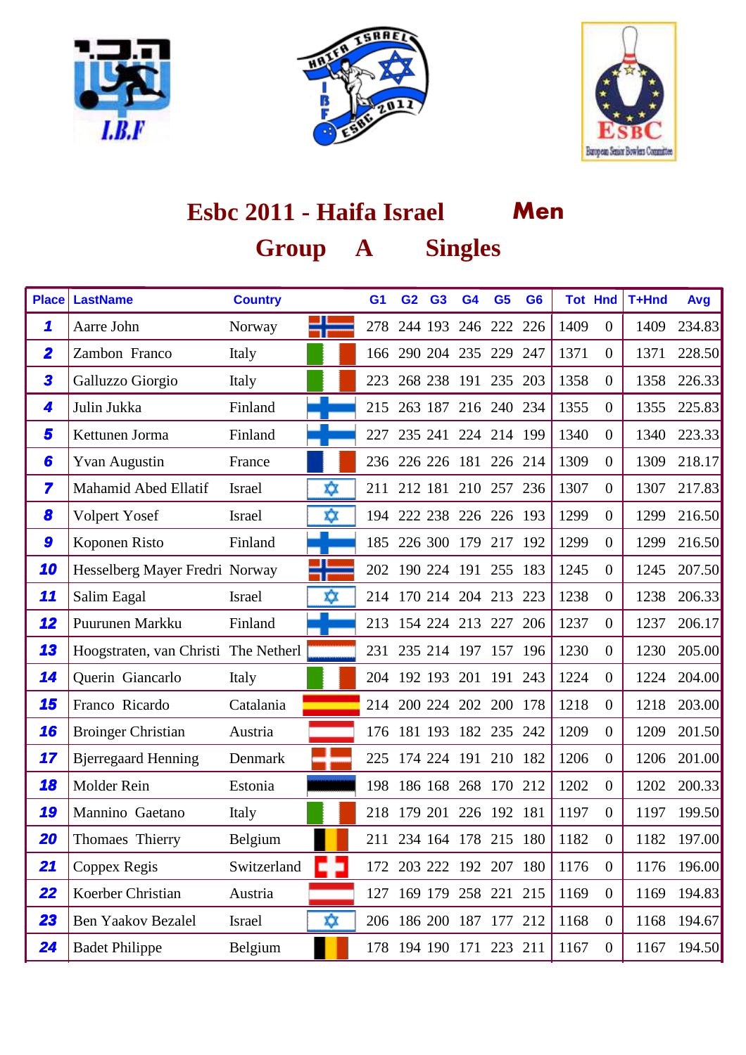





| <b>Place</b>            | <b>LastName</b>                      | <b>Country</b> |    | G <sub>1</sub> | G <sub>2</sub> | G <sub>3</sub> | G <sub>4</sub>          | G <sub>5</sub> | G <sub>6</sub> | <b>Tot Hnd</b> |                  | T+Hnd | Avg    |
|-------------------------|--------------------------------------|----------------|----|----------------|----------------|----------------|-------------------------|----------------|----------------|----------------|------------------|-------|--------|
| 1                       | Aarre John                           | Norway         |    | 278            |                | 244 193        |                         | 246 222 226    |                | 1409           | $\overline{0}$   | 1409  | 234.83 |
| $\overline{\mathbf{2}}$ | Zambon Franco                        | Italy          |    | 166            |                |                | 290 204 235 229 247     |                |                | 1371           | $\overline{0}$   | 1371  | 228.50 |
| 3                       | Galluzzo Giorgio                     | Italy          |    | 223            |                |                | 268 238 191 235 203     |                |                | 1358           | $\boldsymbol{0}$ | 1358  | 226.33 |
| 4                       | Julin Jukka                          | Finland        |    |                | 215 263 187    |                |                         | 216 240 234    |                | 1355           | $\overline{0}$   | 1355  | 225.83 |
| 5                       | Kettunen Jorma                       | Finland        |    | 227            |                |                | 235 241 224 214 199     |                |                | 1340           | $\overline{0}$   | 1340  | 223.33 |
| 6                       | <b>Yvan Augustin</b>                 | France         |    |                |                |                | 236 226 226 181 226 214 |                |                | 1309           | $\overline{0}$   | 1309  | 218.17 |
| 7                       | Mahamid Abed Ellatif                 | <b>Israel</b>  | xχ |                |                |                | 211 212 181 210 257 236 |                |                | 1307           | $\overline{0}$   | 1307  | 217.83 |
| 8                       | Volpert Yosef                        | <b>Israel</b>  | xχ | 194            |                |                | 222 238 226 226 193     |                |                | 1299           | $\overline{0}$   | 1299  | 216.50 |
| 9                       | Koponen Risto                        | Finland        |    | 185            |                |                | 226 300 179             | 217 192        |                | 1299           | $\overline{0}$   | 1299  | 216.50 |
| 10                      | Hesselberg Mayer Fredri Norway       |                |    |                |                |                | 202 190 224 191 255 183 |                |                | 1245           | $\overline{0}$   | 1245  | 207.50 |
| 11                      | Salim Eagal                          | <b>Israel</b>  | xχ |                |                |                | 214 170 214 204 213 223 |                |                | 1238           | $\overline{0}$   | 1238  | 206.33 |
| 12                      | Puurunen Markku                      | Finland        |    | 213            |                |                | 154 224 213 227 206     |                |                | 1237           | $\overline{0}$   | 1237  | 206.17 |
| 13                      | Hoogstraten, van Christi The Netherl |                |    | 231            |                |                | 235 214 197 157 196     |                |                | 1230           | $\overline{0}$   | 1230  | 205.00 |
| 14                      | Querin Giancarlo                     | Italy          |    |                | 204 192 193    |                | 201                     | 191 243        |                | 1224           | $\boldsymbol{0}$ | 1224  | 204.00 |
| 15                      | Franco Ricardo                       | Catalania      |    | 214            |                |                | 200 224 202 200 178     |                |                | 1218           | $\overline{0}$   | 1218  | 203.00 |
| 16                      | <b>Broinger Christian</b>            | Austria        |    |                |                |                | 176 181 193 182 235 242 |                |                | 1209           | $\overline{0}$   | 1209  | 201.50 |
| 17                      | <b>Bjerregaard Henning</b>           | Denmark        |    |                |                |                | 225 174 224 191 210 182 |                |                | 1206           | $\overline{0}$   | 1206  | 201.00 |
| 18                      | Molder Rein                          | Estonia        |    | 198            |                |                | 186 168 268 170 212     |                |                | 1202           | $\overline{0}$   | 1202  | 200.33 |
| 19                      | Mannino Gaetano                      | Italy          |    | 218            |                |                | 179 201 226 192 181     |                |                | 1197           | $\boldsymbol{0}$ | 1197  | 199.50 |
| 20                      | Thomaes Thierry                      | Belgium        |    |                |                |                | 211 234 164 178 215 180 |                |                | 1182           | $\boldsymbol{0}$ | 1182  | 197.00 |
| 21                      | Coppex Regis                         | Switzerland    |    |                |                |                | 172 203 222 192 207 180 |                |                | 1176           | $\boldsymbol{0}$ | 1176  | 196.00 |
| 22                      | Koerber Christian                    | Austria        |    |                |                |                | 127 169 179 258 221 215 |                |                | 1169           | $\boldsymbol{0}$ | 1169  | 194.83 |
| 23                      | <b>Ben Yaakov Bezalel</b>            | Israel         | ΧX |                |                |                | 206 186 200 187 177 212 |                |                | 1168           | $\boldsymbol{0}$ | 1168  | 194.67 |
| 24                      | <b>Badet Philippe</b>                | Belgium        |    |                |                |                | 178 194 190 171 223 211 |                |                | 1167           | $\boldsymbol{0}$ | 1167  | 194.50 |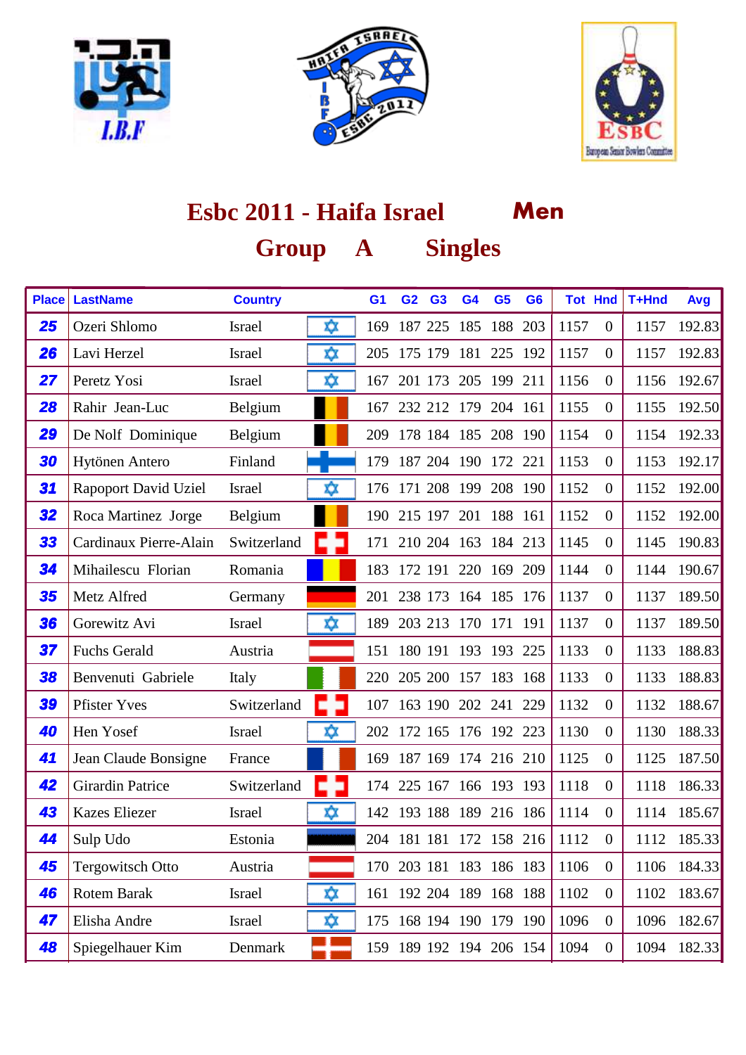





| <b>Place</b> | <b>LastName</b>             | <b>Country</b> |     | G <sub>1</sub> | G <sub>2</sub> | G <sub>3</sub> | G <sub>4</sub>          | G <sub>5</sub> | G <sub>6</sub> | <b>Tot Hnd</b> |                  | T+Hnd | Avg    |
|--------------|-----------------------------|----------------|-----|----------------|----------------|----------------|-------------------------|----------------|----------------|----------------|------------------|-------|--------|
| 25           | Ozeri Shlomo                | <b>Israel</b>  | ΧX  | 169            |                | 187 225        | 185                     | 188            | 203            | 1157           | $\overline{0}$   | 1157  | 192.83 |
| 26           | Lavi Herzel                 | <b>Israel</b>  | Χ¢χ | 205            | 175 179        |                | 181                     | 225            | 192            | 1157           | $\boldsymbol{0}$ | 1157  | 192.83 |
| 27           | Peretz Yosi                 | <b>Israel</b>  | xχ  | 167            | 201 173        |                | 205                     | 199 211        |                | 1156           | $\overline{0}$   | 1156  | 192.67 |
| 28           | Rahir Jean-Luc              | Belgium        |     | 167            |                |                | 232 212 179 204 161     |                |                | 1155           | $\overline{0}$   | 1155  | 192.50 |
| 29           | De Nolf Dominique           | Belgium        |     | 209            |                |                | 178 184 185 208 190     |                |                | 1154           | $\overline{0}$   | 1154  | 192.33 |
| 30           | Hytönen Antero              | Finland        |     | 179            |                | 187 204        |                         | 190 172 221    |                | 1153           | $\overline{0}$   | 1153  | 192.17 |
| 31           | <b>Rapoport David Uziel</b> | <b>Israel</b>  | xχ  | 176            | 171 208        |                | 199                     | 208 190        |                | 1152           | $\boldsymbol{0}$ | 1152  | 192.00 |
| 32           | Roca Martinez Jorge         | Belgium        |     | 190            | 215 197        |                | 201                     | 188 161        |                | 1152           | $\overline{0}$   | 1152  | 192.00 |
| 33           | Cardinaux Pierre-Alain      | Switzerland    |     | 171            |                |                | 210 204 163             | 184 213        |                | 1145           | $\overline{0}$   | 1145  | 190.83 |
| 34           | Mihailescu Florian          | Romania        |     | 183            |                |                | 172 191 220 169 209     |                |                | 1144           | $\overline{0}$   | 1144  | 190.67 |
| 35           | Metz Alfred                 | Germany        |     |                | 201 238 173    |                | 164 185 176             |                |                | 1137           | $\overline{0}$   | 1137  | 189.50 |
| 36           | Gorewitz Avi                | <b>Israel</b>  | ΧX  | 189            |                |                | 203 213 170 171 191     |                |                | 1137           | $\overline{0}$   | 1137  | 189.50 |
| 37           | <b>Fuchs Gerald</b>         | Austria        |     | 151            | 180 191        |                | 193                     | 193            | 225            | 1133           | $\overline{0}$   | 1133  | 188.83 |
| 38           | Benvenuti Gabriele          | Italy          |     | 220            |                |                | 205 200 157 183 168     |                |                | 1133           | $\overline{0}$   | 1133  | 188.83 |
| 39           | <b>Pfister Yves</b>         | Switzerland    |     | 107            |                |                | 163 190 202 241         |                | 229            | 1132           | $\overline{0}$   | 1132  | 188.67 |
| 40           | Hen Yosef                   | <b>Israel</b>  | xχ  | 202            |                |                | 172 165 176 192 223     |                |                | 1130           | $\boldsymbol{0}$ | 1130  | 188.33 |
| 41           | Jean Claude Bonsigne        | France         |     | 169            |                |                | 187 169 174 216 210     |                |                | 1125           | $\boldsymbol{0}$ | 1125  | 187.50 |
| 42           | <b>Girardin Patrice</b>     | Switzerland    |     | 174            | 225 167        |                |                         | 166 193 193    |                | 1118           | $\boldsymbol{0}$ | 1118  | 186.33 |
| 43           | <b>Kazes Eliezer</b>        | <b>Israel</b>  | xχ  |                |                |                | 142 193 188 189 216 186 |                |                | 1114           | $\overline{0}$   | 1114  | 185.67 |
| 44           | Sulp Udo                    | Estonia        |     |                |                |                | 204 181 181 172 158 216 |                |                | 1112           | $\overline{0}$   | 1112  | 185.33 |
| 45           | <b>Tergowitsch Otto</b>     | Austria        |     |                |                |                | 170 203 181 183 186 183 |                |                | 1106           | $\boldsymbol{0}$ | 1106  | 184.33 |
| 46           | <b>Rotem Barak</b>          | Israel         | ΧX  |                |                |                | 161 192 204 189 168 188 |                |                | 1102           | $\boldsymbol{0}$ | 1102  | 183.67 |
| 47           | Elisha Andre                | Israel         | ΧX  | 175            |                |                | 168 194 190 179 190     |                |                | 1096           | $\boldsymbol{0}$ | 1096  | 182.67 |
| 48           | Spiegelhauer Kim            | Denmark        |     |                |                |                | 159 189 192 194 206 154 |                |                | 1094           | $\boldsymbol{0}$ | 1094  | 182.33 |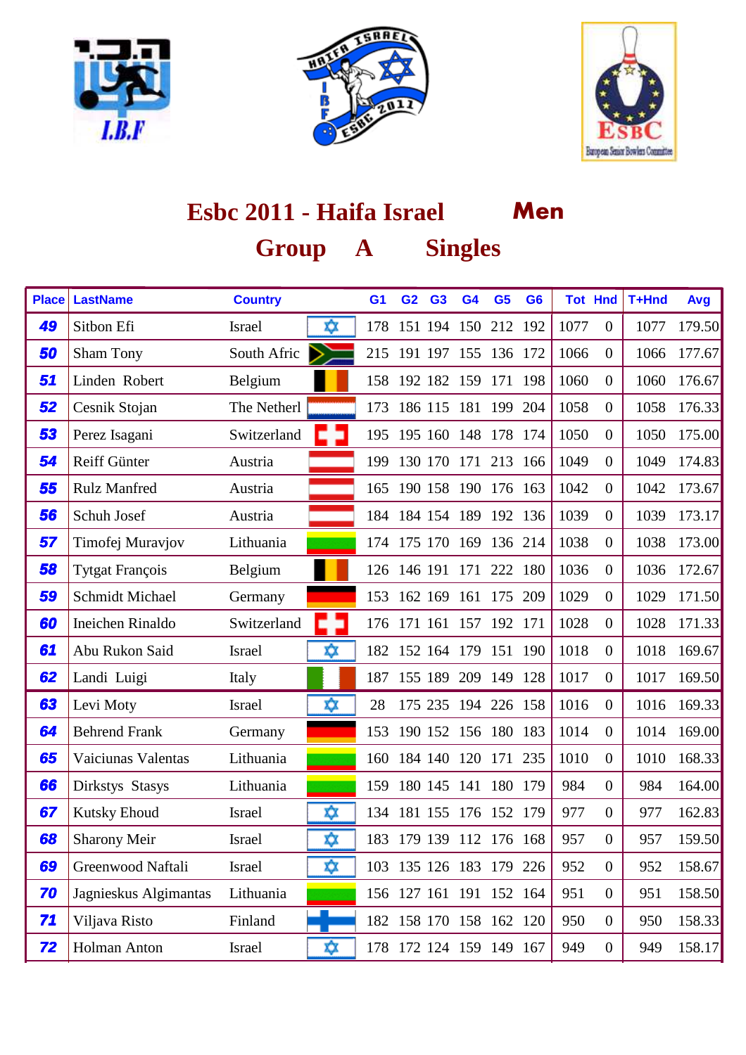





| <b>Place</b> | <b>LastName</b>        | <b>Country</b> |     | G <sub>1</sub> | G <sub>2</sub> | G <sub>3</sub>  | G <sub>4</sub>          | G <sub>5</sub> | G <sub>6</sub> | <b>Tot Hnd</b> |                  | T+Hnd | Avg    |
|--------------|------------------------|----------------|-----|----------------|----------------|-----------------|-------------------------|----------------|----------------|----------------|------------------|-------|--------|
| 49           | Sitbon Efi             | <b>Israel</b>  | ΧX  | 178            |                |                 | 151 194 150 212 192     |                |                | 1077           | $\overline{0}$   | 1077  | 179.50 |
| 50           | <b>Sham Tony</b>       | South Afric    |     | 215            |                |                 | 191 197 155 136 172     |                |                | 1066           | $\boldsymbol{0}$ | 1066  | 177.67 |
| 51           | Linden Robert          | Belgium        |     | 158            |                | 192 182 159     |                         | 171            | 198            | 1060           | $\overline{0}$   | 1060  | 176.67 |
| 52           | Cesnik Stojan          | The Netherl    |     | 173            | 186 115        |                 | 181                     | 199 204        |                | 1058           | $\boldsymbol{0}$ | 1058  | 176.33 |
| 53           | Perez Isagani          | Switzerland    |     |                |                |                 | 195 195 160 148 178 174 |                |                | 1050           | $\overline{0}$   | 1050  | 175.00 |
| 54           | Reiff Günter           | Austria        |     | 199            |                |                 | 130 170 171 213 166     |                |                | 1049           | $\overline{0}$   | 1049  | 174.83 |
| 55           | <b>Rulz Manfred</b>    | Austria        |     | 165            |                |                 | 190 158 190 176 163     |                |                | 1042           | $\boldsymbol{0}$ | 1042  | 173.67 |
| 56           | Schuh Josef            | Austria        |     |                |                | 184 184 154     | 189                     | 192 136        |                | 1039           | $\overline{0}$   | 1039  | 173.17 |
| 57           | Timofej Muravjov       | Lithuania      |     |                |                | 174 175 170 169 |                         | 136 214        |                | 1038           | $\boldsymbol{0}$ | 1038  | 173.00 |
| 58           | <b>Tytgat François</b> | Belgium        |     |                |                |                 | 126 146 191 171 222 180 |                |                | 1036           | $\overline{0}$   | 1036  | 172.67 |
| 59           | <b>Schmidt Michael</b> | Germany        |     |                |                | 153 162 169     |                         | 161 175 209    |                | 1029           | $\boldsymbol{0}$ | 1029  | 171.50 |
| 60           | Ineichen Rinaldo       | Switzerland    |     | 176            |                |                 | 171 161 157 192 171     |                |                | 1028           | $\boldsymbol{0}$ | 1028  | 171.33 |
| 61           | Abu Rukon Said         | <b>Israel</b>  | xχ  | 182            | 152 164        |                 | 179                     | 151            | 190            | 1018           | $\overline{0}$   | 1018  | 169.67 |
| 62           | Landi Luigi            | Italy          |     | 187            | 155 189        |                 | 209                     | 149            | 128            | 1017           | $\overline{0}$   | 1017  | 169.50 |
| 63           | Levi Moty              | Israel         | ΧX  | 28             |                |                 | 175 235 194 226 158     |                |                | 1016           | $\boldsymbol{0}$ | 1016  | 169.33 |
| 64           | <b>Behrend Frank</b>   | Germany        |     | 153            |                |                 | 190 152 156 180 183     |                |                | 1014           | $\boldsymbol{0}$ | 1014  | 169.00 |
| 65           | Vaiciunas Valentas     | Lithuania      |     | 160            | 184 140        |                 | 120 171 235             |                |                | 1010           | $\overline{0}$   | 1010  | 168.33 |
| 66           | Dirkstys Stasys        | Lithuania      |     | 159            | 180 145        |                 | 141                     | 180 179        |                | 984            | $\overline{0}$   | 984   | 164.00 |
| 67           | <b>Kutsky Ehoud</b>    | <b>Israel</b>  | Χ¢χ |                |                |                 | 134 181 155 176 152 179 |                |                | 977            | $\boldsymbol{0}$ | 977   | 162.83 |
| 68           | <b>Sharony Meir</b>    | <b>Israel</b>  | xχ  |                |                |                 | 183 179 139 112 176 168 |                |                | 957            | $\boldsymbol{0}$ | 957   | 159.50 |
| 69           | Greenwood Naftali      | Israel         | ΧX  |                |                |                 | 103 135 126 183 179 226 |                |                | 952            | $\boldsymbol{0}$ | 952   | 158.67 |
| 70           | Jagnieskus Algimantas  | Lithuania      |     |                |                |                 | 156 127 161 191 152 164 |                |                | 951            | $\boldsymbol{0}$ | 951   | 158.50 |
| 71           | Viljava Risto          | Finland        |     |                |                |                 | 182 158 170 158 162 120 |                |                | 950            | $\overline{0}$   | 950   | 158.33 |
| 72           | <b>Holman Anton</b>    | Israel         | xχ  |                |                |                 | 178 172 124 159 149 167 |                |                | 949            | $\boldsymbol{0}$ | 949   | 158.17 |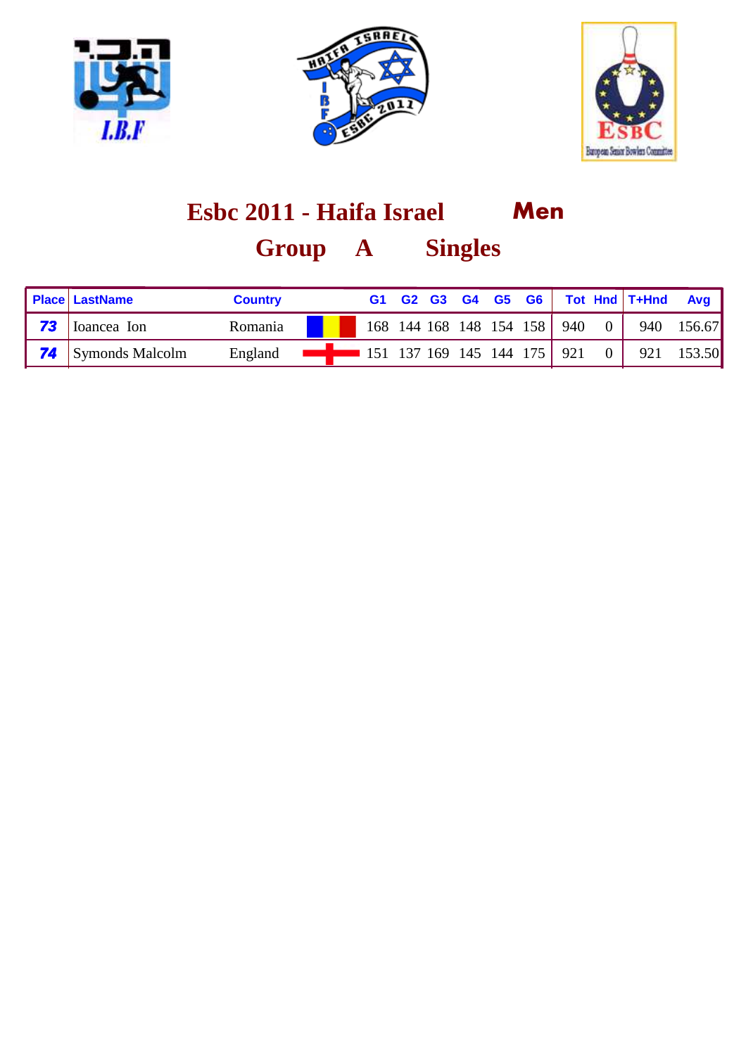





| <b>Place LastName</b>     | <b>Country</b> |                                                          |  |  |  |  | G1 G2 G3 G4 G5 G6 Tot Hnd T+Hnd Avg |                                          |
|---------------------------|----------------|----------------------------------------------------------|--|--|--|--|-------------------------------------|------------------------------------------|
| <b>73</b> Ioancea Ion     | Romania        |                                                          |  |  |  |  |                                     | 168 144 168 148 154 158 940 0 940 156.67 |
| <b>74</b> Symonds Malcolm | England        | <b>EXECUTE:</b> 151 137 169 145 144 175 921 0 921 153.50 |  |  |  |  |                                     |                                          |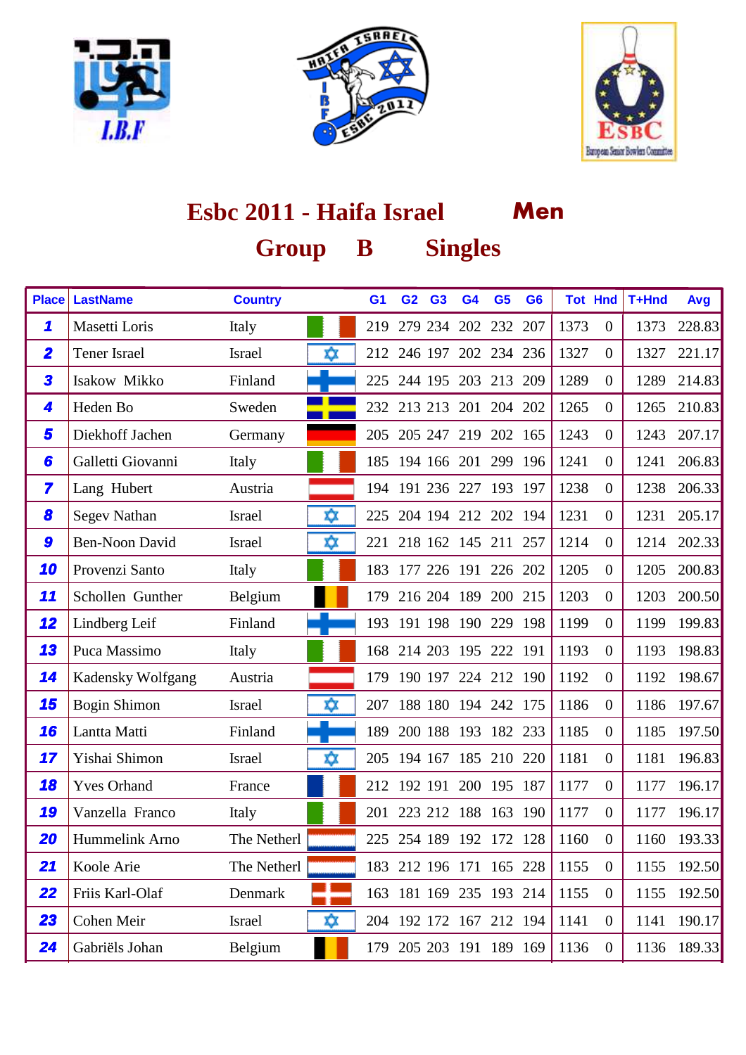





| <b>Place</b>            | <b>LastName</b>       | <b>Country</b> |    | G <sub>1</sub> | G <sub>2</sub> | G <sub>3</sub> | G <sub>4</sub>          | G <sub>5</sub> | G <sub>6</sub> |      | <b>Tot Hnd</b>   | T+Hnd | Avg    |
|-------------------------|-----------------------|----------------|----|----------------|----------------|----------------|-------------------------|----------------|----------------|------|------------------|-------|--------|
| 1                       | Masetti Loris         | Italy          |    | 219            |                |                | 279 234 202 232 207     |                |                | 1373 | $\boldsymbol{0}$ | 1373  | 228.83 |
| $\overline{\mathbf{2}}$ | <b>Tener Israel</b>   | <b>Israel</b>  | ΧX |                | 212 246 197    |                |                         | 202 234 236    |                | 1327 | $\boldsymbol{0}$ | 1327  | 221.17 |
| 3                       | Isakow Mikko          | Finland        |    | 225            | 244 195        |                | 203                     | 213            | 209            | 1289 | $\overline{0}$   | 1289  | 214.83 |
| 4                       | Heden Bo              | Sweden         |    |                |                |                | 232 213 213 201         | 204 202        |                | 1265 | $\boldsymbol{0}$ | 1265  | 210.83 |
| 5                       | Diekhoff Jachen       | Germany        |    |                |                |                | 205 205 247 219 202 165 |                |                | 1243 | $\overline{0}$   | 1243  | 207.17 |
| 6                       | Galletti Giovanni     | Italy          |    | 185            |                |                | 194 166 201             | 299 196        |                | 1241 | $\overline{0}$   | 1241  | 206.83 |
| 7                       | Lang Hubert           | Austria        |    | 194            |                |                | 191 236 227             | 193 197        |                | 1238 | $\boldsymbol{0}$ | 1238  | 206.33 |
| 8                       | <b>Segev Nathan</b>   | <b>Israel</b>  | xχ | 225            |                |                | 204 194 212 202 194     |                |                | 1231 | $\overline{0}$   | 1231  | 205.17 |
| 9                       | <b>Ben-Noon David</b> | <b>Israel</b>  | xχ | 221            |                |                | 218 162 145 211 257     |                |                | 1214 | $\boldsymbol{0}$ | 1214  | 202.33 |
| 10                      | Provenzi Santo        | Italy          |    |                |                |                | 183 177 226 191 226 202 |                |                | 1205 | $\boldsymbol{0}$ | 1205  | 200.83 |
| 11                      | Schollen Gunther      | Belgium        |    | 179            |                |                | 216 204 189 200 215     |                |                | 1203 | $\overline{0}$   | 1203  | 200.50 |
| 12                      | Lindberg Leif         | Finland        |    | 193            |                |                | 191 198 190 229 198     |                |                | 1199 | $\overline{0}$   | 1199  | 199.83 |
| 13                      | Puca Massimo          | Italy          |    |                | 168 214 203    |                | 195 222 191             |                |                | 1193 | $\overline{0}$   | 1193  | 198.83 |
| 14                      | Kadensky Wolfgang     | Austria        |    | 179            |                |                | 190 197 224 212 190     |                |                | 1192 | $\overline{0}$   | 1192  | 198.67 |
| 15                      | <b>Bogin Shimon</b>   | Israel         | xχ | 207            |                |                | 188 180 194 242 175     |                |                | 1186 | $\boldsymbol{0}$ | 1186  | 197.67 |
| 16                      | Lantta Matti          | Finland        |    | 189            |                |                | 200 188 193 182 233     |                |                | 1185 | $\overline{0}$   | 1185  | 197.50 |
| 17                      | Yishai Shimon         | <b>Israel</b>  | xχ | 205            |                |                | 194 167 185 210 220     |                |                | 1181 | $\overline{0}$   | 1181  | 196.83 |
| 18                      | <b>Yves Orhand</b>    | France         |    |                | 212 192 191    |                |                         | 200 195 187    |                | 1177 | $\boldsymbol{0}$ | 1177  | 196.17 |
| 19                      | Vanzella Franco       | Italy          |    | 201            |                |                | 223 212 188 163 190     |                |                | 1177 | $\boldsymbol{0}$ | 1177  | 196.17 |
| 20                      | Hummelink Arno        | The Netherl    |    |                |                |                | 225 254 189 192 172 128 |                |                | 1160 | $\boldsymbol{0}$ | 1160  | 193.33 |
| 21                      | Koole Arie            | The Netherl    |    |                |                |                | 183 212 196 171 165 228 |                |                | 1155 | $\boldsymbol{0}$ | 1155  | 192.50 |
| 22                      | Friis Karl-Olaf       | Denmark        |    |                |                |                | 163 181 169 235 193 214 |                |                | 1155 | $\boldsymbol{0}$ | 1155  | 192.50 |
| 23                      | Cohen Meir            | Israel         | ΧX |                |                |                | 204 192 172 167 212 194 |                |                | 1141 | $\boldsymbol{0}$ | 1141  | 190.17 |
| 24                      | Gabriëls Johan        | Belgium        |    |                |                |                | 179 205 203 191 189 169 |                |                | 1136 | $\overline{0}$   | 1136  | 189.33 |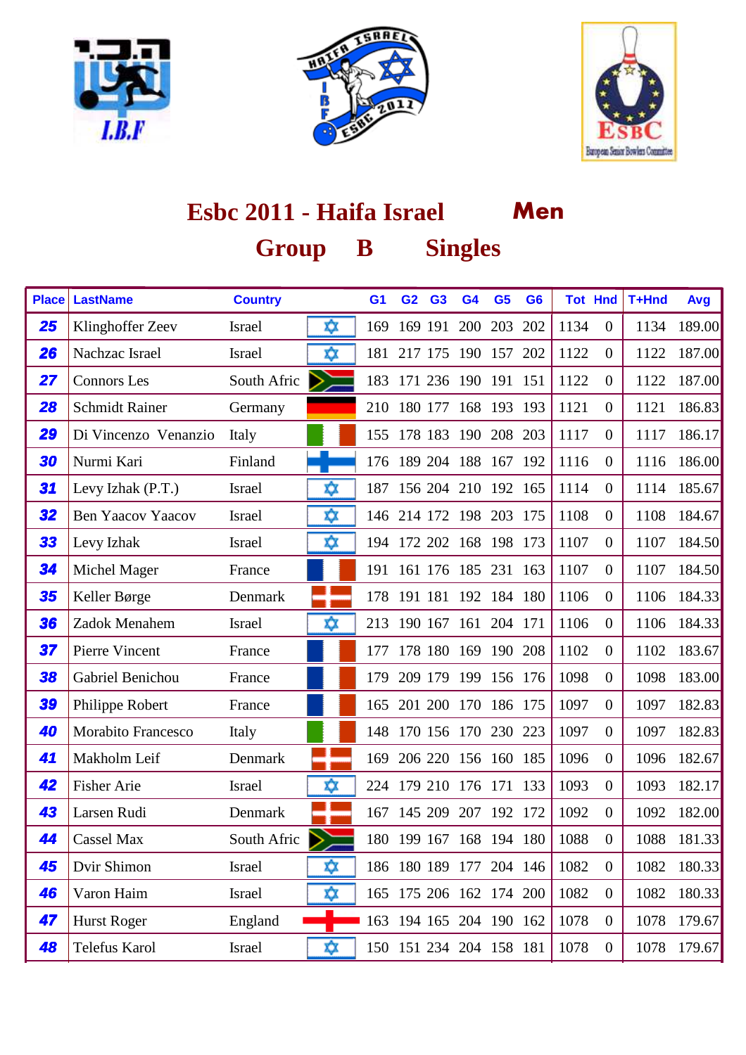





| <b>Place</b> | <b>LastName</b>           | <b>Country</b> |    | G <sub>1</sub> | G <sub>2</sub> | G <sub>3</sub> | G <sub>4</sub>          | G <sub>5</sub> | G <sub>6</sub> |      | <b>Tot Hnd</b>   | T+Hnd | Avg    |
|--------------|---------------------------|----------------|----|----------------|----------------|----------------|-------------------------|----------------|----------------|------|------------------|-------|--------|
| 25           | Klinghoffer Zeev          | <b>Israel</b>  | ☆  | 169            |                | 169 191        | 200                     | 203            | 202            | 1134 | $\overline{0}$   | 1134  | 189.00 |
| 26           | Nachzac Israel            | <b>Israel</b>  | xχ | 181            | 217 175        |                | 190                     | 157            | 202            | 1122 | $\overline{0}$   | 1122  | 187.00 |
| 27           | <b>Connors</b> Les        | South Afric    | ⋗  | 183            |                |                | 171 236 190 191 151     |                |                | 1122 | $\boldsymbol{0}$ | 1122  | 187.00 |
| 28           | <b>Schmidt Rainer</b>     | Germany        |    | 210            | 180 177        |                |                         | 168 193 193    |                | 1121 | $\boldsymbol{0}$ | 1121  | 186.83 |
| 29           | Di Vincenzo Venanzio      | Italy          |    |                |                |                | 155 178 183 190 208 203 |                |                | 1117 | $\overline{0}$   | 1117  | 186.17 |
| 30           | Nurmi Kari                | Finland        |    |                |                |                | 176 189 204 188 167 192 |                |                | 1116 | $\overline{0}$   | 1116  | 186.00 |
| 31           | Levy Izhak (P.T.)         | <b>Israel</b>  | xχ | 187            |                |                | 156 204 210 192 165     |                |                | 1114 | $\overline{0}$   | 1114  | 185.67 |
| 32           | <b>Ben Yaacov Yaacov</b>  | <b>Israel</b>  | ΧX | 146            | 214 172        |                | 198                     | 203            | 175            | 1108 | $\boldsymbol{0}$ | 1108  | 184.67 |
| 33           | Levy Izhak                | <b>Israel</b>  | ☆  |                | 194 172 202    |                |                         | 168 198 173    |                | 1107 | $\overline{0}$   | 1107  | 184.50 |
| 34           | Michel Mager              | France         |    | 191            |                |                | 161 176 185 231 163     |                |                | 1107 | $\overline{0}$   | 1107  | 184.50 |
| 35           | Keller Børge              | Denmark        |    |                |                |                | 178 191 181 192 184 180 |                |                | 1106 | $\boldsymbol{0}$ | 1106  | 184.33 |
| 36           | Zadok Menahem             | <b>Israel</b>  | xχ | 213            |                |                | 190 167 161 204 171     |                |                | 1106 | $\overline{0}$   | 1106  | 184.33 |
| 37           | Pierre Vincent            | France         |    | 177            |                | 178 180        | 169                     | 190 208        |                | 1102 | $\boldsymbol{0}$ | 1102  | 183.67 |
| 38           | Gabriel Benichou          | France         |    | 179            | 209 179        |                | 199                     | 156 176        |                | 1098 | $\boldsymbol{0}$ | 1098  | 183.00 |
| 39           | Philippe Robert           | France         |    |                |                |                | 165 201 200 170 186 175 |                |                | 1097 | $\overline{0}$   | 1097  | 182.83 |
| 40           | <b>Morabito Francesco</b> | Italy          |    |                |                |                | 148 170 156 170 230 223 |                |                | 1097 | $\overline{0}$   | 1097  | 182.83 |
| 41           | Makholm Leif              | Denmark        |    | 169            |                |                | 206 220 156 160 185     |                |                | 1096 | $\overline{0}$   | 1096  | 182.67 |
| 42           | <b>Fisher Arie</b>        | <b>Israel</b>  | xχ | 224            | 179 210        |                | 176                     | 171            | 133            | 1093 | $\overline{0}$   | 1093  | 182.17 |
| 43           | Larsen Rudi               | Denmark        |    | 167            | 145 209        |                | 207                     | 192 172        |                | 1092 | $\boldsymbol{0}$ | 1092  | 182.00 |
| 44           | <b>Cassel Max</b>         | South Afric    | ⋗  |                |                |                | 180 199 167 168 194 180 |                |                | 1088 | $\overline{0}$   | 1088  | 181.33 |
| 45           | Dvir Shimon               | Israel         | ☆  |                |                |                | 186 180 189 177 204 146 |                |                | 1082 | $\boldsymbol{0}$ | 1082  | 180.33 |
| 46           | Varon Haim                | Israel         | хχ |                |                |                | 165 175 206 162 174 200 |                |                | 1082 | $\boldsymbol{0}$ | 1082  | 180.33 |
| 47           | <b>Hurst Roger</b>        | England        |    |                |                |                | 163 194 165 204 190 162 |                |                | 1078 | $\boldsymbol{0}$ | 1078  | 179.67 |
| 48           | Telefus Karol             | Israel         | ΧX |                |                |                | 150 151 234 204 158 181 |                |                | 1078 | $\boldsymbol{0}$ | 1078  | 179.67 |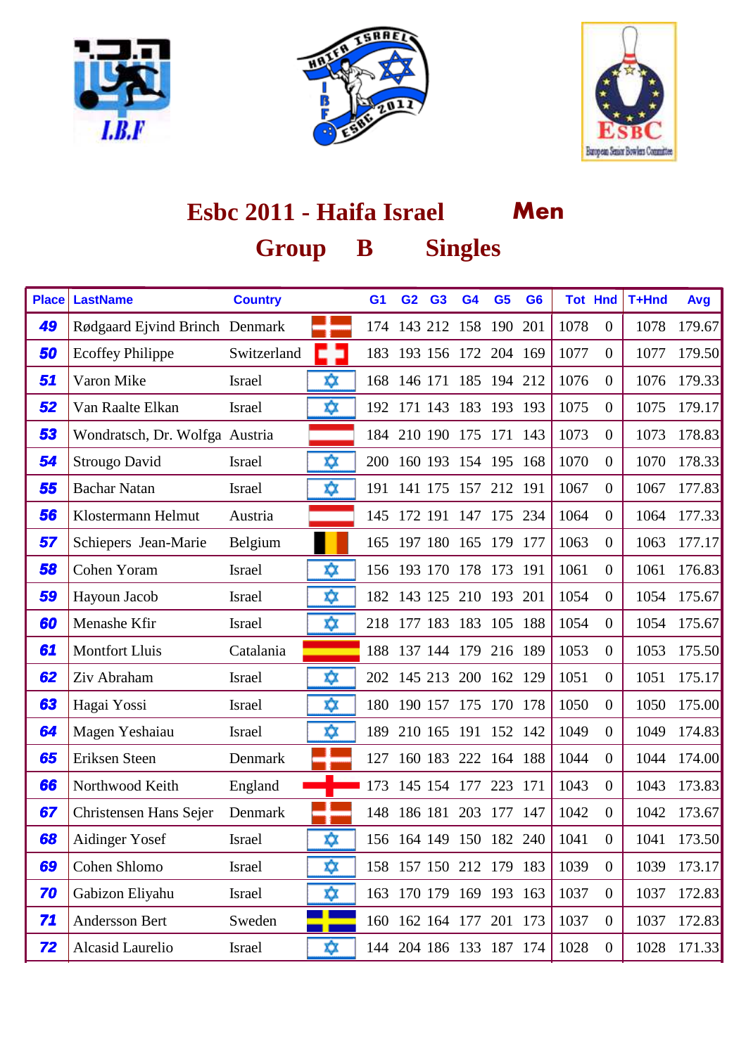





| <b>Place</b> | <b>LastName</b>                | <b>Country</b> |     | G <sub>1</sub> | G <sub>2</sub> | G <sub>3</sub> | G <sub>4</sub> | G <sub>5</sub>          | G <sub>6</sub> |      | <b>Tot Hnd</b>   | T+Hnd | Avg    |
|--------------|--------------------------------|----------------|-----|----------------|----------------|----------------|----------------|-------------------------|----------------|------|------------------|-------|--------|
| 49           | Rødgaard Ejvind Brinch Denmark |                |     |                |                |                |                | 174 143 212 158 190 201 |                | 1078 | $\overline{0}$   | 1078  | 179.67 |
| 50           | <b>Ecoffey Philippe</b>        | Switzerland    |     | 183            |                |                | 193 156 172    | 204 169                 |                | 1077 | $\overline{0}$   | 1077  | 179.50 |
| 51           | Varon Mike                     | <b>Israel</b>  | ΧX  | 168            | 146 171        |                | 185            | 194 212                 |                | 1076 | $\overline{0}$   | 1076  | 179.33 |
| 52           | Van Raalte Elkan               | <b>Israel</b>  | ΧX  |                | 192 171 143    |                |                | 183 193 193             |                | 1075 | $\overline{0}$   | 1075  | 179.17 |
| 53           | Wondratsch, Dr. Wolfga Austria |                |     |                |                |                |                | 184 210 190 175 171 143 |                | 1073 | $\overline{0}$   | 1073  | 178.83 |
| 54           | Strougo David                  | <b>Israel</b>  | xχ  | 200            |                |                |                | 160 193 154 195 168     |                | 1070 | $\overline{0}$   | 1070  | 178.33 |
| 55           | <b>Bachar Natan</b>            | <b>Israel</b>  | xχ  | 191            |                |                |                | 141 175 157 212 191     |                | 1067 | $\overline{0}$   | 1067  | 177.83 |
| 56           | Klostermann Helmut             | Austria        |     | 145            | 172 191        |                | 147            | 175                     | 234            | 1064 | $\overline{0}$   | 1064  | 177.33 |
| 57           | Schiepers Jean-Marie           | Belgium        |     |                |                |                |                | 165 197 180 165 179 177 |                | 1063 | $\overline{0}$   | 1063  | 177.17 |
| 58           | Cohen Yoram                    | Israel         | xχ  |                |                |                |                | 156 193 170 178 173 191 |                | 1061 | $\overline{0}$   | 1061  | 176.83 |
| 59           | Hayoun Jacob                   | <b>Israel</b>  | x)x |                |                |                |                | 182 143 125 210 193 201 |                | 1054 | $\overline{0}$   | 1054  | 175.67 |
| 60           | Menashe Kfir                   | <b>Israel</b>  | ΧX  | 218            |                |                | 177 183 183    | 105 188                 |                | 1054 | $\overline{0}$   | 1054  | 175.67 |
| 61           | <b>Montfort Lluis</b>          | Catalania      |     | 188            | 137 144        |                | 179            | 216 189                 |                | 1053 | $\overline{0}$   | 1053  | 175.50 |
| 62           | Ziv Abraham                    | <b>Israel</b>  | xχ  |                | 202 145 213    |                |                | 200 162                 | 129            | 1051 | $\overline{0}$   | 1051  | 175.17 |
| 63           | Hagai Yossi                    | Israel         | ΧX  |                |                |                |                | 180 190 157 175 170 178 |                | 1050 | $\overline{0}$   | 1050  | 175.00 |
| 64           | Magen Yeshaiau                 | <b>Israel</b>  | Χŷ. | 189            | 210 165 191    |                |                | 152 142                 |                | 1049 | $\overline{0}$   | 1049  | 174.83 |
| 65           | Eriksen Steen                  | Denmark        |     | 127            |                |                |                | 160 183 222 164 188     |                | 1044 | $\overline{0}$   | 1044  | 174.00 |
| 66           | Northwood Keith                | England        |     | 173            |                | 145 154        | 177            | 223                     | 171            | 1043 | $\overline{0}$   | 1043  | 173.83 |
| 67           | Christensen Hans Sejer         | Denmark        |     |                | 148 186 181    |                |                | 203 177 147             |                | 1042 | $\overline{0}$   | 1042  | 173.67 |
| 68           | Aidinger Yosef                 | <b>Israel</b>  | xχ  |                |                |                |                | 156 164 149 150 182 240 |                | 1041 | $\overline{0}$   | 1041  | 173.50 |
| 69           | Cohen Shlomo                   | Israel         | ⋩   |                |                |                |                | 158 157 150 212 179 183 |                | 1039 | $\boldsymbol{0}$ | 1039  | 173.17 |
| 70           | Gabizon Eliyahu                | Israel         | xχ  |                |                |                |                | 163 170 179 169 193 163 |                | 1037 | $\boldsymbol{0}$ | 1037  | 172.83 |
| 71           | Andersson Bert                 | Sweden         |     |                |                |                |                | 160 162 164 177 201 173 |                | 1037 | $\overline{0}$   | 1037  | 172.83 |
| 72           | Alcasid Laurelio               | Israel         | xχ  |                |                |                |                | 144 204 186 133 187 174 |                | 1028 | $\overline{0}$   | 1028  | 171.33 |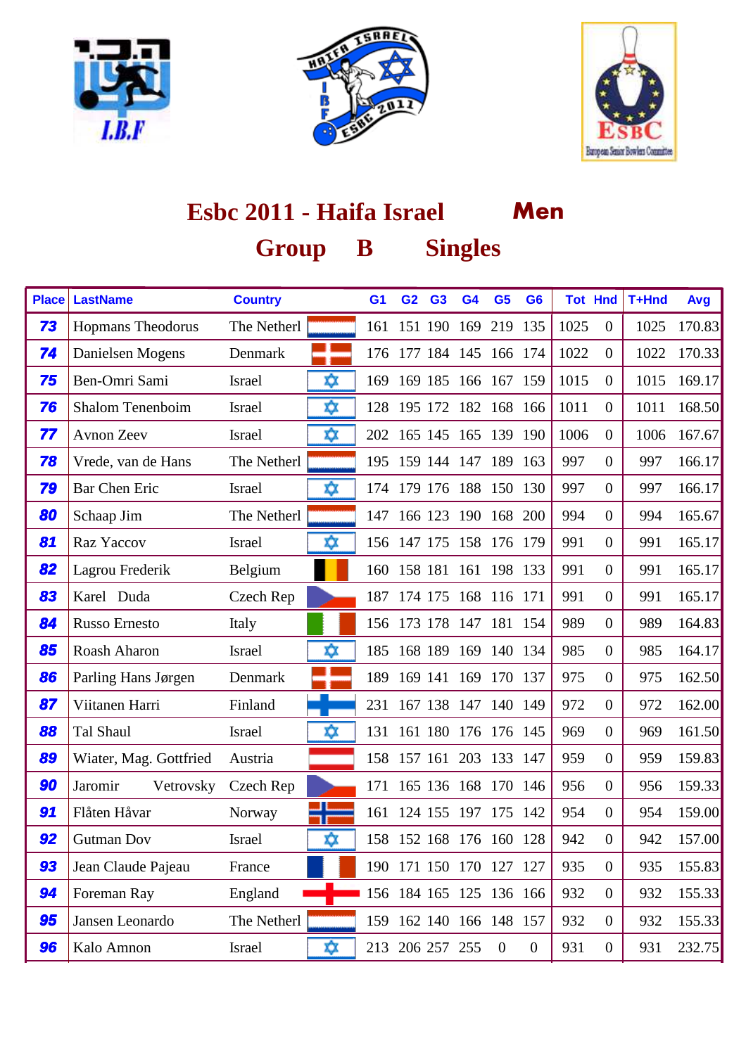





| <b>Place</b> | <b>LastName</b>          | <b>Country</b>      | G <sub>1</sub> | G <sub>2</sub>  | G <sub>3</sub> | G <sub>4</sub>          | G <sub>5</sub> | G <sub>6</sub>   | <b>Tot Hnd</b> |                  | T+Hnd | Avg    |
|--------------|--------------------------|---------------------|----------------|-----------------|----------------|-------------------------|----------------|------------------|----------------|------------------|-------|--------|
| 73           | <b>Hopmans Theodorus</b> | The Netherl         | 161            | 151 190         |                |                         | 169 219        | 135              | 1025           | $\overline{0}$   | 1025  | 170.83 |
| 74           | Danielsen Mogens         | Denmark             | 176            |                 |                | 177 184 145 166 174     |                |                  | 1022           | $\overline{0}$   | 1022  | 170.33 |
| 75           | Ben-Omri Sami            | ΧX<br><b>Israel</b> | 169            | 169 185         |                | 166 167                 |                | 159              | 1015           | $\overline{0}$   | 1015  | 169.17 |
| 76           | <b>Shalom Tenenboim</b>  | ΧX<br>Israel        |                | 128 195 172     |                | 182                     | 168 166        |                  | 1011           | $\overline{0}$   | 1011  | 168.50 |
| 77           | <b>Avnon Zeev</b>        | ΧX<br>Israel        |                |                 |                | 202 165 145 165 139 190 |                |                  | 1006           | $\overline{0}$   | 1006  | 167.67 |
| 78           | Vrede, van de Hans       | The Netherl         |                |                 |                | 195 159 144 147 189 163 |                |                  | 997            | $\overline{0}$   | 997   | 166.17 |
| 79           | <b>Bar Chen Eric</b>     | xχ<br><b>Israel</b> |                |                 |                | 174 179 176 188 150 130 |                |                  | 997            | $\overline{0}$   | 997   | 166.17 |
| 80           | Schaap Jim               | The Netherl         | 147            | 166 123         |                | 190                     | 168            | 200              | 994            | $\overline{0}$   | 994   | 165.67 |
| 81           | Raz Yaccov               | xχ<br>Israel        |                |                 |                | 156 147 175 158 176 179 |                |                  | 991            | $\overline{0}$   | 991   | 165.17 |
| 82           | Lagrou Frederik          | Belgium             |                |                 |                | 160 158 181 161 198 133 |                |                  | 991            | $\overline{0}$   | 991   | 165.17 |
| 83           | Karel Duda               | Czech Rep           | 187            |                 | 174 175        |                         | 168 116 171    |                  | 991            | $\overline{0}$   | 991   | 165.17 |
| 84           | <b>Russo Ernesto</b>     | Italy               |                |                 |                | 156 173 178 147 181 154 |                |                  | 989            | $\overline{0}$   | 989   | 164.83 |
| 85           | Roash Aharon             | ΧX<br><b>Israel</b> | 185            | 168 189         |                | 169                     | 140 134        |                  | 985            | $\overline{0}$   | 985   | 164.17 |
| 86           | Parling Hans Jørgen      | Denmark             | 189            | 169 141         |                | 169                     | 170 137        |                  | 975            | $\overline{0}$   | 975   | 162.50 |
| 87           | Viitanen Harri           | Finland             | 231            |                 |                | 167 138 147 140 149     |                |                  | 972            | $\boldsymbol{0}$ | 972   | 162.00 |
| 88           | Tal Shaul                | xχ<br>Israel        |                |                 |                | 131 161 180 176 176 145 |                |                  | 969            | $\overline{0}$   | 969   | 161.50 |
| 89           | Wiater, Mag. Gottfried   | Austria             |                |                 |                | 158 157 161 203 133 147 |                |                  | 959            | $\overline{0}$   | 959   | 159.83 |
| 90           | Jaromir<br>Vetrovsky     | Czech Rep           | 171            |                 | 165 136 168    |                         | 170 146        |                  | 956            | $\overline{0}$   | 956   | 159.33 |
| 91           | Flåten Håvar             | Norway              | 161            |                 | 124 155 197    |                         | 175 142        |                  | 954            | $\overline{0}$   | 954   | 159.00 |
| 92           | <b>Gutman Dov</b>        | xχ<br><b>Israel</b> |                |                 |                | 158 152 168 176 160 128 |                |                  | 942            | $\overline{0}$   | 942   | 157.00 |
| 93           | Jean Claude Pajeau       | France              |                |                 |                | 190 171 150 170 127 127 |                |                  | 935            | $\boldsymbol{0}$ | 935   | 155.83 |
| 94           | Foreman Ray              | England             |                |                 |                | 156 184 165 125 136 166 |                |                  | 932            | $\boldsymbol{0}$ | 932   | 155.33 |
| 95           | Jansen Leonardo          | The Netherl         |                |                 |                | 159 162 140 166 148 157 |                |                  | 932            | $\boldsymbol{0}$ | 932   | 155.33 |
| 96           | Kalo Amnon               | ΧX<br>Israel        |                | 213 206 257 255 |                |                         | $\overline{0}$ | $\boldsymbol{0}$ | 931            | $\boldsymbol{0}$ | 931   | 232.75 |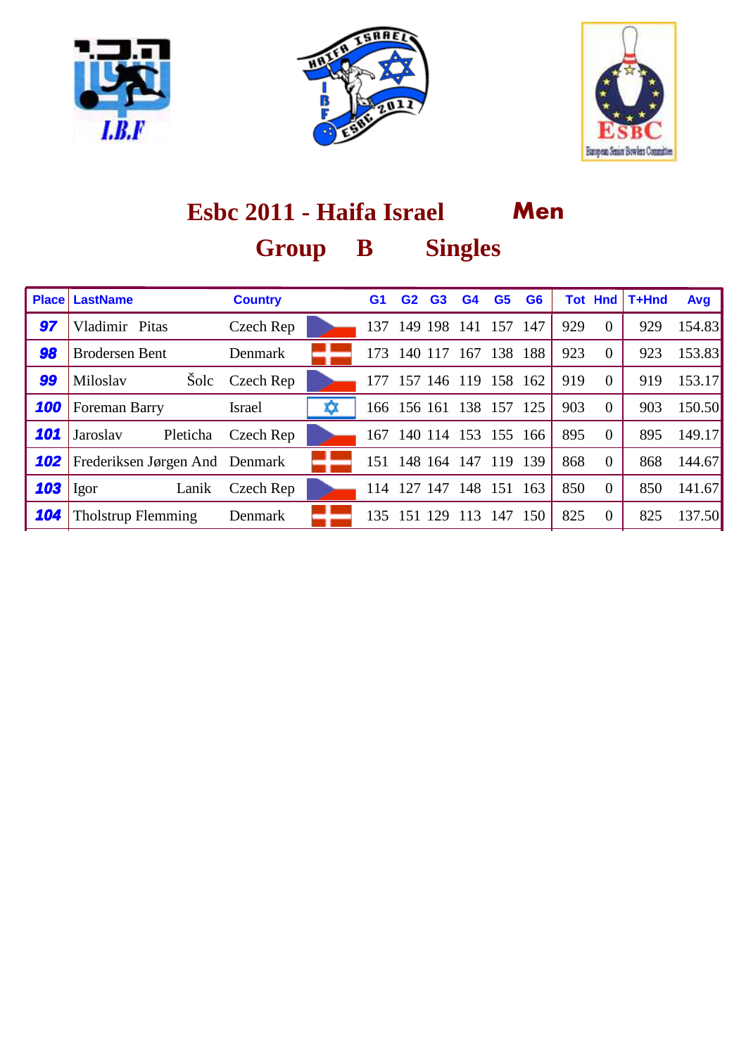





|     | <b>Place LastName</b>          | <b>Country</b> | G <sub>1</sub> | G <sub>2</sub> | G <sub>3</sub> | G4                  | G <sub>5</sub> | G <sub>6</sub> |     | <b>Tot Hnd</b> | T+Hnd | Avg    |
|-----|--------------------------------|----------------|----------------|----------------|----------------|---------------------|----------------|----------------|-----|----------------|-------|--------|
| 97  | Vladimir Pitas                 | Czech Rep      | 137            |                | 149 198        | 141                 | 157            | - 147          | 929 | $\overline{0}$ | 929   | 154.83 |
| 98  | <b>Brodersen Bent</b>          | Denmark        | 173            | 140 117        |                | 167                 | 138 188        |                | 923 | $\overline{0}$ | 923   | 153.83 |
| 99  | Miloslav                       | Šolc Czech Rep | 177            |                |                | 157 146 119         | 158 162        |                | 919 | $\overline{0}$ | 919   | 153.17 |
| 100 | Foreman Barry                  | <b>Israel</b>  |                | 166 156 161    |                |                     | 138 157 125    |                | 903 | $\overline{0}$ | 903   | 150.50 |
| 101 | Jaroslav<br>Pleticha           | Czech Rep      | 167            |                | 140 114        | 153                 | 155 166        |                | 895 | $\Omega$       | 895   | 149.17 |
| 102 | Frederiksen Jørgen And Denmark |                |                |                |                | 151 148 164 147 119 |                | 139            | 868 | $\Omega$       | 868   | 144.67 |
| 103 | Lanik<br>Igor                  | Czech Rep      | 114            | 127            | 147            | 148                 | 151            | 163            | 850 | $\overline{0}$ | 850   | 141.67 |
| 104 | <b>Tholstrup Flemming</b>      | Denmark        | 135            | 151            | 129            | 113                 | 147            | 150            | 825 | $\overline{0}$ | 825   | 137.50 |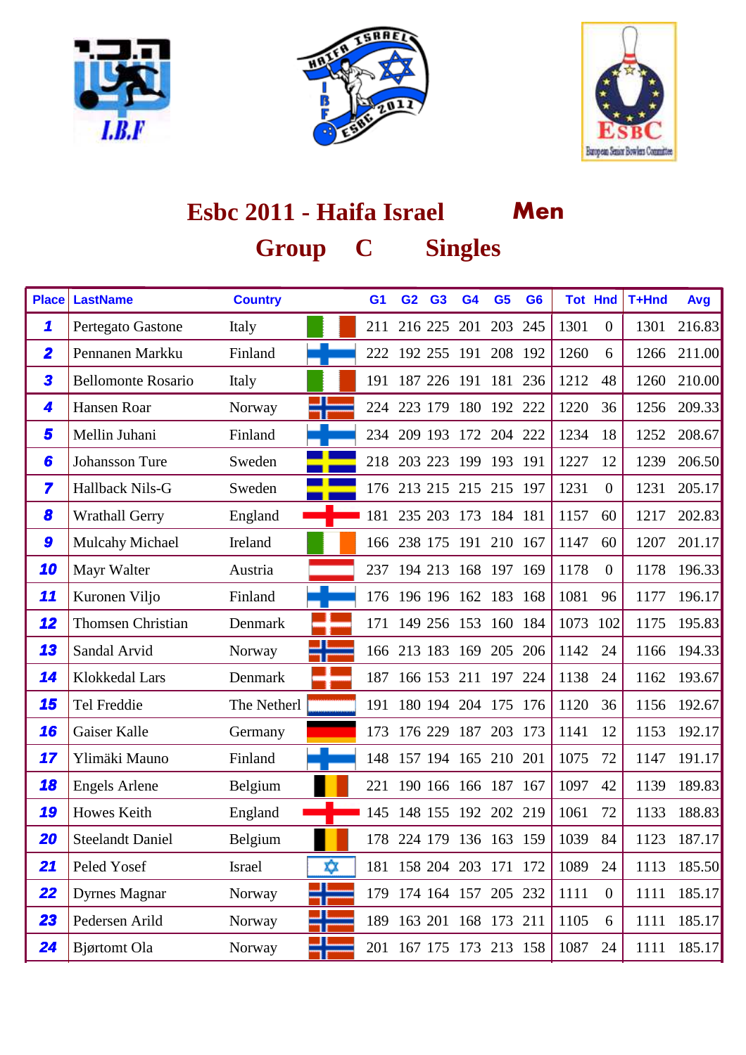





| <b>Place</b>            | <b>LastName</b>           | <b>Country</b> | G <sub>1</sub> | G <sub>2</sub>          | G <sub>3</sub> | G <sub>4</sub> | G <sub>5</sub>      | G <sub>6</sub> |      | <b>Tot Hnd</b>   | T+Hnd | Avg    |
|-------------------------|---------------------------|----------------|----------------|-------------------------|----------------|----------------|---------------------|----------------|------|------------------|-------|--------|
| 1                       | Pertegato Gastone         | Italy          | 211            |                         | 216 225        | 201            | 203                 | 245            | 1301 | $\overline{0}$   | 1301  | 216.83 |
| $\overline{\mathbf{2}}$ | Pennanen Markku           | Finland        | 222            |                         | 192 255        | 191            |                     | 208 192        | 1260 | 6                | 1266  | 211.00 |
| 3                       | <b>Bellomonte Rosario</b> | Italy          | 191            |                         | 187 226        | 191            | 181                 | 236            | 1212 | 48               | 1260  | 210.00 |
| 4                       | Hansen Roar               | Norway         | 224            |                         | 223 179        | 180            | 192 222             |                | 1220 | 36               | 1256  | 209.33 |
| 5                       | Mellin Juhani             | Finland        | 234            |                         |                |                | 209 193 172 204 222 |                | 1234 | 18               | 1252  | 208.67 |
| 6                       | Johansson Ture            | Sweden         | 218            |                         | 203 223        |                | 199 193 191         |                | 1227 | 12               | 1239  | 206.50 |
| 7                       | Hallback Nils-G           | Sweden         |                | 176 213 215 215 215 197 |                |                |                     |                | 1231 | $\overline{0}$   | 1231  | 205.17 |
| 8                       | <b>Wrathall Gerry</b>     | England        | 181            |                         | 235 203        | 173            | 184 181             |                | 1157 | 60               | 1217  | 202.83 |
| 9                       | Mulcahy Michael           | Ireland        |                | 166 238 175 191         |                |                | 210 167             |                | 1147 | 60               | 1207  | 201.17 |
| 10                      | Mayr Walter               | Austria        | 237            | 194 213                 |                |                | 168 197 169         |                | 1178 | $\overline{0}$   | 1178  | 196.33 |
| 11                      | Kuronen Viljo             | Finland        |                | 176 196 196 162 183 168 |                |                |                     |                | 1081 | 96               | 1177  | 196.17 |
| 12                      | <b>Thomsen Christian</b>  | Denmark        | 171            |                         |                |                | 149 256 153 160 184 |                | 1073 | 102              | 1175  | 195.83 |
| 13                      | Sandal Arvid              | Norway         | 166            |                         | 213 183        | 169            | 205                 | 206            | 1142 | 24               | 1166  | 194.33 |
| 14                      | Klokkedal Lars            | Denmark        | 187            |                         | 166 153        | 211            |                     | 197 224        | 1138 | 24               | 1162  | 193.67 |
| 15                      | Tel Freddie               | The Netherl    | 191            |                         | 180 194        | 204            | 175 176             |                | 1120 | 36               | 1156  | 192.67 |
| 16                      | Gaiser Kalle              | Germany        | 173            |                         | 176 229        | 187            |                     | 203 173        | 1141 | 12               | 1153  | 192.17 |
| 17                      | Ylimäki Mauno             | Finland        | 148            |                         |                |                | 157 194 165 210 201 |                | 1075 | 72               | 1147  | 191.17 |
| 18                      | <b>Engels Arlene</b>      | Belgium        | 221            |                         |                |                | 190 166 166 187 167 |                | 1097 | 42               | 1139  | 189.83 |
| 19                      | Howes Keith               | England        | 145            |                         | 148 155        | 192            | 202 219             |                | 1061 | 72               | 1133  | 188.83 |
| 20                      | <b>Steelandt Daniel</b>   | Belgium        |                | 178 224 179 136 163     |                |                |                     | 159            | 1039 | 84               | 1123  | 187.17 |
| 21                      | Peled Yosef               | ΧX<br>Israel   |                | 181 158 204 203 171 172 |                |                |                     |                | 1089 | 24               | 1113  | 185.50 |
| 22                      | <b>Dyrnes Magnar</b>      | Norway<br>٦F   |                | 179 174 164 157 205 232 |                |                |                     |                | 1111 | $\boldsymbol{0}$ | 1111  | 185.17 |
| 23                      | Pedersen Arild            | Norway         |                | 189 163 201 168 173 211 |                |                |                     |                | 1105 | 6                | 1111  | 185.17 |
| 24                      | <b>Bjørtomt</b> Ola       | Norway<br>٦F   |                | 201 167 175 173 213 158 |                |                |                     |                | 1087 | 24               | 1111  | 185.17 |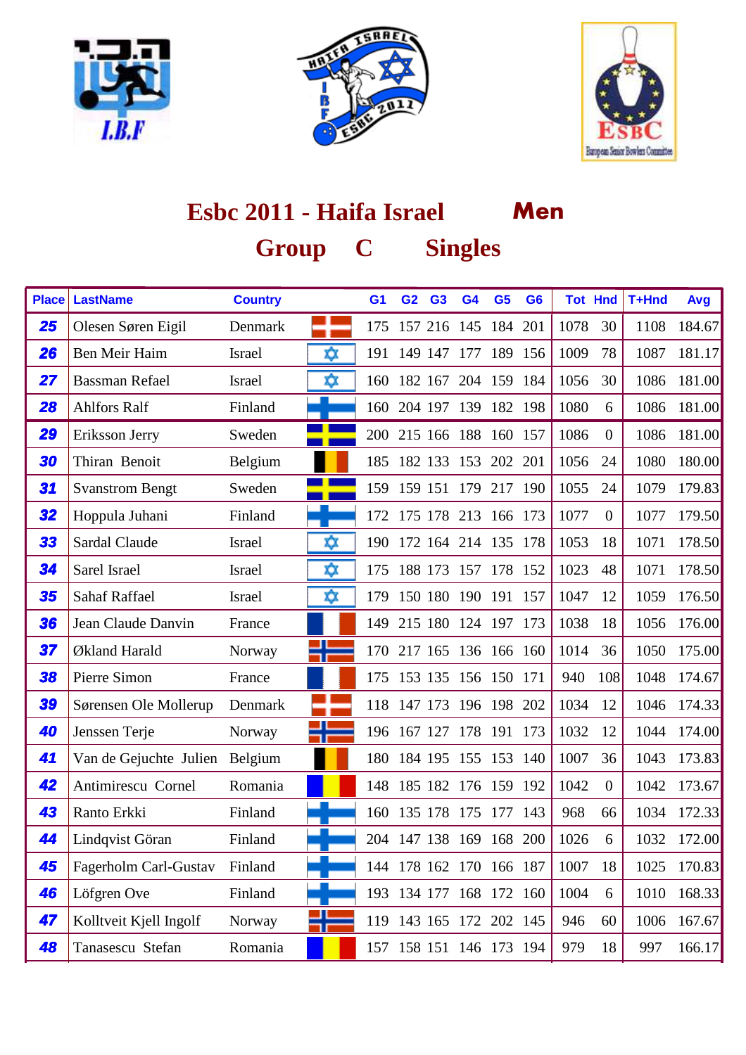





| <b>Place</b> | <b>LastName</b>                | <b>Country</b> |    | G <sub>1</sub> | G <sub>2</sub> | G <sub>3</sub> | G <sub>4</sub>          | G <sub>5</sub> | G <sub>6</sub> | <b>Tot Hnd</b> |                  | T+Hnd | Avg    |
|--------------|--------------------------------|----------------|----|----------------|----------------|----------------|-------------------------|----------------|----------------|----------------|------------------|-------|--------|
| 25           | Olesen Søren Eigil             | Denmark        |    | 175            |                |                | 157 216 145 184         |                | 201            | 1078           | 30               | 1108  | 184.67 |
| 26           | Ben Meir Haim                  | <b>Israel</b>  | ΧX | 191            | 149 147        |                | 177                     | 189            | 156            | 1009           | 78               | 1087  | 181.17 |
| 27           | <b>Bassman Refael</b>          | <b>Israel</b>  | ΧX | 160            | 182 167        |                | 204                     | 159 184        |                | 1056           | 30               | 1086  | 181.00 |
| 28           | <b>Ahlfors Ralf</b>            | Finland        |    | 160            |                |                | 204 197 139 182 198     |                |                | 1080           | 6                | 1086  | 181.00 |
| 29           | Eriksson Jerry                 | Sweden         |    |                |                |                | 200 215 166 188 160 157 |                |                | 1086           | $\boldsymbol{0}$ | 1086  | 181.00 |
| 30           | Thiran Benoit                  | Belgium        |    | 185            | 182 133 153    |                |                         | 202 201        |                | 1056           | 24               | 1080  | 180.00 |
| 31           | <b>Svanstrom Bengt</b>         | Sweden         |    | 159            |                |                | 159 151 179             | 217 190        |                | 1055           | 24               | 1079  | 179.83 |
| 32           | Hoppula Juhani                 | Finland        |    | 172            | 175 178 213    |                |                         | 166 173        |                | 1077           | $\boldsymbol{0}$ | 1077  | 179.50 |
| 33           | Sardal Claude                  | <b>Israel</b>  | xχ | 190            |                |                | 172 164 214 135 178     |                |                | 1053           | 18               | 1071  | 178.50 |
| 34           | Sarel Israel                   | Israel         | xχ | 175            |                |                | 188 173 157 178 152     |                |                | 1023           | 48               | 1071  | 178.50 |
| 35           | <b>Sahaf Raffael</b>           | Israel         | xχ | 179            |                |                | 150 180 190 191 157     |                |                | 1047           | 12               | 1059  | 176.50 |
| 36           | Jean Claude Danvin             | France         |    | 149            |                |                | 215 180 124 197 173     |                |                | 1038           | 18               | 1056  | 176.00 |
| 37           | Økland Harald                  | Norway         |    | 170            | 217 165        |                |                         | 136 166 160    |                | 1014           | 36               | 1050  | 175.00 |
| 38           | Pierre Simon                   | France         |    |                |                |                | 175 153 135 156 150 171 |                |                | 940            | 108              | 1048  | 174.67 |
| 39           | Sørensen Ole Mollerup          | Denmark        |    |                |                |                | 118 147 173 196 198 202 |                |                | 1034           | 12               | 1046  | 174.33 |
| 40           | Jenssen Terje                  | Norway         |    | 196            | 167 127        |                |                         | 178 191 173    |                | 1032           | 12               | 1044  | 174.00 |
| 41           | Van de Gejuchte Julien Belgium |                |    | 180            |                |                | 184 195 155 153         |                | 140            | 1007           | 36               | 1043  | 173.83 |
| 42           | Antimirescu Cornel             | Romania        |    | 148            |                | 185 182        |                         | 176 159 192    |                | 1042           | $\boldsymbol{0}$ | 1042  | 173.67 |
| 43           | Ranto Erkki                    | Finland        |    | 160            |                |                | 135 178 175             | 177 143        |                | 968            | 66               | 1034  | 172.33 |
| 44           | Lindqvist Göran                | Finland        |    |                |                |                | 204 147 138 169 168 200 |                |                | 1026           | 6                | 1032  | 172.00 |
| 45           | Fagerholm Carl-Gustav          | Finland        |    |                |                |                | 144 178 162 170 166 187 |                |                | 1007           | 18               | 1025  | 170.83 |
| 46           | Löfgren Ove                    | Finland        |    |                |                |                | 193 134 177 168 172 160 |                |                | 1004           | 6                | 1010  | 168.33 |
| 47           | Kolltveit Kjell Ingolf         | Norway         |    |                |                |                | 119 143 165 172 202 145 |                |                | 946            | 60               | 1006  | 167.67 |
| 48           | Tanasescu Stefan               | Romania        |    |                |                |                | 157 158 151 146 173 194 |                |                | 979            | 18               | 997   | 166.17 |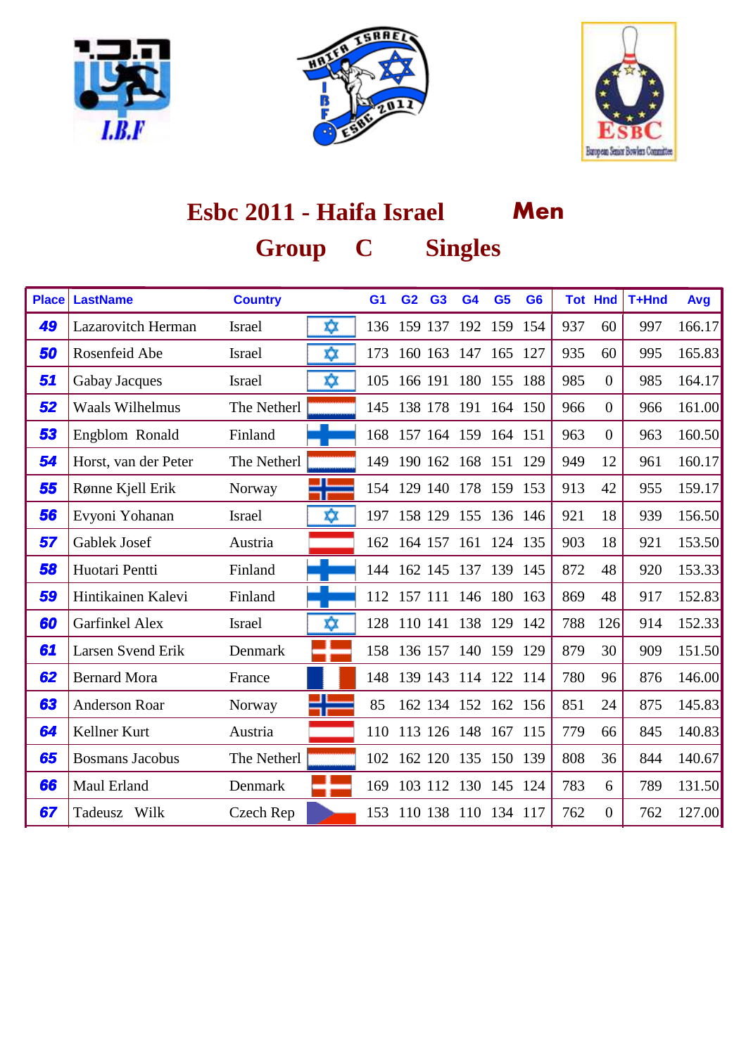





| <b>Place</b> | <b>LastName</b>        | <b>Country</b> |    | G <sub>1</sub> | G <sub>2</sub> | G <sub>3</sub> | G <sub>4</sub> | G <sub>5</sub>          | G <sub>6</sub> |     | <b>Tot Hnd</b> | T+Hnd | Avg    |
|--------------|------------------------|----------------|----|----------------|----------------|----------------|----------------|-------------------------|----------------|-----|----------------|-------|--------|
| 49           | Lazarovitch Herman     | Israel         | ΧX |                | 136 159 137    |                | 192            | 159 154                 |                | 937 | 60             | 997   | 166.17 |
| 50           | Rosenfeid Abe          | <b>Israel</b>  | ⋩  | 173            | 160 163        |                | 147            | 165 127                 |                | 935 | 60             | 995   | 165.83 |
| 51           | <b>Gabay Jacques</b>   | <b>Israel</b>  | ΧX | 105            |                | 166 191        | 180            | 155 188                 |                | 985 | $\overline{0}$ | 985   | 164.17 |
| 52           | <b>Waals Wilhelmus</b> | The Netherl    |    | 145            | 138 178        |                | 191            | 164 150                 |                | 966 | $\overline{0}$ | 966   | 161.00 |
| 53           | Engblom Ronald         | Finland        |    | 168            | 157 164        |                | 159            | 164 151                 |                | 963 | $\overline{0}$ | 963   | 160.50 |
| 54           | Horst, van der Peter   | The Netherl    |    | 149            | 190 162        |                | 168            | 151 129                 |                | 949 | 12             | 961   | 160.17 |
| 55           | Rønne Kjell Erik       | Norway         |    |                |                |                |                | 154 129 140 178 159 153 |                | 913 | 42             | 955   | 159.17 |
| 56           | Evyoni Yohanan         | Israel         | ΧX | 197            |                |                |                | 158 129 155 136 146     |                | 921 | 18             | 939   | 156.50 |
| 57           | Gablek Josef           | Austria        |    |                | 162 164 157    |                | 161            | 124 135                 |                | 903 | 18             | 921   | 153.50 |
| 58           | Huotari Pentti         | Finland        |    | 144            | 162 145        |                |                | 137 139 145             |                | 872 | 48             | 920   | 153.33 |
| 59           | Hintikainen Kalevi     | Finland        |    | 112            | 157 111        |                |                | 146 180 163             |                | 869 | 48             | 917   | 152.83 |
| 60           | Garfinkel Alex         | <b>Israel</b>  | xχ | 128            | 110 141        |                | 138            | 129                     | 142            | 788 | 126            | 914   | 152.33 |
| 61           | Larsen Svend Erik      | Denmark        |    | 158            | 136 157        |                | 140            | 159 129                 |                | 879 | 30             | 909   | 151.50 |
| 62           | <b>Bernard Mora</b>    | France         |    | 148            | 139 143        |                |                | 114 122 114             |                | 780 | 96             | 876   | 146.00 |
| 63           | <b>Anderson Roar</b>   | Norway         |    | 85             |                |                |                | 162 134 152 162 156     |                | 851 | 24             | 875   | 145.83 |
| 64           | Kellner Kurt           | Austria        |    |                |                |                |                | 110 113 126 148 167 115 |                | 779 | 66             | 845   | 140.83 |
| 65           | <b>Bosmans Jacobus</b> | The Netherl    |    | 102            | 162 120        |                |                | 135 150 139             |                | 808 | 36             | 844   | 140.67 |
| 66           | Maul Erland            | Denmark        |    | 169            |                |                |                | 103 112 130 145 124     |                | 783 | 6              | 789   | 131.50 |
| 67           | Tadeusz Wilk           | Czech Rep      |    | 153            |                |                |                | 110 138 110 134 117     |                | 762 | $\overline{0}$ | 762   | 127.00 |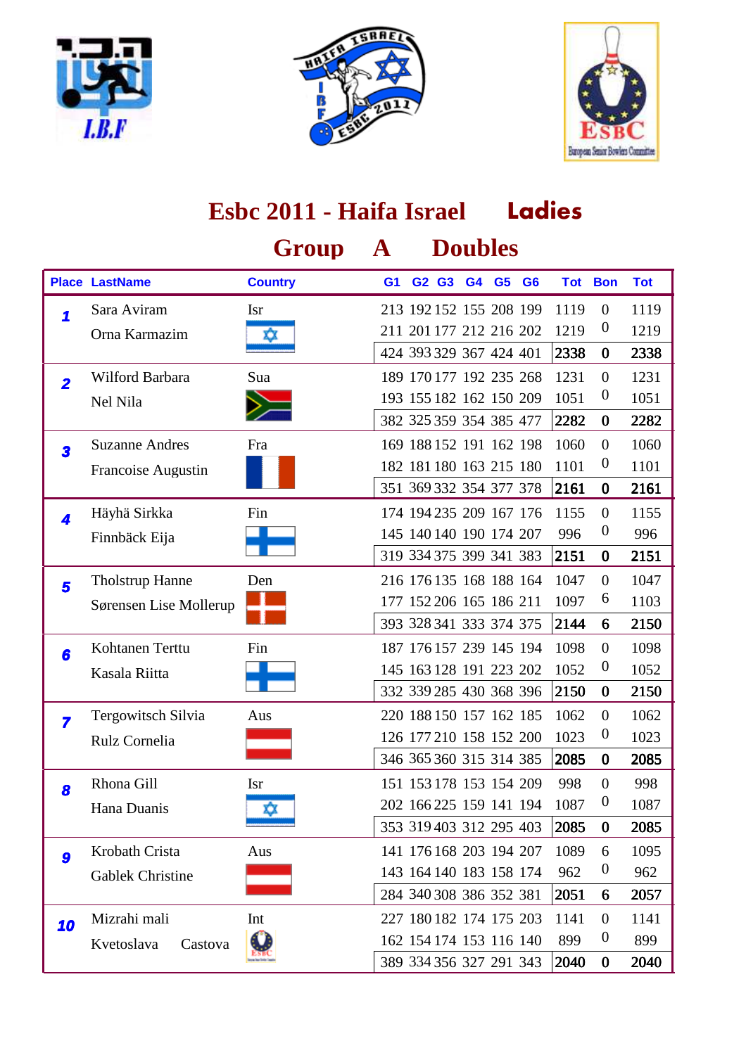





|                         |                        | Group          | $\mathbf{A}$ |                         |                | <b>Doubles</b> |                |      |                  |            |
|-------------------------|------------------------|----------------|--------------|-------------------------|----------------|----------------|----------------|------|------------------|------------|
|                         | <b>Place LastName</b>  | <b>Country</b> | G1           | G2 G3                   | G <sub>4</sub> | G <sub>5</sub> | G <sub>6</sub> |      | <b>Tot Bon</b>   | <b>Tot</b> |
| 1                       | Sara Aviram            | <b>Isr</b>     |              | 213 192 152 155 208 199 |                |                |                | 1119 | $\mathbf{0}$     | 1119       |
|                         | Orna Karmazim          | xx             |              | 211 201 177 212 216 202 |                |                |                | 1219 | $\boldsymbol{0}$ | 1219       |
|                         |                        |                |              | 424 393 329 367 424 401 |                |                |                | 2338 | $\bf{0}$         | 2338       |
| $\overline{2}$          | Wilford Barbara        | Sua            |              | 189 170 177 192 235 268 |                |                |                | 1231 | $\theta$         | 1231       |
|                         | Nel Nila               |                |              | 193 155 182 162 150 209 |                |                |                | 1051 | $\boldsymbol{0}$ | 1051       |
|                         |                        |                |              | 382 325 359 354 385 477 |                |                |                | 2282 | $\bf{0}$         | 2282       |
| 3                       | <b>Suzanne Andres</b>  | Fra            |              | 169 188 152 191 162 198 |                |                |                | 1060 | $\theta$         | 1060       |
|                         | Francoise Augustin     |                |              | 182 181 180 163 215 180 |                |                |                | 1101 | $\boldsymbol{0}$ | 1101       |
|                         |                        |                |              | 351 369 332 354 377 378 |                |                |                | 2161 | $\bf{0}$         | 2161       |
| 4                       | Häyhä Sirkka           | Fin            |              | 174 194 235 209 167 176 |                |                |                | 1155 | $\theta$         | 1155       |
|                         | Finnbäck Eija          |                |              | 145 140 140 190 174 207 |                |                |                | 996  | $\boldsymbol{0}$ | 996        |
|                         |                        |                |              | 319 334 375 399 341 383 |                |                |                | 2151 | $\bf{0}$         | 2151       |
| 5                       | <b>Tholstrup Hanne</b> | Den            |              | 216 176 135 168 188 164 |                |                |                | 1047 | $\theta$         | 1047       |
|                         | Sørensen Lise Mollerup |                |              | 177 152 206 165 186 211 |                |                |                | 1097 | 6                | 1103       |
|                         |                        |                |              | 393 328 341 333 374 375 |                |                |                | 2144 | 6                | 2150       |
| 6                       | Kohtanen Terttu        | Fin            |              | 187 176 157 239 145 194 |                |                |                | 1098 | $\theta$         | 1098       |
|                         | Kasala Riitta          |                |              | 145 163 128 191 223 202 |                |                |                | 1052 | $\boldsymbol{0}$ | 1052       |
|                         |                        |                |              | 332 339 285 430 368 396 |                |                |                | 2150 | $\bf{0}$         | 2150       |
| $\overline{\mathbf{z}}$ | Tergowitsch Silvia     | Aus            |              | 220 188 150 157 162 185 |                |                |                | 1062 | $\mathbf{0}$     | 1062       |
|                         | Rulz Cornelia          |                |              | 126 177 210 158 152 200 |                |                |                | 1023 | $\boldsymbol{0}$ | 1023       |
|                         |                        |                |              | 346 365 360 315 314 385 |                |                |                | 2085 | $\bf{0}$         | 2085       |
| 8                       | Rhona Gill             | <b>Isr</b>     |              | 151 153 178 153 154 209 |                |                |                | 998  | $\boldsymbol{0}$ | 998        |
|                         | Hana Duanis            |                |              | 202 166 225 159 141 194 |                |                |                | 1087 | $\boldsymbol{0}$ | 1087       |
|                         |                        |                |              | 353 319 403 312 295 403 |                |                |                | 2085 | $\bf{0}$         | 2085       |
| 9                       | Krobath Crista         | Aus            |              | 141 176 168 203 194 207 |                |                |                | 1089 | 6                | 1095       |
|                         | Gablek Christine       |                |              | 143 164 140 183 158 174 |                |                |                | 962  | $\boldsymbol{0}$ | 962        |
|                         |                        |                |              | 284 340 308 386 352 381 |                |                |                | 2051 | 6                | 2057       |
| 10                      | Mizrahi mali           | Int            |              | 227 180 182 174 175 203 |                |                |                | 1141 | $\mathbf{0}$     | 1141       |
|                         | Kvetoslava<br>Castova  |                |              | 162 154 174 153 116 140 |                |                |                | 899  | $\boldsymbol{0}$ | 899        |
|                         |                        |                |              | 389 334 356 327 291 343 |                |                |                | 2040 | $\bf{0}$         | 2040       |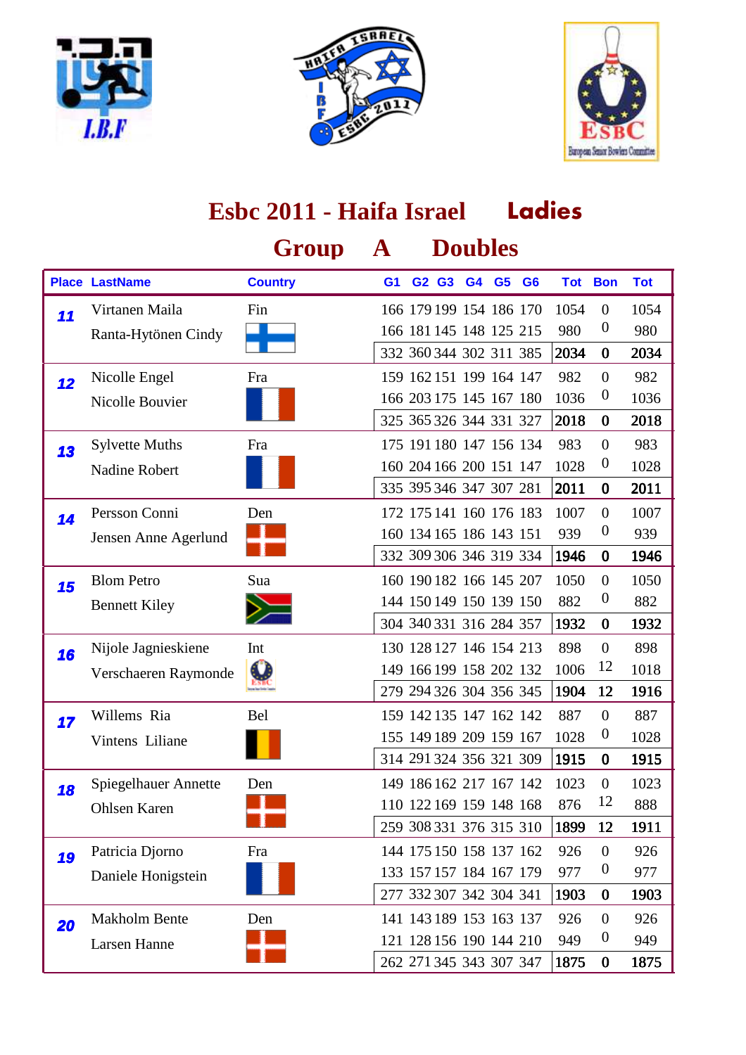





|    |                       | Group          | ${\bf A}$ |                         | <b>Doubles</b> |                |                |      |                  |            |
|----|-----------------------|----------------|-----------|-------------------------|----------------|----------------|----------------|------|------------------|------------|
|    | <b>Place LastName</b> | <b>Country</b> | G1        | G2 G3                   | G <sub>4</sub> | G <sub>5</sub> | G <sub>6</sub> |      | <b>Tot Bon</b>   | <b>Tot</b> |
| 11 | Virtanen Maila        | Fin            |           | 166 179 199 154 186 170 |                |                |                | 1054 | $\mathbf{0}$     | 1054       |
|    | Ranta-Hytönen Cindy   |                |           | 166 181 145 148 125 215 |                |                |                | 980  | $\boldsymbol{0}$ | 980        |
|    |                       |                |           | 332 360 344 302 311 385 |                |                |                | 2034 | $\bf{0}$         | 2034       |
| 12 | Nicolle Engel         | Fra            |           | 159 162 151 199 164 147 |                |                |                | 982  | $\theta$         | 982        |
|    | Nicolle Bouvier       |                |           | 166 203 175 145 167 180 |                |                |                | 1036 | $\boldsymbol{0}$ | 1036       |
|    |                       |                |           | 325 365 326 344 331 327 |                |                |                | 2018 | $\bf{0}$         | 2018       |
| 13 | <b>Sylvette Muths</b> | Fra            |           | 175 191 180 147 156 134 |                |                |                | 983  | $\overline{0}$   | 983        |
|    | Nadine Robert         |                |           | 160 204 166 200 151 147 |                |                |                | 1028 | $\boldsymbol{0}$ | 1028       |
|    |                       |                |           | 335 395 346 347 307 281 |                |                |                | 2011 | $\bf{0}$         | 2011       |
| 14 | Persson Conni         | Den            |           | 172 175 141 160 176 183 |                |                |                | 1007 | $\theta$         | 1007       |
|    | Jensen Anne Agerlund  |                |           | 160 134 165 186 143 151 |                |                |                | 939  | $\boldsymbol{0}$ | 939        |
|    |                       |                |           | 332 309 306 346 319 334 |                |                |                | 1946 | $\bf{0}$         | 1946       |
| 15 | <b>Blom Petro</b>     | Sua            |           | 160 190 182 166 145 207 |                |                |                | 1050 | $\overline{0}$   | 1050       |
|    | <b>Bennett Kiley</b>  |                |           | 144 150 149 150 139 150 |                |                |                | 882  | $\boldsymbol{0}$ | 882        |
|    |                       |                |           | 304 340 331 316 284 357 |                |                |                | 1932 | $\bf{0}$         | 1932       |
| 16 | Nijole Jagnieskiene   | Int            |           | 130 128 127 146 154 213 |                |                |                | 898  | $\theta$         | 898        |
|    | Verschaeren Raymonde  |                |           | 149 166 199 158 202 132 |                |                |                | 1006 | 12               | 1018       |
|    |                       |                |           | 279 294 326 304 356 345 |                |                |                | 1904 | 12               | 1916       |
| 17 | Willems Ria           | Bel            |           | 159 142 135 147 162 142 |                |                |                | 887  | $\overline{0}$   | 887        |
|    | Vintens Liliane       |                |           | 155 149 189 209 159 167 |                |                |                | 1028 | $\boldsymbol{0}$ | 1028       |
|    |                       |                |           | 314 291 324 356 321 309 |                |                |                | 1915 | $\bf{0}$         | 1915       |
| 18 | Spiegelhauer Annette  | Den            |           | 149 186 162 217 167 142 |                |                |                | 1023 | $\boldsymbol{0}$ | 1023       |
|    | Ohlsen Karen          |                |           | 110 122 169 159 148 168 |                |                |                | 876  | 12               | 888        |
|    |                       |                |           | 259 308 331 376 315 310 |                |                |                | 1899 | 12               | 1911       |
| 19 | Patricia Djorno       | Fra            |           | 144 175 150 158 137 162 |                |                |                | 926  | $\boldsymbol{0}$ | 926        |
|    | Daniele Honigstein    |                |           | 133 157 157 184 167 179 |                |                |                | 977  | $\boldsymbol{0}$ | 977        |
|    |                       |                |           | 277 332 307 342 304 341 |                |                |                | 1903 | $\bf{0}$         | 1903       |
| 20 | Makholm Bente         | Den            |           | 141 143 189 153 163 137 |                |                |                | 926  | $\boldsymbol{0}$ | 926        |
|    | Larsen Hanne          |                |           | 121 128 156 190 144 210 |                |                |                | 949  | $\boldsymbol{0}$ | 949        |
|    |                       |                |           | 262 271 345 343 307 347 |                |                |                | 1875 | $\bf{0}$         | 1875       |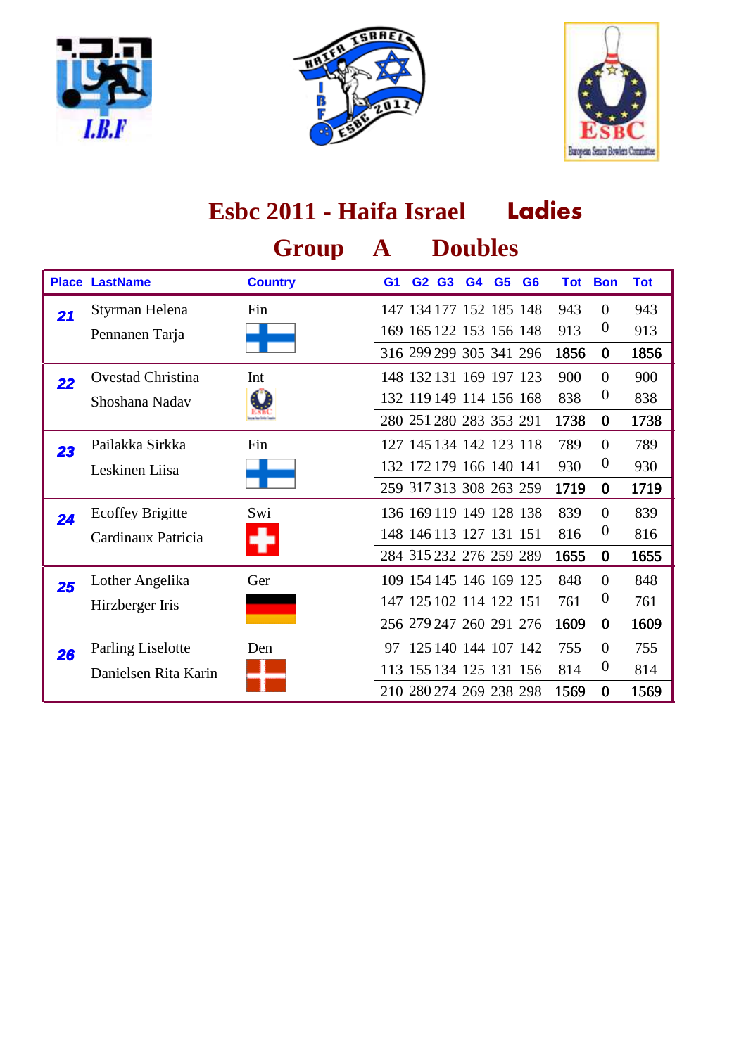





|    |                                                  | Group          | A  |                                                                               |                |                | <b>Doubles</b> |                |                    |                                                |                    |
|----|--------------------------------------------------|----------------|----|-------------------------------------------------------------------------------|----------------|----------------|----------------|----------------|--------------------|------------------------------------------------|--------------------|
|    | <b>Place LastName</b>                            | <b>Country</b> | G1 | G <sub>2</sub>                                                                | G <sub>3</sub> | G <sub>4</sub> | G <sub>5</sub> | G <sub>6</sub> |                    | <b>Tot Bon</b>                                 | <b>Tot</b>         |
| 21 | Styrman Helena<br>Pennanen Tarja                 | Fin            |    | 147 134 177 152 185 148<br>169 165 122 153 156 148<br>316 299 299 305 341 296 |                |                |                |                | 943<br>913<br>1856 | $\Omega$<br>$\theta$<br>$\bf{0}$               | 943<br>913<br>1856 |
| 22 | Ovestad Christina<br>Shoshana Nadav              | Int            |    | 148 132 131 169 197 123<br>132 119 149 114 156 168<br>280 251 280 283 353 291 |                |                |                |                | 900<br>838<br>1738 | $\overline{0}$<br>$\boldsymbol{0}$<br>$\bf{0}$ | 900<br>838<br>1738 |
| 23 | Pailakka Sirkka<br>Leskinen Liisa                | Fin            |    | 127 145 134 142 123 118<br>132 172 179 166 140 141<br>259 317 313 308 263 259 |                |                |                |                | 789<br>930<br>1719 | $\Omega$<br>$\boldsymbol{0}$<br>$\bf{0}$       | 789<br>930<br>1719 |
| 24 | <b>Ecoffey Brigitte</b><br>Cardinaux Patricia    | Swi            |    | 136 169 119 149 128 138<br>148 146 113 127 131 151<br>284 315 232 276 259 289 |                |                |                |                | 839<br>816<br>1655 | $\Omega$<br>$\boldsymbol{0}$<br>$\bf{0}$       | 839<br>816<br>1655 |
| 25 | Lother Angelika<br>Hirzberger Iris               | Ger            |    | 109 154 145 146 169 125<br>147 125 102 114 122 151<br>256 279 247 260 291 276 |                |                |                |                | 848<br>761<br>1609 | $\overline{0}$<br>$\boldsymbol{0}$<br>$\bf{0}$ | 848<br>761<br>1609 |
| 26 | <b>Parling Liselotte</b><br>Danielsen Rita Karin | Den            | 97 | 125 140 144 107 142<br>113 155 134 125 131 156<br>210 280 274 269 238 298     |                |                |                |                | 755<br>814<br>1569 | $\overline{0}$<br>$\boldsymbol{0}$<br>$\bf{0}$ | 755<br>814<br>1569 |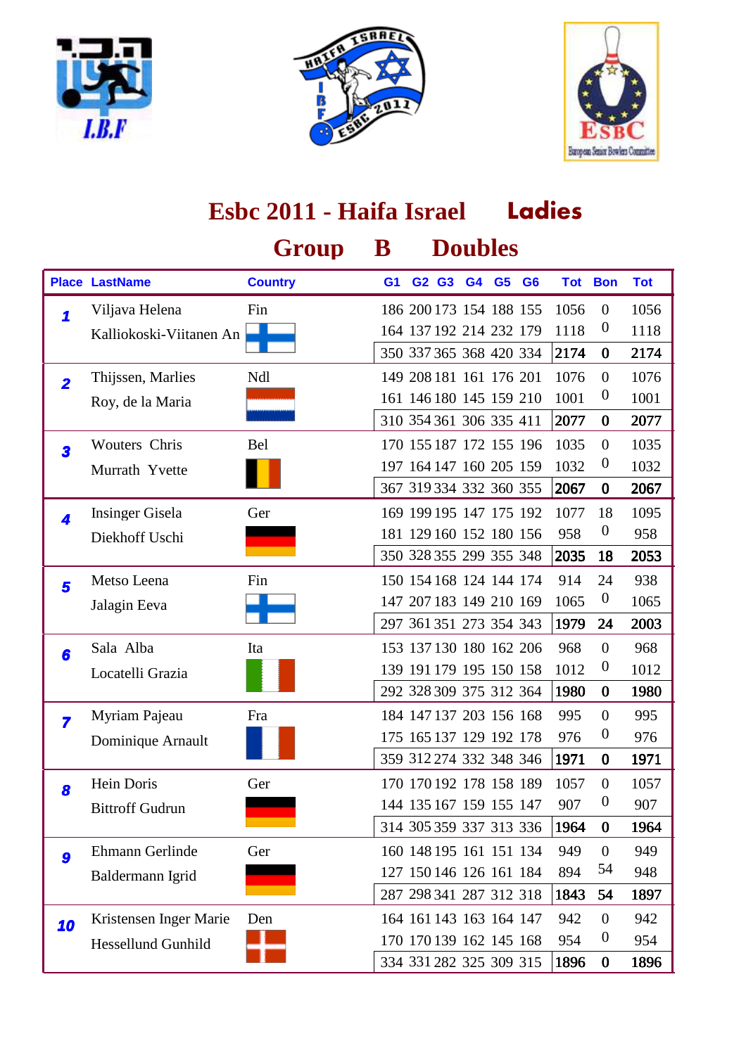





|                         |                           | Group          | ${\bf B}$      |                         |  | <b>Doubles</b> |                |      |                  |            |
|-------------------------|---------------------------|----------------|----------------|-------------------------|--|----------------|----------------|------|------------------|------------|
|                         | <b>Place LastName</b>     | <b>Country</b> | G <sub>1</sub> | G2 G3 G4                |  | G <sub>5</sub> | G <sub>6</sub> |      | <b>Tot Bon</b>   | <b>Tot</b> |
| 1                       | Viljava Helena            | Fin            |                | 186 200 173 154 188 155 |  |                |                | 1056 | $\boldsymbol{0}$ | 1056       |
|                         | Kalliokoski-Viitanen An   |                |                | 164 137 192 214 232 179 |  |                |                | 1118 | $\boldsymbol{0}$ | 1118       |
|                         |                           |                |                | 350 337 365 368 420 334 |  |                |                | 2174 | $\bf{0}$         | 2174       |
| $\overline{\mathbf{2}}$ | Thijssen, Marlies         | Ndl            |                | 149 208 181 161 176 201 |  |                |                | 1076 | $\overline{0}$   | 1076       |
|                         | Roy, de la Maria          |                |                | 161 146 180 145 159 210 |  |                |                | 1001 | $\boldsymbol{0}$ | 1001       |
|                         |                           |                |                | 310 354 361 306 335 411 |  |                |                | 2077 | $\bf{0}$         | 2077       |
| $\overline{\mathbf{3}}$ | Wouters Chris             | Bel            |                | 170 155 187 172 155 196 |  |                |                | 1035 | $\overline{0}$   | 1035       |
|                         | Murrath Yvette            |                |                | 197 164 147 160 205 159 |  |                |                | 1032 | $\boldsymbol{0}$ | 1032       |
|                         |                           |                |                | 367 319 334 332 360 355 |  |                |                | 2067 | $\bf{0}$         | 2067       |
| 4                       | <b>Insinger Gisela</b>    | Ger            |                | 169 199 195 147 175 192 |  |                |                | 1077 | 18               | 1095       |
|                         | Diekhoff Uschi            |                |                | 181 129 160 152 180 156 |  |                |                | 958  | $\boldsymbol{0}$ | 958        |
|                         |                           |                |                | 350 328 355 299 355 348 |  |                |                | 2035 | 18               | 2053       |
| 5                       | Metso Leena               | Fin            |                | 150 154 168 124 144 174 |  |                |                | 914  | 24               | 938        |
|                         | Jalagin Eeva              |                |                | 147 207 183 149 210 169 |  |                |                | 1065 | $\boldsymbol{0}$ | 1065       |
|                         |                           |                |                | 297 361 351 273 354 343 |  |                |                | 1979 | 24               | 2003       |
| 6                       | Sala Alba                 | Ita            |                | 153 137 130 180 162 206 |  |                |                | 968  | $\boldsymbol{0}$ | 968        |
|                         | Locatelli Grazia          |                |                | 139 191 179 195 150 158 |  |                |                | 1012 | $\boldsymbol{0}$ | 1012       |
|                         |                           |                |                | 292 328 309 375 312 364 |  |                |                | 1980 | $\bf{0}$         | 1980       |
| $\overline{\mathbf{z}}$ | Myriam Pajeau             | Fra            |                | 184 147 137 203 156 168 |  |                |                | 995  | $\theta$         | 995        |
|                         | Dominique Arnault         |                |                | 175 165 137 129 192 178 |  |                |                | 976  | $\boldsymbol{0}$ | 976        |
|                         |                           |                |                | 359 312 274 332 348 346 |  |                |                | 1971 | $\bf{0}$         | 1971       |
| 8                       | Hein Doris                | Ger            |                | 170 170 192 178 158 189 |  |                |                | 1057 | $\boldsymbol{0}$ | 1057       |
|                         | <b>Bittroff Gudrun</b>    |                |                | 144 135 167 159 155 147 |  |                |                | 907  | $\boldsymbol{0}$ | 907        |
|                         |                           |                |                | 314 305 359 337 313 336 |  |                |                | 1964 | $\bf{0}$         | 1964       |
| $\boldsymbol{9}$        | Ehmann Gerlinde           | Ger            |                | 160 148 195 161 151 134 |  |                |                | 949  | $\boldsymbol{0}$ | 949        |
|                         | Baldermann Igrid          |                |                | 127 150 146 126 161 184 |  |                |                | 894  | 54               | 948        |
|                         |                           |                |                | 287 298 341 287 312 318 |  |                |                | 1843 | 54               | 1897       |
| 10                      | Kristensen Inger Marie    | Den            |                | 164 161 143 163 164 147 |  |                |                | 942  | $\boldsymbol{0}$ | 942        |
|                         | <b>Hessellund Gunhild</b> |                |                | 170 170 139 162 145 168 |  |                |                | 954  | $\boldsymbol{0}$ | 954        |
|                         |                           |                |                | 334 331 282 325 309 315 |  |                |                | 1896 | $\bf{0}$         | 1896       |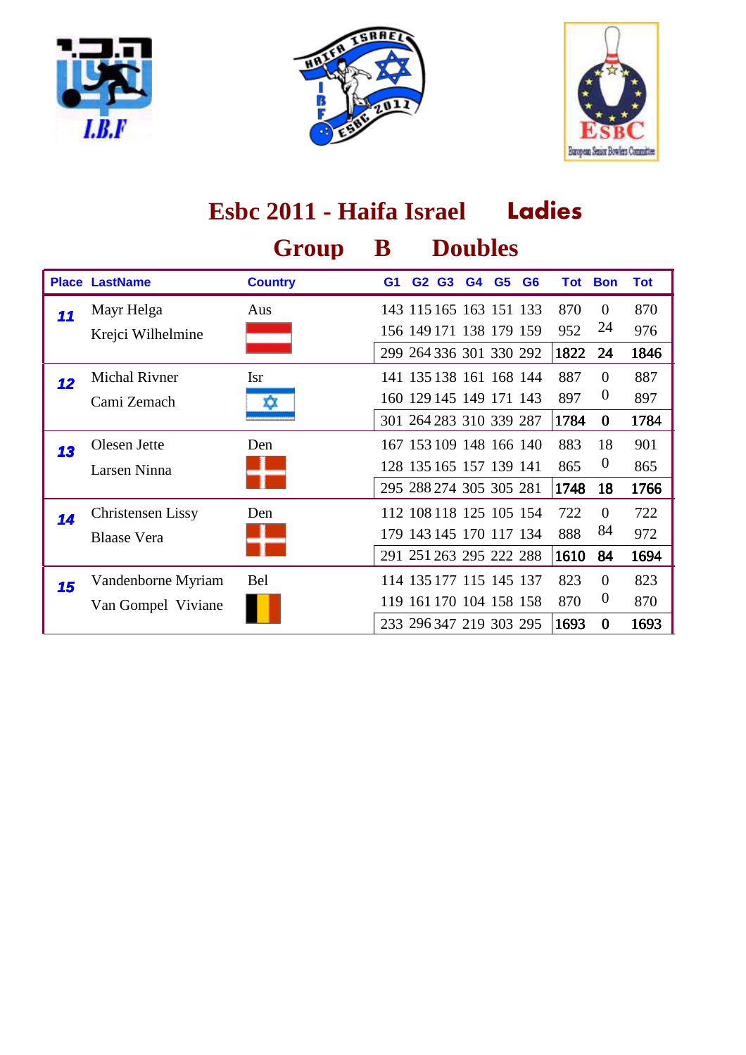





#### **Ladies Group B Doubles Place LastName Country G1 G2 G3 G4 G6 G5 Tot Bon Tot Esbc 2011 - Haifa Israel** Aus 143 115 165 163 151 133 870 0 870 Krejci Wilhelmine **156 149 171 138 179 159 952 24 976** 1822 24 1846 11 Mayr Helga 299 264 336 301 330 292 Isr 141 135 138 161 168 144 887 0 887 Cami Zemach  $\frac{160}{129145}$  149 171 143 897 0 897 1784 0 1784 12 Michal Rivner 301 264 283 310 339 287 Den 167 153 109 148 166 140 883 18 901 Larsen Ninna 128 135 165 157 139 141 865 0 865 1748 18 1766 13 Olesen Jette 295 288 274 305 305 281 Den 112 108 118 125 105 154 722 0 722 Blaase Vera **179 143 145 170 117 134** 888 <sup>84</sup> 972 1610 84 1694 **14** Christensen Lissy 291 251 263 295 222 288 Bel 114 135 177 115 145 137 823 0 823 Van Gompel Viviane 119 161 170 104 158 158 870 0 870 1693 0 1693 **15** Vandenborne Myriam 233 296 347 219 303 295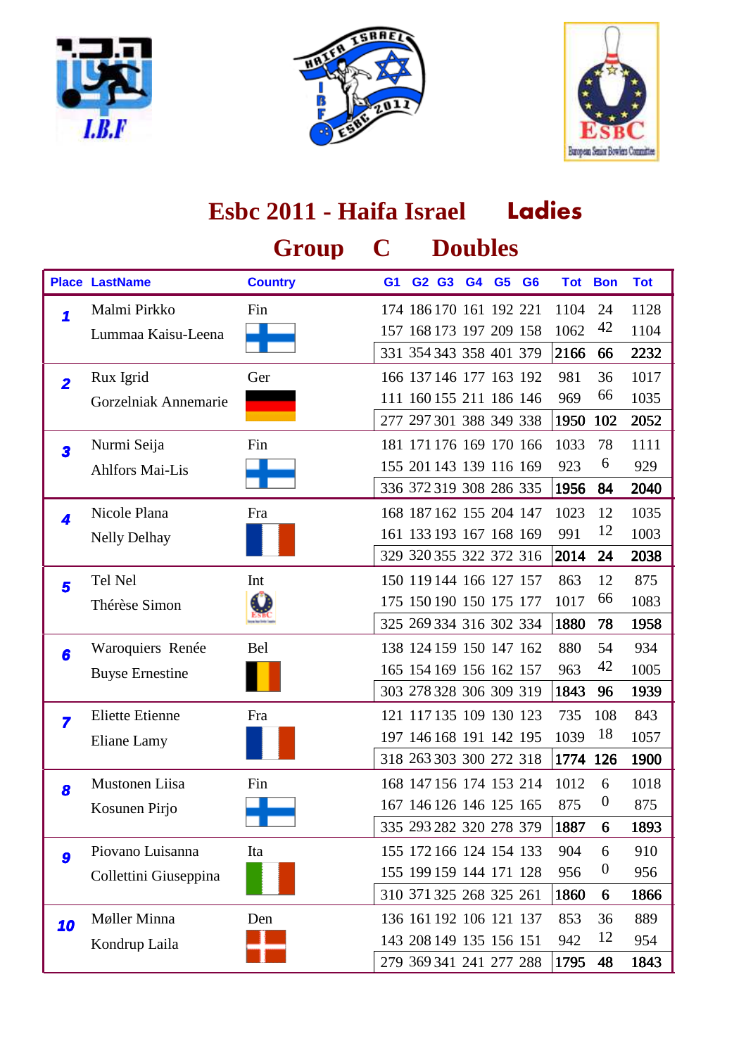





1795 48 1843

279 369 341 241 277 288

#### **Ladies Group C Doubles Place LastName Country G1 G2 G3 G4 G6 G5 Tot Bon Tot Esbc 2011 - Haifa Israel** Fin 174 186 170 161 192 221 1104 24 1128 Lummaa Kaisu-Leena **157 168 173 197 209 158 1062** 42 1104 2166 66 2232 1 Malmi Pirkko 331 354 343 358 401 379 Ger 166 137 146 177 163 192 981 36 1017 Gorzelniak Annemarie **111 160 155 211 186 146** 969 <sup>66</sup> 1035 1950 102 2052 **2** Rux Igrid 277 297 301 388 349 338 Fin 181 171 176 169 170 166 1033 78 1111 Ahlfors Mai-Lis 155 201 143 139 116 169 923 6 929 1956 84 2040 **3** Nurmi Seija 336 372 319 308 286 335 Fra 168 187 162 155 204 147 1023 12 1035 Nelly Delhay 161 161 133 193 167 168 169 991 <sup>12</sup> 1003 2014 24 2038 **4** Nicole Plana 329 320 355 322 372 316 Int 150 119 144 166 127 157 863 12 875 Thérèse Simon (200 175 175 150 190 150 175 177 1017 66 1083 1880 78 1958 **5** Tel Nel 325 269 334 316 302 334 Bel 138 124 159 150 147 162 880 54 934 Buyse Ernestine 165 154 169 156 162 157 963 42 1005 1843 96 1939 6 Waroquiers Renée 303 278 328 306 309 319 Fra 121 117 135 109 130 123 735 108 843 Eliane Lamy 197 146 168 191 142 195 1039 18 1057 1774 126 1900 **7** Eliette Etienne 318 263 303 300 272 318 Fin 168 147 156 174 153 214 1012 6 1018 Kosunen Pirjo 167 146 126 146 125 165 875 0 875 1887 6 1893 **8** Mustonen Liisa 335 293 282 320 278 379 Piovano Luisanna 155 172 166 124 154 133 904 6 910 Collettini Giuseppina 155 199 159 144 171 128 956 0 956 1860 6 1866 **9** Piovano Luisanna 310 371 325 268 325 261 Den 136 161 192 106 121 137 853 36 889 Kondrup Laila **143 208 149 135 156 151** 942 <sup>12</sup> 954 10 Møller Minna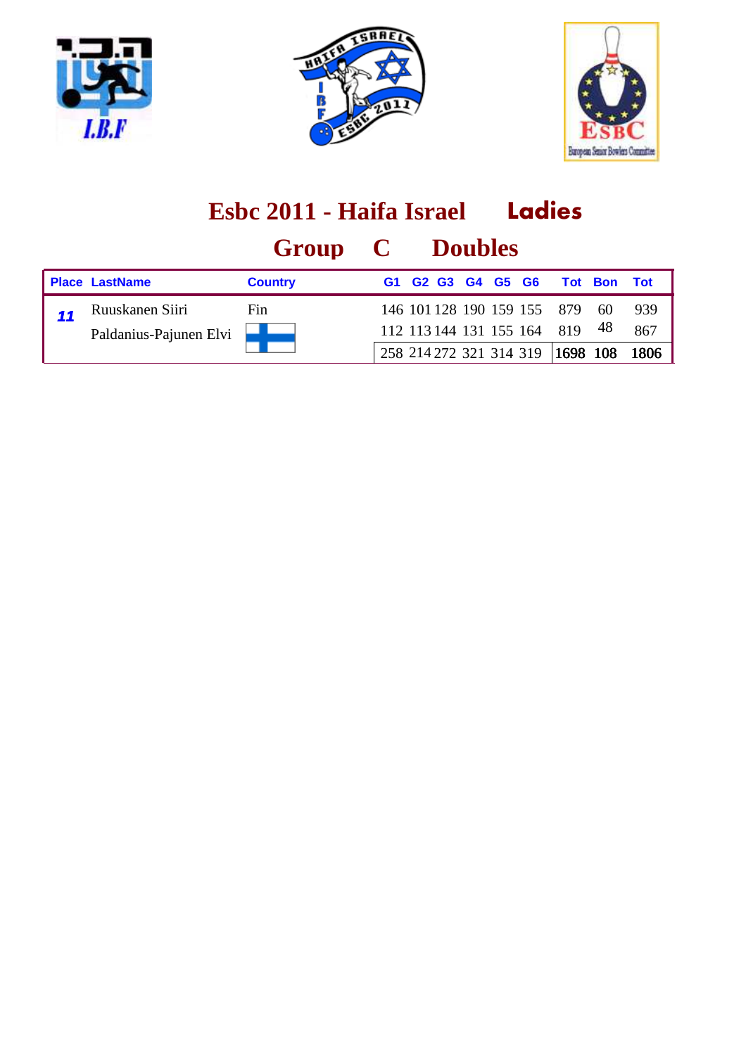





|                        | Group C        |    | <b>Doubles</b>                                                             |  |             |      |      |
|------------------------|----------------|----|----------------------------------------------------------------------------|--|-------------|------|------|
| <b>Place LastName</b>  | <b>Country</b> | G1 | G <sub>2</sub> G <sub>3</sub> G <sub>4</sub> G <sub>5</sub> G <sub>6</sub> |  | Tot Bon Tot |      |      |
| Ruuskanen Siiri        | Fin            |    | 146 101 128 190 159 155 879                                                |  |             | -60  | 939  |
| Paldanius-Pajunen Elvi |                |    | 112 113 144 131 155 164 819                                                |  |             | - 48 | 867  |
|                        |                |    | 258 214 272 321 314 319 1698 108                                           |  |             |      | 1806 |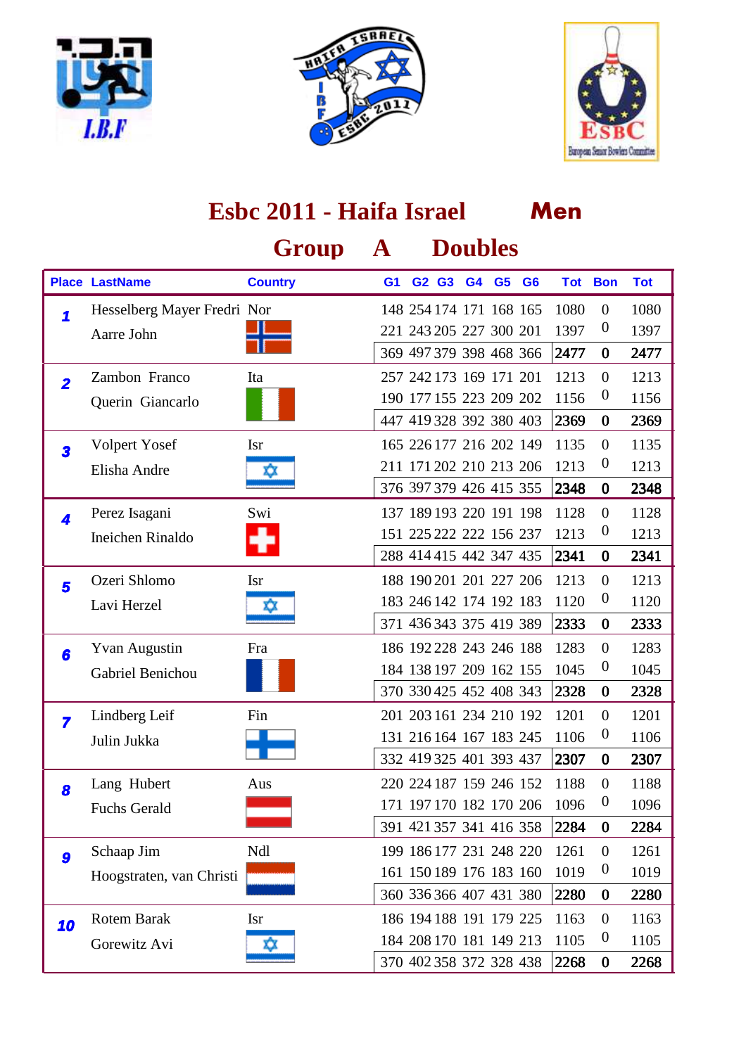





#### **Men Group A Doubles Place LastName Country G1 G2 G3 G4 G6 G5 Tot Bon Tot Esbc 2011 - Haifa Israel** 1 Hesselberg Mayer Fredri Nor 148 254 174 171 168 165 1080 0 1080 Aarre John 221 243 205 227 300 201 1397 0 1397 2477 0 2477 369 497 379 398 468 366 Ita 257 242 173 169 171 201 1213 0 1213 Querin Giancarlo 190 177 155 223 209 202 1156 <sup>0</sup> 1156 2369 0 2369 2 Zambon Franco 447 419 328 392 380 403 Isr 165 226 177 216 202 149 1135 0 1135 Elisha Andre **18 1213** 200 211 171 202 210 213 206 1213 0 1213 2348 0 2348 **3** Volpert Yosef 376 397 379 426 415 355 Perez Isagani 137 189 193 220 191 198 1128 0 1128 Ineichen Rinaldo 151 225 222 222 156 237 1213 0 1213 2341 0 2341 **4** Perez Isagani 288 414 415 442 347 435 Isr 188 190 201 201 227 206 1213 0 1213 Lavi Herzel  $\frac{183\,246\,142\,174\,192\,183}{183\,246\,142\,174\,192\,183\,1120}$  0 1120 2333 0 2333 **5** Ozeri Shlomo 371 436 343 375 419 389 Fra 186 192 228 243 246 188 1283 0 1283 Gabriel Benichou **184 138 197 209 162 155 1045** 0 1045 2328 0 2328 **6** Yvan Augustin 370 330 425 452 408 343 Fin 201 203 161 234 210 192 1201 0 1201 Julin Jukka 131 216 164 167 183 245 1106 0 1106 2307 0 2307 **z** Lindberg Leif 332 419 325 401 393 437 Aus 220 224 187 159 246 152 1188 0 1188 Fuchs Gerald **171** 197 170 182 170 206 1096 <sup>0</sup> 1096 2284 0 2284 **8** Lang Hubert 391 421 357 341 416 358 Ndl 199 186 177 231 248 220 1261 0 1261 Hoogstraten, van Christi **161 150 189 176 183 160 1019** <sup>0</sup> 1019 2280 0 2280 **9** Schaap Jim 360 336 366 407 431 380 Rotem Barak 186 194 188 191 179 225 1163 0 1163 Gorewitz Avi  $\frac{184}{184}$  184 208 170 181 149 213 1105 0 1105 2268 0 2268 10 Rotem Barak 370 402 358 372 328 438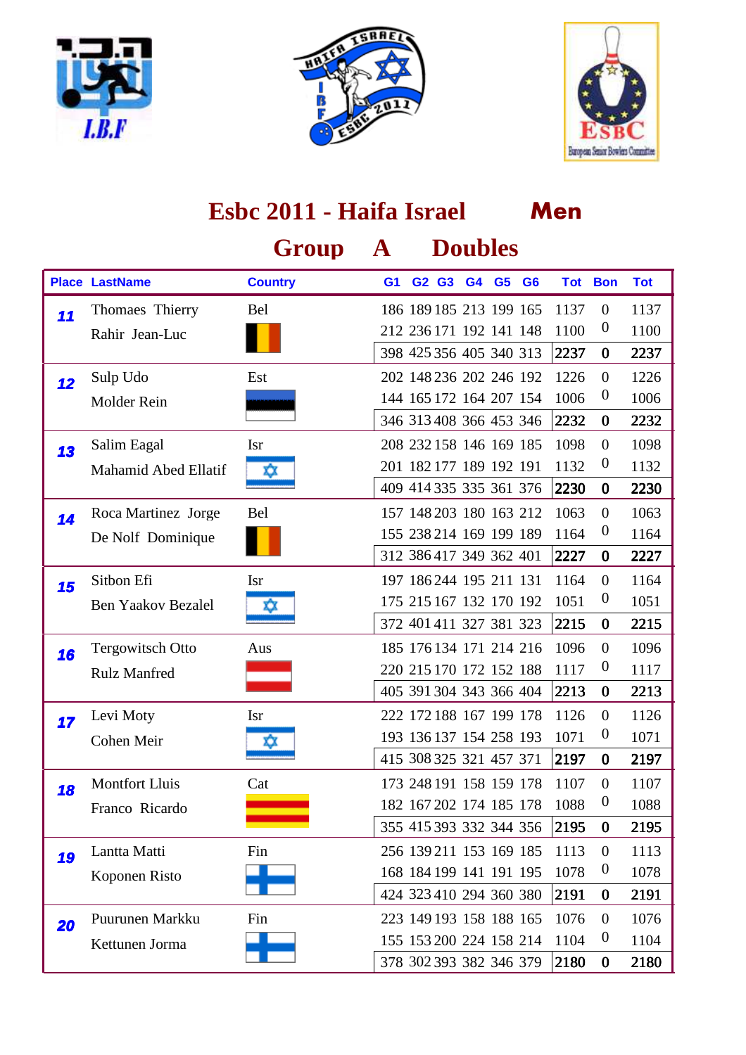





|    | Esbc 2011 - Haifa Israel    |                |                |                         |       | Men |                |                         |      |                  |            |
|----|-----------------------------|----------------|----------------|-------------------------|-------|-----|----------------|-------------------------|------|------------------|------------|
|    |                             | Group          | ${\bf A}$      |                         |       |     | <b>Doubles</b> |                         |      |                  |            |
|    | <b>Place LastName</b>       | <b>Country</b> | G <sub>1</sub> |                         | G2 G3 | G4  | G <sub>5</sub> | G <sub>6</sub>          |      | <b>Tot Bon</b>   | <b>Tot</b> |
| 11 | Thomaes Thierry             | Bel            |                | 186 189 185 213 199 165 |       |     |                |                         | 1137 | $\mathbf{0}$     | 1137       |
|    | Rahir Jean-Luc              |                |                | 212 236 171 192 141 148 |       |     |                |                         | 1100 | $\boldsymbol{0}$ | 1100       |
|    |                             |                |                | 398 425 356 405 340 313 |       |     |                |                         | 2237 | $\bf{0}$         | 2237       |
| 12 | Sulp Udo                    | Est            |                | 202 148 236 202 246 192 |       |     |                |                         | 1226 | $\overline{0}$   | 1226       |
|    | Molder Rein                 |                |                | 144 165 172 164 207 154 |       |     |                |                         | 1006 | $\boldsymbol{0}$ | 1006       |
|    |                             |                |                | 346 313 408 366 453 346 |       |     |                |                         | 2232 | $\bf{0}$         | 2232       |
| 13 | Salim Eagal                 | <b>Isr</b>     |                | 208 232 158 146 169 185 |       |     |                |                         | 1098 | $\mathbf{0}$     | 1098       |
|    | <b>Mahamid Abed Ellatif</b> | ΧX             |                | 201 182 177 189 192 191 |       |     |                |                         | 1132 | $\boldsymbol{0}$ | 1132       |
|    |                             |                |                | 409 414 335 335 361 376 |       |     |                |                         | 2230 | $\bf{0}$         | 2230       |
| 14 | Roca Martinez Jorge         | Bel            |                | 157 148 203 180 163 212 |       |     |                |                         | 1063 | $\overline{0}$   | 1063       |
|    | De Nolf Dominique           |                |                | 155 238 214 169 199 189 |       |     |                |                         | 1164 | $\boldsymbol{0}$ | 1164       |
|    |                             |                |                | 312 386 417 349 362 401 |       |     |                |                         | 2227 | $\bf{0}$         | 2227       |
| 15 | Sitbon Efi                  | <b>Isr</b>     |                | 197 186 244 195 211 131 |       |     |                |                         | 1164 | $\overline{0}$   | 1164       |
|    | <b>Ben Yaakov Bezalel</b>   | ΧX             |                | 175 215 167 132 170 192 |       |     |                |                         | 1051 | $\boldsymbol{0}$ | 1051       |
|    |                             |                |                | 372 401 411 327 381 323 |       |     |                |                         | 2215 | $\bf{0}$         | 2215       |
| 16 | <b>Tergowitsch Otto</b>     | Aus            |                | 185 176 134 171 214 216 |       |     |                |                         | 1096 | $\overline{0}$   | 1096       |
|    | <b>Rulz Manfred</b>         |                |                | 220 215 170 172 152 188 |       |     |                |                         | 1117 | $\boldsymbol{0}$ | 1117       |
|    |                             |                |                | 405 391 304 343 366 404 |       |     |                |                         | 2213 | $\bf{0}$         | 2213       |
| 17 | Levi Moty                   | <b>Isr</b>     |                | 222 172 188 167 199 178 |       |     |                |                         | 1126 | $\theta$         | 1126       |
|    | Cohen Meir                  | ΧX             |                | 193 136 137 154 258 193 |       |     |                |                         | 1071 | $\boldsymbol{0}$ | 1071       |
|    |                             |                |                |                         |       |     |                | 415 308 325 321 457 371 | 2197 | $\bf{0}$         | 2197       |
| 18 | <b>Montfort Lluis</b>       | Cat            |                | 173 248 191 158 159 178 |       |     |                |                         | 1107 | $\mathbf{0}$     | 1107       |
|    | Franco Ricardo              |                |                | 182 167 202 174 185 178 |       |     |                |                         | 1088 | $\boldsymbol{0}$ | 1088       |
|    |                             |                |                | 355 415 393 332 344 356 |       |     |                |                         | 2195 | $\bf{0}$         | 2195       |
| 19 | Lantta Matti                | Fin            |                | 256 139 211 153 169 185 |       |     |                |                         | 1113 | $\boldsymbol{0}$ | 1113       |
|    | Koponen Risto               |                |                | 168 184 199 141 191 195 |       |     |                |                         | 1078 | $\boldsymbol{0}$ | 1078       |
|    |                             |                |                | 424 323 410 294 360 380 |       |     |                |                         | 2191 | $\bf{0}$         | 2191       |
| 20 | Puurunen Markku             | Fin            |                | 223 149 193 158 188 165 |       |     |                |                         | 1076 | $\boldsymbol{0}$ | 1076       |
|    | Kettunen Jorma              |                |                | 155 153 200 224 158 214 |       |     |                |                         | 1104 | $\boldsymbol{0}$ | 1104       |
|    |                             |                |                | 378 302 393 382 346 379 |       |     |                |                         | 2180 | $\bf{0}$         | 2180       |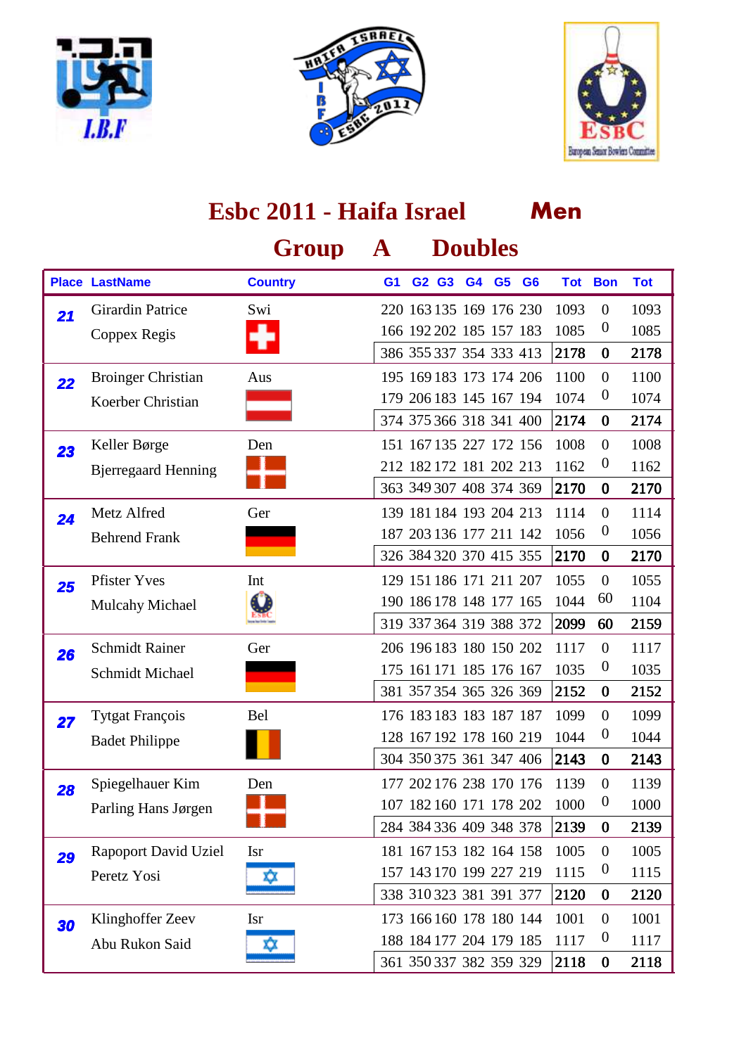





|    | Esbc 2011 - Haifa Israel    |                |                |  |       |    |                         | Men                     |      |                  |            |  |  |
|----|-----------------------------|----------------|----------------|--|-------|----|-------------------------|-------------------------|------|------------------|------------|--|--|
|    |                             | Group          | $\mathbf{A}$   |  |       |    | <b>Doubles</b>          |                         |      |                  |            |  |  |
|    | <b>Place LastName</b>       | <b>Country</b> | G <sub>1</sub> |  | G2 G3 | G4 | G <sub>5</sub>          | G <sub>6</sub>          |      | <b>Tot Bon</b>   | <b>Tot</b> |  |  |
| 21 | Girardin Patrice            | Swi            |                |  |       |    | 220 163 135 169 176 230 |                         | 1093 | $\mathbf{0}$     | 1093       |  |  |
|    | Coppex Regis                |                |                |  |       |    | 166 192 202 185 157 183 |                         | 1085 | $\boldsymbol{0}$ | 1085       |  |  |
|    |                             |                |                |  |       |    | 386 355 337 354 333 413 |                         | 2178 | $\bf{0}$         | 2178       |  |  |
| 22 | <b>Broinger Christian</b>   | Aus            |                |  |       |    | 195 169 183 173 174 206 |                         | 1100 | $\overline{0}$   | 1100       |  |  |
|    | Koerber Christian           |                |                |  |       |    | 179 206 183 145 167 194 |                         | 1074 | $\boldsymbol{0}$ | 1074       |  |  |
|    |                             |                |                |  |       |    | 374 375 366 318 341 400 |                         | 2174 | $\bf{0}$         | 2174       |  |  |
| 23 | Keller Børge                | Den            |                |  |       |    | 151 167 135 227 172 156 |                         | 1008 | $\overline{0}$   | 1008       |  |  |
|    | <b>B</b> jerregaard Henning |                |                |  |       |    | 212 182 172 181 202 213 |                         | 1162 | $\boldsymbol{0}$ | 1162       |  |  |
|    |                             |                |                |  |       |    | 363 349 307 408 374 369 |                         | 2170 | $\bf{0}$         | 2170       |  |  |
| 24 | Metz Alfred                 | Ger            |                |  |       |    | 139 181 184 193 204 213 |                         | 1114 | $\overline{0}$   | 1114       |  |  |
|    | <b>Behrend Frank</b>        |                |                |  |       |    | 187 203 136 177 211 142 |                         | 1056 | $\boldsymbol{0}$ | 1056       |  |  |
|    |                             |                |                |  |       |    | 326 384 320 370 415 355 |                         | 2170 | $\bf{0}$         | 2170       |  |  |
| 25 | <b>Pfister Yves</b>         | Int            |                |  |       |    | 129 151 186 171 211 207 |                         | 1055 | $\overline{0}$   | 1055       |  |  |
|    | <b>Mulcahy Michael</b>      |                |                |  |       |    | 190 186 178 148 177 165 |                         | 1044 | 60               | 1104       |  |  |
|    |                             |                |                |  |       |    | 319 337 364 319 388 372 |                         | 2099 | 60               | 2159       |  |  |
| 26 | <b>Schmidt Rainer</b>       | Ger            |                |  |       |    | 206 196 183 180 150 202 |                         | 1117 | $\overline{0}$   | 1117       |  |  |
|    | Schmidt Michael             |                |                |  |       |    | 175 161 171 185 176 167 |                         | 1035 | $\boldsymbol{0}$ | 1035       |  |  |
|    |                             |                |                |  |       |    | 381 357 354 365 326 369 |                         | 2152 | $\bf{0}$         | 2152       |  |  |
| 27 | Tytgat François             | Bel            |                |  |       |    | 176 183 183 183 187 187 |                         | 1099 | $\overline{0}$   | 1099       |  |  |
|    | <b>Badet Philippe</b>       |                |                |  |       |    | 128 167 192 178 160 219 |                         | 1044 | $\boldsymbol{0}$ | 1044       |  |  |
|    |                             |                |                |  |       |    |                         | 304 350 375 361 347 406 | 2143 | $\bf{0}$         | 2143       |  |  |
| 28 | Spiegelhauer Kim            | Den            |                |  |       |    | 177 202 176 238 170 176 |                         | 1139 | $\mathbf{0}$     | 1139       |  |  |
|    | Parling Hans Jørgen         |                |                |  |       |    | 107 182 160 171 178 202 |                         | 1000 | $\boldsymbol{0}$ | 1000       |  |  |
|    |                             |                |                |  |       |    | 284 384 336 409 348 378 |                         | 2139 | $\bf{0}$         | 2139       |  |  |
| 29 | <b>Rapoport David Uziel</b> | <b>Isr</b>     |                |  |       |    | 181 167 153 182 164 158 |                         | 1005 | $\overline{0}$   | 1005       |  |  |
|    | Peretz Yosi                 | ΧX             |                |  |       |    | 157 143 170 199 227 219 |                         | 1115 | $\boldsymbol{0}$ | 1115       |  |  |
|    |                             |                |                |  |       |    | 338 310 323 381 391 377 |                         | 2120 | $\bf{0}$         | 2120       |  |  |
| 30 | Klinghoffer Zeev            | <b>Isr</b>     |                |  |       |    | 173 166 160 178 180 144 |                         | 1001 | $\boldsymbol{0}$ | 1001       |  |  |
|    | Abu Rukon Said              | xx             |                |  |       |    | 188 184 177 204 179 185 |                         | 1117 | $\boldsymbol{0}$ | 1117       |  |  |
|    |                             |                |                |  |       |    | 361 350 337 382 359 329 |                         | 2118 | $\bf{0}$         | 2118       |  |  |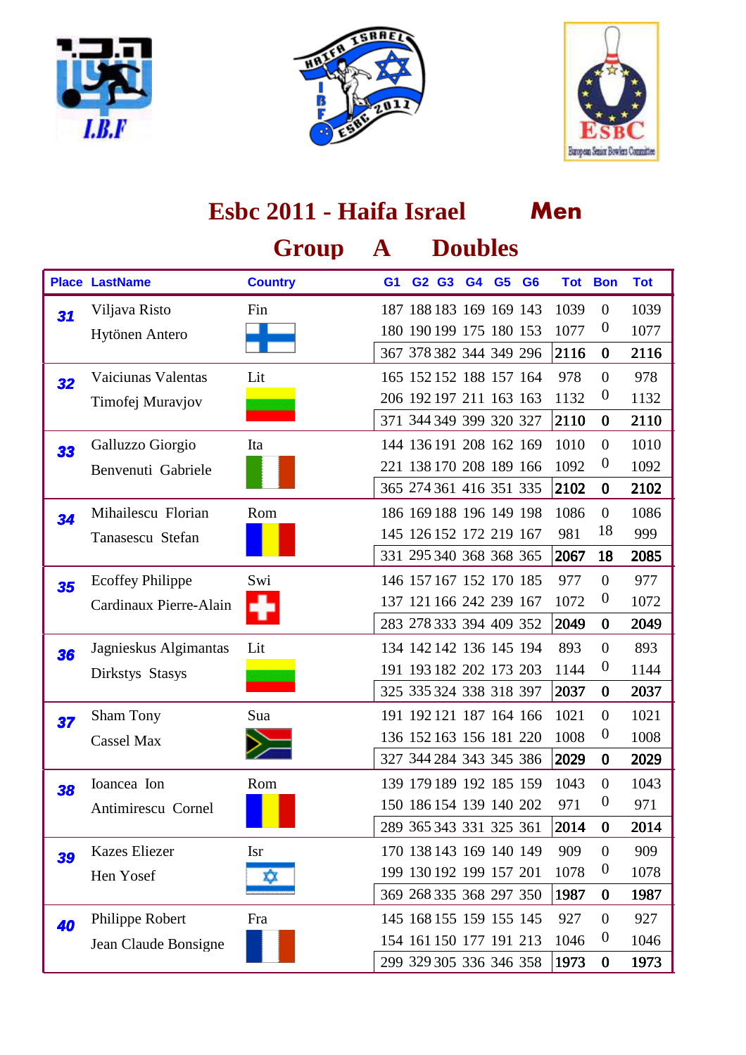





|    | Esbc 2011 - Haifa Israel |                |                |  |       |                         |                | Men                     |            |                  |            |  |  |
|----|--------------------------|----------------|----------------|--|-------|-------------------------|----------------|-------------------------|------------|------------------|------------|--|--|
|    |                          | Group          | ${\bf A}$      |  |       | <b>Doubles</b>          |                |                         |            |                  |            |  |  |
|    | <b>Place LastName</b>    | <b>Country</b> | G <sub>1</sub> |  | G2 G3 | G4                      | G <sub>5</sub> | G <sub>6</sub>          | <b>Tot</b> | <b>Bon</b>       | <b>Tot</b> |  |  |
| 31 | Viljava Risto            | Fin            |                |  |       | 187 188 183 169 169 143 |                |                         | 1039       | $\mathbf{0}$     | 1039       |  |  |
|    | Hytönen Antero           |                |                |  |       | 180 190 199 175 180 153 |                |                         | 1077       | $\theta$         | 1077       |  |  |
|    |                          |                |                |  |       | 367 378 382 344 349 296 |                |                         | 2116       | $\bf{0}$         | 2116       |  |  |
| 32 | Vaiciunas Valentas       | Lit            |                |  |       | 165 152 152 188 157 164 |                |                         | 978        | $\boldsymbol{0}$ | 978        |  |  |
|    | Timofej Muravjov         |                |                |  |       | 206 192 197 211 163 163 |                |                         | 1132       | $\boldsymbol{0}$ | 1132       |  |  |
|    |                          |                |                |  |       | 371 344 349 399 320 327 |                |                         | 2110       | $\bf{0}$         | 2110       |  |  |
| 33 | Galluzzo Giorgio         | Ita            |                |  |       | 144 136 191 208 162 169 |                |                         | 1010       | $\mathbf{0}$     | 1010       |  |  |
|    | Benvenuti Gabriele       |                |                |  |       | 221 138 170 208 189 166 |                |                         | 1092       | $\boldsymbol{0}$ | 1092       |  |  |
|    |                          |                |                |  |       | 365 274 361 416 351 335 |                |                         | 2102       | $\bf{0}$         | 2102       |  |  |
| 34 | Mihailescu Florian       | Rom            |                |  |       | 186 169 188 196 149 198 |                |                         | 1086       | $\boldsymbol{0}$ | 1086       |  |  |
|    | Tanasescu Stefan         |                |                |  |       | 145 126 152 172 219 167 |                |                         | 981        | 18               | 999        |  |  |
|    |                          |                |                |  |       | 331 295 340 368 368 365 |                |                         | 2067       | 18               | 2085       |  |  |
| 35 | <b>Ecoffey Philippe</b>  | Swi            |                |  |       | 146 157 167 152 170 185 |                |                         | 977        | $\mathbf{0}$     | 977        |  |  |
|    | Cardinaux Pierre-Alain   |                |                |  |       | 137 121 166 242 239 167 |                |                         | 1072       | $\boldsymbol{0}$ | 1072       |  |  |
|    |                          |                |                |  |       | 283 278 333 394 409 352 |                |                         | 2049       | $\bf{0}$         | 2049       |  |  |
| 36 | Jagnieskus Algimantas    | Lit            |                |  |       | 134 142 142 136 145 194 |                |                         | 893        | $\boldsymbol{0}$ | 893        |  |  |
|    | Dirkstys Stasys          |                |                |  |       | 191 193 182 202 173 203 |                |                         | 1144       | $\theta$         | 1144       |  |  |
|    |                          |                |                |  |       | 325 335 324 338 318 397 |                |                         | 2037       | $\bf{0}$         | 2037       |  |  |
| 37 | <b>Sham Tony</b>         | Sua            |                |  |       | 191 192 121 187 164 166 |                |                         | 1021       | $\mathbf{0}$     | 1021       |  |  |
|    | <b>Cassel Max</b>        |                |                |  |       | 136 152 163 156 181 220 |                |                         | 1008       | $\boldsymbol{0}$ | 1008       |  |  |
|    |                          |                |                |  |       |                         |                | 327 344 284 343 345 386 | 2029       | $\bf{0}$         | 2029       |  |  |
| 38 | Ioancea Ion              | Rom            |                |  |       | 139 179 189 192 185 159 |                |                         | 1043       | $\overline{0}$   | 1043       |  |  |
|    | Antimirescu Cornel       |                |                |  |       | 150 186 154 139 140 202 |                |                         | 971        | $\boldsymbol{0}$ | 971        |  |  |
|    |                          |                |                |  |       | 289 365 343 331 325 361 |                |                         | 2014       | $\bf{0}$         | 2014       |  |  |
| 39 | <b>Kazes Eliezer</b>     | <b>Isr</b>     |                |  |       | 170 138 143 169 140 149 |                |                         | 909        | $\overline{0}$   | 909        |  |  |
|    | Hen Yosef                | XΧ             |                |  |       | 199 130 192 199 157 201 |                |                         | 1078       | $\boldsymbol{0}$ | 1078       |  |  |
|    |                          |                |                |  |       | 369 268 335 368 297 350 |                |                         | 1987       | $\bf{0}$         | 1987       |  |  |
| 40 | Philippe Robert          | Fra            |                |  |       | 145 168 155 159 155 145 |                |                         | 927        | $\overline{0}$   | 927        |  |  |
|    | Jean Claude Bonsigne     |                |                |  |       | 154 161 150 177 191 213 |                |                         | 1046       | $\boldsymbol{0}$ | 1046       |  |  |
|    |                          |                |                |  |       | 299 329 305 336 346 358 |                |                         | 1973       | $\bf{0}$         | 1973       |  |  |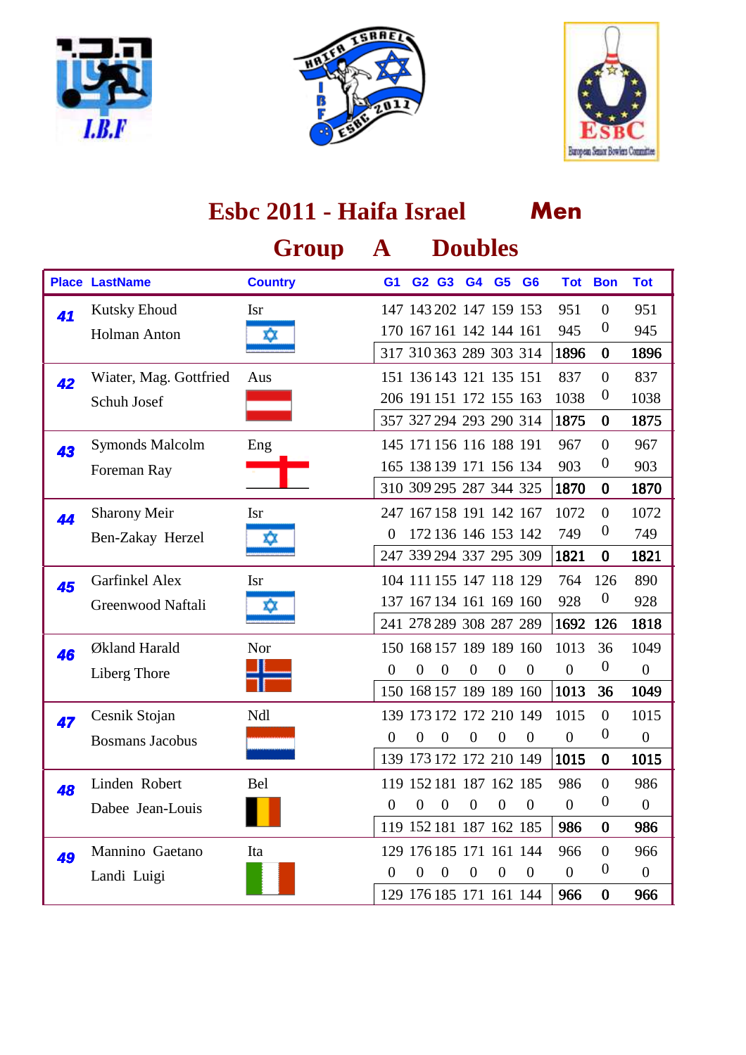





#### **Men Group A Doubles Place LastName Country G1 G2 G3 G4 G6 G5 Tot Bon Tot Esbc 2011 - Haifa Israel** Isr 147 143 202 147 159 153 951 0 951 Holman Anton **170 167 161 142 144 161** 945 0 945 1896 0 1896 41 Kutsky Ehoud 317 310 363 289 303 314 Aus 151 136 143 121 135 151 837 0 837 Schuh Josef 206 191 151 172 155 163 1038 0 1038 1875 0 1875 42 Wiater, Mag. Gottfried 357 327 294 293 290 314 Eng 145 171 156 116 188 191 967 0 967 Foreman Ray **165 138 139 171 156 134 903 0 903** 1870 0 1870 43 Symonds Malcolm 310 309 295 287 344 325 Isr 247 167 158 191 142 167 1072 0 1072 Ben-Zakay Herzel  $\frac{1}{2}$  172 136 146 153 142 749 0 749 1821 0 1821 44 Sharony Meir 247 339 294 337 295 309 Isr 104 111 155 147 118 129 764 126 890 Greenwood Naftali  $\frac{137}{167134161169160928}$  0 928 1692 126 1818 45 Garfinkel Alex 241 278 289 308 287 289 Nor 150 168 157 189 189 160 1013 36 1049 Liberg Thore <sup>0</sup> <sup>0</sup> <sup>0</sup> <sup>0</sup> <sup>0</sup> <sup>0</sup> <sup>0</sup> <sup>0</sup> <sup>0</sup> 1013 36 1049 46 Økland Harald 150 168 157 189 189 160 Ndl 139 173 172 172 210 149 1015 0 1015 Bosmans Jacobus <sup>0</sup> <sup>0</sup> <sup>0</sup> <sup>0</sup> <sup>0</sup> <sup>0</sup> <sup>0</sup> <sup>0</sup> <sup>0</sup> 1015 0 1015 **47** Cesnik Stojan 139 173 172 172 210 149 Rel 119 152 181 187 162 185 986 0 986 Dabee Jean-Louis <sup>0</sup> <sup>0</sup> <sup>0</sup> <sup>0</sup> <sup>0</sup> <sup>0</sup> <sup>0</sup> <sup>0</sup> <sup>0</sup> 986 0 986 48 Linden Robert 119 152 181 187 162 185 Mannino Gaetano 129 176 185 171 161 144 966 0 966 Landi Luigi **12 de april 12 de april 12 de april 12 de april 12 de april 12 de april 12 de april 12 de april 12** 966 0 966 **49** Mannino Gaetano 129 176 185 171 161 144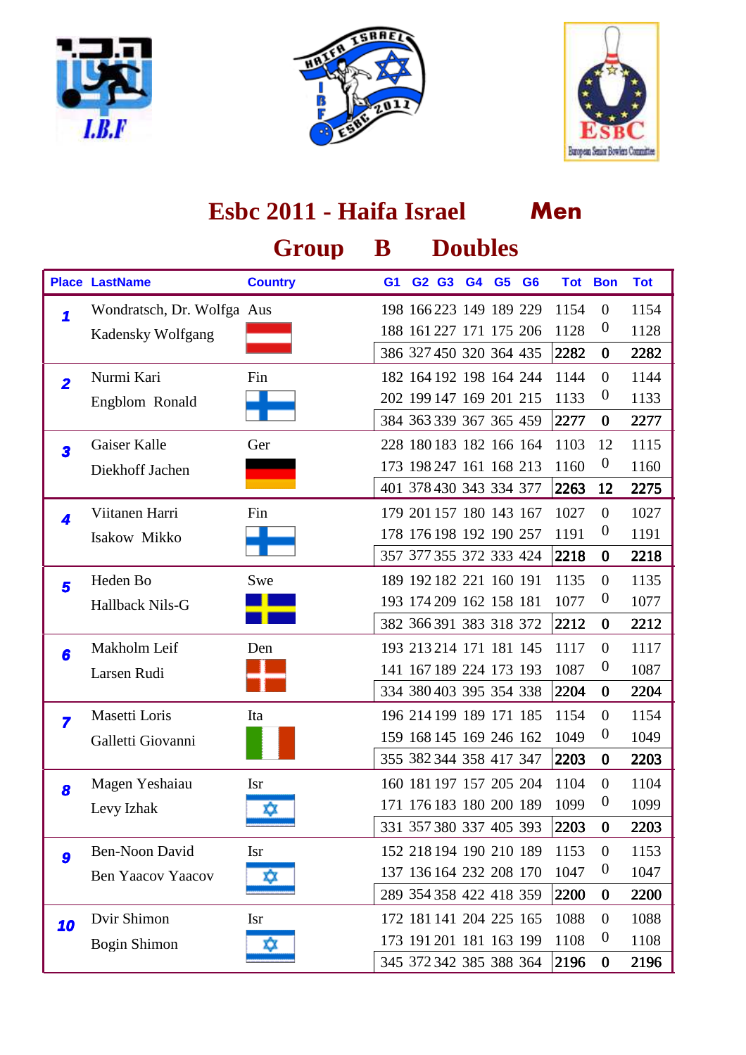





|                         | Esbc 2011 - Haifa Israel   |                |                |                         |                |  |                | Men  |                  |            |  |  |  |
|-------------------------|----------------------------|----------------|----------------|-------------------------|----------------|--|----------------|------|------------------|------------|--|--|--|
|                         |                            | Group          | B              |                         | <b>Doubles</b> |  |                |      |                  |            |  |  |  |
|                         | <b>Place LastName</b>      | <b>Country</b> | G <sub>1</sub> | G2 G3 G4 G5             |                |  | G <sub>6</sub> |      | <b>Tot Bon</b>   | <b>Tot</b> |  |  |  |
| 1                       | Wondratsch, Dr. Wolfga Aus |                |                | 198 166 223 149 189 229 |                |  |                | 1154 | $\mathbf{0}$     | 1154       |  |  |  |
|                         | <b>Kadensky Wolfgang</b>   |                |                | 188 161 227 171 175 206 |                |  |                | 1128 | $\boldsymbol{0}$ | 1128       |  |  |  |
|                         |                            |                |                | 386 327 450 320 364 435 |                |  |                | 2282 | $\bf{0}$         | 2282       |  |  |  |
| $\overline{\mathbf{2}}$ | Nurmi Kari                 | Fin            |                | 182 164 192 198 164 244 |                |  |                | 1144 | $\overline{0}$   | 1144       |  |  |  |
|                         | Engblom Ronald             |                |                | 202 199 147 169 201 215 |                |  |                | 1133 | $\boldsymbol{0}$ | 1133       |  |  |  |
|                         |                            |                |                | 384 363 339 367 365 459 |                |  |                | 2277 | $\bf{0}$         | 2277       |  |  |  |
| $\overline{\mathbf{3}}$ | Gaiser Kalle               | Ger            |                | 228 180 183 182 166 164 |                |  |                | 1103 | 12               | 1115       |  |  |  |
|                         | Diekhoff Jachen            |                |                | 173 198 247 161 168 213 |                |  |                | 1160 | $\boldsymbol{0}$ | 1160       |  |  |  |
|                         |                            |                |                | 401 378 430 343 334 377 |                |  |                | 2263 | 12               | 2275       |  |  |  |
| 4                       | Viitanen Harri             | Fin            |                | 179 201 157 180 143 167 |                |  |                | 1027 | $\overline{0}$   | 1027       |  |  |  |
|                         | Isakow Mikko               |                |                | 178 176 198 192 190 257 |                |  |                | 1191 | $\boldsymbol{0}$ | 1191       |  |  |  |
|                         |                            |                |                | 357 377 355 372 333 424 |                |  |                | 2218 | $\bf{0}$         | 2218       |  |  |  |
| 5                       | Heden Bo                   | Swe            |                | 189 192 182 221 160 191 |                |  |                | 1135 | $\overline{0}$   | 1135       |  |  |  |
|                         | Hallback Nils-G            |                |                | 193 174 209 162 158 181 |                |  |                | 1077 | $\boldsymbol{0}$ | 1077       |  |  |  |
|                         |                            |                |                | 382 366 391 383 318 372 |                |  |                | 2212 | $\bf{0}$         | 2212       |  |  |  |
| 6                       | Makholm Leif               | Den            |                | 193 213 214 171 181 145 |                |  |                | 1117 | $\overline{0}$   | 1117       |  |  |  |
|                         | Larsen Rudi                |                |                | 141 167 189 224 173 193 |                |  |                | 1087 | $\boldsymbol{0}$ | 1087       |  |  |  |
|                         |                            |                |                | 334 380 403 395 354 338 |                |  |                | 2204 | $\bf{0}$         | 2204       |  |  |  |
| $\overline{\mathbf{z}}$ | Masetti Loris              | Ita            |                | 196 214 199 189 171 185 |                |  |                | 1154 | $\boldsymbol{0}$ | 1154       |  |  |  |
|                         | Galletti Giovanni          |                |                | 159 168 145 169 246 162 |                |  |                | 1049 | $\boldsymbol{0}$ | 1049       |  |  |  |
|                         |                            |                |                | 355 382 344 358 417 347 |                |  |                | 2203 | $\bf{0}$         | 2203       |  |  |  |
| 8                       | Magen Yeshaiau             | <b>Isr</b>     |                | 160 181 197 157 205 204 |                |  |                | 1104 | $\mathbf{0}$     | 1104       |  |  |  |
|                         | Levy Izhak                 | xx             |                | 171 176 183 180 200 189 |                |  |                | 1099 | $\boldsymbol{0}$ | 1099       |  |  |  |
|                         |                            |                |                | 331 357 380 337 405 393 |                |  |                | 2203 | $\bf{0}$         | 2203       |  |  |  |
| 9                       | Ben-Noon David             | <b>Isr</b>     |                | 152 218 194 190 210 189 |                |  |                | 1153 | $\overline{0}$   | 1153       |  |  |  |
|                         | <b>Ben Yaacov Yaacov</b>   | ΧX             |                | 137 136 164 232 208 170 |                |  |                | 1047 | $\boldsymbol{0}$ | 1047       |  |  |  |
|                         |                            |                |                | 289 354 358 422 418 359 |                |  |                | 2200 | $\bf{0}$         | 2200       |  |  |  |
| 10                      | Dvir Shimon                | <b>Isr</b>     |                | 172 181 141 204 225 165 |                |  |                | 1088 | $\boldsymbol{0}$ | 1088       |  |  |  |
|                         | <b>Bogin Shimon</b>        | XХ             |                | 173 191 201 181 163 199 |                |  |                | 1108 | $\boldsymbol{0}$ | 1108       |  |  |  |
|                         |                            |                |                | 345 372 342 385 388 364 |                |  |                | 2196 | $\bf{0}$         | 2196       |  |  |  |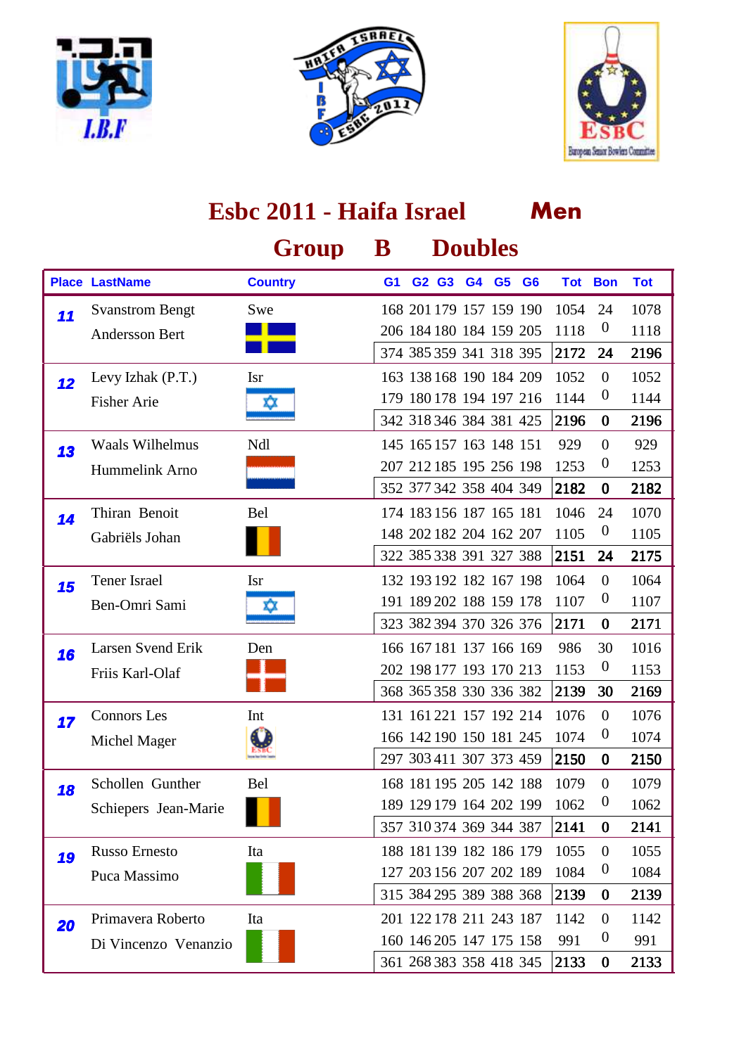





|    | Esbc 2011 - Haifa Israel |                |                |  |       |                         |                | Men                     |            |                  |            |  |  |
|----|--------------------------|----------------|----------------|--|-------|-------------------------|----------------|-------------------------|------------|------------------|------------|--|--|
|    |                          | Group          | ${\bf B}$      |  |       | <b>Doubles</b>          |                |                         |            |                  |            |  |  |
|    | <b>Place LastName</b>    | <b>Country</b> | G <sub>1</sub> |  | G2 G3 | G4                      | G <sub>5</sub> | G <sub>6</sub>          | <b>Tot</b> | <b>Bon</b>       | <b>Tot</b> |  |  |
| 11 | <b>Svanstrom Bengt</b>   | Swe            |                |  |       | 168 201 179 157 159 190 |                |                         | 1054       | 24               | 1078       |  |  |
|    | <b>Andersson Bert</b>    |                |                |  |       | 206 184 180 184 159 205 |                |                         | 1118       | $\boldsymbol{0}$ | 1118       |  |  |
|    |                          |                |                |  |       | 374 385 359 341 318 395 |                |                         | 2172       | 24               | 2196       |  |  |
| 12 | Levy Izhak (P.T.)        | <b>Isr</b>     |                |  |       | 163 138 168 190 184 209 |                |                         | 1052       | $\mathbf{0}$     | 1052       |  |  |
|    | <b>Fisher Arie</b>       | ΧX             |                |  |       | 179 180 178 194 197 216 |                |                         | 1144       | $\theta$         | 1144       |  |  |
|    |                          |                |                |  |       | 342 318 346 384 381 425 |                |                         | 2196       | $\bf{0}$         | 2196       |  |  |
| 13 | <b>Waals Wilhelmus</b>   | Ndl            |                |  |       | 145 165 157 163 148 151 |                |                         | 929        | $\mathbf{0}$     | 929        |  |  |
|    | Hummelink Arno           |                |                |  |       | 207 212 185 195 256 198 |                |                         | 1253       | $\theta$         | 1253       |  |  |
|    |                          |                |                |  |       | 352 377 342 358 404 349 |                |                         | 2182       | $\bf{0}$         | 2182       |  |  |
| 14 | Thiran Benoit            | Bel            |                |  |       | 174 183 156 187 165 181 |                |                         | 1046       | 24               | 1070       |  |  |
|    | Gabriëls Johan           |                |                |  |       | 148 202 182 204 162 207 |                |                         | 1105       | $\boldsymbol{0}$ | 1105       |  |  |
|    |                          |                |                |  |       | 322 385 338 391 327 388 |                |                         | 2151       | 24               | 2175       |  |  |
| 15 | Tener Israel             | <b>Isr</b>     |                |  |       | 132 193 192 182 167 198 |                |                         | 1064       | $\mathbf{0}$     | 1064       |  |  |
|    | Ben-Omri Sami            | x              |                |  |       | 191 189 202 188 159 178 |                |                         | 1107       | $\theta$         | 1107       |  |  |
|    |                          |                |                |  |       | 323 382 394 370 326 376 |                |                         | 2171       | $\bf{0}$         | 2171       |  |  |
| 16 | Larsen Svend Erik        | Den            |                |  |       | 166 167 181 137 166 169 |                |                         | 986        | 30               | 1016       |  |  |
|    | Friis Karl-Olaf          |                |                |  |       | 202 198 177 193 170 213 |                |                         | 1153       | $\boldsymbol{0}$ | 1153       |  |  |
|    |                          |                |                |  |       | 368 365 358 330 336 382 |                |                         | 2139       | 30               | 2169       |  |  |
| 17 | <b>Connors</b> Les       | Int            |                |  |       | 131 161 221 157 192 214 |                |                         | 1076       | $\theta$         | 1076       |  |  |
|    | Michel Mager             |                |                |  |       | 166 142 190 150 181 245 |                |                         | 1074       | $\theta$         | 1074       |  |  |
|    |                          |                |                |  |       |                         |                | 297 303 411 307 373 459 | 2150       | $\bf{0}$         | 2150       |  |  |
| 18 | Schollen Gunther         | Bel            |                |  |       | 168 181 195 205 142 188 |                |                         | 1079       | $\overline{0}$   | 1079       |  |  |
|    | Schiepers Jean-Marie     |                |                |  |       | 189 129 179 164 202 199 |                |                         | 1062       | $\boldsymbol{0}$ | 1062       |  |  |
|    |                          |                |                |  |       | 357 310 374 369 344 387 |                |                         | 2141       | $\bf{0}$         | 2141       |  |  |
| 19 | <b>Russo Ernesto</b>     | Ita            |                |  |       | 188 181 139 182 186 179 |                |                         | 1055       | $\boldsymbol{0}$ | 1055       |  |  |
|    | Puca Massimo             |                |                |  |       | 127 203 156 207 202 189 |                |                         | 1084       | $\boldsymbol{0}$ | 1084       |  |  |
|    |                          |                |                |  |       | 315 384 295 389 388 368 |                |                         | 2139       | $\bf{0}$         | 2139       |  |  |
| 20 | Primavera Roberto        | Ita            |                |  |       | 201 122 178 211 243 187 |                |                         | 1142       | $\overline{0}$   | 1142       |  |  |
|    | Di Vincenzo Venanzio     |                |                |  |       | 160 146 205 147 175 158 |                |                         | 991        | $\boldsymbol{0}$ | 991        |  |  |
|    |                          |                |                |  |       | 361 268 383 358 418 345 |                |                         | 2133       | $\bf{0}$         | 2133       |  |  |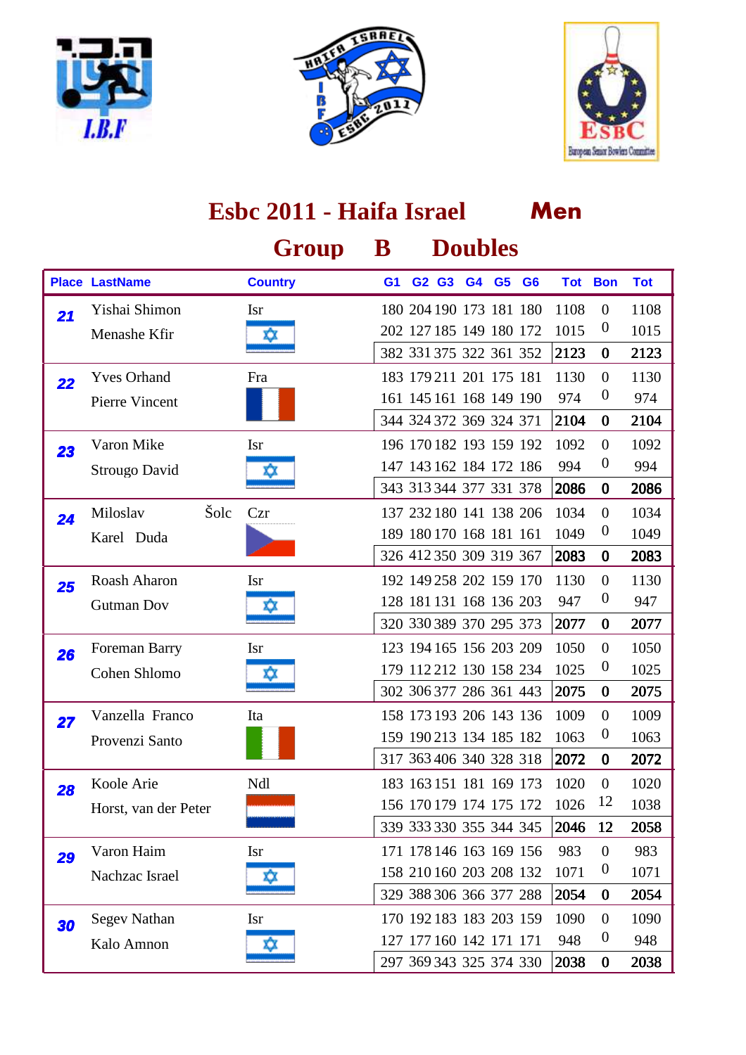





|    |                       | Esbc 2011 - Haifa Israel |                |                         |       |    |                |                         | Men  |                  |            |  |  |  |
|----|-----------------------|--------------------------|----------------|-------------------------|-------|----|----------------|-------------------------|------|------------------|------------|--|--|--|
|    |                       | Group                    | ${\bf B}$      |                         |       |    | <b>Doubles</b> |                         |      |                  |            |  |  |  |
|    | <b>Place LastName</b> | <b>Country</b>           | G <sub>1</sub> |                         | G2 G3 | G4 | G <sub>5</sub> | G <sub>6</sub>          |      | <b>Tot Bon</b>   | <b>Tot</b> |  |  |  |
| 21 | Yishai Shimon         | <b>Isr</b>               |                | 180 204 190 173 181 180 |       |    |                |                         | 1108 | $\mathbf{0}$     | 1108       |  |  |  |
|    | Menashe Kfir          | ΧX                       |                | 202 127 185 149 180 172 |       |    |                |                         | 1015 | $\theta$         | 1015       |  |  |  |
|    |                       |                          |                | 382 331 375 322 361 352 |       |    |                |                         | 2123 | $\bf{0}$         | 2123       |  |  |  |
| 22 | <b>Yves Orhand</b>    | Fra                      |                | 183 179 211 201 175 181 |       |    |                |                         | 1130 | $\overline{0}$   | 1130       |  |  |  |
|    | Pierre Vincent        |                          |                | 161 145 161 168 149 190 |       |    |                |                         | 974  | $\boldsymbol{0}$ | 974        |  |  |  |
|    |                       |                          |                | 344 324 372 369 324 371 |       |    |                |                         | 2104 | $\bf{0}$         | 2104       |  |  |  |
| 23 | Varon Mike            | <b>Isr</b>               |                | 196 170 182 193 159 192 |       |    |                |                         | 1092 | $\overline{0}$   | 1092       |  |  |  |
|    | Strougo David         | ΧX                       |                | 147 143 162 184 172 186 |       |    |                |                         | 994  | $\boldsymbol{0}$ | 994        |  |  |  |
|    |                       |                          |                | 343 313 344 377 331 378 |       |    |                |                         | 2086 | $\bf{0}$         | 2086       |  |  |  |
| 24 | Šolc<br>Miloslav      | Czr                      |                | 137 232 180 141 138 206 |       |    |                |                         | 1034 | $\overline{0}$   | 1034       |  |  |  |
|    | Karel Duda            |                          |                | 189 180 170 168 181 161 |       |    |                |                         | 1049 | $\boldsymbol{0}$ | 1049       |  |  |  |
|    |                       |                          |                | 326 412 350 309 319 367 |       |    |                |                         | 2083 | $\bf{0}$         | 2083       |  |  |  |
| 25 | Roash Aharon          | <b>Isr</b>               |                | 192 149 258 202 159 170 |       |    |                |                         | 1130 | $\overline{0}$   | 1130       |  |  |  |
|    | <b>Gutman Dov</b>     | xx                       |                | 128 181 131 168 136 203 |       |    |                |                         | 947  | $\boldsymbol{0}$ | 947        |  |  |  |
|    |                       |                          |                | 320 330 389 370 295 373 |       |    |                |                         | 2077 | $\bf{0}$         | 2077       |  |  |  |
| 26 | Foreman Barry         | <b>Isr</b>               |                | 123 194 165 156 203 209 |       |    |                |                         | 1050 | $\boldsymbol{0}$ | 1050       |  |  |  |
|    | Cohen Shlomo          |                          |                | 179 112 212 130 158 234 |       |    |                |                         | 1025 | $\boldsymbol{0}$ | 1025       |  |  |  |
|    |                       |                          |                | 302 306 377 286 361 443 |       |    |                |                         | 2075 | $\bf{0}$         | 2075       |  |  |  |
| 27 | Vanzella Franco       | Ita                      |                | 158 173 193 206 143 136 |       |    |                |                         | 1009 | $\overline{0}$   | 1009       |  |  |  |
|    | Provenzi Santo        |                          |                | 159 190 213 134 185 182 |       |    |                |                         | 1063 | $\boldsymbol{0}$ | 1063       |  |  |  |
|    |                       |                          |                |                         |       |    |                | 317 363 406 340 328 318 | 2072 | $\bf{0}$         | 2072       |  |  |  |
| 28 | Koole Arie            | Ndl                      |                | 183 163 151 181 169 173 |       |    |                |                         | 1020 | $\mathbf{0}$     | 1020       |  |  |  |
|    | Horst, van der Peter  |                          |                | 156 170 179 174 175 172 |       |    |                |                         | 1026 | 12               | 1038       |  |  |  |
|    |                       |                          |                | 339 333 330 355 344 345 |       |    |                |                         | 2046 | 12               | 2058       |  |  |  |
| 29 | Varon Haim            | <b>Isr</b>               |                | 171 178 146 163 169 156 |       |    |                |                         | 983  | $\overline{0}$   | 983        |  |  |  |
|    | Nachzac Israel        | XΧ                       |                | 158 210 160 203 208 132 |       |    |                |                         | 1071 | $\boldsymbol{0}$ | 1071       |  |  |  |
|    |                       |                          |                | 329 388 306 366 377 288 |       |    |                |                         | 2054 | $\bf{0}$         | 2054       |  |  |  |
| 30 | <b>Segev Nathan</b>   | <b>Isr</b>               |                | 170 192 183 183 203 159 |       |    |                |                         | 1090 | $\overline{0}$   | 1090       |  |  |  |
|    | Kalo Amnon            |                          |                | 127 177 160 142 171 171 |       |    |                |                         | 948  | $\boldsymbol{0}$ | 948        |  |  |  |
|    |                       |                          |                | 297 369 343 325 374 330 |       |    |                |                         | 2038 | $\bf{0}$         | 2038       |  |  |  |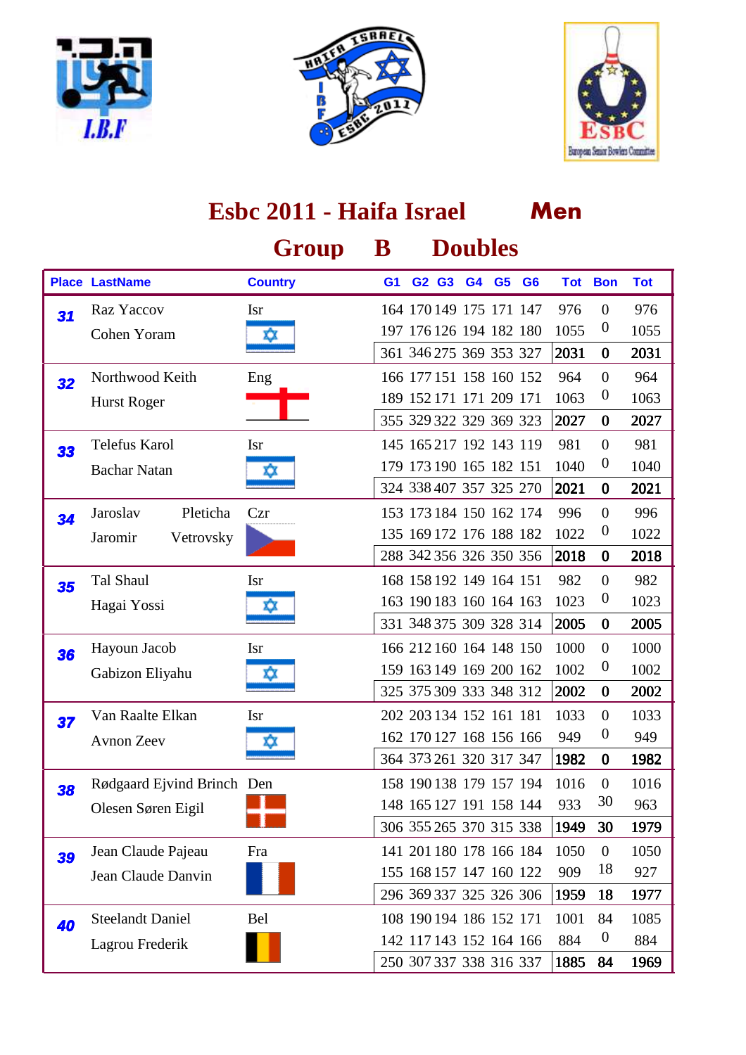





|    | Esbc 2011 - Haifa Israel   |                |                |  |       |    |                         | Men                     |            |                  |            |  |  |
|----|----------------------------|----------------|----------------|--|-------|----|-------------------------|-------------------------|------------|------------------|------------|--|--|
|    |                            | Group          | $\bf{B}$       |  |       |    | <b>Doubles</b>          |                         |            |                  |            |  |  |
|    | <b>Place LastName</b>      | <b>Country</b> | G <sub>1</sub> |  | G2 G3 | G4 | G <sub>5</sub>          | G <sub>6</sub>          | <b>Tot</b> | <b>Bon</b>       | <b>Tot</b> |  |  |
| 31 | Raz Yaccov                 | <b>Isr</b>     |                |  |       |    | 164 170 149 175 171 147 |                         | 976        | $\mathbf{0}$     | 976        |  |  |
|    | Cohen Yoram                | XX.            |                |  |       |    | 197 176 126 194 182 180 |                         | 1055       | $\boldsymbol{0}$ | 1055       |  |  |
|    |                            |                |                |  |       |    | 361 346 275 369 353 327 |                         | 2031       | $\bf{0}$         | 2031       |  |  |
| 32 | Northwood Keith            | Eng            |                |  |       |    | 166 177 151 158 160 152 |                         | 964        | $\overline{0}$   | 964        |  |  |
|    | <b>Hurst Roger</b>         |                |                |  |       |    | 189 152 171 171 209 171 |                         | 1063       | $\boldsymbol{0}$ | 1063       |  |  |
|    |                            |                |                |  |       |    | 355 329 322 329 369 323 |                         | 2027       | $\bf{0}$         | 2027       |  |  |
| 33 | Telefus Karol              | <b>Isr</b>     |                |  |       |    | 145 165 217 192 143 119 |                         | 981        | $\mathbf{0}$     | 981        |  |  |
|    | <b>Bachar Natan</b>        | x              |                |  |       |    | 179 173 190 165 182 151 |                         | 1040       | $\boldsymbol{0}$ | 1040       |  |  |
|    |                            |                |                |  |       |    | 324 338 407 357 325 270 |                         | 2021       | $\bf{0}$         | 2021       |  |  |
| 34 | Pleticha<br>Jaroslav       | Czr            |                |  |       |    | 153 173 184 150 162 174 |                         | 996        | $\overline{0}$   | 996        |  |  |
|    | Jaromir<br>Vetrovsky       |                |                |  |       |    | 135 169 172 176 188 182 |                         | 1022       | $\boldsymbol{0}$ | 1022       |  |  |
|    |                            |                |                |  |       |    | 288 342 356 326 350 356 |                         | 2018       | $\bf{0}$         | 2018       |  |  |
| 35 | Tal Shaul                  | <b>Isr</b>     |                |  |       |    | 168 158 192 149 164 151 |                         | 982        | $\overline{0}$   | 982        |  |  |
|    | Hagai Yossi                | Ю              |                |  |       |    | 163 190 183 160 164 163 |                         | 1023       | $\boldsymbol{0}$ | 1023       |  |  |
|    |                            |                |                |  |       |    | 331 348 375 309 328 314 |                         | 2005       | $\bf{0}$         | 2005       |  |  |
| 36 | Hayoun Jacob               | <b>Isr</b>     |                |  |       |    | 166 212 160 164 148 150 |                         | 1000       | $\overline{0}$   | 1000       |  |  |
|    | Gabizon Eliyahu            | х,             |                |  |       |    | 159 163 149 169 200 162 |                         | 1002       | $\boldsymbol{0}$ | 1002       |  |  |
|    |                            |                |                |  |       |    | 325 375 309 333 348 312 |                         | 2002       | $\bf{0}$         | 2002       |  |  |
| 37 | Van Raalte Elkan           | <b>Isr</b>     |                |  |       |    | 202 203 134 152 161 181 |                         | 1033       | $\theta$         | 1033       |  |  |
|    | <b>Avnon Zeev</b>          | ΧX             |                |  |       |    | 162 170 127 168 156 166 |                         | 949        | $\boldsymbol{0}$ | 949        |  |  |
|    |                            |                |                |  |       |    |                         | 364 373 261 320 317 347 | 1982       | $\bf{0}$         | 1982       |  |  |
| 38 | Rødgaard Ejvind Brinch Den |                |                |  |       |    | 158 190 138 179 157 194 |                         | 1016       | $\boldsymbol{0}$ | 1016       |  |  |
|    | Olesen Søren Eigil         |                |                |  |       |    | 148 165 127 191 158 144 |                         | 933        | 30               | 963        |  |  |
|    |                            |                |                |  |       |    | 306 355 265 370 315 338 |                         | 1949       | 30               | 1979       |  |  |
| 39 | Jean Claude Pajeau         | Fra            |                |  |       |    | 141 201 180 178 166 184 |                         | 1050       | $\mathbf{0}$     | 1050       |  |  |
|    | Jean Claude Danvin         |                |                |  |       |    | 155 168 157 147 160 122 |                         | 909        | 18               | 927        |  |  |
|    |                            |                |                |  |       |    | 296 369 337 325 326 306 |                         | 1959       | 18               | 1977       |  |  |
| 40 | <b>Steelandt Daniel</b>    | <b>Bel</b>     |                |  |       |    | 108 190 194 186 152 171 |                         | 1001       | 84               | 1085       |  |  |
|    | Lagrou Frederik            |                |                |  |       |    | 142 117 143 152 164 166 |                         | 884        | $\boldsymbol{0}$ | 884        |  |  |
|    |                            |                |                |  |       |    | 250 307 337 338 316 337 |                         | 1885       | 84               | 1969       |  |  |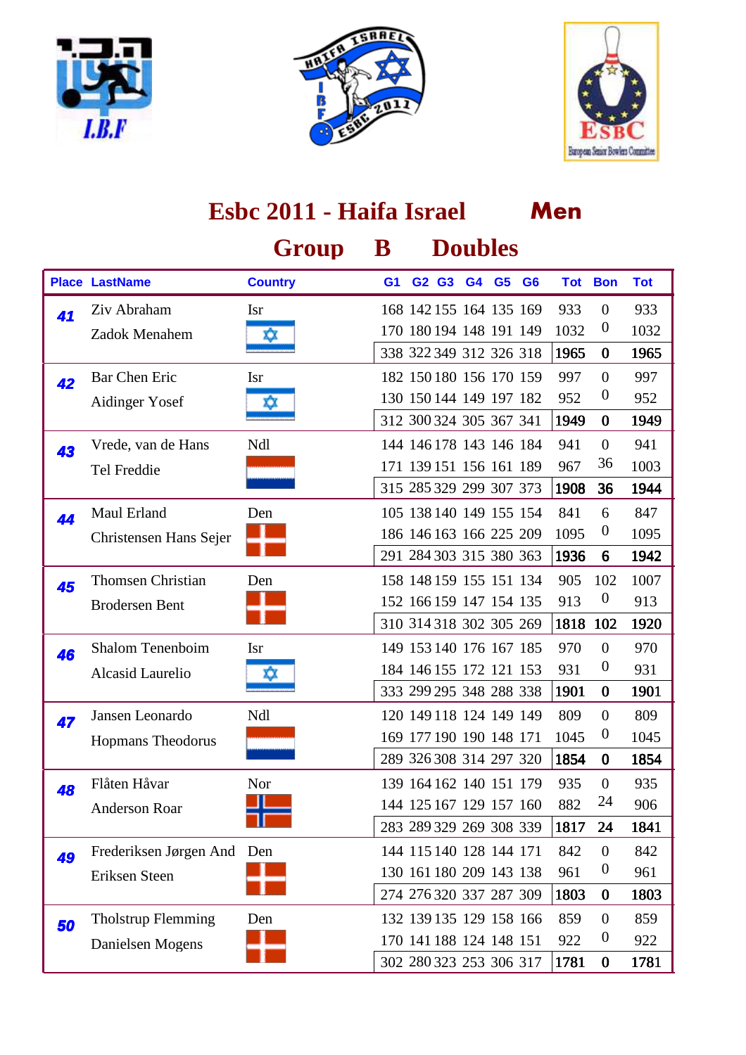





#### **Men Group B Doubles Place LastName Country G1 G2 G3 G4 G6 G5 Tot Bon Tot Esbc 2011 - Haifa Israel** Isr 168 142 155 164 135 169 933 0 933 Zadok Menahem  $\frac{170}{170}$  170 180 194 148 191 149 1032 0 1032 1965 0 1965 41 Ziv Abraham 338 322 349 312 326 318 Bar Chen Eric 182 150 180 156 170 159 997 0 997 Aidinger Yosef  $\frac{130\,150\,144\,149\,197\,182\,952}{}$  0 952 1949 0 1949 **42** Bar Chen Eric 312 300 324 305 367 341 Ndl 144 146 178 143 146 184 941 0 941 Tel Freddie **171 139 151 156 161 189 967 36** 1003 1908 36 1944 **43** Vrede, van de Hans 315 285 329 299 307 373 Den 105 138 140 149 155 154 841 6 847 Christensen Hans Sejer 186 146 163 166 225 209 1095 0 1095 1936 6 1942 44 Maul Erland 291 284 303 315 380 363 Den 158 148 159 155 151 134 905 102 1007 Brodersen Bent 152 166 159 147 154 135 913 0 913 1818 102 1920 45 Thomsen Christian 310 314 318 302 305 269 Isr 149 153 140 176 167 185 970 0 970 Alcasid Laurelio  $\frac{1}{2}$  184 146 155 172 121 153 931 0 931 1901 0 1901 46 Shalom Tenenboim 333 299 295 348 288 338 Ndl 120 149 118 124 149 149 809 0 809 Hopmans Theodorus **169 177 190 190 148 171 1045** 0 1045 1854 0 1854 Jansen Leonardo 289 326 308 314 297 320 Nor 139 164 162 140 151 179 935 0 935 Anderson Roar **144 125 167 129 157 160** 882 <sup>24</sup> 906 1817 24 1841 **48** Flåten Håvar 283 289 329 269 308 339 **49** Frederiksen Jørgen And Den 144 115 140 128 144 171 842 0 842 Eriksen Steen 130 161 180 209 143 138 961 0 961 1803 0 1803 274 276 320 337 287 309 Den 132 139 135 129 158 166 859 0 859 Danielsen Mogens 170 141 188 124 148 151 922 0 922 1781 0 1781 **50** Tholstrup Flemming 302 280 323 253 306 317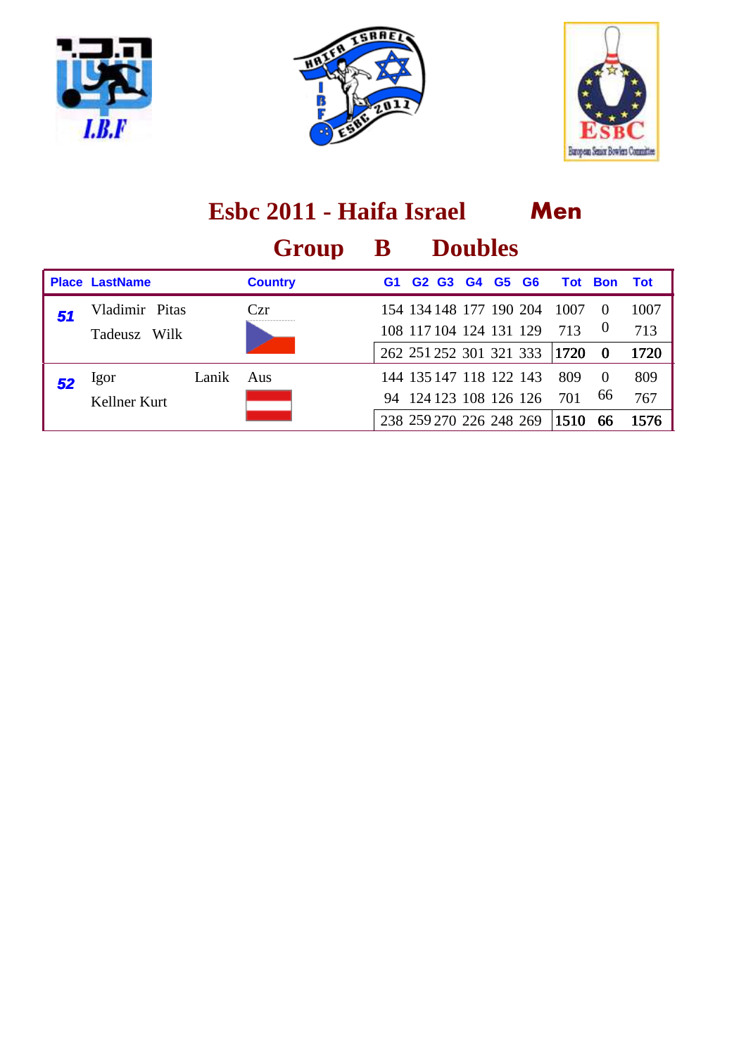





|    | Esbc 2011 - Haifa Israel |       |                |                |                               |                |           |           | Men            |                  |            |
|----|--------------------------|-------|----------------|----------------|-------------------------------|----------------|-----------|-----------|----------------|------------------|------------|
|    |                          |       | Group          | $\bf{B}$       |                               | <b>Doubles</b> |           |           |                |                  |            |
|    | <b>Place LastName</b>    |       | <b>Country</b> | G <sub>1</sub> | G <sub>2</sub> G <sub>3</sub> | G4             | <b>G5</b> | <b>G6</b> | <b>Tot Bon</b> |                  | <b>Tot</b> |
| 51 | Vladimir Pitas           |       | Czr            |                | 154 134 148 177 190 204       |                |           |           | 1007           | $\Omega$         | 1007       |
|    | Tadeusz<br>Wilk          |       |                |                | 108 117 104 124 131 129       |                |           |           | 713            | $\boldsymbol{0}$ | 713        |
|    |                          |       |                |                | 262 251 252 301 321 333       |                |           |           | 1720           | $\bf{0}$         | 1720       |
|    | Igor                     | Lanik | Aus            |                | 144 135 147 118 122 143       |                |           |           | 809            | $\Omega$         | 809        |
|    | Kellner Kurt             |       |                |                | 94 124 123 108 126 126        |                |           |           | 701            | 66               | 767        |
|    |                          |       |                |                | 238 259 270 226 248 269       |                |           |           | 1510           | 66               | 1576       |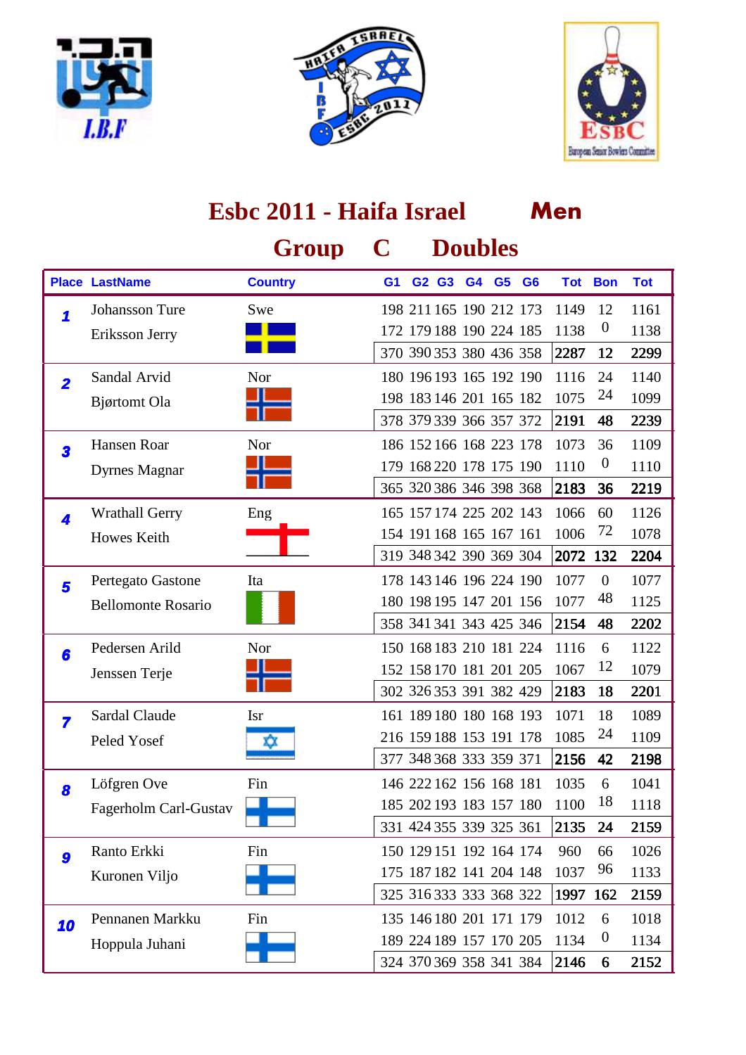





|                         | Esbc 2011 - Haifa Israel  |                |                |  |       |    |                         |                         | Men        |                  |            |
|-------------------------|---------------------------|----------------|----------------|--|-------|----|-------------------------|-------------------------|------------|------------------|------------|
|                         |                           | Group          | C              |  |       |    | <b>Doubles</b>          |                         |            |                  |            |
|                         | <b>Place LastName</b>     | <b>Country</b> | G <sub>1</sub> |  | G2 G3 | G4 | G <sub>5</sub>          | G <sub>6</sub>          | <b>Tot</b> | <b>Bon</b>       | <b>Tot</b> |
| 1                       | <b>Johansson Ture</b>     | Swe            |                |  |       |    | 198 211 165 190 212 173 |                         | 1149       | 12               | 1161       |
|                         | Eriksson Jerry            |                |                |  |       |    | 172 179 188 190 224 185 |                         | 1138       | $\boldsymbol{0}$ | 1138       |
|                         |                           |                |                |  |       |    | 370 390 353 380 436 358 |                         | 2287       | 12               | 2299       |
| $\overline{2}$          | Sandal Arvid              | Nor            |                |  |       |    | 180 196 193 165 192 190 |                         | 1116       | 24               | 1140       |
|                         | Bjørtomt Ola              |                |                |  |       |    | 198 183 146 201 165 182 |                         | 1075       | 24               | 1099       |
|                         |                           |                |                |  |       |    | 378 379 339 366 357 372 |                         | 2191       | 48               | 2239       |
| 3                       | Hansen Roar               | Nor            |                |  |       |    | 186 152 166 168 223 178 |                         | 1073       | 36               | 1109       |
|                         | <b>Dyrnes Magnar</b>      |                |                |  |       |    | 179 168 220 178 175 190 |                         | 1110       | $\boldsymbol{0}$ | 1110       |
|                         |                           |                |                |  |       |    | 365 320 386 346 398 368 |                         | 2183       | 36               | 2219       |
| 4                       | <b>Wrathall Gerry</b>     | Eng            |                |  |       |    | 165 157 174 225 202 143 |                         | 1066       | 60               | 1126       |
|                         | Howes Keith               |                |                |  |       |    | 154 191 168 165 167 161 |                         | 1006       | 72               | 1078       |
|                         |                           |                |                |  |       |    | 319 348 342 390 369 304 |                         | 2072       | 132              | 2204       |
| 5                       | Pertegato Gastone         | Ita            |                |  |       |    | 178 143 146 196 224 190 |                         | 1077       | $\mathbf{0}$     | 1077       |
|                         | <b>Bellomonte Rosario</b> |                |                |  |       |    | 180 198 195 147 201 156 |                         | 1077       | 48               | 1125       |
|                         |                           |                |                |  |       |    | 358 341 341 343 425 346 |                         | 2154       | 48               | 2202       |
| 6                       | Pedersen Arild            | Nor            |                |  |       |    | 150 168 183 210 181 224 |                         | 1116       | 6                | 1122       |
|                         | Jenssen Terje             |                |                |  |       |    | 152 158 170 181 201 205 |                         | 1067       | 12               | 1079       |
|                         |                           |                |                |  |       |    | 302 326 353 391 382 429 |                         | 2183       | 18               | 2201       |
| $\overline{\mathbf{z}}$ | Sardal Claude             | <b>Isr</b>     |                |  |       |    | 161 189 180 180 168 193 |                         | 1071       | 18               | 1089       |
|                         | Peled Yosef               | ΧX             |                |  |       |    | 216 159 188 153 191 178 |                         | 1085       | 24               | 1109       |
|                         |                           |                |                |  |       |    |                         | 377 348 368 333 359 371 | 2156       | 42               | 2198       |
| 8                       | Löfgren Ove               | Fin            |                |  |       |    | 146 222 162 156 168 181 |                         | 1035       | 6                | 1041       |
|                         | Fagerholm Carl-Gustav     |                |                |  |       |    | 185 202 193 183 157 180 |                         | 1100       | 18               | 1118       |
|                         |                           |                |                |  |       |    | 331 424 355 339 325 361 |                         | 2135       | 24               | 2159       |
| 9                       | Ranto Erkki               | Fin            |                |  |       |    | 150 129 151 192 164 174 |                         | 960        | 66               | 1026       |
|                         | Kuronen Viljo             |                |                |  |       |    | 175 187 182 141 204 148 |                         | 1037       | 96               | 1133       |
|                         |                           |                |                |  |       |    | 325 316 333 333 368 322 |                         | 1997       | 162              | 2159       |
| 10                      | Pennanen Markku           | Fin            |                |  |       |    | 135 146 180 201 171 179 |                         | 1012       | 6                | 1018       |
|                         | Hoppula Juhani            |                |                |  |       |    | 189 224 189 157 170 205 |                         | 1134       | $\boldsymbol{0}$ | 1134       |
|                         |                           |                |                |  |       |    | 324 370 369 358 341 384 |                         | 2146       | 6                | 2152       |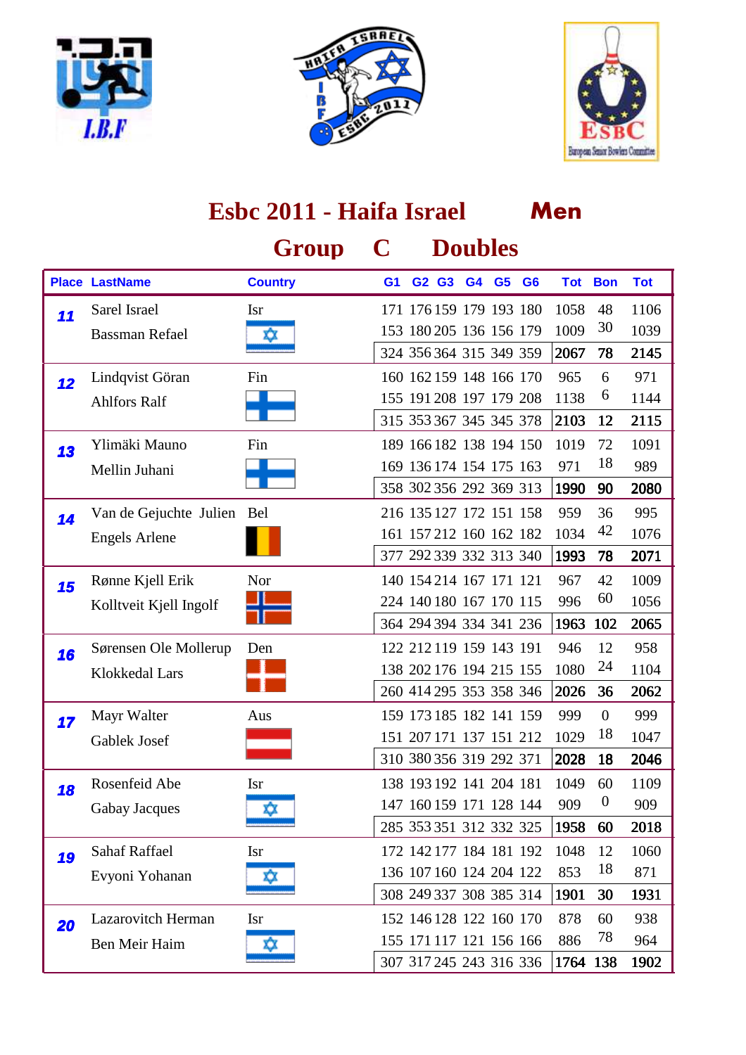





#### **Men Group C Doubles Place LastName Country G1 G2 G3 G4 G6 G5 Tot Bon Tot Esbc 2011 - Haifa Israel** Sarel Israel 171 176 159 179 193 180 1058 48 1106 Bassman Refael **153 180 205 136 156 179 1009 30 1039** 2067 78 2145 11 Sarel Israel 324 356 364 315 349 359 Fin 160 162 159 148 166 170 965 6 971 Ahlfors Ralf 155 191 208 197 179 208 1138 6 1144 2103 12 2115 12 Lindqvist Göran 315 353 367 345 345 378 Fin 189 166 182 138 194 150 1019 72 1091 Mellin Juhani **169 136 174 154 175 163 971 18 989** 1990 90 2080 13 Ylimäki Mauno 358 302 356 292 369 313 **14** Van de Gejuchte Julien Bel 216 135 127 172 151 158 959 36 995 Engels Arlene 161 157 212 160 162 182 1034 42 1076 1993 78 2071 377 292 339 332 313 340 Nor 140 154 214 167 171 121 967 42 1009 Kolltveit Kjell Ingolf **1996** 224 140 180 167 170 115 996 <sup>60</sup> 1056 1963 102 2065 15 Rønne Kjell Erik 364 294 394 334 341 236 **16** Sørensen Ole Mollerup Den 122 212 119 159 143 191 946 12 958 Klokkedal Lars 138 202 176 194 215 155 1080 <sup>24</sup> 1104 2026 36 2062 260 414 295 353 358 346 Aus 159 173 185 182 141 159 999 0 999 Gablek Josef **151 207 171 137 151 212 1029 18** 1047 2028 18 2046 17 Mayr Walter 310 380 356 319 292 371 Rosenfeid Abe 138 193 192 141 204 181 1049 60 1109 Gabay Jacques  $\frac{147}{160}$  147 160 159 171 128 144 909 0 909 1958 60 2018 18 Rosenfeid Abe 285 353 351 312 332 325 Isr 172 142 177 184 181 192 1048 12 1060 Evyoni Yohanan  $\frac{136}{107160}$  136 107 160 124 204 122 853 18 871 1901 30 1931 **19** Sahaf Raffael 308 249 337 308 385 314 Lazarovitch Herman 152 146 128 122 160 170 878 60 938 Ben Meir Haim  $\frac{1}{2}$  155 171 117 121 156 166 886 78 964 1764 138 1902 **20** Lazarovitch Herman 307 317 245 243 316 336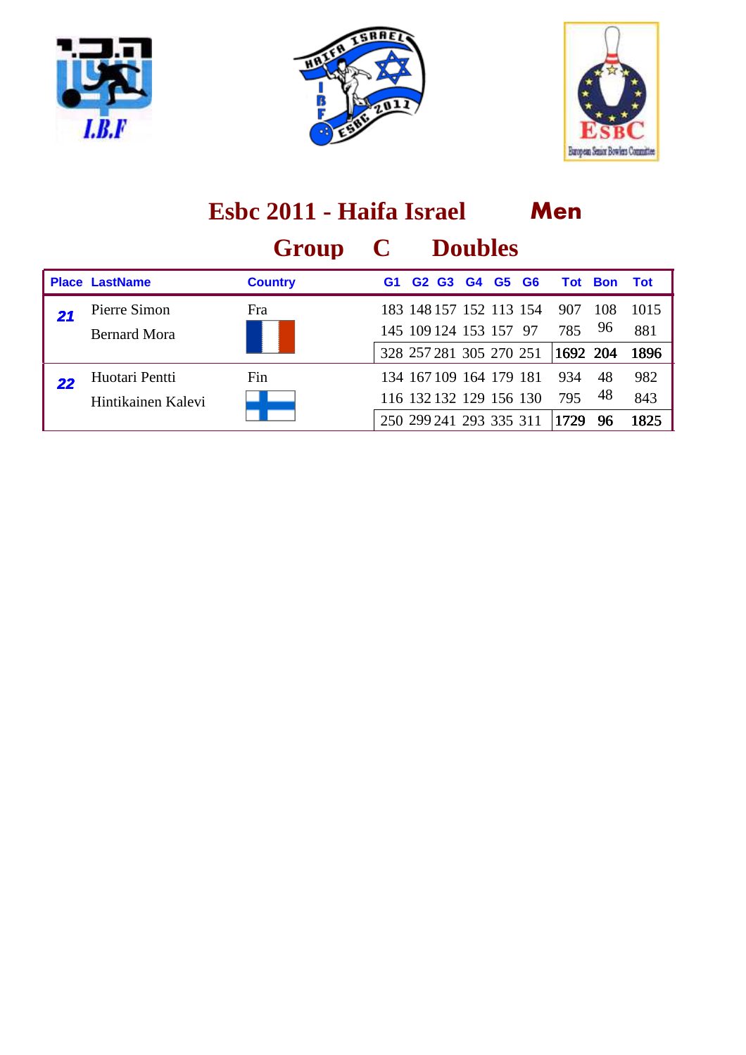





|    |                                      | Esbc 2011 - Haifa Israel |             | Men                                                                           |       |           |                        |                |                     |
|----|--------------------------------------|--------------------------|-------------|-------------------------------------------------------------------------------|-------|-----------|------------------------|----------------|---------------------|
|    |                                      | Group                    | $\mathbf C$ | <b>Doubles</b>                                                                |       |           |                        |                |                     |
|    | <b>Place LastName</b>                | <b>Country</b>           | G1          | G <sub>2</sub> G <sub>3</sub>                                                 | G4 G5 | <b>G6</b> |                        | <b>Tot Bon</b> | <b>Tot</b>          |
|    | Pierre Simon<br><b>Bernard Mora</b>  | Fra                      |             | 183 148 157 152 113 154<br>145 109 124 153 157 97<br>328 257 281 305 270 251  |       |           | 907<br>785<br>1692 204 | 108<br>96      | 1015<br>881<br>1896 |
| 22 | Huotari Pentti<br>Hintikainen Kalevi | Fin                      |             | 134 167 109 164 179 181<br>116 132 132 129 156 130<br>250 299 241 293 335 311 |       |           | 934<br>795<br>1729     | 48<br>48<br>96 | 982<br>843<br>1825  |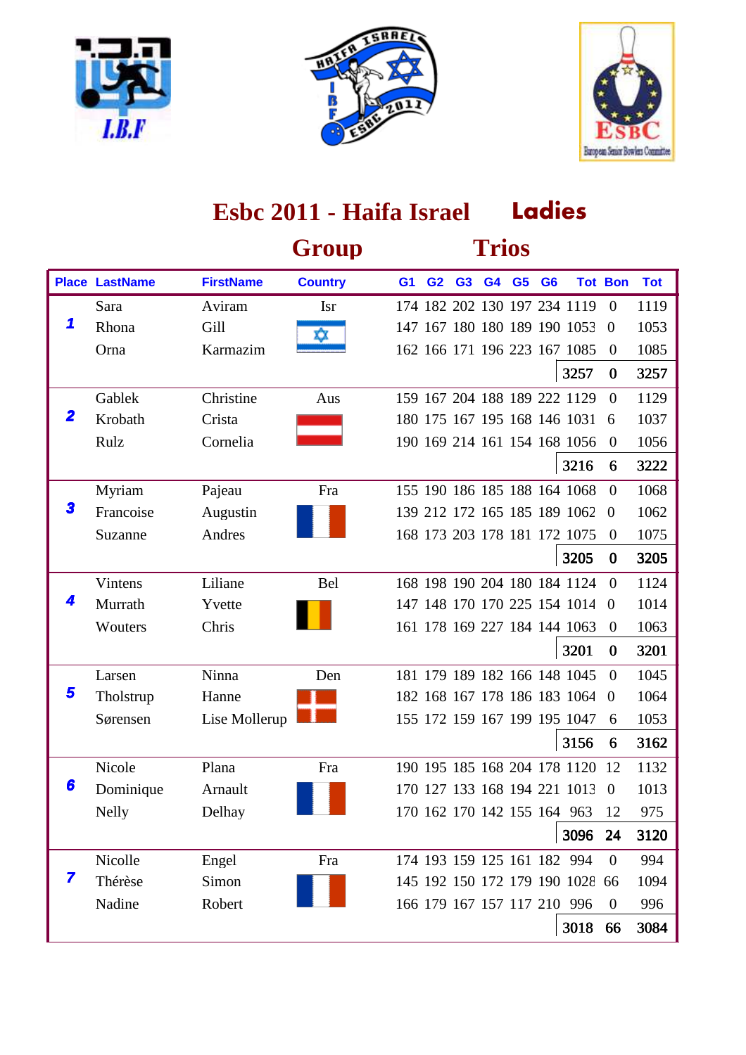





|             |                       |                  | Group          |                |                |                | <b>Trios</b> |                |                                 |                |            |
|-------------|-----------------------|------------------|----------------|----------------|----------------|----------------|--------------|----------------|---------------------------------|----------------|------------|
|             | <b>Place LastName</b> | <b>FirstName</b> | <b>Country</b> | G <sub>1</sub> | G <sub>2</sub> | G <sub>3</sub> | G4 G5        | G <sub>6</sub> |                                 | <b>Tot Bon</b> | <b>Tot</b> |
|             | Sara                  | Aviram           | <b>Isr</b>     |                |                |                |              |                | 174 182 202 130 197 234 1119    | $\theta$       | 1119       |
| 1           | Rhona                 | Gill             | xx             |                |                |                |              |                | 147 167 180 180 189 190 1053    | $\overline{0}$ | 1053       |
|             | Orna                  | Karmazim         |                |                |                |                |              |                | 162 166 171 196 223 167 1085    | $\overline{0}$ | 1085       |
|             |                       |                  |                |                |                |                |              |                | 3257                            | $\bf{0}$       | 3257       |
|             | Gablek                | Christine        | Aus            |                |                |                |              |                | 159 167 204 188 189 222 1129    | $\overline{0}$ | 1129       |
| $\mathbf 2$ | Krobath               | Crista           |                |                |                |                |              |                | 180 175 167 195 168 146 1031    | 6              | 1037       |
|             | Rulz                  | Cornelia         |                |                |                |                |              |                | 190 169 214 161 154 168 1056    | $\Omega$       | 1056       |
|             |                       |                  |                |                |                |                |              |                | 3216                            | 6              | 3222       |
|             | Myriam                | Pajeau           | Fra            |                |                |                |              |                | 155 190 186 185 188 164 1068    | $\Omega$       | 1068       |
| 3           | Francoise             | Augustin         |                |                |                |                |              |                | 139 212 172 165 185 189 1062    | $\overline{0}$ | 1062       |
|             | Suzanne               | Andres           |                |                |                |                |              |                | 168 173 203 178 181 172 1075    | $\theta$       | 1075       |
|             |                       |                  |                |                |                |                |              |                | 3205                            | $\bf{0}$       | 3205       |
|             | Vintens               | Liliane          | Bel            |                |                |                |              |                | 168 198 190 204 180 184 1124    | $\Omega$       | 1124       |
|             | Murrath               | Yvette           |                |                |                |                |              |                | 147 148 170 170 225 154 1014    | $\overline{0}$ | 1014       |
|             | Wouters               | Chris            |                |                |                |                |              |                | 161 178 169 227 184 144 1063    | $\theta$       | 1063       |
|             |                       |                  |                |                |                |                |              |                | 3201                            | $\bf{0}$       | 3201       |
|             | Larsen                | Ninna            | Den            |                |                |                |              |                | 181 179 189 182 166 148 1045    | $\Omega$       | 1045       |
| 5           | Tholstrup             | Hanne            |                |                |                |                |              |                | 182 168 167 178 186 183 1064    | $\Omega$       | 1064       |
|             | Sørensen              | Lise Mollerup    |                |                |                |                |              |                | 155 172 159 167 199 195 1047    | 6              | 1053       |
|             |                       |                  |                |                |                |                |              |                | 3156                            | 6              | 3162       |
|             | Nicole                | Plana            | Fra            |                |                |                |              |                | 190 195 185 168 204 178 1120    | 12             | 1132       |
| 6           | Dominique             | Arnault          |                |                |                |                |              |                | 170 127 133 168 194 221 1013    | $\overline{0}$ | 1013       |
|             | <b>Nelly</b>          | Delhay           |                |                |                |                |              |                | 170 162 170 142 155 164 963     | 12             | 975        |
|             |                       |                  |                |                |                |                |              |                | 3096                            | 24             | 3120       |
|             | Nicolle               | Engel            | Fra            |                |                |                |              |                | 174 193 159 125 161 182 994     | $\overline{0}$ | 994        |
| 7           | Thérèse               | Simon            |                |                |                |                |              |                | 145 192 150 172 179 190 1028 66 |                | 1094       |
|             | Nadine                | Robert           |                |                |                |                |              |                | 166 179 167 157 117 210 996     | $\theta$       | 996        |
|             |                       |                  |                |                |                |                |              |                | 3018                            | 66             | 3084       |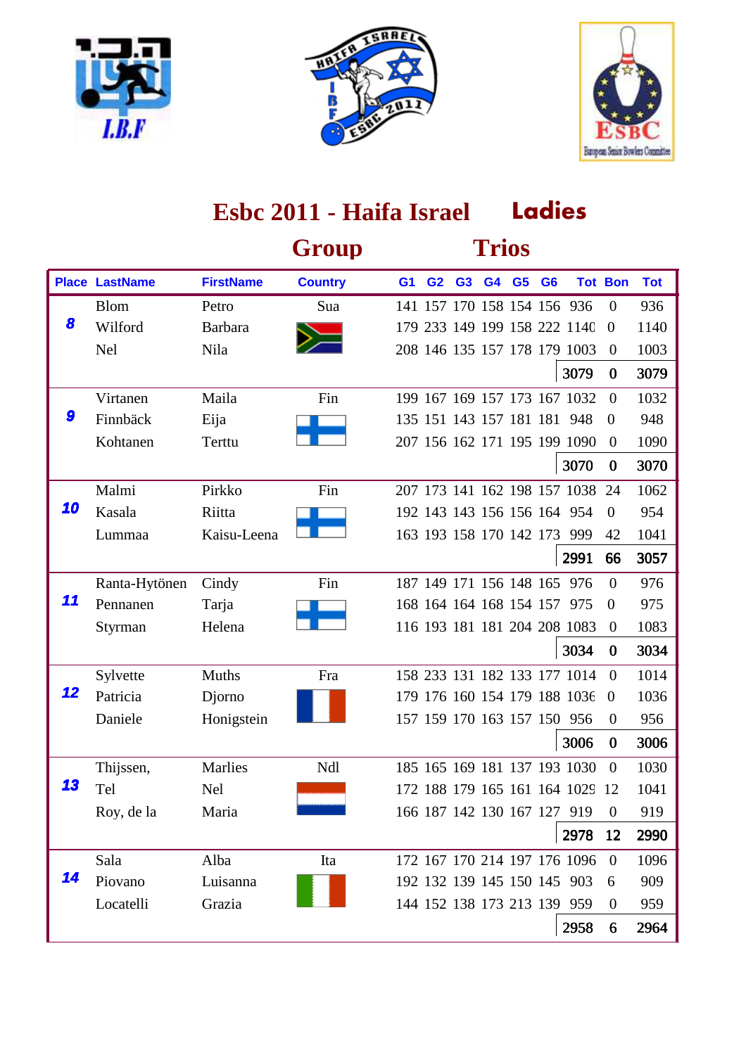





|    |                       |                  | Group          |                |                         |                | <b>Trios</b> |                |                |                                 |                |            |
|----|-----------------------|------------------|----------------|----------------|-------------------------|----------------|--------------|----------------|----------------|---------------------------------|----------------|------------|
|    | <b>Place LastName</b> | <b>FirstName</b> | <b>Country</b> | G <sub>1</sub> | G <sub>2</sub>          | G <sub>3</sub> | G4           | G <sub>5</sub> | G <sub>6</sub> |                                 | <b>Tot Bon</b> | <b>Tot</b> |
|    | <b>Blom</b>           | Petro            | Sua            |                |                         |                |              |                |                | 141 157 170 158 154 156 936     | $\overline{0}$ | 936        |
| 8  | Wilford               | <b>Barbara</b>   |                |                |                         |                |              |                |                | 179 233 149 199 158 222 1140    | $\theta$       | 1140       |
|    | <b>Nel</b>            | Nila             |                |                |                         |                |              |                |                | 208 146 135 157 178 179 1003    | $\overline{0}$ | 1003       |
|    |                       |                  |                |                |                         |                |              |                |                | 3079                            | $\bf{0}$       | 3079       |
|    | Virtanen              | Maila            | Fin            |                |                         |                |              |                |                | 199 167 169 157 173 167 1032    | $\overline{0}$ | 1032       |
| 9  | Finnbäck              | Eija             |                |                |                         |                |              |                |                | 135 151 143 157 181 181 948     | $\overline{0}$ | 948        |
|    | Kohtanen              | Terttu           |                |                |                         |                |              |                |                | 207 156 162 171 195 199 1090    | $\theta$       | 1090       |
|    |                       |                  |                |                |                         |                |              |                |                | 3070                            | $\bf{0}$       | 3070       |
|    | Malmi                 | Pirkko           | Fin            |                |                         |                |              |                |                | 207 173 141 162 198 157 1038    | 24             | 1062       |
| 10 | Kasala                | Riitta           |                |                |                         |                |              |                |                | 192 143 143 156 156 164 954     | $\theta$       | 954        |
|    | Lummaa                | Kaisu-Leena      |                |                | 163 193 158 170 142 173 |                |              |                |                | 999                             | 42             | 1041       |
|    |                       |                  |                |                |                         |                |              |                |                | 2991                            | 66             | 3057       |
|    | Ranta-Hytönen         | Cindy            | Fin            |                | 187 149 171 156 148 165 |                |              |                |                | 976                             | $\Omega$       | 976        |
| 11 | Pennanen              | Tarja            |                |                |                         |                |              |                |                | 168 164 164 168 154 157 975     | $\theta$       | 975        |
|    | Styrman               | Helena           |                |                |                         |                |              |                |                | 116 193 181 181 204 208 1083    | $\theta$       | 1083       |
|    |                       |                  |                |                |                         |                |              |                |                | 3034                            | $\bf{0}$       | 3034       |
|    | Sylvette              | Muths            | Fra            |                |                         |                |              |                |                | 158 233 131 182 133 177 1014    | $\Omega$       | 1014       |
| 12 | Patricia              | Djorno           |                |                |                         |                |              |                |                | 179 176 160 154 179 188 1036    | $\overline{0}$ | 1036       |
|    | Daniele               | Honigstein       |                |                |                         |                |              |                |                | 157 159 170 163 157 150 956     | $\theta$       | 956        |
|    |                       |                  |                |                |                         |                |              |                |                | 3006                            | $\bf{0}$       | 3006       |
|    | Thijssen,             | Marlies          | Ndl            |                |                         |                |              |                |                | 185 165 169 181 137 193 1030    | $\Omega$       | 1030       |
| 13 | Tel                   | <b>Nel</b>       |                |                |                         |                |              |                |                | 172 188 179 165 161 164 1029 12 |                | 1041       |
|    | Roy, de la            | Maria            |                |                |                         |                |              |                |                | 166 187 142 130 167 127 919     | $\Omega$       | 919        |
|    |                       |                  |                |                |                         |                |              |                |                | 2978                            | 12             | 2990       |
|    | Sala                  | Alba             | Ita            |                |                         |                |              |                |                | 172 167 170 214 197 176 1096    | $\overline{0}$ | 1096       |
| 14 | Piovano               | Luisanna         |                |                |                         |                |              |                |                | 192 132 139 145 150 145 903     | 6              | 909        |
|    | Locatelli             | Grazia           |                |                |                         |                |              |                |                | 144 152 138 173 213 139 959     | $\theta$       | 959        |
|    |                       |                  |                |                |                         |                |              |                |                | 2958                            | 6              | 2964       |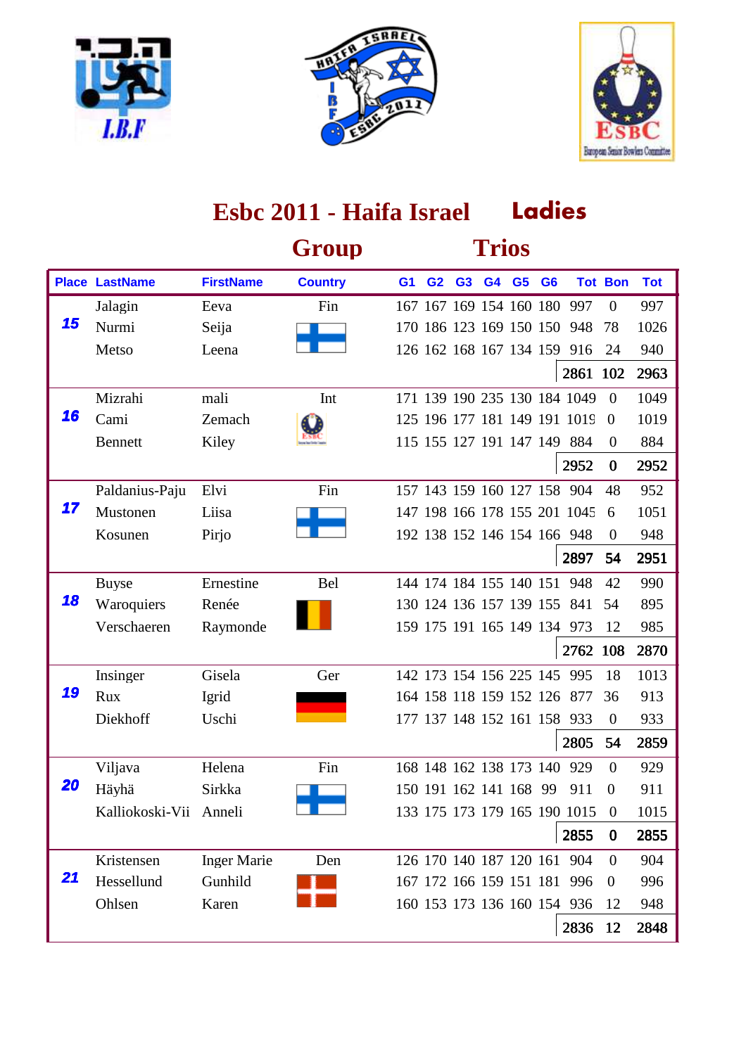





|    |                        |                    | Group          |                |                         |    | <b>Trios</b> |                |                |                              |                |            |
|----|------------------------|--------------------|----------------|----------------|-------------------------|----|--------------|----------------|----------------|------------------------------|----------------|------------|
|    | <b>Place LastName</b>  | <b>FirstName</b>   | <b>Country</b> | G <sub>1</sub> | G <sub>2</sub>          | G3 | G4           | G <sub>5</sub> | G <sub>6</sub> |                              | <b>Tot Bon</b> | <b>Tot</b> |
|    | Jalagin                | Eeva               | Fin            |                | 167 167 169 154 160 180 |    |              |                |                | 997                          | $\overline{0}$ | 997        |
| 15 | Nurmi                  | Seija              |                |                | 170 186 123 169 150 150 |    |              |                |                | 948                          | 78             | 1026       |
|    | Metso                  | Leena              |                |                |                         |    |              |                |                | 126 162 168 167 134 159 916  | 24             | 940        |
|    |                        |                    |                |                |                         |    |              |                |                | 2861 102                     |                | 2963       |
|    | Mizrahi                | mali               | Int            |                |                         |    |              |                |                | 171 139 190 235 130 184 1049 | $\Omega$       | 1049       |
| 16 | Cami                   | Zemach             |                |                |                         |    |              |                |                | 125 196 177 181 149 191 1019 | $\theta$       | 1019       |
|    | <b>Bennett</b>         | Kiley              |                |                |                         |    |              |                |                | 115 155 127 191 147 149 884  | $\theta$       | 884        |
|    |                        |                    |                |                |                         |    |              |                |                | 2952                         | $\bf{0}$       | 2952       |
|    | Paldanius-Paju         | Elvi               | Fin            |                |                         |    |              |                |                | 157 143 159 160 127 158 904  | 48             | 952        |
| 17 | Mustonen               | Liisa              |                |                |                         |    |              |                |                | 147 198 166 178 155 201 1045 | 6              | 1051       |
|    | Kosunen                | Pirjo              |                |                |                         |    |              |                |                | 192 138 152 146 154 166 948  | $\theta$       | 948        |
|    |                        |                    |                |                |                         |    |              |                |                | 2897                         | 54             | 2951       |
|    | <b>Buyse</b>           | Ernestine          | <b>Bel</b>     |                | 144 174 184 155 140 151 |    |              |                |                | 948                          | 42             | 990        |
| 18 | Waroquiers             | Renée              |                |                | 130 124 136 157 139 155 |    |              |                |                | 841                          | 54             | 895        |
|    | Verschaeren            | Raymonde           |                |                |                         |    |              |                |                | 159 175 191 165 149 134 973  | 12             | 985        |
|    |                        |                    |                |                |                         |    |              |                |                | 2762 108                     |                | 2870       |
|    | Insinger               | Gisela             | Ger            |                |                         |    |              |                |                | 142 173 154 156 225 145 995  | 18             | 1013       |
| 19 | Rux                    | Igrid              |                |                |                         |    |              |                |                | 164 158 118 159 152 126 877  | 36             | 913        |
|    | Diekhoff               | Uschi              |                |                |                         |    |              |                |                | 177 137 148 152 161 158 933  | $\overline{0}$ | 933        |
|    |                        |                    |                |                |                         |    |              |                |                | 2805                         | 54             | 2859       |
|    | Viljava                | Helena             | Fin            |                | 168 148 162 138 173 140 |    |              |                |                | 929                          | $\Omega$       | 929        |
| 20 | Häyhä                  | Sirkka             |                |                | 150 191 162 141 168 99  |    |              |                |                | 911                          | $\overline{0}$ | 911        |
|    | Kalliokoski-Vii Anneli |                    |                |                |                         |    |              |                |                | 133 175 173 179 165 190 1015 | $\theta$       | 1015       |
|    |                        |                    |                |                |                         |    |              |                |                | 2855                         | $\bf{0}$       | 2855       |
|    | Kristensen             | <b>Inger Marie</b> | Den            |                |                         |    |              |                |                | 126 170 140 187 120 161 904  | $\Omega$       | 904        |
| 21 | Hessellund             | Gunhild            |                |                |                         |    |              |                |                | 167 172 166 159 151 181 996  | $\theta$       | 996        |
|    | Ohlsen                 | Karen              |                |                |                         |    |              |                |                | 160 153 173 136 160 154 936  | 12             | 948        |
|    |                        |                    |                |                |                         |    |              |                |                | 2836                         | <b>12</b>      | 2848       |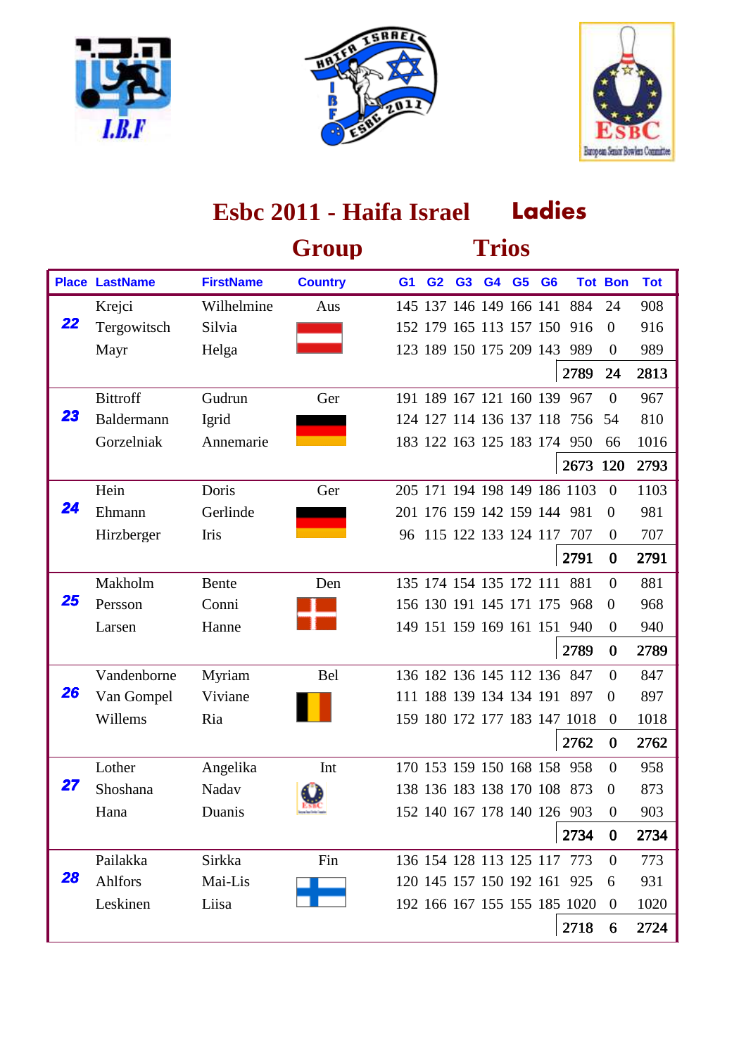





|    |                       |                  | Group          |                |                         |                | <b>Trios</b> |                |                              |                |            |
|----|-----------------------|------------------|----------------|----------------|-------------------------|----------------|--------------|----------------|------------------------------|----------------|------------|
|    | <b>Place LastName</b> | <b>FirstName</b> | <b>Country</b> | G <sub>1</sub> | G <sub>2</sub>          | G <sub>3</sub> | G4 G5        | G <sub>6</sub> |                              | <b>Tot Bon</b> | <b>Tot</b> |
|    | Krejci                | Wilhelmine       | Aus            |                |                         |                |              |                | 145 137 146 149 166 141 884  | 24             | 908        |
| 22 | Tergowitsch           | Silvia           |                |                | 152 179 165 113 157 150 |                |              |                | 916                          | $\theta$       | 916        |
|    | Mayr                  | Helga            |                |                |                         |                |              |                | 123 189 150 175 209 143 989  | $\theta$       | 989        |
|    |                       |                  |                |                |                         |                |              |                | 2789                         | 24             | 2813       |
|    | <b>Bittroff</b>       | Gudrun           | Ger            |                | 191 189 167 121 160 139 |                |              |                | 967                          | $\Omega$       | 967        |
| 23 | Baldermann            | Igrid            |                |                | 124 127 114 136 137 118 |                |              |                | 756                          | 54             | 810        |
|    | Gorzelniak            | Annemarie        |                |                |                         |                |              |                | 183 122 163 125 183 174 950  | 66             | 1016       |
|    |                       |                  |                |                |                         |                |              |                | 2673 120                     |                | 2793       |
|    | Hein                  | Doris            | Ger            |                |                         |                |              |                | 205 171 194 198 149 186 1103 | $\theta$       | 1103       |
| 24 | Ehmann                | Gerlinde         |                |                |                         |                |              |                | 201 176 159 142 159 144 981  | $\overline{0}$ | 981        |
|    | Hirzberger            | Iris             |                | 96             | 115 122 133 124 117     |                |              |                | 707                          | $\theta$       | 707        |
|    |                       |                  |                |                |                         |                |              |                | 2791                         | $\bf{0}$       | 2791       |
|    | Makholm               | <b>Bente</b>     | Den            |                | 135 174 154 135 172 111 |                |              |                | 881                          | $\Omega$       | 881        |
| 25 | Persson               | Conni            |                |                | 156 130 191 145 171 175 |                |              |                | 968                          | $\theta$       | 968        |
|    | Larsen                | Hanne            |                |                |                         |                |              |                | 149 151 159 169 161 151 940  | $\overline{0}$ | 940        |
|    |                       |                  |                |                |                         |                |              |                | 2789                         | $\bf{0}$       | 2789       |
|    | Vandenborne           | Myriam           | <b>Bel</b>     |                |                         |                |              |                | 136 182 136 145 112 136 847  | $\Omega$       | 847        |
| 26 | Van Gompel            | Viviane          |                |                |                         |                |              |                | 111 188 139 134 134 191 897  | $\overline{0}$ | 897        |
|    | Willems               | Ria              |                |                |                         |                |              |                | 159 180 172 177 183 147 1018 | $\overline{0}$ | 1018       |
|    |                       |                  |                |                |                         |                |              |                | 2762                         | $\bf{0}$       | 2762       |
|    | Lother                | Angelika         | Int            |                | 170 153 159 150 168 158 |                |              |                | 958                          | $\Omega$       | 958        |
| 27 | Shoshana              | Nadav            | Œ.             |                |                         |                |              |                | 138 136 183 138 170 108 873  | $\overline{0}$ | 873        |
|    | Hana                  | Duanis           |                |                |                         |                |              |                | 152 140 167 178 140 126 903  | $\Omega$       | 903        |
|    |                       |                  |                |                |                         |                |              |                | 2734                         | $\bf{0}$       | 2734       |
|    | Pailakka              | Sirkka           | Fin            |                |                         |                |              |                | 136 154 128 113 125 117 773  | $\theta$       | 773        |
| 28 | Ahlfors               | Mai-Lis          |                |                |                         |                |              |                | 120 145 157 150 192 161 925  | 6              | 931        |
|    | Leskinen              | Liisa            |                |                |                         |                |              |                | 192 166 167 155 155 185 1020 | $\overline{0}$ | 1020       |
|    |                       |                  |                |                |                         |                |              |                | 2718                         | 6              | 2724       |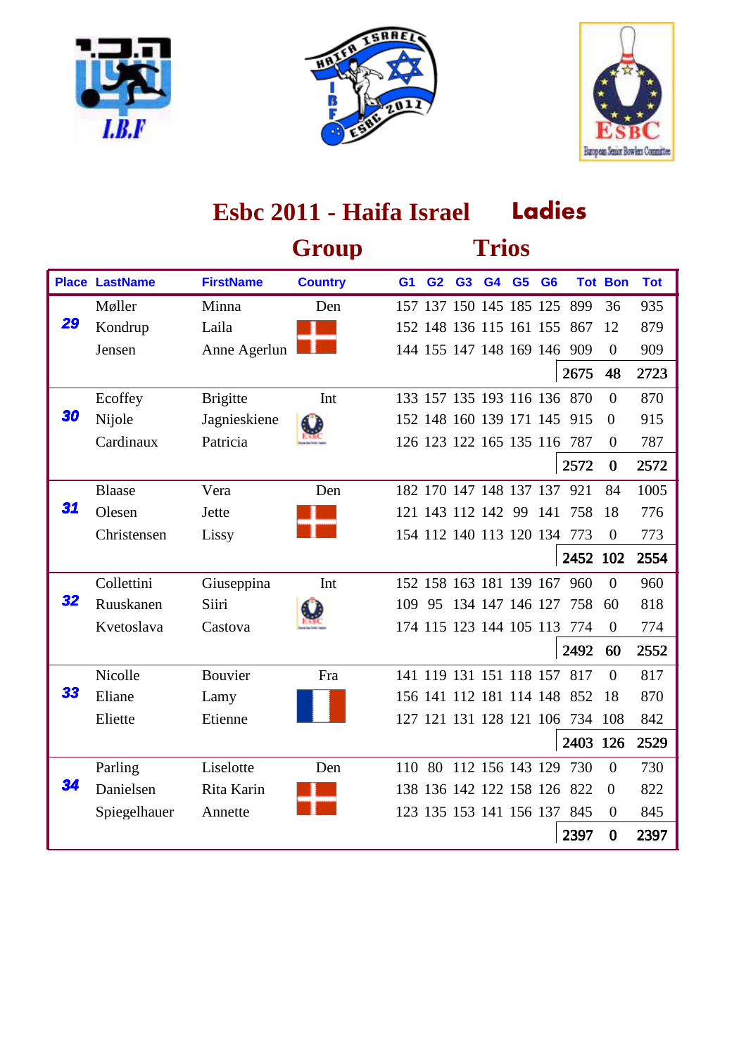





|    |                       |                  | Group          |                |                |                         | <b>Trios</b>   |                |                |                                 |                |            |
|----|-----------------------|------------------|----------------|----------------|----------------|-------------------------|----------------|----------------|----------------|---------------------------------|----------------|------------|
|    | <b>Place LastName</b> | <b>FirstName</b> | <b>Country</b> | G <sub>1</sub> | G <sub>2</sub> | G <sub>3</sub>          | G <sub>4</sub> | G <sub>5</sub> | G <sub>6</sub> |                                 | <b>Tot Bon</b> | <b>Tot</b> |
|    | Møller                | Minna            | Den            |                |                | 157 137 150 145 185 125 |                |                |                | 899                             | 36             | 935        |
| 29 | Kondrup               | Laila            |                |                |                | 152 148 136 115 161 155 |                |                |                | 867                             | 12             | 879        |
|    | Jensen                | Anne Agerlun     |                |                |                |                         |                |                |                | 144 155 147 148 169 146 909     | $\Omega$       | 909        |
|    |                       |                  |                |                |                |                         |                |                |                | 2675                            | 48             | 2723       |
|    | Ecoffey               | <b>Brigitte</b>  | Int            |                |                |                         |                |                |                | 133 157 135 193 116 136 870     | $\Omega$       | 870        |
| 30 | Nijole                | Jagnieskiene     |                |                |                |                         |                |                |                | 152 148 160 139 171 145 915     | $\overline{0}$ | 915        |
|    | Cardinaux             | Patricia         |                |                |                |                         |                |                |                | 126 123 122 165 135 116 787     | $\theta$       | 787        |
|    |                       |                  |                |                |                |                         |                |                |                | 2572                            | $\bf{0}$       | 2572       |
|    | <b>Blaase</b>         | Vera             | Den            |                |                | 182 170 147 148 137 137 |                |                |                | 921                             | 84             | 1005       |
| 31 | Olesen                | Jette            |                |                |                | 121 143 112 142 99 141  |                |                |                | 758                             | 18             | 776        |
|    | Christensen           | Lissy            |                |                |                |                         |                |                |                | 154 112 140 113 120 134 773     | $\overline{0}$ | 773        |
|    |                       |                  |                |                |                |                         |                |                |                | 2452 102                        |                | 2554       |
|    | Collettini            | Giuseppina       | Int            |                |                | 152 158 163 181 139 167 |                |                |                | 960                             | $\theta$       | 960        |
| 32 | Ruuskanen             | Siiri            |                | 109            |                |                         |                |                |                | 95 134 147 146 127 758          | 60             | 818        |
|    | Kvetoslava            | Castova          |                |                |                |                         |                |                |                | 174 115 123 144 105 113 774     | $\Omega$       | 774        |
|    |                       |                  |                |                |                |                         |                |                |                | 2492                            | 60             | 2552       |
|    | Nicolle               | Bouvier          | Fra            |                |                |                         |                |                |                | 141 119 131 151 118 157 817     | $\theta$       | 817        |
| 33 | Eliane                | Lamy             |                |                |                |                         |                |                |                | 156 141 112 181 114 148 852     | 18             | 870        |
|    | Eliette               | Etienne          |                |                |                |                         |                |                |                | 127 121 131 128 121 106 734 108 |                | 842        |
|    |                       |                  |                |                |                |                         |                |                |                | 2403 126                        |                | 2529       |
|    | Parling               | Liselotte        | Den            | 110            |                | 80 112 156 143 129      |                |                |                | 730                             | $\Omega$       | 730        |
| 34 | Danielsen             | Rita Karin       |                |                |                |                         |                |                |                | 138 136 142 122 158 126 822     | $\theta$       | 822        |
|    | Spiegelhauer          | Annette          |                |                |                |                         |                |                |                | 123 135 153 141 156 137 845     | $\overline{0}$ | 845        |
|    |                       |                  |                |                |                |                         |                |                |                | 2397                            | $\bf{0}$       | 2397       |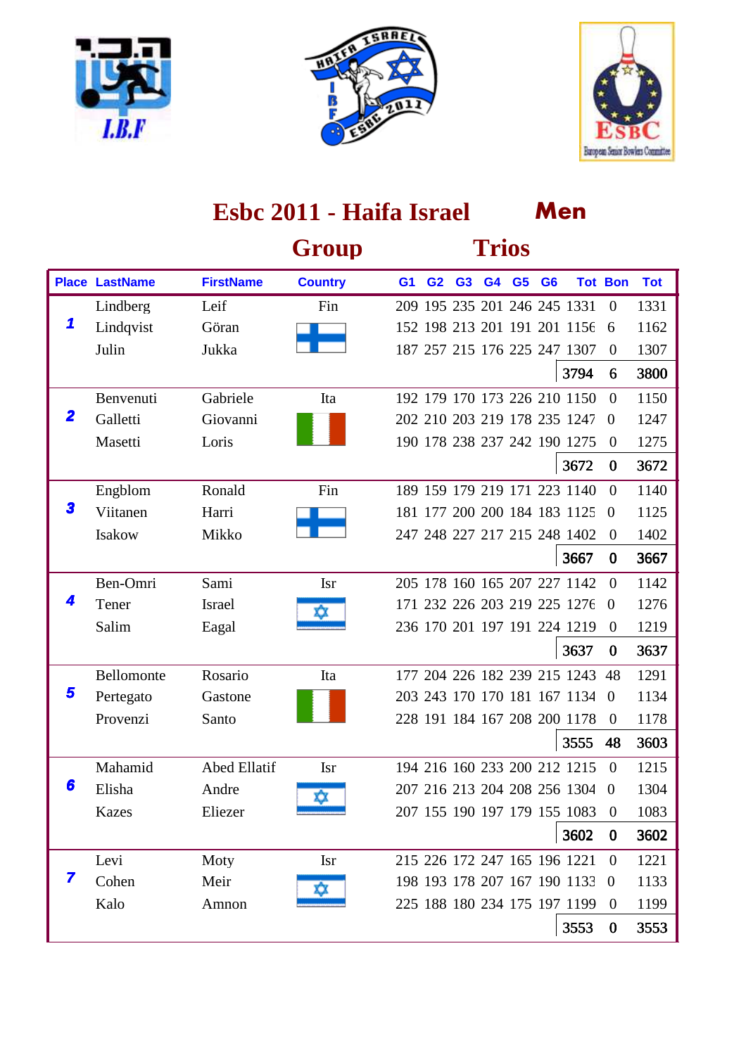





|             |                       |                     | Group          |                |                | <b>Trios</b> |                |                              |                |            |
|-------------|-----------------------|---------------------|----------------|----------------|----------------|--------------|----------------|------------------------------|----------------|------------|
|             | <b>Place LastName</b> | <b>FirstName</b>    | <b>Country</b> | G <sub>1</sub> | G <sub>2</sub> | G3 G4 G5     | G <sub>6</sub> |                              | <b>Tot Bon</b> | <b>Tot</b> |
|             | Lindberg              | Leif                | Fin            |                |                |              |                | 209 195 235 201 246 245 1331 | $\mathbf{0}$   | 1331       |
| 1           | Lindqvist             | Göran               |                |                |                |              |                | 152 198 213 201 191 201 1156 | 6              | 1162       |
|             | Julin                 | Jukka               |                |                |                |              |                | 187 257 215 176 225 247 1307 | $\overline{0}$ | 1307       |
|             |                       |                     |                |                |                |              |                | 3794                         | 6              | 3800       |
|             | Benvenuti             | Gabriele            | Ita            |                |                |              |                | 192 179 170 173 226 210 1150 | $\Omega$       | 1150       |
| $\mathbf 2$ | Galletti              | Giovanni            |                |                |                |              |                | 202 210 203 219 178 235 1247 | $\Omega$       | 1247       |
|             | Masetti               | Loris               |                |                |                |              |                | 190 178 238 237 242 190 1275 | $\overline{0}$ | 1275       |
|             |                       |                     |                |                |                |              |                | 3672                         | $\bf{0}$       | 3672       |
|             | Engblom               | Ronald              | Fin            |                |                |              |                | 189 159 179 219 171 223 1140 | $\Omega$       | 1140       |
| 3           | Viitanen              | Harri               |                |                |                |              |                | 181 177 200 200 184 183 1125 | $\overline{0}$ | 1125       |
|             | Isakow                | Mikko               |                |                |                |              |                | 247 248 227 217 215 248 1402 | $\theta$       | 1402       |
|             |                       |                     |                |                |                |              |                | 3667                         | $\bf{0}$       | 3667       |
|             | Ben-Omri              | Sami                | <b>Isr</b>     |                |                |              |                | 205 178 160 165 207 227 1142 | $\Omega$       | 1142       |
|             | Tener                 | <b>Israel</b>       |                |                |                |              |                | 171 232 226 203 219 225 1276 | $\overline{0}$ | 1276       |
|             | Salim                 | Eagal               |                |                |                |              |                | 236 170 201 197 191 224 1219 | $\overline{0}$ | 1219       |
|             |                       |                     |                |                |                |              |                | 3637                         | $\bf{0}$       | 3637       |
|             | Bellomonte            | Rosario             | Ita            |                |                |              |                | 177 204 226 182 239 215 1243 | 48             | 1291       |
| 5           | Pertegato             | Gastone             |                |                |                |              |                | 203 243 170 170 181 167 1134 | $\Omega$       | 1134       |
|             | Provenzi              | Santo               |                |                |                |              |                | 228 191 184 167 208 200 1178 | $\theta$       | 1178       |
|             |                       |                     |                |                |                |              |                | 3555                         | 48             | 3603       |
|             | Mahamid               | <b>Abed Ellatif</b> | <b>Isr</b>     |                |                |              |                | 194 216 160 233 200 212 1215 | $\Omega$       | 1215       |
| 6           | Elisha                | Andre               | xχ             |                |                |              |                | 207 216 213 204 208 256 1304 | $\theta$       | 1304       |
|             | <b>Kazes</b>          | Eliezer             |                |                |                |              |                | 207 155 190 197 179 155 1083 | $\theta$       | 1083       |
|             |                       |                     |                |                |                |              |                | 3602                         | $\bf{0}$       | 3602       |
|             | Levi                  | Moty                | <b>Isr</b>     |                |                |              |                | 215 226 172 247 165 196 1221 | $\overline{0}$ | 1221       |
| 7           | Cohen                 | Meir                |                |                |                |              |                | 198 193 178 207 167 190 1133 | $\overline{0}$ | 1133       |
|             | Kalo                  | Amnon               |                |                |                |              |                | 225 188 180 234 175 197 1199 | $\overline{0}$ | 1199       |
|             |                       |                     |                |                |                |              |                | 3553                         | $\bf{0}$       | 3553       |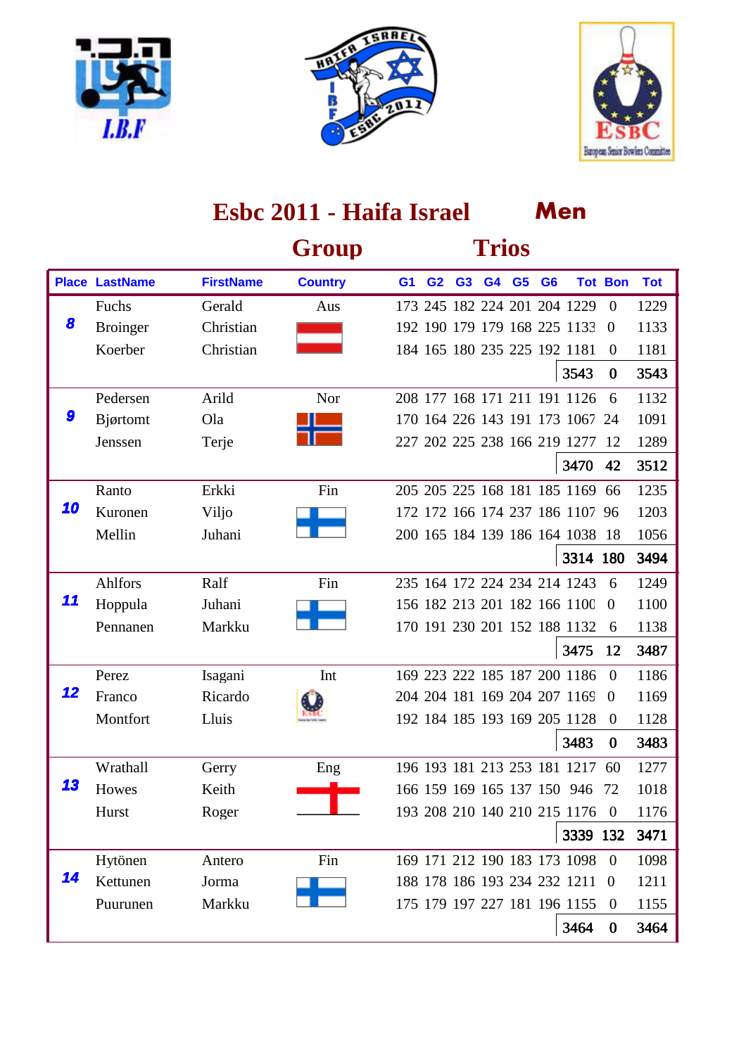





|    |                       |                  | Group          |                |                |                | <b>Trios</b> |                |                |                                 |                |            |
|----|-----------------------|------------------|----------------|----------------|----------------|----------------|--------------|----------------|----------------|---------------------------------|----------------|------------|
|    | <b>Place LastName</b> | <b>FirstName</b> | <b>Country</b> | G <sub>1</sub> | G <sub>2</sub> | G <sub>3</sub> | G4           | G <sub>5</sub> | G <sub>6</sub> |                                 | <b>Tot Bon</b> | <b>Tot</b> |
|    | Fuchs                 | Gerald           | Aus            |                |                |                |              |                |                | 173 245 182 224 201 204 1229    | $\overline{0}$ | 1229       |
| 8  | <b>Broinger</b>       | Christian        |                |                |                |                |              |                |                | 192 190 179 179 168 225 1133    | $\overline{0}$ | 1133       |
|    | Koerber               | Christian        |                |                |                |                |              |                |                | 184 165 180 235 225 192 1181    | $\theta$       | 1181       |
|    |                       |                  |                |                |                |                |              |                |                | 3543                            | $\bf{0}$       | 3543       |
|    | Pedersen              | Arild            | Nor            |                |                |                |              |                |                | 208 177 168 171 211 191 1126    | 6              | 1132       |
| 9  | Bjørtomt              | Ola              |                |                |                |                |              |                |                | 170 164 226 143 191 173 1067 24 |                | 1091       |
|    | Jenssen               | Terje            |                |                |                |                |              |                |                | 227 202 225 238 166 219 1277    | -12            | 1289       |
|    |                       |                  |                |                |                |                |              |                |                | 3470                            | 42             | 3512       |
|    | Ranto                 | Erkki            | Fin            |                |                |                |              |                |                | 205 205 225 168 181 185 1169    | 66             | 1235       |
| 10 | Kuronen               | Viljo            |                |                |                |                |              |                |                | 172 172 166 174 237 186 1107 96 |                | 1203       |
|    | Mellin                | Juhani           |                |                |                |                |              |                |                | 200 165 184 139 186 164 1038 18 |                | 1056       |
|    |                       |                  |                |                |                |                |              |                |                | 3314 180                        |                | 3494       |
|    | Ahlfors               | Ralf             | Fin            |                |                |                |              |                |                | 235 164 172 224 234 214 1243    | 6              | 1249       |
| 11 | Hoppula               | Juhani           |                |                |                |                |              |                |                | 156 182 213 201 182 166 1100    | $\overline{0}$ | 1100       |
|    | Pennanen              | Markku           |                |                |                |                |              |                |                | 170 191 230 201 152 188 1132    | 6              | 1138       |
|    |                       |                  |                |                |                |                |              |                |                | 3475                            | 12             | 3487       |
|    | Perez                 | Isagani          | Int            |                |                |                |              |                |                | 169 223 222 185 187 200 1186    | $\theta$       | 1186       |
| 12 | Franco                | Ricardo          |                |                |                |                |              |                |                | 204 204 181 169 204 207 1169    | $\Omega$       | 1169       |
|    | Montfort              | Lluis            |                |                |                |                |              |                |                | 192 184 185 193 169 205 1128    | $\overline{0}$ | 1128       |
|    |                       |                  |                |                |                |                |              |                |                | 3483                            | $\bf{0}$       | 3483       |
|    | Wrathall              | Gerry            | Eng            |                |                |                |              |                |                | 196 193 181 213 253 181 1217    | 60             | 1277       |
| 13 | Howes                 | Keith            |                |                |                |                |              |                |                | 166 159 169 165 137 150 946     | -72            | 1018       |
|    | Hurst                 | Roger            |                |                |                |                |              |                |                | 193 208 210 140 210 215 1176    | $\theta$       | 1176       |
|    |                       |                  |                |                |                |                |              |                |                | 3339 132                        |                | 3471       |
|    | Hytönen               | Antero           | Fin            |                |                |                |              |                |                | 169 171 212 190 183 173 1098    | $\Omega$       | 1098       |
| 14 | Kettunen              | Jorma            |                |                |                |                |              |                |                | 188 178 186 193 234 232 1211    | -0             | 1211       |
|    | Puurunen              | Markku           |                |                |                |                |              |                |                | 175 179 197 227 181 196 1155    | $\overline{0}$ | 1155       |
|    |                       |                  |                |                |                |                |              |                |                | 3464                            | $\bf{0}$       | 3464       |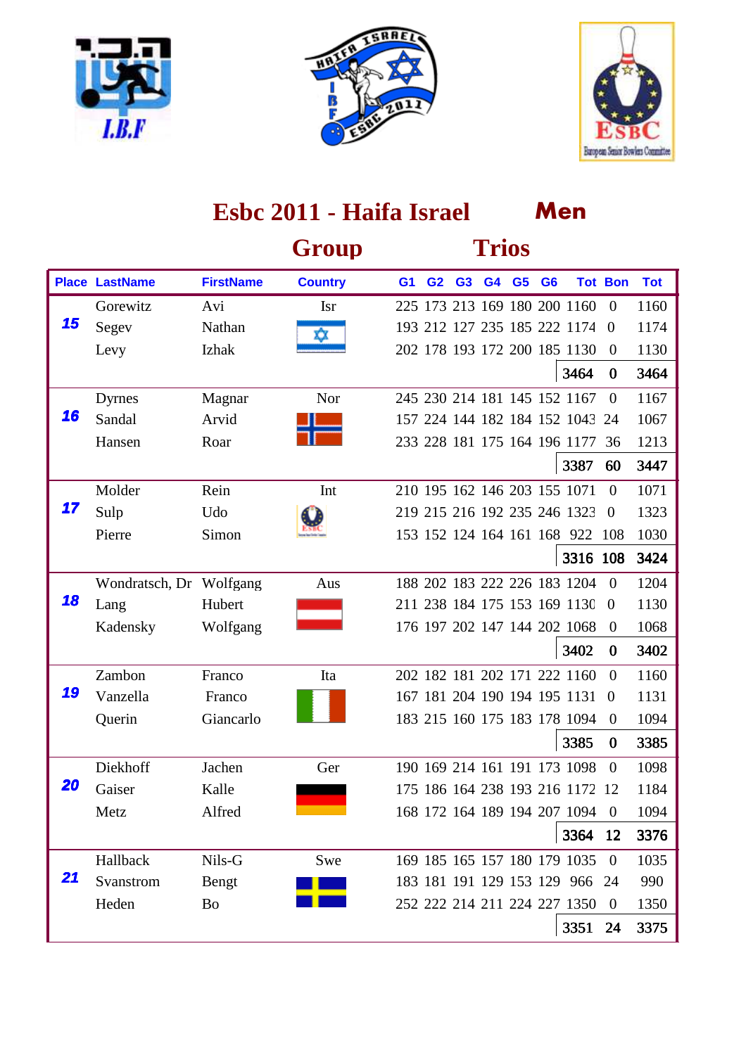





|    |                         |                  | Group          |                |                |                | <b>Trios</b> |       |                |                                 |                |            |
|----|-------------------------|------------------|----------------|----------------|----------------|----------------|--------------|-------|----------------|---------------------------------|----------------|------------|
|    | <b>Place LastName</b>   | <b>FirstName</b> | <b>Country</b> | G <sub>1</sub> | G <sub>2</sub> | G <sub>3</sub> |              | G4 G5 | G <sub>6</sub> |                                 | <b>Tot Bon</b> | <b>Tot</b> |
|    | Gorewitz                | Avi              | <b>Isr</b>     |                |                |                |              |       |                | 225 173 213 169 180 200 1160    | $\overline{0}$ | 1160       |
| 15 | Segev                   | Nathan           |                |                |                |                |              |       |                | 193 212 127 235 185 222 1174    | $\Omega$       | 1174       |
|    | Levy                    | Izhak            |                |                |                |                |              |       |                | 202 178 193 172 200 185 1130    | $\overline{0}$ | 1130       |
|    |                         |                  |                |                |                |                |              |       |                | 3464                            | $\bf{0}$       | 3464       |
|    | Dyrnes                  | Magnar           | Nor            |                |                |                |              |       |                | 245 230 214 181 145 152 1167    | $\Omega$       | 1167       |
| 16 | Sandal                  | Arvid            |                |                |                |                |              |       |                | 157 224 144 182 184 152 1043 24 |                | 1067       |
|    | Hansen                  | Roar             |                |                |                |                |              |       |                | 233 228 181 175 164 196 1177    | 36             | 1213       |
|    |                         |                  |                |                |                |                |              |       |                | 3387                            | 60             | 3447       |
|    | Molder                  | Rein             | Int            |                |                |                |              |       |                | 210 195 162 146 203 155 1071    | $\Omega$       | 1071       |
| 17 | Sulp                    | Udo              |                |                |                |                |              |       |                | 219 215 216 192 235 246 1323    | $\overline{0}$ | 1323       |
|    | Pierre                  | Simon            |                |                |                |                |              |       |                | 153 152 124 164 161 168 922     | 108            | 1030       |
|    |                         |                  |                |                |                |                |              |       |                | 3316 108                        |                | 3424       |
|    | Wondratsch, Dr Wolfgang |                  | Aus            |                |                |                |              |       |                | 188 202 183 222 226 183 1204    | $\theta$       | 1204       |
| 18 | Lang                    | Hubert           |                |                |                |                |              |       |                | 211 238 184 175 153 169 1130    | $\overline{0}$ | 1130       |
|    | Kadensky                | Wolfgang         |                |                |                |                |              |       |                | 176 197 202 147 144 202 1068    | $\overline{0}$ | 1068       |
|    |                         |                  |                |                |                |                |              |       |                | 3402                            | $\bf{0}$       | 3402       |
|    | Zambon                  | Franco           | Ita            |                |                |                |              |       |                | 202 182 181 202 171 222 1160    | $\Omega$       | 1160       |
| 19 | Vanzella                | Franco           |                |                |                |                |              |       |                | 167 181 204 190 194 195 1131    | $\Omega$       | 1131       |
|    | Querin                  | Giancarlo        |                |                |                |                |              |       |                | 183 215 160 175 183 178 1094    | $\overline{0}$ | 1094       |
|    |                         |                  |                |                |                |                |              |       |                | 3385                            | $\bf{0}$       | 3385       |
|    | Diekhoff                | Jachen           | Ger            |                |                |                |              |       |                | 190 169 214 161 191 173 1098    | $\Omega$       | 1098       |
| 20 | Gaiser                  | Kalle            |                |                |                |                |              |       |                | 175 186 164 238 193 216 1172 12 |                | 1184       |
|    | Metz                    | Alfred           |                |                |                |                |              |       |                | 168 172 164 189 194 207 1094 0  |                | 1094       |
|    |                         |                  |                |                |                |                |              |       |                | 3364                            | 12             | 3376       |
|    | Hallback                | Nils-G           | Swe            |                |                |                |              |       |                | 169 185 165 157 180 179 1035    | $\overline{0}$ | 1035       |
| 21 | Svanstrom               | Bengt            |                |                |                |                |              |       |                | 183 181 191 129 153 129 966 24  |                | 990        |
|    | Heden                   | Bo               |                |                |                |                |              |       |                | 252 222 214 211 224 227 1350    | $\overline{0}$ | 1350       |
|    |                         |                  |                |                |                |                |              |       |                | 3351                            | 24             | 3375       |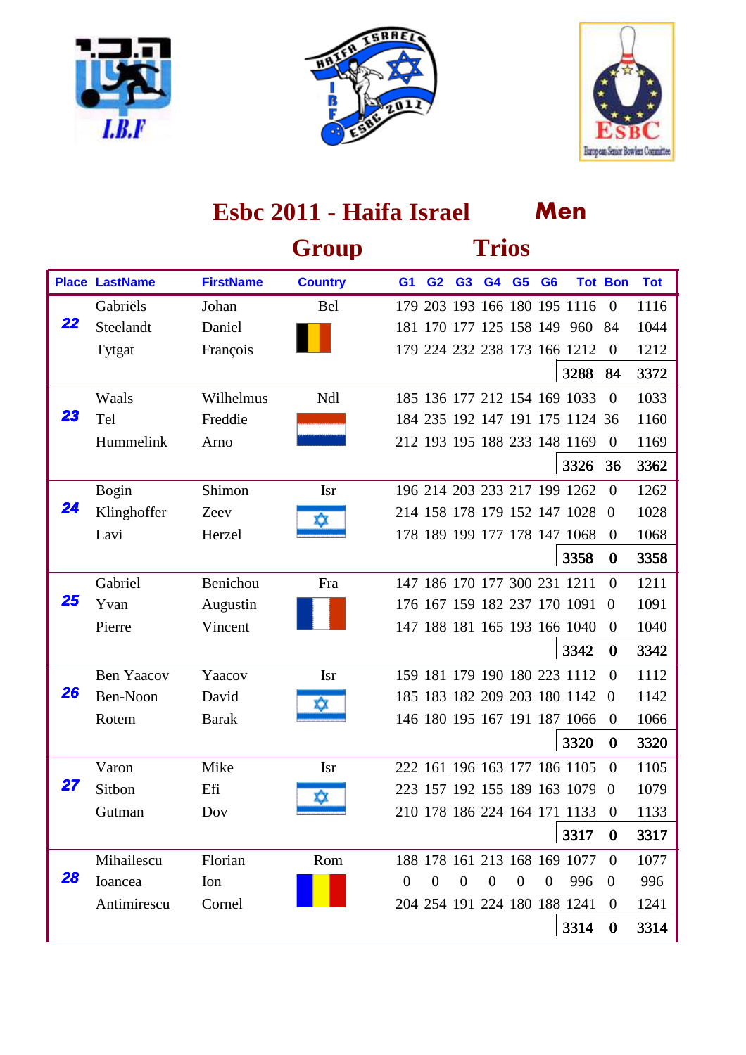





|    |                       |                  | Group          |                  |                |                | <b>Trios</b>   |                  |                |                                 |                |            |
|----|-----------------------|------------------|----------------|------------------|----------------|----------------|----------------|------------------|----------------|---------------------------------|----------------|------------|
|    | <b>Place LastName</b> | <b>FirstName</b> | <b>Country</b> | G <sub>1</sub>   | G <sub>2</sub> | G <sub>3</sub> | G4 G5          |                  | G <sub>6</sub> |                                 | <b>Tot Bon</b> | <b>Tot</b> |
|    | Gabriëls              | Johan            | <b>Bel</b>     |                  |                |                |                |                  |                | 179 203 193 166 180 195 1116    | $\overline{0}$ | 1116       |
| 22 | Steelandt             | Daniel           |                |                  |                |                |                |                  |                | 181 170 177 125 158 149 960 84  |                | 1044       |
|    | Tytgat                | François         |                |                  |                |                |                |                  |                | 179 224 232 238 173 166 1212    | $\theta$       | 1212       |
|    |                       |                  |                |                  |                |                |                |                  |                | 3288                            | 84             | 3372       |
|    | Waals                 | Wilhelmus        | Ndl            |                  |                |                |                |                  |                | 185 136 177 212 154 169 1033    | $\Omega$       | 1033       |
| 23 | Tel                   | Freddie          |                |                  |                |                |                |                  |                | 184 235 192 147 191 175 1124 36 |                | 1160       |
|    | Hummelink             | Arno             |                |                  |                |                |                |                  |                | 212 193 195 188 233 148 1169    | $\theta$       | 1169       |
|    |                       |                  |                |                  |                |                |                |                  |                | 3326                            | 36             | 3362       |
|    | <b>Bogin</b>          | Shimon           | <b>Isr</b>     |                  |                |                |                |                  |                | 196 214 203 233 217 199 1262    | $\Omega$       | 1262       |
| 24 | Klinghoffer           | Zeev             |                |                  |                |                |                |                  |                | 214 158 178 179 152 147 1028    | $\overline{0}$ | 1028       |
|    | Lavi                  | Herzel           |                |                  |                |                |                |                  |                | 178 189 199 177 178 147 1068    | $\theta$       | 1068       |
|    |                       |                  |                |                  |                |                |                |                  |                | 3358                            | $\bf{0}$       | 3358       |
|    | Gabriel               | Benichou         | Fra            |                  |                |                |                |                  |                | 147 186 170 177 300 231 1211    | $\Omega$       | 1211       |
| 25 | Yvan                  | Augustin         |                |                  |                |                |                |                  |                | 176 167 159 182 237 170 1091    | $\overline{0}$ | 1091       |
|    | Pierre                | Vincent          |                |                  |                |                |                |                  |                | 147 188 181 165 193 166 1040    | $\overline{0}$ | 1040       |
|    |                       |                  |                |                  |                |                |                |                  |                | 3342                            | $\bf{0}$       | 3342       |
|    | <b>Ben Yaacov</b>     | Yaacov           | <b>Isr</b>     |                  |                |                |                |                  |                | 159 181 179 190 180 223 1112    | $\Omega$       | 1112       |
| 26 | Ben-Noon              | David            |                |                  |                |                |                |                  |                | 185 183 182 209 203 180 1142    | $\Omega$       | 1142       |
|    | Rotem                 | <b>Barak</b>     |                |                  |                |                |                |                  |                | 146 180 195 167 191 187 1066    | $\overline{0}$ | 1066       |
|    |                       |                  |                |                  |                |                |                |                  |                | 3320                            | $\bf{0}$       | 3320       |
|    | Varon                 | Mike             | <b>Isr</b>     |                  |                |                |                |                  |                | 222 161 196 163 177 186 1105    | $\overline{0}$ | 1105       |
| 27 | Sitbon                | Efi              | xΣ             |                  |                |                |                |                  |                | 223 157 192 155 189 163 1079    | $\overline{0}$ | 1079       |
|    | Gutman                | Dov              |                |                  |                |                |                |                  |                | 210 178 186 224 164 171 1133    | $\theta$       | 1133       |
|    |                       |                  |                |                  |                |                |                |                  |                | 3317                            | $\bf{0}$       | 3317       |
|    | Mihailescu            | Florian          | Rom            |                  |                |                |                |                  |                | 188 178 161 213 168 169 1077    | $\Omega$       | 1077       |
| 28 | Ioancea               | Ion              |                | $\boldsymbol{0}$ | $\overline{0}$ | $\overline{0}$ | $\overline{0}$ | $\boldsymbol{0}$ | $\overline{0}$ | 996                             | $\theta$       | 996        |
|    | Antimirescu           | Cornel           |                |                  |                |                |                |                  |                | 204 254 191 224 180 188 1241    | $\theta$       | 1241       |
|    |                       |                  |                |                  |                |                |                |                  |                | 3314                            | $\bf{0}$       | 3314       |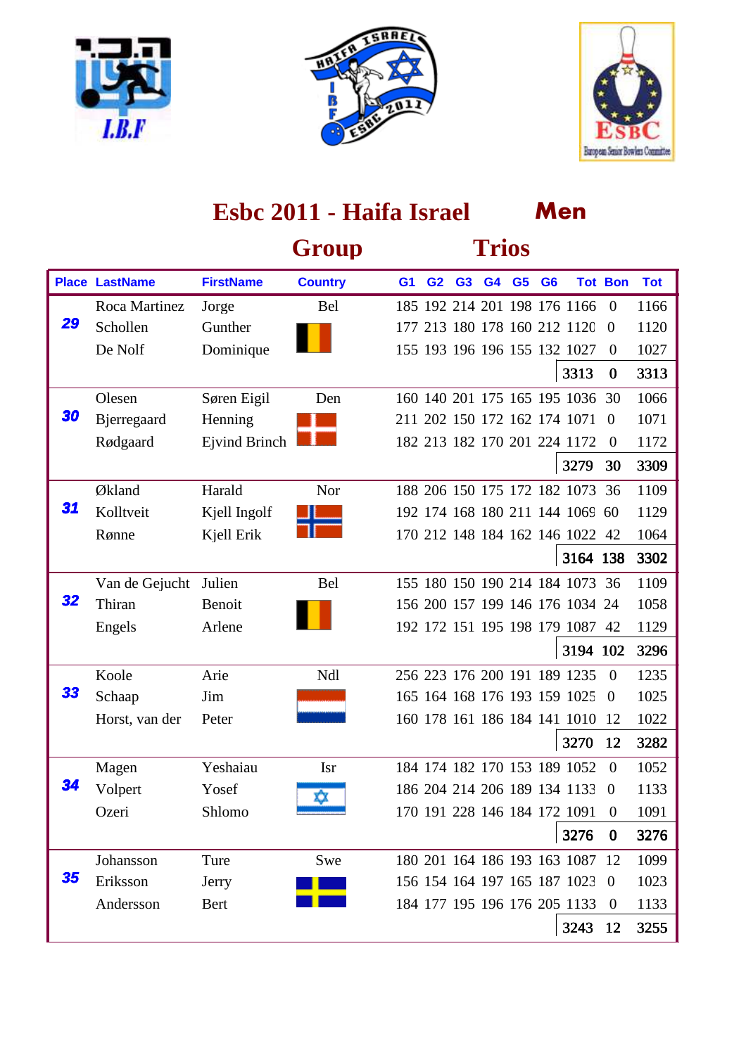





|    |                       |                      | Group          |                |                |                | <b>Trios</b> |                |                                 |                |            |
|----|-----------------------|----------------------|----------------|----------------|----------------|----------------|--------------|----------------|---------------------------------|----------------|------------|
|    | <b>Place LastName</b> | <b>FirstName</b>     | <b>Country</b> | G <sub>1</sub> | G <sub>2</sub> | G <sub>3</sub> | G4 G5        | G <sub>6</sub> |                                 | <b>Tot Bon</b> | <b>Tot</b> |
|    | Roca Martinez         | Jorge                | Bel            |                |                |                |              |                | 185 192 214 201 198 176 1166    | $\overline{0}$ | 1166       |
| 29 | Schollen              | Gunther              |                |                |                |                |              |                | 177 213 180 178 160 212 1120    | $\overline{0}$ | 1120       |
|    | De Nolf               | Dominique            |                |                |                |                |              |                | 155 193 196 196 155 132 1027    | $\overline{0}$ | 1027       |
|    |                       |                      |                |                |                |                |              |                | 3313                            | $\bf{0}$       | 3313       |
|    | Olesen                | Søren Eigil          | Den            |                |                |                |              |                | 160 140 201 175 165 195 1036    | 30             | 1066       |
| 30 | <b>B</b> jerregaard   | Henning              |                |                |                |                |              |                | 211 202 150 172 162 174 1071    | $\Omega$       | 1071       |
|    | Rødgaard              | <b>Ejvind Brinch</b> |                |                |                |                |              |                | 182 213 182 170 201 224 1172    | $\theta$       | 1172       |
|    |                       |                      |                |                |                |                |              |                | 3279                            | 30             | 3309       |
|    | Økland                | Harald               | Nor            |                |                |                |              |                | 188 206 150 175 172 182 1073    | 36             | 1109       |
| 31 | Kolltveit             | Kjell Ingolf         |                |                |                |                |              |                | 192 174 168 180 211 144 1069    | -60            | 1129       |
|    | Rønne                 | Kjell Erik           |                |                |                |                |              |                | 170 212 148 184 162 146 1022    | 42             | 1064       |
|    |                       |                      |                |                |                |                |              |                | 3164 138                        |                | 3302       |
|    | Van de Gejucht        | Julien               | <b>Bel</b>     |                |                |                |              |                | 155 180 150 190 214 184 1073    | -36            | 1109       |
| 32 | Thiran                | Benoit               |                |                |                |                |              |                | 156 200 157 199 146 176 1034 24 |                | 1058       |
|    | Engels                | Arlene               |                |                |                |                |              |                | 192 172 151 195 198 179 1087    | 42             | 1129       |
|    |                       |                      |                |                |                |                |              |                | 3194 102                        |                | 3296       |
|    | Koole                 | Arie                 | Ndl            |                |                |                |              |                | 256 223 176 200 191 189 1235    | $\Omega$       | 1235       |
| 33 | Schaap                | Jim                  |                |                |                |                |              |                | 165 164 168 176 193 159 1025    | $\Omega$       | 1025       |
|    | Horst, van der        | Peter                |                |                |                |                |              |                | 160 178 161 186 184 141 1010    | 12             | 1022       |
|    |                       |                      |                |                |                |                |              |                | 3270                            | 12             | 3282       |
|    | Magen                 | Yeshaiau             | <b>Isr</b>     |                |                |                |              |                | 184 174 182 170 153 189 1052    | $\Omega$       | 1052       |
| 34 | Volpert               | Yosef                | xχ             |                |                |                |              |                | 186 204 214 206 189 134 1133    | $\overline{0}$ | 1133       |
|    | Ozeri                 | Shlomo               |                |                |                |                |              |                | 170 191 228 146 184 172 1091    | $\theta$       | 1091       |
|    |                       |                      |                |                |                |                |              |                | 3276                            | $\bf{0}$       | 3276       |
|    | Johansson             | Ture                 | Swe            |                |                |                |              |                | 180 201 164 186 193 163 1087 12 |                | 1099       |
| 35 | Eriksson              | Jerry                |                |                |                |                |              |                | 156 154 164 197 165 187 1023    | $\overline{0}$ | 1023       |
|    | Andersson             | <b>Bert</b>          |                |                |                |                |              |                | 184 177 195 196 176 205 1133    | $\overline{0}$ | 1133       |
|    |                       |                      |                |                |                |                |              |                | 3243                            | 12             | 3255       |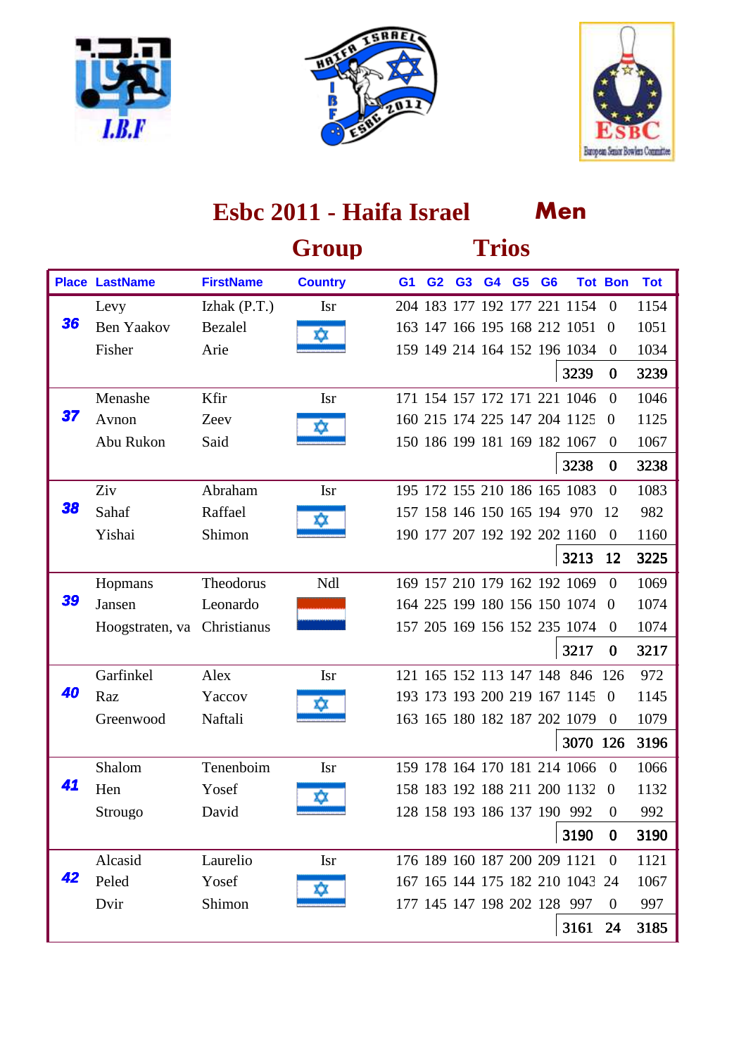





|    |                       |                  | Group          |                |                |                | <b>Trios</b> |                |                                 |                |            |
|----|-----------------------|------------------|----------------|----------------|----------------|----------------|--------------|----------------|---------------------------------|----------------|------------|
|    | <b>Place LastName</b> | <b>FirstName</b> | <b>Country</b> | G <sub>1</sub> | G <sub>2</sub> | G <sub>3</sub> | G4 G5        | G <sub>6</sub> |                                 | <b>Tot Bon</b> | <b>Tot</b> |
|    | Levy                  | Izhak $(P.T.)$   | <b>Isr</b>     |                |                |                |              |                | 204 183 177 192 177 221 1154    | $\theta$       | 1154       |
| 36 | <b>Ben Yaakov</b>     | Bezalel          | o              |                |                |                |              |                | 163 147 166 195 168 212 1051    | $\Omega$       | 1051       |
|    | Fisher                | Arie             |                |                |                |                |              |                | 159 149 214 164 152 196 1034    | $\theta$       | 1034       |
|    |                       |                  |                |                |                |                |              |                | 3239                            | $\bf{0}$       | 3239       |
|    | Menashe               | Kfir             | <b>Isr</b>     |                |                |                |              |                | 171 154 157 172 171 221 1046    | $\Omega$       | 1046       |
| 37 | Avnon                 | Zeev             |                |                |                |                |              |                | 160 215 174 225 147 204 1125    | $\Omega$       | 1125       |
|    | Abu Rukon             | Said             |                |                |                |                |              |                | 150 186 199 181 169 182 1067    | $\theta$       | 1067       |
|    |                       |                  |                |                |                |                |              |                | 3238                            | $\bf{0}$       | 3238       |
|    | Ziv                   | Abraham          | <b>Isr</b>     |                |                |                |              |                | 195 172 155 210 186 165 1083    | $\Omega$       | 1083       |
| 38 | Sahaf                 | Raffael          |                |                |                |                |              |                | 157 158 146 150 165 194 970     | 12             | 982        |
|    | Yishai                | Shimon           |                |                |                |                |              |                | 190 177 207 192 192 202 1160    | $\Omega$       | 1160       |
|    |                       |                  |                |                |                |                |              |                | 3213                            | 12             | 3225       |
|    | Hopmans               | Theodorus        | Ndl            |                |                |                |              |                | 169 157 210 179 162 192 1069    | $\theta$       | 1069       |
| 39 | Jansen                | Leonardo         |                |                |                |                |              |                | 164 225 199 180 156 150 1074    | $\Omega$       | 1074       |
|    | Hoogstraten, va       | Christianus      |                |                |                |                |              |                | 157 205 169 156 152 235 1074    | $\overline{0}$ | 1074       |
|    |                       |                  |                |                |                |                |              |                | 3217                            | $\bf{0}$       | 3217       |
|    | Garfinkel             | Alex             | <b>Isr</b>     |                |                |                |              |                | 121 165 152 113 147 148 846 126 |                | 972        |
| 40 | Raz                   | Yaccov           |                |                |                |                |              |                | 193 173 193 200 219 167 1145    | $\Omega$       | 1145       |
|    | Greenwood             | Naftali          |                |                |                |                |              |                | 163 165 180 182 187 202 1079    | $\mathbf{0}$   | 1079       |
|    |                       |                  |                |                |                |                |              |                | 3070 126                        |                | 3196       |
|    | Shalom                | Tenenboim        | <b>Isr</b>     |                |                |                |              |                | 159 178 164 170 181 214 1066    | $\overline{0}$ | 1066       |
| 41 | Hen                   | Yosef            | xχ             |                |                |                |              |                | 158 183 192 188 211 200 1132 0  |                | 1132       |
|    | Strougo               | David            |                |                |                |                |              |                | 128 158 193 186 137 190 992     | $\Omega$       | 992        |
|    |                       |                  |                |                |                |                |              |                | 3190                            | $\bf{0}$       | 3190       |
|    | Alcasid               | Laurelio         | <b>Isr</b>     |                |                |                |              |                | 176 189 160 187 200 209 1121    | $\theta$       | 1121       |
| 42 | Peled                 | Yosef            |                |                |                |                |              |                | 167 165 144 175 182 210 1043 24 |                | 1067       |
|    | Dvir                  | Shimon           |                |                |                |                |              |                | 177 145 147 198 202 128 997     | $\overline{0}$ | 997        |
|    |                       |                  |                |                |                |                |              |                | 3161                            | 24             | 3185       |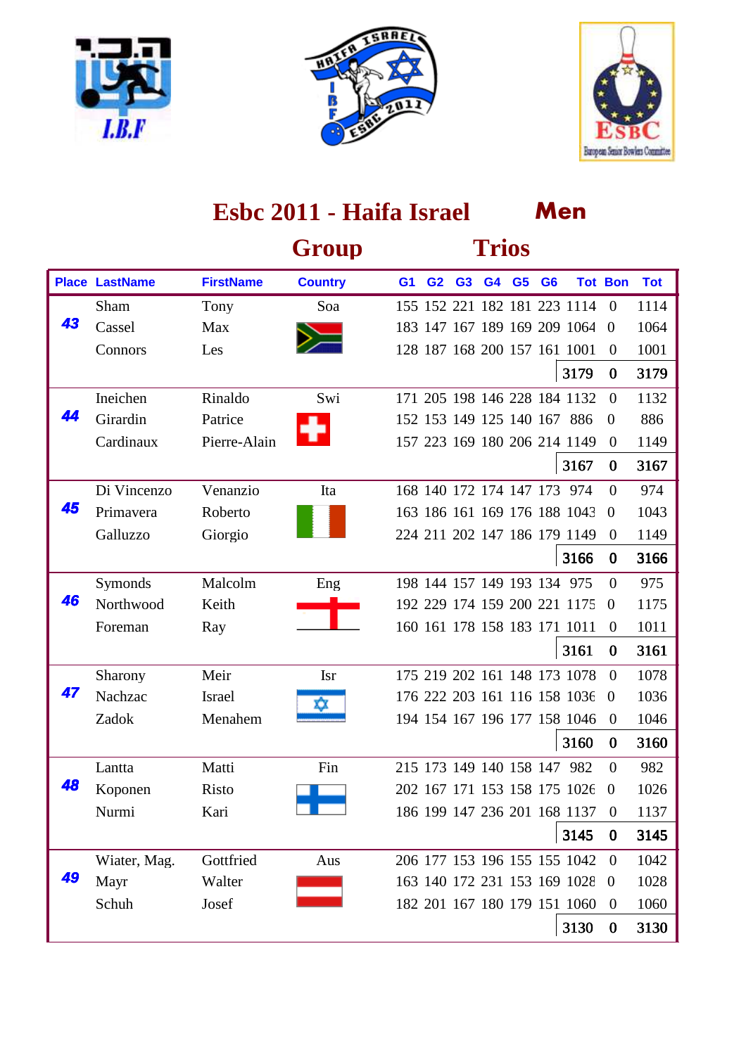





|    |                       |                  | Group          |                |                |                | <b>Trios</b> |                |                              |                |            |
|----|-----------------------|------------------|----------------|----------------|----------------|----------------|--------------|----------------|------------------------------|----------------|------------|
|    | <b>Place LastName</b> | <b>FirstName</b> | <b>Country</b> | G <sub>1</sub> | G <sub>2</sub> | G <sub>3</sub> | G4 G5        | G <sub>6</sub> |                              | <b>Tot Bon</b> | <b>Tot</b> |
|    | Sham                  | Tony             | Soa            |                |                |                |              |                | 155 152 221 182 181 223 1114 | $\theta$       | 1114       |
| 43 | Cassel                | Max              |                |                |                |                |              |                | 183 147 167 189 169 209 1064 | $\Omega$       | 1064       |
|    | Connors               | Les              |                |                |                |                |              |                | 128 187 168 200 157 161 1001 | $\theta$       | 1001       |
|    |                       |                  |                |                |                |                |              |                | 3179                         | $\bf{0}$       | 3179       |
|    | Ineichen              | Rinaldo          | Swi            |                |                |                |              |                | 171 205 198 146 228 184 1132 | $\overline{0}$ | 1132       |
| 44 | Girardin              | Patrice          |                |                |                |                |              |                | 152 153 149 125 140 167 886  | $\overline{0}$ | 886        |
|    | Cardinaux             | Pierre-Alain     |                |                |                |                |              |                | 157 223 169 180 206 214 1149 | $\theta$       | 1149       |
|    |                       |                  |                |                |                |                |              |                | 3167                         | $\bf{0}$       | 3167       |
|    | Di Vincenzo           | Venanzio         | Ita            |                |                |                |              |                | 168 140 172 174 147 173 974  | $\Omega$       | 974        |
| 45 | Primavera             | Roberto          |                |                |                |                |              |                | 163 186 161 169 176 188 1043 | $\overline{0}$ | 1043       |
|    | Galluzzo              | Giorgio          |                |                |                |                |              |                | 224 211 202 147 186 179 1149 | $\theta$       | 1149       |
|    |                       |                  |                |                |                |                |              |                | 3166                         | $\bf{0}$       | 3166       |
|    | Symonds               | Malcolm          | Eng            |                |                |                |              |                | 198 144 157 149 193 134 975  | $\Omega$       | 975        |
| 46 | Northwood             | Keith            |                |                |                |                |              |                | 192 229 174 159 200 221 1175 | $\overline{0}$ | 1175       |
|    | Foreman               | Ray              |                |                |                |                |              |                | 160 161 178 158 183 171 1011 | $\theta$       | 1011       |
|    |                       |                  |                |                |                |                |              |                | 3161                         | $\bf{0}$       | 3161       |
|    | Sharony               | Meir             | <b>Isr</b>     |                |                |                |              |                | 175 219 202 161 148 173 1078 | $\Omega$       | 1078       |
| 47 | Nachzac               | <b>Israel</b>    |                |                |                |                |              |                | 176 222 203 161 116 158 1036 | $\overline{0}$ | 1036       |
|    | Zadok                 | Menahem          |                |                |                |                |              |                | 194 154 167 196 177 158 1046 | $\overline{0}$ | 1046       |
|    |                       |                  |                |                |                |                |              |                | 3160                         | $\bf{0}$       | 3160       |
|    | Lantta                | Matti            | Fin            |                |                |                |              |                | 215 173 149 140 158 147 982  | $\theta$       | 982        |
| 48 | Koponen               | <b>Risto</b>     |                |                |                |                |              |                | 202 167 171 153 158 175 1026 | $\overline{0}$ | 1026       |
|    | Nurmi                 | Kari             |                |                |                |                |              |                | 186 199 147 236 201 168 1137 | $\theta$       | 1137       |
|    |                       |                  |                |                |                |                |              |                | 3145                         | $\bf{0}$       | 3145       |
|    | Wiater, Mag.          | Gottfried        | Aus            |                |                |                |              |                | 206 177 153 196 155 155 1042 | $\theta$       | 1042       |
| 49 | Mayr                  | Walter           |                |                |                |                |              |                | 163 140 172 231 153 169 1028 | $\theta$       | 1028       |
|    | Schuh                 | Josef            |                |                |                |                |              |                | 182 201 167 180 179 151 1060 | $\overline{0}$ | 1060       |
|    |                       |                  |                |                |                |                |              |                | 3130                         | $\bf{0}$       | 3130       |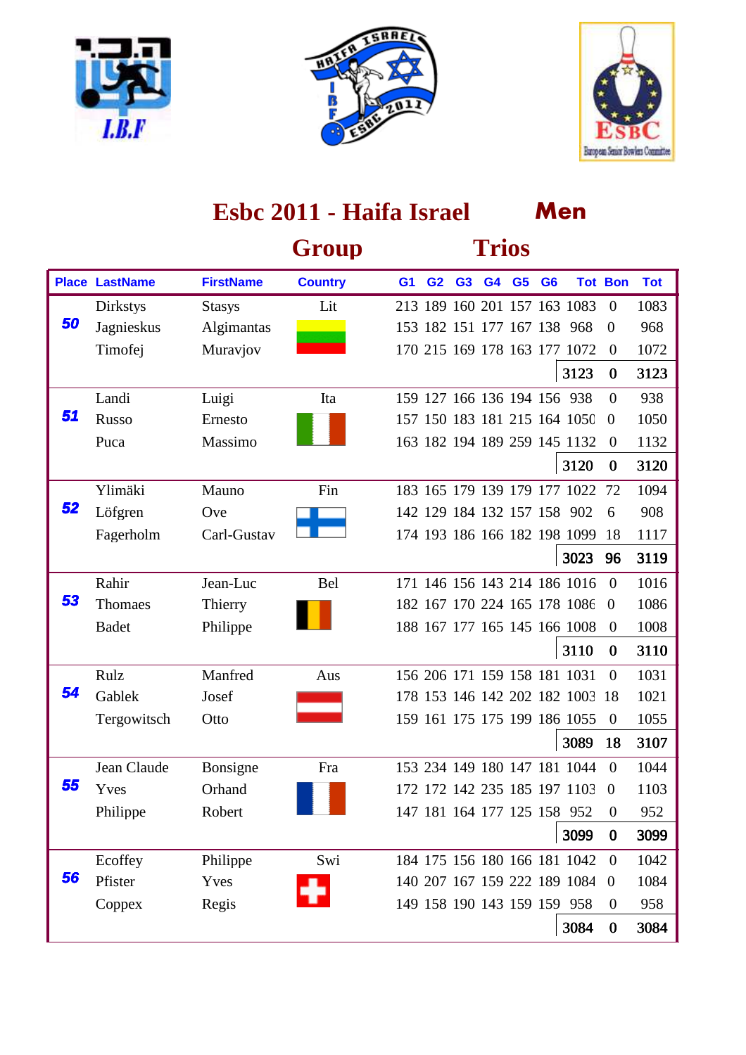





|    |                       |                  | Group          |                |                |                | <b>Trios</b> |                |                                 |                |            |
|----|-----------------------|------------------|----------------|----------------|----------------|----------------|--------------|----------------|---------------------------------|----------------|------------|
|    | <b>Place LastName</b> | <b>FirstName</b> | <b>Country</b> | G <sub>1</sub> | G <sub>2</sub> | G <sub>3</sub> | G4 G5        | G <sub>6</sub> |                                 | <b>Tot Bon</b> | <b>Tot</b> |
|    | <b>Dirkstys</b>       | <b>Stasys</b>    | Lit            |                |                |                |              |                | 213 189 160 201 157 163 1083    | $\mathbf{0}$   | 1083       |
| 50 | Jagnieskus            | Algimantas       |                |                |                |                |              |                | 153 182 151 177 167 138 968     | $\theta$       | 968        |
|    | Timofej               | Muravjov         |                |                |                |                |              |                | 170 215 169 178 163 177 1072    | $\overline{0}$ | 1072       |
|    |                       |                  |                |                |                |                |              |                | 3123                            | $\bf{0}$       | 3123       |
|    | Landi                 | Luigi            | Ita            |                |                |                |              |                | 159 127 166 136 194 156 938     | $\theta$       | 938        |
| 51 | Russo                 | Ernesto          |                |                |                |                |              |                | 157 150 183 181 215 164 1050    | $\theta$       | 1050       |
|    | Puca                  | Massimo          |                |                |                |                |              |                | 163 182 194 189 259 145 1132    | $\overline{0}$ | 1132       |
|    |                       |                  |                |                |                |                |              |                | 3120                            | $\bf{0}$       | 3120       |
|    | Ylimäki               | Mauno            | Fin            |                |                |                |              |                | 183 165 179 139 179 177 1022    | 72             | 1094       |
| 52 | Löfgren               | Ove              |                |                |                |                |              |                | 142 129 184 132 157 158 902     | 6              | 908        |
|    | Fagerholm             | Carl-Gustav      |                |                |                |                |              |                | 174 193 186 166 182 198 1099    | 18             | 1117       |
|    |                       |                  |                |                |                |                |              |                | 3023                            | 96             | 3119       |
|    | Rahir                 | Jean-Luc         | Bel            |                |                |                |              |                | 171 146 156 143 214 186 1016    | $\Omega$       | 1016       |
| 53 | Thomaes               | Thierry          |                |                |                |                |              |                | 182 167 170 224 165 178 1086    | $\overline{0}$ | 1086       |
|    | <b>Badet</b>          | Philippe         |                |                |                |                |              |                | 188 167 177 165 145 166 1008    | $\theta$       | 1008       |
|    |                       |                  |                |                |                |                |              |                | 3110                            | $\bf{0}$       | 3110       |
|    | Rulz                  | Manfred          | Aus            |                |                |                |              |                | 156 206 171 159 158 181 1031    | $\overline{0}$ | 1031       |
| 54 | Gablek                | Josef            |                |                |                |                |              |                | 178 153 146 142 202 182 1003 18 |                | 1021       |
|    | Tergowitsch           | Otto             |                |                |                |                |              |                | 159 161 175 175 199 186 1055    | $\theta$       | 1055       |
|    |                       |                  |                |                |                |                |              |                | 3089                            | 18             | 3107       |
|    | Jean Claude           | Bonsigne         | Fra            |                |                |                |              |                | 153 234 149 180 147 181 1044    | $\Omega$       | 1044       |
| 55 | Yves                  | Orhand           |                |                |                |                |              |                | 172 172 142 235 185 197 1103    | $\theta$       | 1103       |
|    | Philippe              | Robert           |                |                |                |                |              |                | 147 181 164 177 125 158 952     | $\theta$       | 952        |
|    |                       |                  |                |                |                |                |              |                | 3099                            | $\bf{0}$       | 3099       |
|    | Ecoffey               | Philippe         | Swi            |                |                |                |              |                | 184 175 156 180 166 181 1042    | $\theta$       | 1042       |
| 56 | Pfister               | Yves             |                |                |                |                |              |                | 140 207 167 159 222 189 1084    | $\overline{0}$ | 1084       |
|    | Coppex                | Regis            |                |                |                |                |              |                | 149 158 190 143 159 159 958     | $\mathbf{0}$   | 958        |
|    |                       |                  |                |                |                |                |              |                | 3084                            | $\bf{0}$       | 3084       |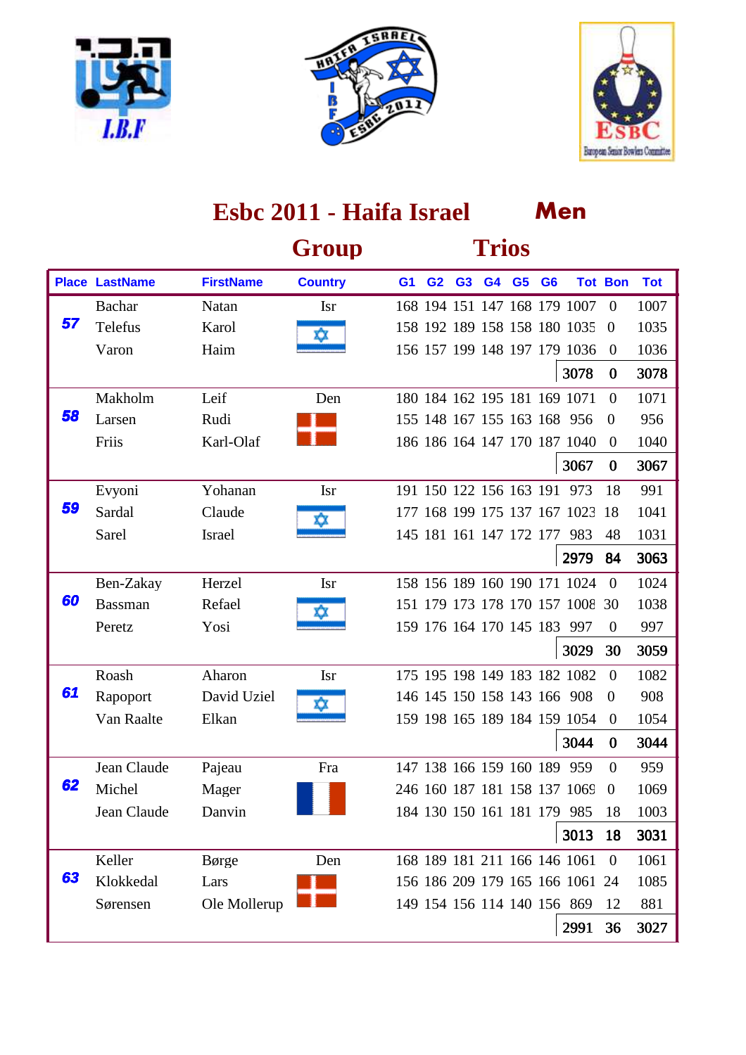





|    |                       |                  | Group          |                |                |                | <b>Trios</b>            |                |                                 |                |            |
|----|-----------------------|------------------|----------------|----------------|----------------|----------------|-------------------------|----------------|---------------------------------|----------------|------------|
|    | <b>Place LastName</b> | <b>FirstName</b> | <b>Country</b> | G <sub>1</sub> | G <sub>2</sub> | G <sub>3</sub> | G4 G5                   | G <sub>6</sub> |                                 | <b>Tot Bon</b> | <b>Tot</b> |
|    | Bachar                | Natan            | <b>Isr</b>     |                |                |                |                         |                | 168 194 151 147 168 179 1007    | $\theta$       | 1007       |
| 57 | Telefus               | Karol            | o              |                |                |                |                         |                | 158 192 189 158 158 180 1035    | $\Omega$       | 1035       |
|    | Varon                 | Haim             |                |                |                |                |                         |                | 156 157 199 148 197 179 1036    | $\theta$       | 1036       |
|    |                       |                  |                |                |                |                |                         |                | 3078                            | $\bf{0}$       | 3078       |
|    | Makholm               | Leif             | Den            |                |                |                |                         |                | 180 184 162 195 181 169 1071    | $\Omega$       | 1071       |
| 58 | Larsen                | Rudi             |                |                |                |                |                         |                | 155 148 167 155 163 168 956     | $\theta$       | 956        |
|    | Friis                 | Karl-Olaf        |                |                |                |                |                         |                | 186 186 164 147 170 187 1040    | $\theta$       | 1040       |
|    |                       |                  |                |                |                |                |                         |                | 3067                            | $\bf{0}$       | 3067       |
|    | Evyoni                | Yohanan          | <b>Isr</b>     |                |                |                |                         |                | 191 150 122 156 163 191 973     | 18             | 991        |
| 59 | Sardal                | Claude           |                |                |                |                |                         |                | 177 168 199 175 137 167 1023    | 18             | 1041       |
|    | Sarel                 | <b>Israel</b>    |                |                |                |                | 145 181 161 147 172 177 |                | 983                             | 48             | 1031       |
|    |                       |                  |                |                |                |                |                         |                | 2979                            | 84             | 3063       |
|    | Ben-Zakay             | Herzel           | <b>Isr</b>     |                |                |                |                         |                | 158 156 189 160 190 171 1024    | $\Omega$       | 1024       |
| 60 | <b>Bassman</b>        | Refael           |                |                |                |                |                         |                | 151 179 173 178 170 157 1008 30 |                | 1038       |
|    | Peretz                | Yosi             |                |                |                |                |                         |                | 159 176 164 170 145 183 997     | $\overline{0}$ | 997        |
|    |                       |                  |                |                |                |                |                         |                | 3029                            | 30             | 3059       |
|    | Roash                 | Aharon           | <b>Isr</b>     |                |                |                |                         |                | 175 195 198 149 183 182 1082    | $\Omega$       | 1082       |
| 61 | Rapoport              | David Uziel      |                |                |                |                |                         |                | 146 145 150 158 143 166 908     | $\theta$       | 908        |
|    | Van Raalte            | Elkan            |                |                |                |                |                         |                | 159 198 165 189 184 159 1054    | $\overline{0}$ | 1054       |
|    |                       |                  |                |                |                |                |                         |                | 3044                            | $\bf{0}$       | 3044       |
|    | Jean Claude           | Pajeau           | Fra            |                |                |                | 147 138 166 159 160 189 |                | 959                             | $\Omega$       | 959        |
| 62 | Michel                | Mager            |                |                |                |                |                         |                | 246 160 187 181 158 137 1069    | $\overline{0}$ | 1069       |
|    | Jean Claude           | Danvin           |                |                |                |                |                         |                | 184 130 150 161 181 179 985     | 18             | 1003       |
|    |                       |                  |                |                |                |                |                         |                | 3013                            | 18             | 3031       |
|    | Keller                | Børge            | Den            |                |                |                |                         |                | 168 189 181 211 166 146 1061    | $\theta$       | 1061       |
| 63 | Klokkedal             | Lars             |                |                |                |                |                         |                | 156 186 209 179 165 166 1061 24 |                | 1085       |
|    | Sørensen              | Ole Mollerup     |                |                |                |                |                         |                | 149 154 156 114 140 156 869     | 12             | 881        |
|    |                       |                  |                |                |                |                |                         |                | 2991                            | 36             | 3027       |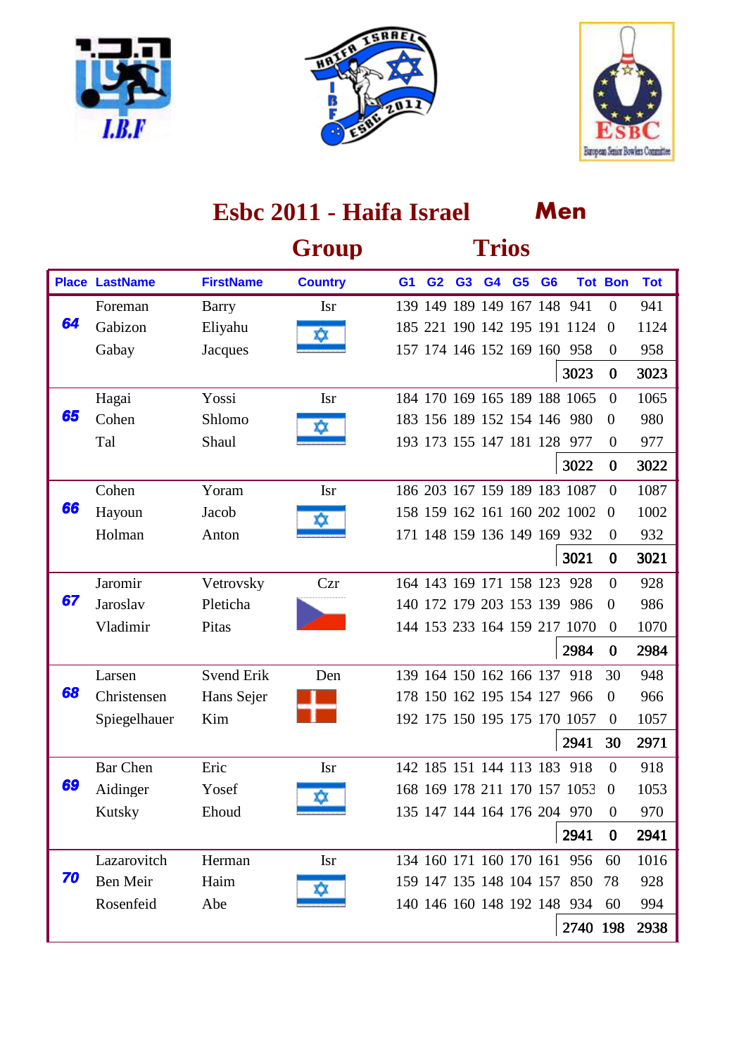





|    |                       |                   | Group          |                |                |                | <b>Trios</b>            |                |                              |                  |            |
|----|-----------------------|-------------------|----------------|----------------|----------------|----------------|-------------------------|----------------|------------------------------|------------------|------------|
|    | <b>Place LastName</b> | <b>FirstName</b>  | <b>Country</b> | G <sub>1</sub> | G <sub>2</sub> | G <sub>3</sub> | G4 G5                   | G <sub>6</sub> |                              | <b>Tot Bon</b>   | <b>Tot</b> |
|    | Foreman               | Barry             | <b>Isr</b>     |                |                |                |                         |                | 139 149 189 149 167 148 941  | $\overline{0}$   | 941        |
| 64 | Gabizon               | Eliyahu           | <b>Q</b>       |                |                |                |                         |                | 185 221 190 142 195 191 1124 | $\overline{0}$   | 1124       |
|    | Gabay                 | Jacques           |                |                |                |                |                         |                | 157 174 146 152 169 160 958  | $\boldsymbol{0}$ | 958        |
|    |                       |                   |                |                |                |                |                         |                | 3023                         | $\bf{0}$         | 3023       |
|    | Hagai                 | Yossi             | <b>Isr</b>     |                |                |                |                         |                | 184 170 169 165 189 188 1065 | $\overline{0}$   | 1065       |
| 65 | Cohen                 | Shlomo            | o              |                |                |                |                         |                | 183 156 189 152 154 146 980  | $\boldsymbol{0}$ | 980        |
|    | Tal                   | Shaul             |                |                |                |                |                         |                | 193 173 155 147 181 128 977  | $\theta$         | 977        |
|    |                       |                   |                |                |                |                |                         |                | 3022                         | $\bf{0}$         | 3022       |
|    | Cohen                 | Yoram             | <b>Isr</b>     |                |                |                |                         |                | 186 203 167 159 189 183 1087 | $\theta$         | 1087       |
| 66 | Hayoun                | Jacob             |                |                |                |                |                         |                | 158 159 162 161 160 202 1002 | $\overline{0}$   | 1002       |
|    | Holman                | Anton             |                |                |                |                |                         |                | 171 148 159 136 149 169 932  | $\theta$         | 932        |
|    |                       |                   |                |                |                |                |                         |                | 3021                         | $\bf{0}$         | 3021       |
|    | Jaromir               | Vetrovsky         | Czr            |                |                |                | 164 143 169 171 158 123 |                | 928                          | $\overline{0}$   | 928        |
| 67 | Jaroslav              | Pleticha          |                |                |                |                |                         |                | 140 172 179 203 153 139 986  | $\theta$         | 986        |
|    | Vladimir              | Pitas             |                |                |                |                |                         |                | 144 153 233 164 159 217 1070 | $\overline{0}$   | 1070       |
|    |                       |                   |                |                |                |                |                         |                | 2984                         | $\bf{0}$         | 2984       |
|    | Larsen                | <b>Svend Erik</b> | Den            |                |                |                | 139 164 150 162 166 137 |                | 918                          | 30               | 948        |
| 68 | Christensen           | Hans Sejer        |                |                |                |                |                         |                | 178 150 162 195 154 127 966  | $\theta$         | 966        |
|    | Spiegelhauer          | Kim               |                |                |                |                |                         |                | 192 175 150 195 175 170 1057 | $\boldsymbol{0}$ | 1057       |
|    |                       |                   |                |                |                |                |                         |                | 2941                         | 30               | 2971       |
|    | <b>Bar Chen</b>       | Eric              | <b>Isr</b>     |                |                |                | 142 185 151 144 113 183 |                | 918                          | $\overline{0}$   | 918        |
| 69 | Aidinger              | Yosef             | xΣ             |                |                |                |                         |                | 168 169 178 211 170 157 1053 | $\theta$         | 1053       |
|    | Kutsky                | Ehoud             |                |                |                |                |                         |                | 135 147 144 164 176 204 970  | $\Omega$         | 970        |
|    |                       |                   |                |                |                |                |                         |                | 2941                         | $\bf{0}$         | 2941       |
|    | Lazarovitch           | Herman            | <b>Isr</b>     |                |                |                |                         |                | 134 160 171 160 170 161 956  | 60               | 1016       |
| 70 | Ben Meir              | Haim              | ĽХ             |                |                |                |                         |                | 159 147 135 148 104 157 850  | 78               | 928        |
|    | Rosenfeid             | Abe               |                |                |                |                |                         |                | 140 146 160 148 192 148 934  | 60               | 994        |
|    |                       |                   |                |                |                |                |                         |                | 2740 198                     |                  | 2938       |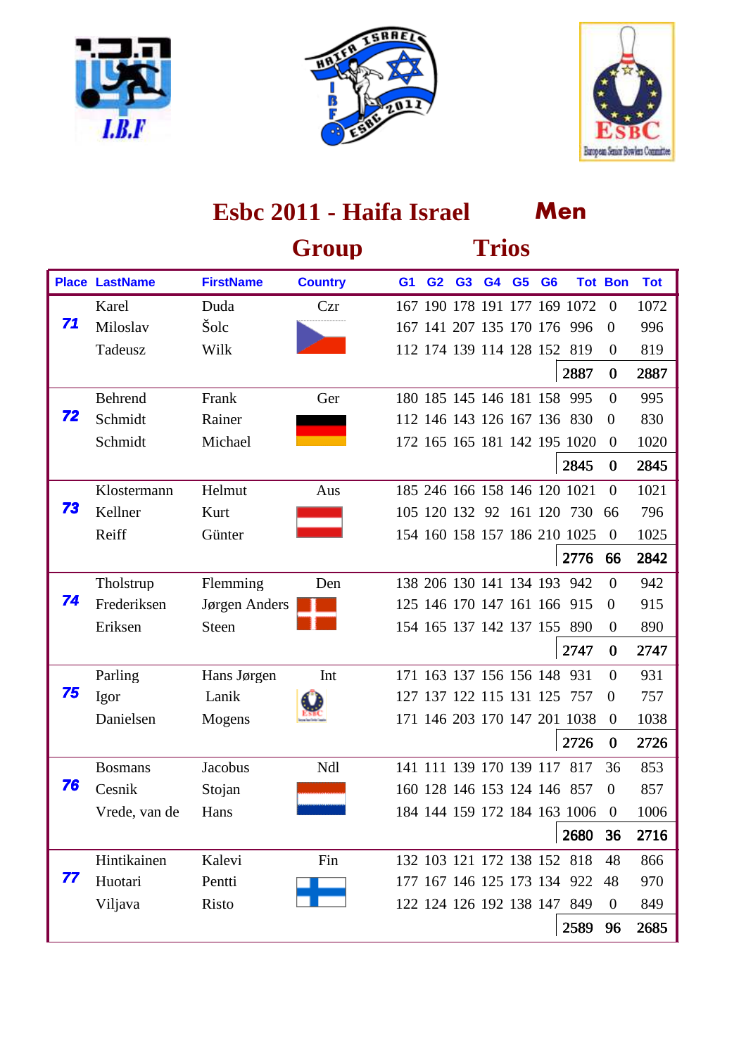





|    |                       |                  | Group          |                |                |                         | <b>Trios</b> |                |                              |                |            |
|----|-----------------------|------------------|----------------|----------------|----------------|-------------------------|--------------|----------------|------------------------------|----------------|------------|
|    | <b>Place LastName</b> | <b>FirstName</b> | <b>Country</b> | G <sub>1</sub> | G <sub>2</sub> | G <sub>3</sub>          | G4 G5        | G <sub>6</sub> |                              | <b>Tot Bon</b> | <b>Tot</b> |
|    | Karel                 | Duda             | Czr            |                |                |                         |              |                | 167 190 178 191 177 169 1072 | $\mathbf{0}$   | 1072       |
| 71 | Miloslav              | Šolc             |                |                |                |                         |              |                | 167 141 207 135 170 176 996  | $\theta$       | 996        |
|    | Tadeusz               | Wilk             |                |                |                |                         |              |                | 112 174 139 114 128 152 819  | $\theta$       | 819        |
|    |                       |                  |                |                |                |                         |              |                | 2887                         | $\bf{0}$       | 2887       |
|    | Behrend               | Frank            | Ger            |                |                |                         |              |                | 180 185 145 146 181 158 995  | $\overline{0}$ | 995        |
| 72 | Schmidt               | Rainer           |                |                |                |                         |              |                | 112 146 143 126 167 136 830  | $\overline{0}$ | 830        |
|    | Schmidt               | Michael          |                |                |                |                         |              |                | 172 165 165 181 142 195 1020 | $\theta$       | 1020       |
|    |                       |                  |                |                |                |                         |              |                | 2845                         | $\bf{0}$       | 2845       |
|    | Klostermann           | Helmut           | Aus            |                |                |                         |              |                | 185 246 166 158 146 120 1021 | $\theta$       | 1021       |
| 73 | Kellner               | Kurt             |                |                |                |                         |              |                | 105 120 132 92 161 120 730   | -66            | 796        |
|    | Reiff                 | Günter           |                |                |                |                         |              |                | 154 160 158 157 186 210 1025 | $\theta$       | 1025       |
|    |                       |                  |                |                |                |                         |              |                | 2776                         | 66             | 2842       |
|    | Tholstrup             | Flemming         | Den            |                |                |                         |              |                | 138 206 130 141 134 193 942  | $\Omega$       | 942        |
| 74 | Frederiksen           | Jørgen Anders    |                |                |                |                         |              |                | 125 146 170 147 161 166 915  | $\theta$       | 915        |
|    | Eriksen               | <b>Steen</b>     |                |                |                |                         |              |                | 154 165 137 142 137 155 890  | $\theta$       | 890        |
|    |                       |                  |                |                |                |                         |              |                | 2747                         | $\bf{0}$       | 2747       |
|    | Parling               | Hans Jørgen      | Int            |                |                |                         |              |                | 171 163 137 156 156 148 931  | $\overline{0}$ | 931        |
| 75 | Igor                  | Lanik            |                |                |                |                         |              |                | 127 137 122 115 131 125 757  | $\overline{0}$ | 757        |
|    | Danielsen             | Mogens           |                |                |                |                         |              |                | 171 146 203 170 147 201 1038 | $\overline{0}$ | 1038       |
|    |                       |                  |                |                |                |                         |              |                | 2726                         | $\bf{0}$       | 2726       |
|    | <b>Bosmans</b>        | Jacobus          | Ndl            |                |                | 141 111 139 170 139 117 |              |                | 817                          | 36             | 853        |
| 76 | Cesnik                | Stojan           |                |                |                |                         |              |                | 160 128 146 153 124 146 857  | $\overline{0}$ | 857        |
|    | Vrede, van de         | Hans             |                |                |                |                         |              |                | 184 144 159 172 184 163 1006 | $\theta$       | 1006       |
|    |                       |                  |                |                |                |                         |              |                | 2680                         | 36             | 2716       |
|    | Hintikainen           | Kalevi           | Fin            |                |                |                         |              |                | 132 103 121 172 138 152 818  | 48             | 866        |
| 77 | Huotari               | Pentti           |                |                |                |                         |              |                | 177 167 146 125 173 134 922  | 48             | 970        |
|    | Viljava               | Risto            |                |                |                |                         |              |                | 122 124 126 192 138 147 849  | $\mathbf{0}$   | 849        |
|    |                       |                  |                |                |                |                         |              |                | 2589                         | 96             | 2685       |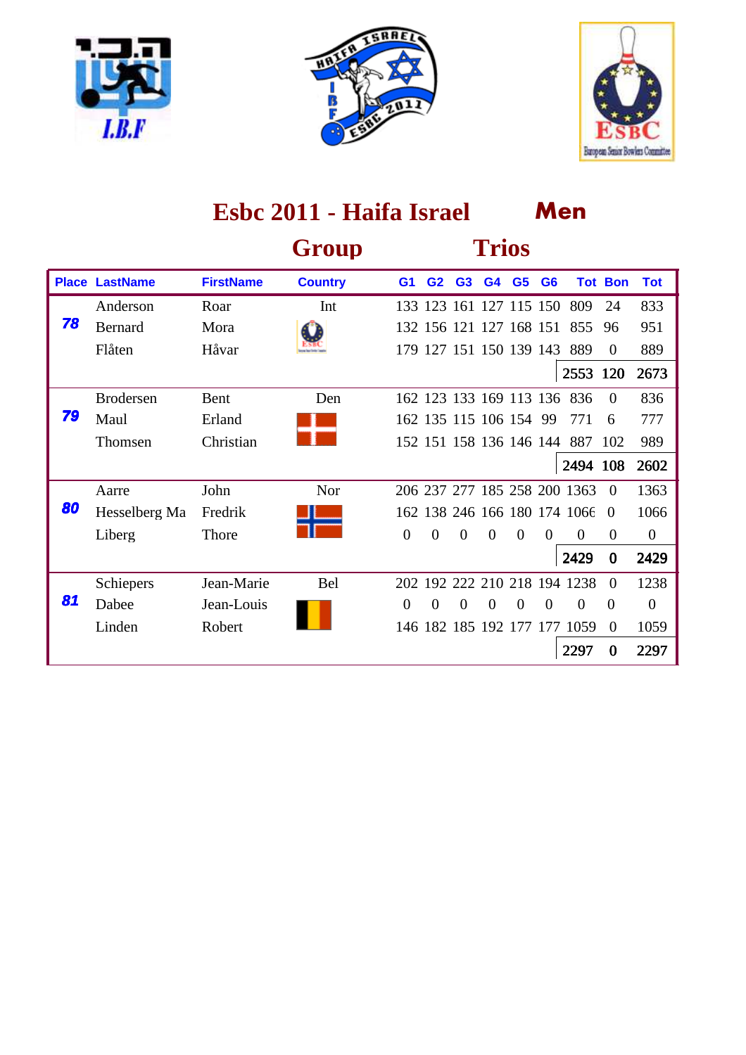





|    |                       |                  | Group          |                |                |                         | <b>Trios</b> |                |                |                              |                |                |
|----|-----------------------|------------------|----------------|----------------|----------------|-------------------------|--------------|----------------|----------------|------------------------------|----------------|----------------|
|    | <b>Place LastName</b> | <b>FirstName</b> | <b>Country</b> | G <sub>1</sub> | G <sub>2</sub> | G <sub>3</sub>          | G4           | G <sub>5</sub> | G <sub>6</sub> |                              | <b>Tot Bon</b> | <b>Tot</b>     |
|    | Anderson              | Roar             | Int            |                |                | 133 123 161 127 115 150 |              |                |                | 809                          | 24             | 833            |
| 78 | <b>Bernard</b>        | Mora             |                |                |                | 132 156 121 127 168 151 |              |                |                | 855                          | 96             | 951            |
|    | Flåten                | Håvar            |                |                |                | 179 127 151 150 139 143 |              |                |                | 889                          | $\theta$       | 889            |
|    |                       |                  |                |                |                |                         |              |                |                | 2553 120                     |                | 2673           |
|    | <b>Brodersen</b>      | <b>Bent</b>      | Den            |                |                |                         |              |                |                | 162 123 133 169 113 136 836  | $\Omega$       | 836            |
| 79 | Maul                  | Erland           |                |                |                | 162 135 115 106 154 99  |              |                |                | 771                          | 6              | 777            |
|    | Thomsen               | Christian        |                |                |                | 152 151 158 136 146 144 |              |                |                | 887                          | 102            | 989            |
|    |                       |                  |                |                |                |                         |              |                |                | 2494 108                     |                | 2602           |
|    | Aarre                 | John             | Nor            |                |                |                         |              |                |                | 206 237 277 185 258 200 1363 | $\Omega$       | 1363           |
| 80 | Hesselberg Ma         | Fredrik          |                |                |                |                         |              |                |                | 162 138 246 166 180 174 1066 | $\Omega$       | 1066           |
|    | Liberg                | Thore            |                | $\overline{0}$ | $\Omega$       | $\Omega$                | $\Omega$     | $\Omega$       | $\Omega$       | 0                            | $\Omega$       | $\overline{0}$ |
|    |                       |                  |                |                |                |                         |              |                |                | 2429                         | $\bf{0}$       | 2429           |
|    | Schiepers             | Jean-Marie       | <b>Bel</b>     | 202            |                |                         |              |                |                | 192 222 210 218 194 1238     | $\Omega$       | 1238           |
| 81 | Dabee                 | Jean-Louis       |                | $\theta$       | $\Omega$       | $\theta$                | $\theta$     | $\Omega$       | $\Omega$       | $\Omega$                     | $\theta$       | $\overline{0}$ |
|    | Linden                | Robert           |                |                |                |                         |              |                |                | 146 182 185 192 177 177 1059 | $\Omega$       | 1059           |
|    |                       |                  |                |                |                |                         |              |                |                | 2297                         | $\bf{0}$       | 2297           |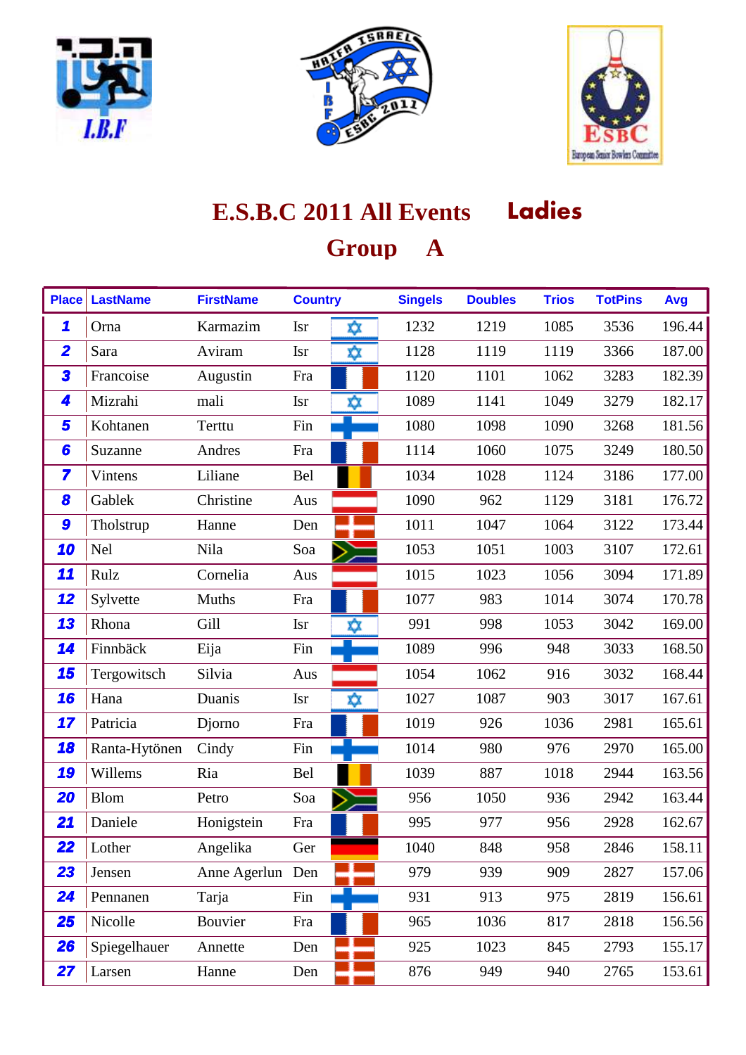





# **E.S.B.C 2011 All Events Ladies Group A**

| <b>Place</b>            | <b>LastName</b> | <b>FirstName</b> | <b>Country</b> |     | <b>Singels</b> | <b>Doubles</b> | <b>Trios</b> | <b>TotPins</b> | Avg    |
|-------------------------|-----------------|------------------|----------------|-----|----------------|----------------|--------------|----------------|--------|
| $\mathbf{\mathcal{L}}$  | Orna            | Karmazim         | <b>Isr</b>     | ☆   | 1232           | 1219           | 1085         | 3536           | 196.44 |
| $\overline{\mathbf{2}}$ | Sara            | Aviram           | <b>Isr</b>     | ΧX  | 1128           | 1119           | 1119         | 3366           | 187.00 |
| 3                       | Francoise       | Augustin         | Fra            |     | 1120           | 1101           | 1062         | 3283           | 182.39 |
| 4                       | Mizrahi         | mali             | <b>Isr</b>     | x)x | 1089           | 1141           | 1049         | 3279           | 182.17 |
| 5                       | Kohtanen        | Terttu           | Fin            |     | 1080           | 1098           | 1090         | 3268           | 181.56 |
| 6                       | Suzanne         | Andres           | Fra            |     | 1114           | 1060           | 1075         | 3249           | 180.50 |
| 7                       | Vintens         | Liliane          | Bel            |     | 1034           | 1028           | 1124         | 3186           | 177.00 |
| 8                       | Gablek          | Christine        | Aus            |     | 1090           | 962            | 1129         | 3181           | 176.72 |
| 9                       | Tholstrup       | Hanne            | Den            |     | 1011           | 1047           | 1064         | 3122           | 173.44 |
| 10                      | <b>Nel</b>      | Nila             | Soa            |     | 1053           | 1051           | 1003         | 3107           | 172.61 |
| 11                      | Rulz            | Cornelia         | Aus            |     | 1015           | 1023           | 1056         | 3094           | 171.89 |
| 12                      | Sylvette        | Muths            | Fra            |     | 1077           | 983            | 1014         | 3074           | 170.78 |
| 13                      | Rhona           | Gill             | <b>Isr</b>     | x)x | 991            | 998            | 1053         | 3042           | 169.00 |
| 14                      | Finnbäck        | Eija             | Fin            |     | 1089           | 996            | 948          | 3033           | 168.50 |
| 15                      | Tergowitsch     | Silvia           | Aus            |     | 1054           | 1062           | 916          | 3032           | 168.44 |
| 16                      | Hana            | Duanis           | <b>Isr</b>     | xχ  | 1027           | 1087           | 903          | 3017           | 167.61 |
| 17                      | Patricia        | Djorno           | Fra            |     | 1019           | 926            | 1036         | 2981           | 165.61 |
| 18                      | Ranta-Hytönen   | Cindy            | Fin            |     | 1014           | 980            | 976          | 2970           | 165.00 |
| 19                      | Willems         | Ria              | Bel            |     | 1039           | 887            | 1018         | 2944           | 163.56 |
| 20                      | <b>Blom</b>     | Petro            | Soa            |     | 956            | 1050           | 936          | 2942           | 163.44 |
| 21                      | Daniele         | Honigstein       | Fra            |     | 995            | 977            | 956          | 2928           | 162.67 |
| 22                      | Lother          | Angelika         | Ger            |     | 1040           | 848            | 958          | 2846           | 158.11 |
| 23                      | Jensen          | Anne Agerlun Den |                |     | 979            | 939            | 909          | 2827           | 157.06 |
| 24                      | Pennanen        | Tarja            | Fin            |     | 931            | 913            | 975          | 2819           | 156.61 |
| 25                      | Nicolle         | Bouvier          | Fra            |     | 965            | 1036           | 817          | 2818           | 156.56 |
| <b>26</b>               | Spiegelhauer    | Annette          | Den            |     | 925            | 1023           | 845          | 2793           | 155.17 |
| 27                      | Larsen          | Hanne            | Den            |     | 876            | 949            | 940          | 2765           | 153.61 |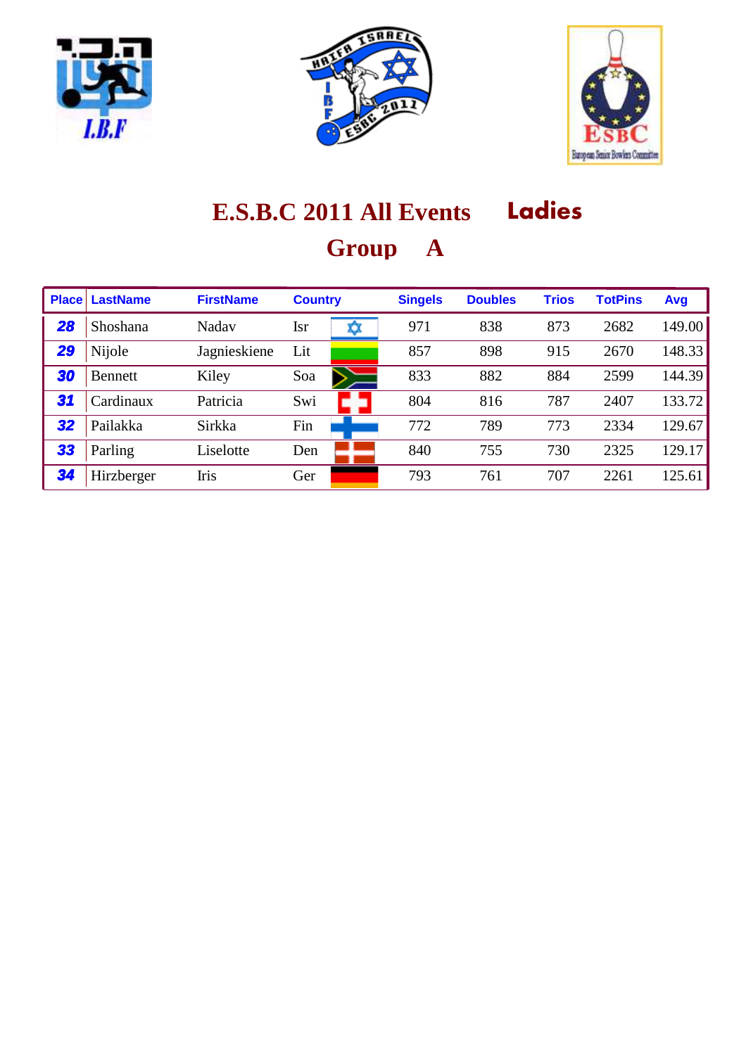





# **E.S.B.C 2011 All Events Ladies Group A**

| <b>Place</b> | <b>LastName</b> | <b>FirstName</b> | <b>Country</b> | <b>Singels</b> | <b>Doubles</b> | <b>Trios</b> | <b>TotPins</b> | Avg    |
|--------------|-----------------|------------------|----------------|----------------|----------------|--------------|----------------|--------|
| 28           | Shoshana        | Nadav            | <b>Isr</b>     | 971            | 838            | 873          | 2682           | 149.00 |
| 29           | Nijole          | Jagnieskiene     | Lit            | 857            | 898            | 915          | 2670           | 148.33 |
| 30           | <b>Bennett</b>  | Kiley            | Soa            | 833            | 882            | 884          | 2599           | 144.39 |
| 31           | Cardinaux       | Patricia         | Swi            | 804            | 816            | 787          | 2407           | 133.72 |
| 32           | Pailakka        | Sirkka           | Fin            | 772            | 789            | 773          | 2334           | 129.67 |
| 33           | Parling         | Liselotte        | Den            | 840            | 755            | 730          | 2325           | 129.17 |
| 34           | Hirzberger      | Iris             | Ger            | 793            | 761            | 707          | 2261           | 125.61 |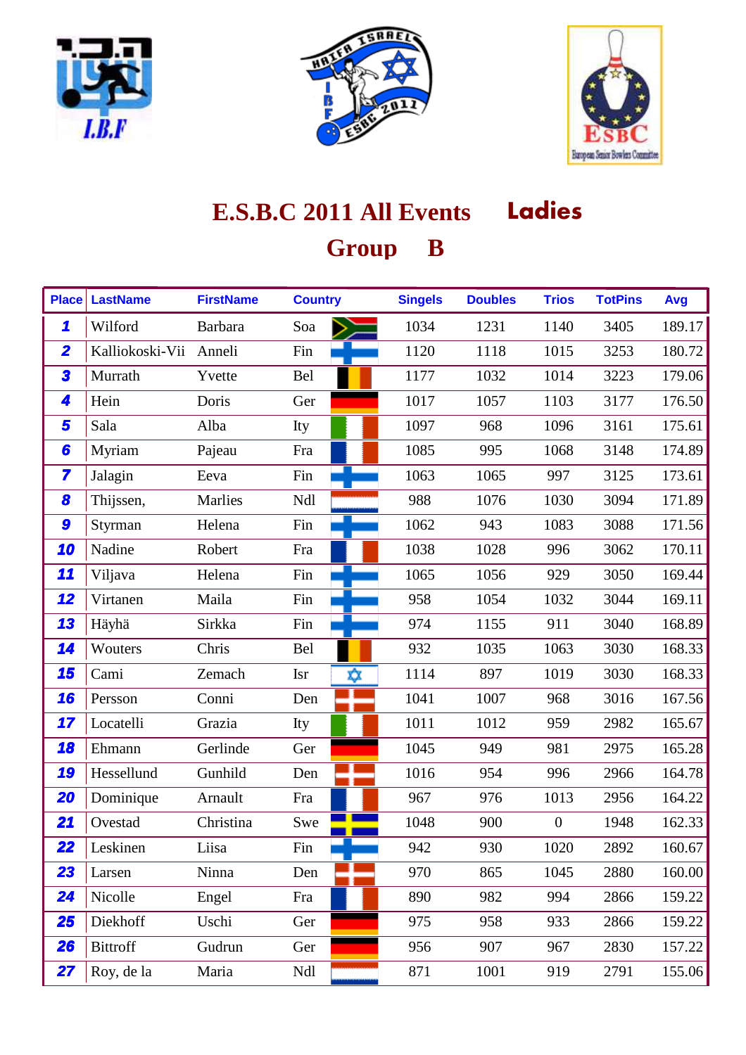





| <b>Place</b>            | <b>LastName</b> | <b>FirstName</b> | <b>Country</b>    | <b>Singels</b> | <b>Doubles</b> | <b>Trios</b>   | <b>TotPins</b> | Avg    |
|-------------------------|-----------------|------------------|-------------------|----------------|----------------|----------------|----------------|--------|
| 1                       | Wilford         | <b>Barbara</b>   | Soa               | 1034           | 1231           | 1140           | 3405           | 189.17 |
| $\overline{\mathbf{2}}$ | Kalliokoski-Vii | Anneli           | Fin               | 1120           | 1118           | 1015           | 3253           | 180.72 |
| 3                       | Murrath         | Yvette           | Bel               | 1177           | 1032           | 1014           | 3223           | 179.06 |
| 4                       | Hein            | Doris            | Ger               | 1017           | 1057           | 1103           | 3177           | 176.50 |
| 5                       | Sala            | Alba             | Ity               | 1097           | 968            | 1096           | 3161           | 175.61 |
| 6                       | Myriam          | Pajeau           | Fra               | 1085           | 995            | 1068           | 3148           | 174.89 |
| $\overline{\mathbf{z}}$ | Jalagin         | Eeva             | Fin               | 1063           | 1065           | 997            | 3125           | 173.61 |
| 8                       | Thijssen,       | Marlies          | Ndl               | 988            | 1076           | 1030           | 3094           | 171.89 |
| 9                       | Styrman         | Helena           | Fin               | 1062           | 943            | 1083           | 3088           | 171.56 |
| 10                      | Nadine          | Robert           | Fra               | 1038           | 1028           | 996            | 3062           | 170.11 |
| 11                      | Viljava         | Helena           | Fin               | 1065           | 1056           | 929            | 3050           | 169.44 |
| 12                      | Virtanen        | Maila            | Fin               | 958            | 1054           | 1032           | 3044           | 169.11 |
| 13                      | Häyhä           | Sirkka           | Fin               | 974            | 1155           | 911            | 3040           | 168.89 |
| 14                      | Wouters         | Chris            | Bel               | 932            | 1035           | 1063           | 3030           | 168.33 |
| 15                      | Cami            | Zemach           | X)X<br><b>Isr</b> | 1114           | 897            | 1019           | 3030           | 168.33 |
| 16                      | Persson         | Conni            | Den               | 1041           | 1007           | 968            | 3016           | 167.56 |
| 17                      | Locatelli       | Grazia           | Ity               | 1011           | 1012           | 959            | 2982           | 165.67 |
| 18                      | Ehmann          | Gerlinde         | Ger               | 1045           | 949            | 981            | 2975           | 165.28 |
| 19                      | Hessellund      | Gunhild          | Den               | 1016           | 954            | 996            | 2966           | 164.78 |
| 20                      | Dominique       | Arnault          | Fra               | 967            | 976            | 1013           | 2956           | 164.22 |
| 21                      | Ovestad         | Christina        | Swe               | 1048           | 900            | $\overline{0}$ | 1948           | 162.33 |
| 22                      | Leskinen        | Liisa            | Fin               | 942            | 930            | 1020           | 2892           | 160.67 |
| 23                      | Larsen          | Ninna            | Den               | 970            | 865            | 1045           | 2880           | 160.00 |
| 24                      | Nicolle         | Engel            | Fra               | 890            | 982            | 994            | 2866           | 159.22 |
| 25                      | Diekhoff        | Uschi            | Ger               | 975            | 958            | 933            | 2866           | 159.22 |
| <b>26</b>               | <b>Bittroff</b> | Gudrun           | Ger               | 956            | 907            | 967            | 2830           | 157.22 |
| 27                      | Roy, de la      | Maria            | Ndl               | 871            | 1001           | 919            | 2791           | 155.06 |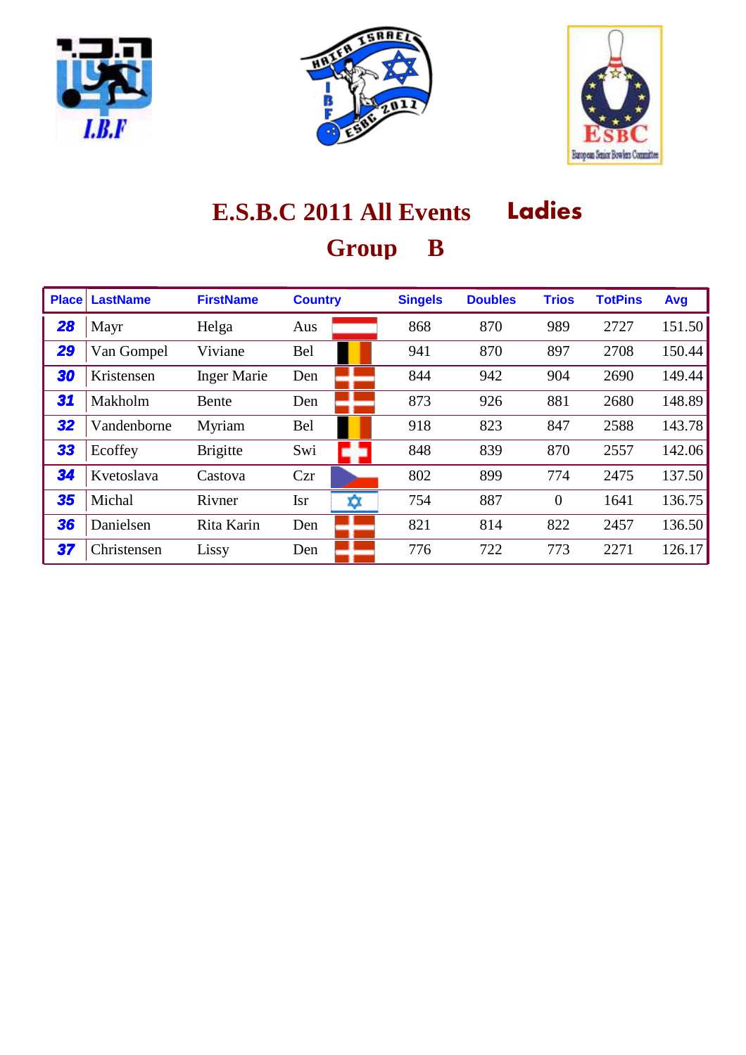





| <b>Place</b> | <b>LastName</b> | <b>FirstName</b>   | <b>Country</b>   | <b>Singels</b> | <b>Doubles</b> | <b>Trios</b> | <b>TotPins</b> | Avg    |
|--------------|-----------------|--------------------|------------------|----------------|----------------|--------------|----------------|--------|
| 28           | Mayr            | Helga              | Aus              | 868            | 870            | 989          | 2727           | 151.50 |
| 29           | Van Gompel      | Viviane            | <b>Bel</b>       | 941            | 870            | 897          | 2708           | 150.44 |
| 30           | Kristensen      | <b>Inger Marie</b> | Den              | 844            | 942            | 904          | 2690           | 149.44 |
| 31           | Makholm         | Bente              | Den              | 873            | 926            | 881          | 2680           | 148.89 |
| 32           | Vandenborne     | Myriam             | <b>Bel</b>       | 918            | 823            | 847          | 2588           | 143.78 |
| 33           | Ecoffey         | <b>Brigitte</b>    | Swi              | 848            | 839            | 870          | 2557           | 142.06 |
| 34           | Kvetoslava      | Castova            | Czr              | 802            | 899            | 774          | 2475           | 137.50 |
| 35           | Michal          | Rivner             | <b>Isr</b><br>xχ | 754            | 887            | $\theta$     | 1641           | 136.75 |
| 36           | Danielsen       | Rita Karin         | Den              | 821            | 814            | 822          | 2457           | 136.50 |
| 37           | Christensen     | Lissy              | Den              | 776            | 722            | 773          | 2271           | 126.17 |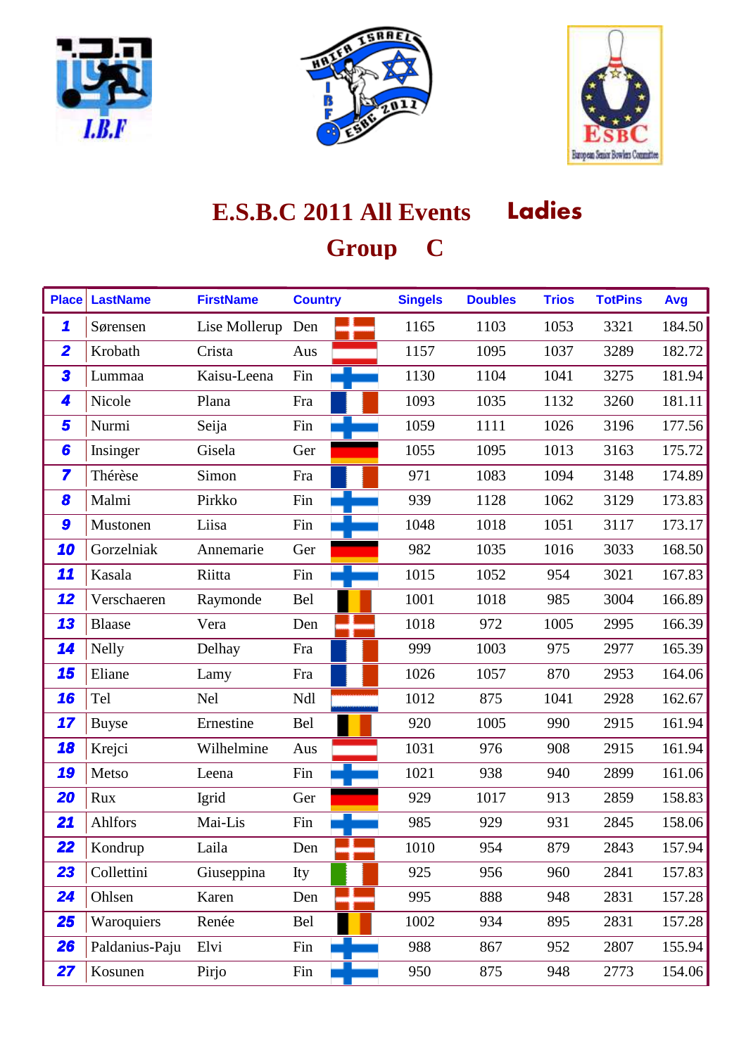





# **E.S.B.C 2011 All Events Ladies Group C**

| <b>Place</b>            | <b>LastName</b> | <b>FirstName</b> | <b>Country</b> | <b>Singels</b> | <b>Doubles</b> | <b>Trios</b> | <b>TotPins</b> | Avg    |
|-------------------------|-----------------|------------------|----------------|----------------|----------------|--------------|----------------|--------|
| 1                       | Sørensen        | Lise Mollerup    | Den            | 1165           | 1103           | 1053         | 3321           | 184.50 |
| $\overline{\mathbf{2}}$ | Krobath         | Crista           | Aus            | 1157           | 1095           | 1037         | 3289           | 182.72 |
| 3                       | Lummaa          | Kaisu-Leena      | Fin            | 1130           | 1104           | 1041         | 3275           | 181.94 |
| 4                       | Nicole          | Plana            | Fra            | 1093           | 1035           | 1132         | 3260           | 181.11 |
| 5                       | Nurmi           | Seija            | Fin            | 1059           | 1111           | 1026         | 3196           | 177.56 |
| 6                       | Insinger        | Gisela           | Ger            | 1055           | 1095           | 1013         | 3163           | 175.72 |
| $\overline{\mathbf{z}}$ | Thérèse         | Simon            | Fra            | 971            | 1083           | 1094         | 3148           | 174.89 |
| 8                       | Malmi           | Pirkko           | Fin            | 939            | 1128           | 1062         | 3129           | 173.83 |
| 9                       | Mustonen        | Liisa            | Fin            | 1048           | 1018           | 1051         | 3117           | 173.17 |
| 10                      | Gorzelniak      | Annemarie        | Ger            | 982            | 1035           | 1016         | 3033           | 168.50 |
| 11                      | Kasala          | Riitta           | Fin            | 1015           | 1052           | 954          | 3021           | 167.83 |
| 12                      | Verschaeren     | Raymonde         | Bel            | 1001           | 1018           | 985          | 3004           | 166.89 |
| 13                      | <b>Blaase</b>   | Vera             | Den            | 1018           | 972            | 1005         | 2995           | 166.39 |
| 14                      | <b>Nelly</b>    | Delhay           | Fra            | 999            | 1003           | 975          | 2977           | 165.39 |
| 15                      | Eliane          | Lamy             | Fra            | 1026           | 1057           | 870          | 2953           | 164.06 |
| 16                      | Tel             | <b>Nel</b>       | Ndl            | 1012           | 875            | 1041         | 2928           | 162.67 |
| 17                      | <b>Buyse</b>    | Ernestine        | Bel            | 920            | 1005           | 990          | 2915           | 161.94 |
| 18                      | Krejci          | Wilhelmine       | Aus            | 1031           | 976            | 908          | 2915           | 161.94 |
| 19                      | Metso           | Leena            | Fin            | 1021           | 938            | 940          | 2899           | 161.06 |
| 20                      | Rux             | Igrid            | Ger            | 929            | 1017           | 913          | 2859           | 158.83 |
| 21                      | Ahlfors         | Mai-Lis          | Fin            | 985            | 929            | 931          | 2845           | 158.06 |
| 22                      | Kondrup         | Laila            | Den            | 1010           | 954            | 879          | 2843           | 157.94 |
| 23                      | Collettini      | Giuseppina       | Ity            | 925            | 956            | 960          | 2841           | 157.83 |
| 24                      | Ohlsen          | Karen            | Den            | 995            | 888            | 948          | 2831           | 157.28 |
| 25                      | Waroquiers      | Renée            | Bel            | 1002           | 934            | 895          | 2831           | 157.28 |
| 26                      | Paldanius-Paju  | Elvi             | Fin            | 988            | 867            | 952          | 2807           | 155.94 |
| 27                      | Kosunen         | Pirjo            | Fin            | 950            | 875            | 948          | 2773           | 154.06 |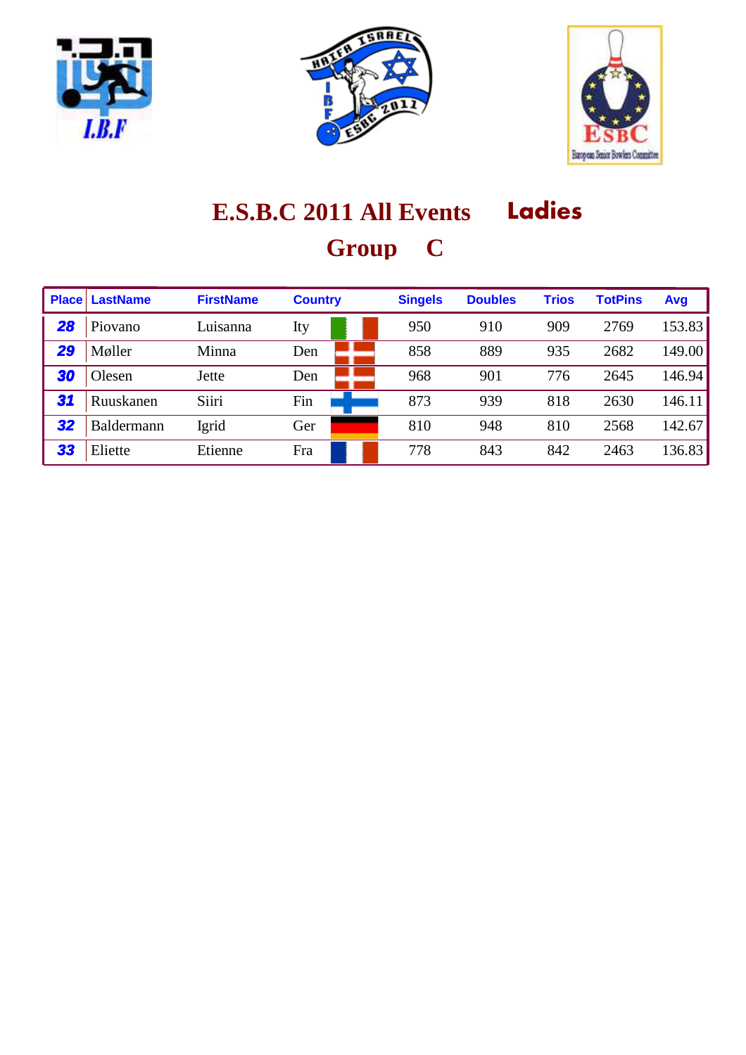





# **E.S.B.C 2011 All Events Ladies Group C**

| <b>Place</b> | <b>LastName</b> | <b>FirstName</b> | <b>Country</b> | <b>Singels</b> | <b>Doubles</b> | <b>Trios</b> | <b>TotPins</b> | Avg    |
|--------------|-----------------|------------------|----------------|----------------|----------------|--------------|----------------|--------|
| 28           | Piovano         | Luisanna         | Ity            | 950            | 910            | 909          | 2769           | 153.83 |
| 29           | Møller          | Minna            | Den            | 858            | 889            | 935          | 2682           | 149.00 |
| 30           | Olesen          | Jette            | Den            | 968            | 901            | 776          | 2645           | 146.94 |
| 31           | Ruuskanen       | Siiri            | Fin            | 873            | 939            | 818          | 2630           | 146.11 |
| 32           | Baldermann      | Igrid            | Ger            | 810            | 948            | 810          | 2568           | 142.67 |
| 33           | Eliette         | Etienne          | Fra            | 778            | 843            | 842          | 2463           | 136.83 |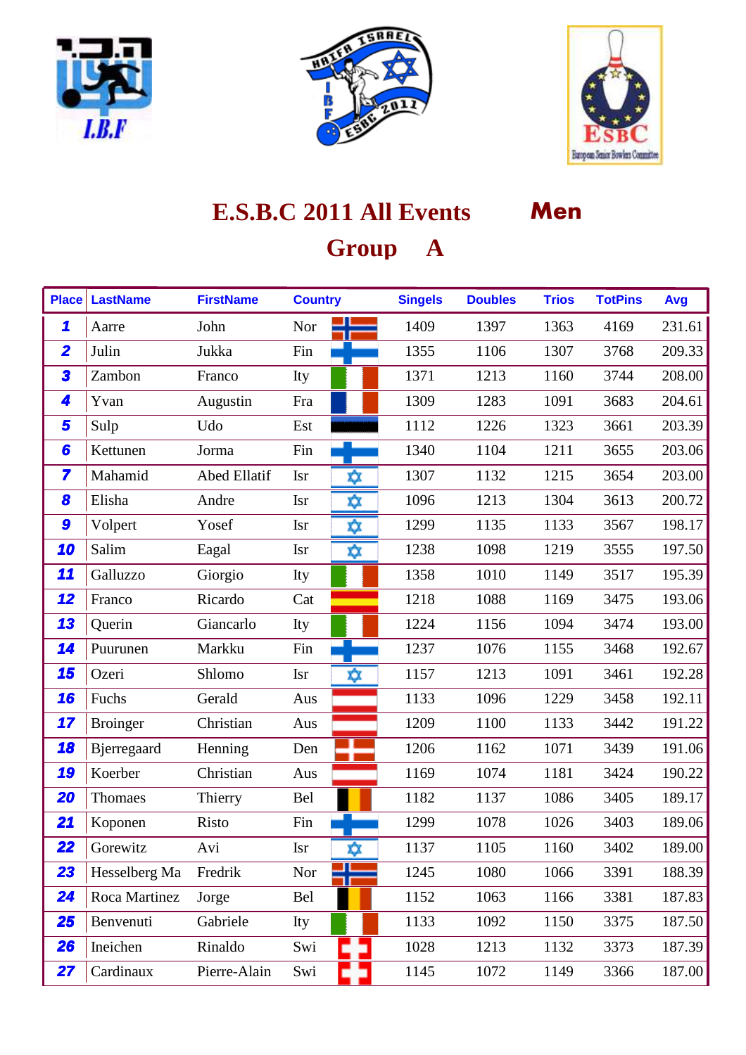





| <b>Place</b>            | <b>LastName</b> | <b>FirstName</b>    | <b>Country</b> |     | <b>Singels</b> | <b>Doubles</b> | <b>Trios</b> | <b>TotPins</b> | Avg    |
|-------------------------|-----------------|---------------------|----------------|-----|----------------|----------------|--------------|----------------|--------|
| 1                       | Aarre           | John                | Nor            |     | 1409           | 1397           | 1363         | 4169           | 231.61 |
| $\overline{\mathbf{2}}$ | Julin           | Jukka               | Fin            |     | 1355           | 1106           | 1307         | 3768           | 209.33 |
| 3                       | Zambon          | Franco              | Ity            |     | 1371           | 1213           | 1160         | 3744           | 208.00 |
| 4                       | Yvan            | Augustin            | Fra            |     | 1309           | 1283           | 1091         | 3683           | 204.61 |
| 5                       | Sulp            | Udo                 | Est            |     | 1112           | 1226           | 1323         | 3661           | 203.39 |
| 6                       | Kettunen        | Jorma               | Fin            |     | 1340           | 1104           | 1211         | 3655           | 203.06 |
| 7                       | Mahamid         | <b>Abed Ellatif</b> | <b>Isr</b>     | χχ  | 1307           | 1132           | 1215         | 3654           | 203.00 |
| 8                       | Elisha          | Andre               | <b>Isr</b>     | X)X | 1096           | 1213           | 1304         | 3613           | 200.72 |
| 9                       | Volpert         | Yosef               | <b>Isr</b>     | χχ  | 1299           | 1135           | 1133         | 3567           | 198.17 |
| 10                      | Salim           | Eagal               | <b>Isr</b>     | χχ  | 1238           | 1098           | 1219         | 3555           | 197.50 |
| 11                      | Galluzzo        | Giorgio             | Ity            |     | 1358           | 1010           | 1149         | 3517           | 195.39 |
| 12                      | Franco          | Ricardo             | Cat            |     | 1218           | 1088           | 1169         | 3475           | 193.06 |
| 13                      | Querin          | Giancarlo           | Ity            |     | 1224           | 1156           | 1094         | 3474           | 193.00 |
| 14                      | Puurunen        | Markku              | Fin            |     | 1237           | 1076           | 1155         | 3468           | 192.67 |
| 15                      | Ozeri           | Shlomo              | <b>Isr</b>     | X)X | 1157           | 1213           | 1091         | 3461           | 192.28 |
| 16                      | Fuchs           | Gerald              | Aus            |     | 1133           | 1096           | 1229         | 3458           | 192.11 |
| 17                      | <b>Broinger</b> | Christian           | Aus            |     | 1209           | 1100           | 1133         | 3442           | 191.22 |
| 18                      | Bjerregaard     | Henning             | Den            |     | 1206           | 1162           | 1071         | 3439           | 191.06 |
| 19                      | Koerber         | Christian           | Aus            |     | 1169           | 1074           | 1181         | 3424           | 190.22 |
| 20                      | Thomaes         | Thierry             | Bel            |     | 1182           | 1137           | 1086         | 3405           | 189.17 |
| 21                      | Koponen         | Risto               | Fin            |     | 1299           | 1078           | 1026         | 3403           | 189.06 |
| 22                      | Gorewitz        | Avi                 | <b>Isr</b>     | ⋩   | 1137           | 1105           | 1160         | 3402           | 189.00 |
| 23                      | Hesselberg Ma   | Fredrik             | Nor            |     | 1245           | 1080           | 1066         | 3391           | 188.39 |
| 24                      | Roca Martinez   | Jorge               | Bel            |     | 1152           | 1063           | 1166         | 3381           | 187.83 |
| 25                      | Benvenuti       | Gabriele            | Ity            |     | 1133           | 1092           | 1150         | 3375           | 187.50 |
| 26                      | Ineichen        | Rinaldo             | Swi            |     | 1028           | 1213           | 1132         | 3373           | 187.39 |
| 27                      | Cardinaux       | Pierre-Alain        | Swi            |     | 1145           | 1072           | 1149         | 3366           | 187.00 |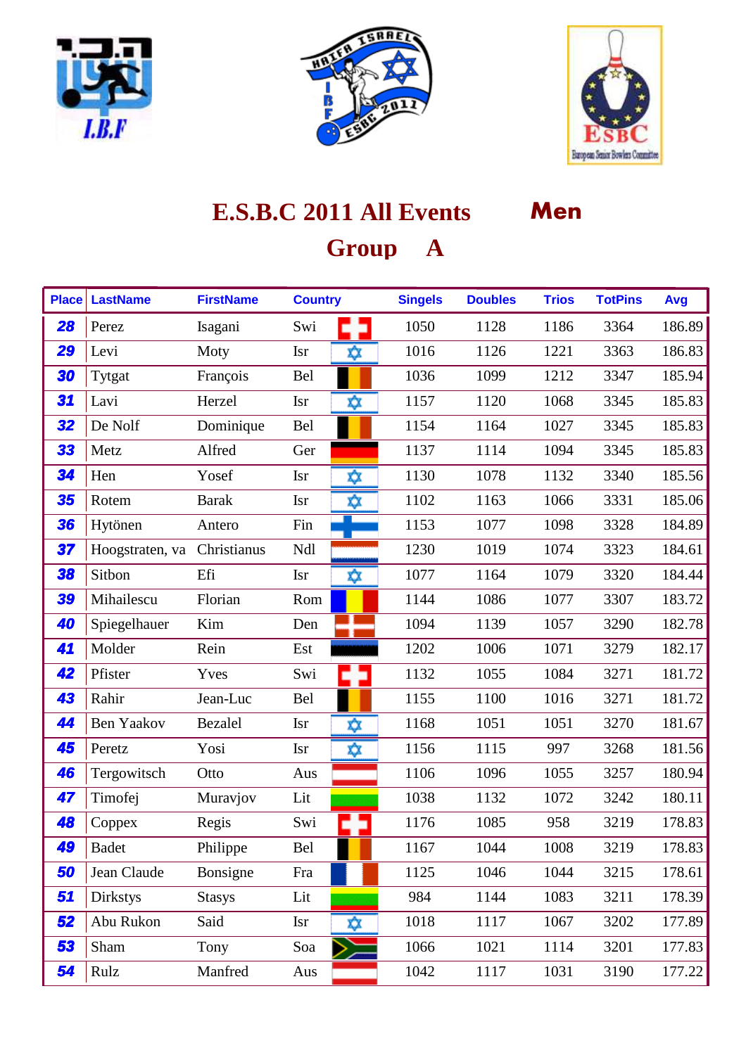





| <b>Place</b> | <b>LastName</b>             | <b>FirstName</b> | <b>Country</b>    | <b>Singels</b> | <b>Doubles</b> | <b>Trios</b> | <b>TotPins</b> | Avg    |
|--------------|-----------------------------|------------------|-------------------|----------------|----------------|--------------|----------------|--------|
| 28           | Perez                       | Isagani          | Swi               | 1050           | 1128           | 1186         | 3364           | 186.89 |
| 29           | Levi                        | Moty             | ΧX<br><b>Isr</b>  | 1016           | 1126           | 1221         | 3363           | 186.83 |
| 30           | Tytgat                      | François         | Bel               | 1036           | 1099           | 1212         | 3347           | 185.94 |
| 31           | Lavi                        | Herzel           | ΧX<br><b>Isr</b>  | 1157           | 1120           | 1068         | 3345           | 185.83 |
| 32           | De Nolf                     | Dominique        | Bel               | 1154           | 1164           | 1027         | 3345           | 185.83 |
| 33           | Metz                        | Alfred           | Ger               | 1137           | 1114           | 1094         | 3345           | 185.83 |
| 34           | Hen                         | Yosef            | χχ<br><b>Isr</b>  | 1130           | 1078           | 1132         | 3340           | 185.56 |
| 35           | Rotem                       | <b>Barak</b>     | <b>Isr</b><br>X)X | 1102           | 1163           | 1066         | 3331           | 185.06 |
| 36           | Hytönen                     | Antero           | Fin               | 1153           | 1077           | 1098         | 3328           | 184.89 |
| 37           | Hoogstraten, va Christianus |                  | Ndl               | 1230           | 1019           | 1074         | 3323           | 184.61 |
| 38           | Sitbon                      | Efi              | <b>Isr</b><br>ΧX  | 1077           | 1164           | 1079         | 3320           | 184.44 |
| 39           | Mihailescu                  | Florian          | Rom               | 1144           | 1086           | 1077         | 3307           | 183.72 |
| 40           | Spiegelhauer                | $\rm{Kim}$       | Den               | 1094           | 1139           | 1057         | 3290           | 182.78 |
| 41           | Molder                      | Rein             | Est               | 1202           | 1006           | 1071         | 3279           | 182.17 |
| 42           | Pfister                     | Yves             | Swi               | 1132           | 1055           | 1084         | 3271           | 181.72 |
| 43           | Rahir                       | Jean-Luc         | Bel               | 1155           | 1100           | 1016         | 3271           | 181.72 |
| 44           | <b>Ben Yaakov</b>           | <b>Bezalel</b>   | ΧX<br><b>Isr</b>  | 1168           | 1051           | 1051         | 3270           | 181.67 |
| 45           | Peretz                      | Yosi             | <b>Isr</b><br>☆   | 1156           | 1115           | 997          | 3268           | 181.56 |
| 46           | Tergowitsch                 | Otto             | Aus               | 1106           | 1096           | 1055         | 3257           | 180.94 |
| 47           | Timofej                     | Muravjov         | Lit               | 1038           | 1132           | 1072         | 3242           | 180.11 |
| 48           | Coppex                      | Regis            | Swi               | 1176           | 1085           | 958          | 3219           | 178.83 |
| 49           | <b>Badet</b>                | Philippe         | Bel               | 1167           | 1044           | 1008         | 3219           | 178.83 |
| 50           | Jean Claude                 | Bonsigne         | Fra               | 1125           | 1046           | 1044         | 3215           | 178.61 |
| 51           | <b>Dirkstys</b>             | <b>Stasys</b>    | Lit               | 984            | 1144           | 1083         | 3211           | 178.39 |
| 52           | Abu Rukon                   | Said             | <b>Isr</b><br>Χŷ. | 1018           | 1117           | 1067         | 3202           | 177.89 |
| 53           | Sham                        | Tony             | Soa               | 1066           | 1021           | 1114         | 3201           | 177.83 |
| 54           | Rulz                        | Manfred          | Aus               | 1042           | 1117           | 1031         | 3190           | 177.22 |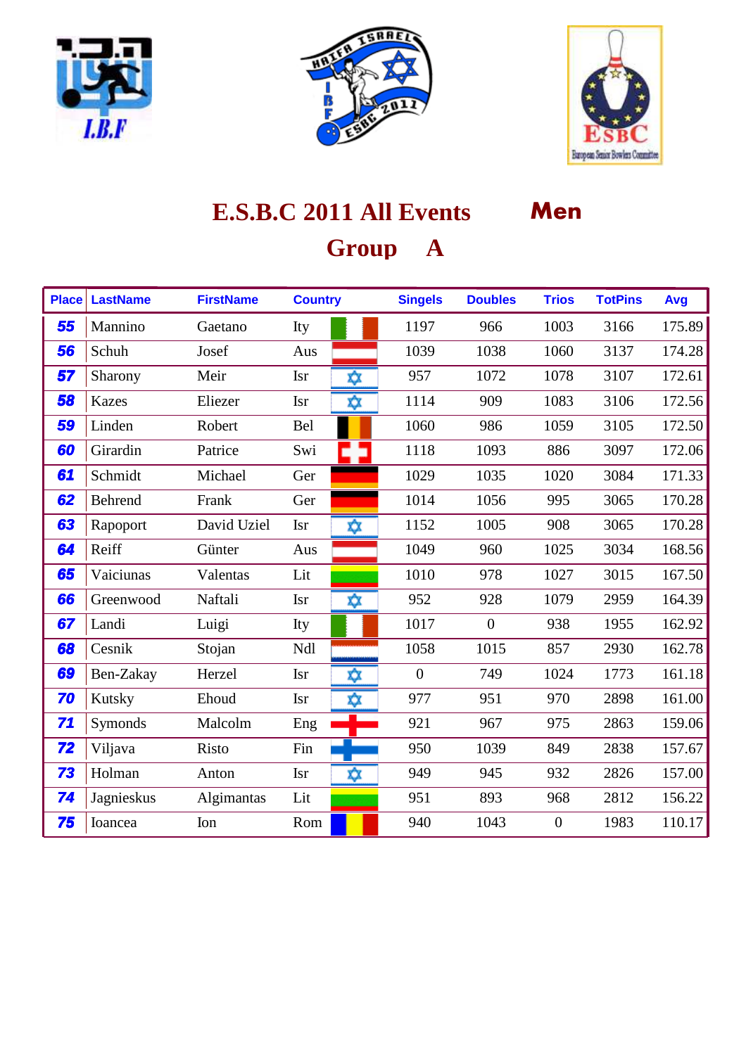





| <b>Place</b> | <b>LastName</b> | <b>FirstName</b> | <b>Country</b>    | <b>Singels</b> | <b>Doubles</b> | <b>Trios</b>   | <b>TotPins</b> | Avg    |
|--------------|-----------------|------------------|-------------------|----------------|----------------|----------------|----------------|--------|
| 55           | Mannino         | Gaetano          | Ity               | 1197           | 966            | 1003           | 3166           | 175.89 |
| 56           | Schuh           | Josef            | Aus               | 1039           | 1038           | 1060           | 3137           | 174.28 |
| 57           | Sharony         | Meir             | ΧX<br><b>Isr</b>  | 957            | 1072           | 1078           | 3107           | 172.61 |
| 58           | <b>Kazes</b>    | Eliezer          | <b>Isr</b><br>xχ  | 1114           | 909            | 1083           | 3106           | 172.56 |
| 59           | Linden          | Robert           | Bel               | 1060           | 986            | 1059           | 3105           | 172.50 |
| 60           | Girardin        | Patrice          | Swi               | 1118           | 1093           | 886            | 3097           | 172.06 |
| 61           | Schmidt         | Michael          | Ger               | 1029           | 1035           | 1020           | 3084           | 171.33 |
| 62           | Behrend         | Frank            | Ger               | 1014           | 1056           | 995            | 3065           | 170.28 |
| 63           | Rapoport        | David Uziel      | <b>Isr</b><br>χχ  | 1152           | 1005           | 908            | 3065           | 170.28 |
| 64           | Reiff           | Günter           | Aus               | 1049           | 960            | 1025           | 3034           | 168.56 |
| 65           | Vaiciunas       | Valentas         | Lit               | 1010           | 978            | 1027           | 3015           | 167.50 |
| 66           | Greenwood       | Naftali          | ∞<br><b>Isr</b>   | 952            | 928            | 1079           | 2959           | 164.39 |
| 67           | Landi           | Luigi            | Ity               | 1017           | $\mathbf{0}$   | 938            | 1955           | 162.92 |
| 68           | Cesnik          | Stojan           | Ndl               | 1058           | 1015           | 857            | 2930           | 162.78 |
| 69           | Ben-Zakay       | Herzel           | <b>Isr</b><br>χχ  | $\overline{0}$ | 749            | 1024           | 1773           | 161.18 |
| 70           | Kutsky          | Ehoud            | x)x<br><b>Isr</b> | 977            | 951            | 970            | 2898           | 161.00 |
| 71           | Symonds         | Malcolm          | Eng               | 921            | 967            | 975            | 2863           | 159.06 |
| 72           | Viljava         | Risto            | Fin               | 950            | 1039           | 849            | 2838           | 157.67 |
| 73           | Holman          | Anton            | <b>Isr</b><br>ΧŷΣ | 949            | 945            | 932            | 2826           | 157.00 |
| 74           | Jagnieskus      | Algimantas       | Lit               | 951            | 893            | 968            | 2812           | 156.22 |
| 75           | Ioancea         | Ion              | Rom               | 940            | 1043           | $\overline{0}$ | 1983           | 110.17 |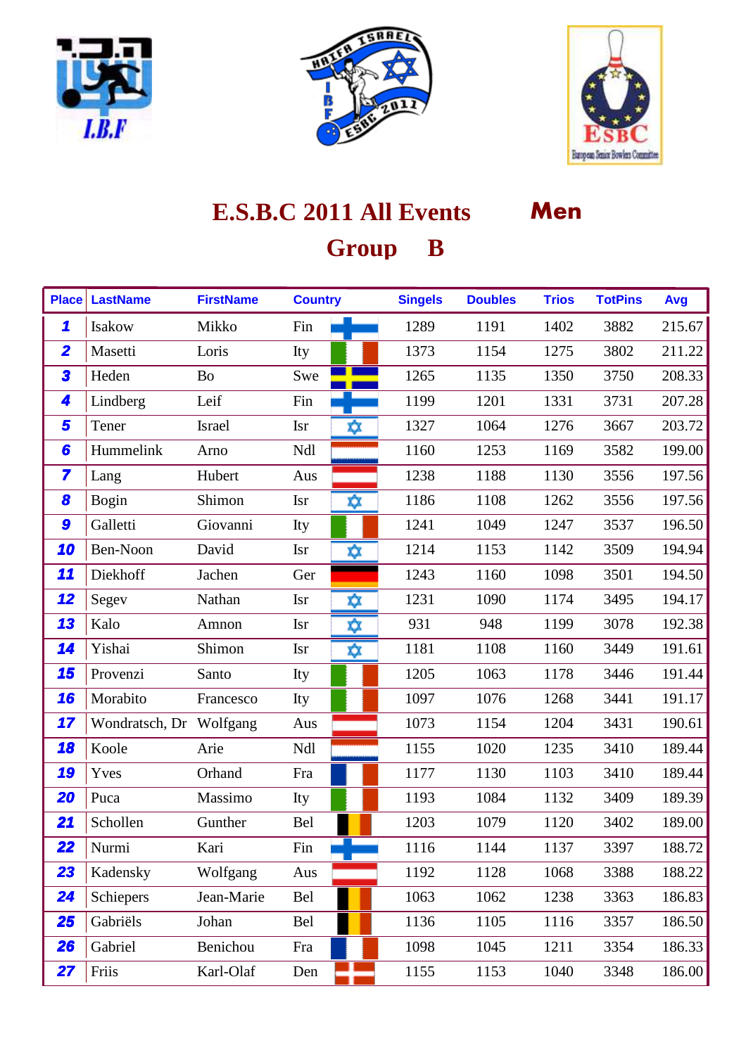





| <b>Place</b>            | <b>LastName</b>         | <b>FirstName</b> | <b>Country</b>    | <b>Singels</b> | <b>Doubles</b> | <b>Trios</b> | <b>TotPins</b> | Avg    |
|-------------------------|-------------------------|------------------|-------------------|----------------|----------------|--------------|----------------|--------|
| $\mathbf{\mathcal{L}}$  | Isakow                  | Mikko            | Fin               | 1289           | 1191           | 1402         | 3882           | 215.67 |
| $\overline{\mathbf{2}}$ | Masetti                 | Loris            | Ity               | 1373           | 1154           | 1275         | 3802           | 211.22 |
| 3                       | Heden                   | <b>Bo</b>        | Swe               | 1265           | 1135           | 1350         | 3750           | 208.33 |
| 4                       | Lindberg                | Leif             | Fin               | 1199           | 1201           | 1331         | 3731           | 207.28 |
| 5                       | Tener                   | Israel           | <b>Isr</b><br>₩   | 1327           | 1064           | 1276         | 3667           | 203.72 |
| 6                       | Hummelink               | Arno             | Ndl               | 1160           | 1253           | 1169         | 3582           | 199.00 |
| $\overline{\mathbf{z}}$ | Lang                    | Hubert           | Aus               | 1238           | 1188           | 1130         | 3556           | 197.56 |
| 8                       | <b>Bogin</b>            | Shimon           | <b>Isr</b><br>ΧX  | 1186           | 1108           | 1262         | 3556           | 197.56 |
| 9                       | Galletti                | Giovanni         | Ity               | 1241           | 1049           | 1247         | 3537           | 196.50 |
| 10                      | Ben-Noon                | David            | <b>Isr</b><br>X)X | 1214           | 1153           | 1142         | 3509           | 194.94 |
| 11                      | Diekhoff                | Jachen           | Ger               | 1243           | 1160           | 1098         | 3501           | 194.50 |
| 12                      | Segev                   | Nathan           | χχ<br><b>Isr</b>  | 1231           | 1090           | 1174         | 3495           | 194.17 |
| 13                      | Kalo                    | Amnon            | ☆<br><b>Isr</b>   | 931            | 948            | 1199         | 3078           | 192.38 |
| 14                      | Yishai                  | Shimon           | ΧX<br><b>Isr</b>  | 1181           | 1108           | 1160         | 3449           | 191.61 |
| 15                      | Provenzi                | Santo            | Ity               | 1205           | 1063           | 1178         | 3446           | 191.44 |
| 16                      | Morabito                | Francesco        | Ity               | 1097           | 1076           | 1268         | 3441           | 191.17 |
| 17                      | Wondratsch, Dr Wolfgang |                  | Aus               | 1073           | 1154           | 1204         | 3431           | 190.61 |
| 18                      | Koole                   | Arie             | Ndl               | 1155           | 1020           | 1235         | 3410           | 189.44 |
| 19                      | Yves                    | Orhand           | Fra               | 1177           | 1130           | 1103         | 3410           | 189.44 |
| 20                      | Puca                    | Massimo          | Ity               | 1193           | 1084           | 1132         | 3409           | 189.39 |
| 21                      | Schollen                | Gunther          | Bel               | 1203           | 1079           | 1120         | 3402           | 189.00 |
| 22                      | Nurmi                   | Kari             | Fin               | 1116           | 1144           | 1137         | 3397           | 188.72 |
| 23                      | Kadensky                | Wolfgang         | Aus               | 1192           | 1128           | 1068         | 3388           | 188.22 |
| 24                      | Schiepers               | Jean-Marie       | Bel               | 1063           | 1062           | 1238         | 3363           | 186.83 |
| 25                      | Gabriëls                | Johan            | Bel               | 1136           | 1105           | 1116         | 3357           | 186.50 |
| <b>26</b>               | Gabriel                 | Benichou         | Fra               | 1098           | 1045           | 1211         | 3354           | 186.33 |
| 27                      | Friis                   | Karl-Olaf        | Den               | 1155           | 1153           | 1040         | 3348           | 186.00 |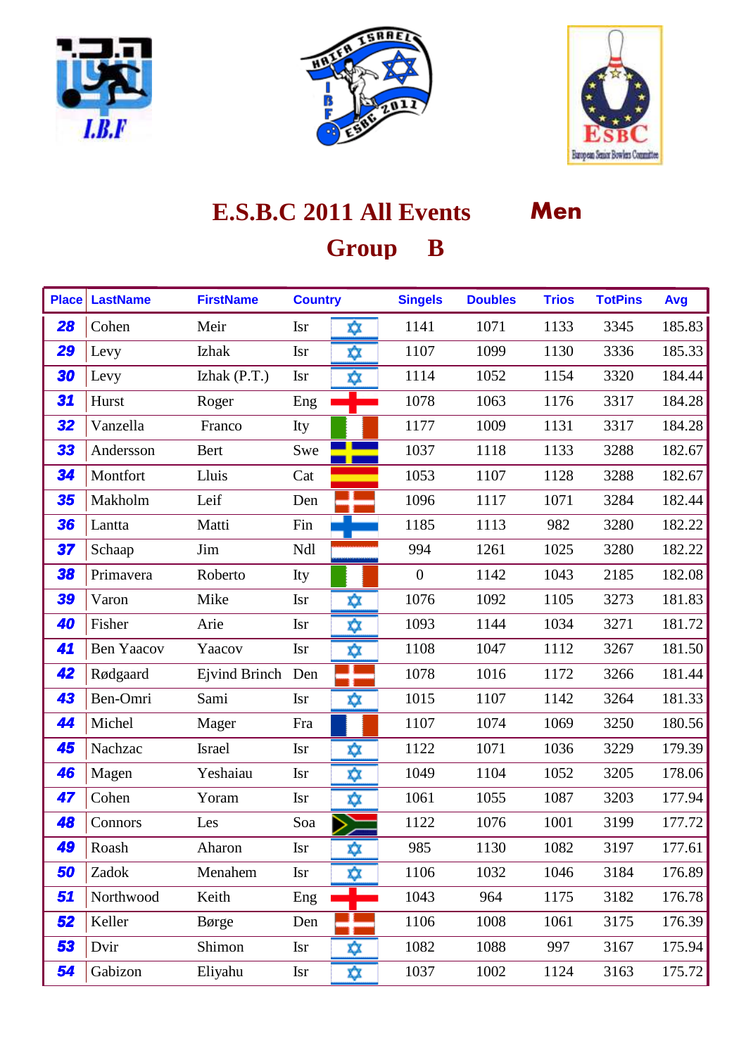





| <b>Place</b> | <b>LastName</b>   | <b>FirstName</b>  | <b>Country</b> |     | <b>Singels</b> | <b>Doubles</b> | <b>Trios</b> | <b>TotPins</b> | Avg    |
|--------------|-------------------|-------------------|----------------|-----|----------------|----------------|--------------|----------------|--------|
| 28           | Cohen             | Meir              | <b>Isr</b>     | X)X | 1141           | 1071           | 1133         | 3345           | 185.83 |
| 29           | Levy              | Izhak             | <b>Isr</b>     | ΧX  | 1107           | 1099           | 1130         | 3336           | 185.33 |
| 30           | Levy              | Izhak $(P.T.)$    | <b>Isr</b>     | ⋩   | 1114           | 1052           | 1154         | 3320           | 184.44 |
| 31           | Hurst             | Roger             | Eng            |     | 1078           | 1063           | 1176         | 3317           | 184.28 |
| 32           | Vanzella          | Franco            | Ity            |     | 1177           | 1009           | 1131         | 3317           | 184.28 |
| 33           | Andersson         | Bert              | Swe            |     | 1037           | 1118           | 1133         | 3288           | 182.67 |
| 34           | Montfort          | Lluis             | Cat            |     | 1053           | 1107           | 1128         | 3288           | 182.67 |
| 35           | Makholm           | Leif              | Den            |     | 1096           | 1117           | 1071         | 3284           | 182.44 |
| 36           | Lantta            | Matti             | Fin            |     | 1185           | 1113           | 982          | 3280           | 182.22 |
| 37           | Schaap            | Jim               | Ndl            |     | 994            | 1261           | 1025         | 3280           | 182.22 |
| 38           | Primavera         | Roberto           | Ity            |     | $\overline{0}$ | 1142           | 1043         | 2185           | 182.08 |
| 39           | Varon             | Mike              | <b>Isr</b>     | Χŷ. | 1076           | 1092           | 1105         | 3273           | 181.83 |
| 40           | Fisher            | Arie              | <b>Isr</b>     | ΧŷΣ | 1093           | 1144           | 1034         | 3271           | 181.72 |
| 41           | <b>Ben Yaacov</b> | Yaacov            | <b>Isr</b>     | ☆   | 1108           | 1047           | 1112         | 3267           | 181.50 |
| 42           | Rødgaard          | Ejvind Brinch Den |                |     | 1078           | 1016           | 1172         | 3266           | 181.44 |
| 43           | Ben-Omri          | Sami              | <b>Isr</b>     | x)x | 1015           | 1107           | 1142         | 3264           | 181.33 |
| 44           | Michel            | Mager             | Fra            |     | 1107           | 1074           | 1069         | 3250           | 180.56 |
| 45           | Nachzac           | Israel            | <b>Isr</b>     | ⋩   | 1122           | 1071           | 1036         | 3229           | 179.39 |
| 46           | Magen             | Yeshaiau          | <b>Isr</b>     | ΧX  | 1049           | 1104           | 1052         | 3205           | 178.06 |
| 47           | Cohen             | Yoram             | <b>Isr</b>     | х∕х | 1061           | 1055           | 1087         | 3203           | 177.94 |
| 48           | Connors           | Les               | Soa            |     | 1122           | 1076           | 1001         | 3199           | 177.72 |
| 49           | Roash             | Aharon            | <b>Isr</b>     | ⋩   | 985            | 1130           | 1082         | 3197           | 177.61 |
| 50           | Zadok             | Menahem           | <b>Isr</b>     | XX. | 1106           | 1032           | 1046         | 3184           | 176.89 |
| 51           | Northwood         | Keith             | Eng            |     | 1043           | 964            | 1175         | 3182           | 176.78 |
| 52           | Keller            | Børge             | Den            |     | 1106           | 1008           | 1061         | 3175           | 176.39 |
| 53           | Dvir              | Shimon            | <b>Isr</b>     | XX. | 1082           | 1088           | 997          | 3167           | 175.94 |
| 54           | Gabizon           | Eliyahu           | <b>Isr</b>     | ☆   | 1037           | 1002           | 1124         | 3163           | 175.72 |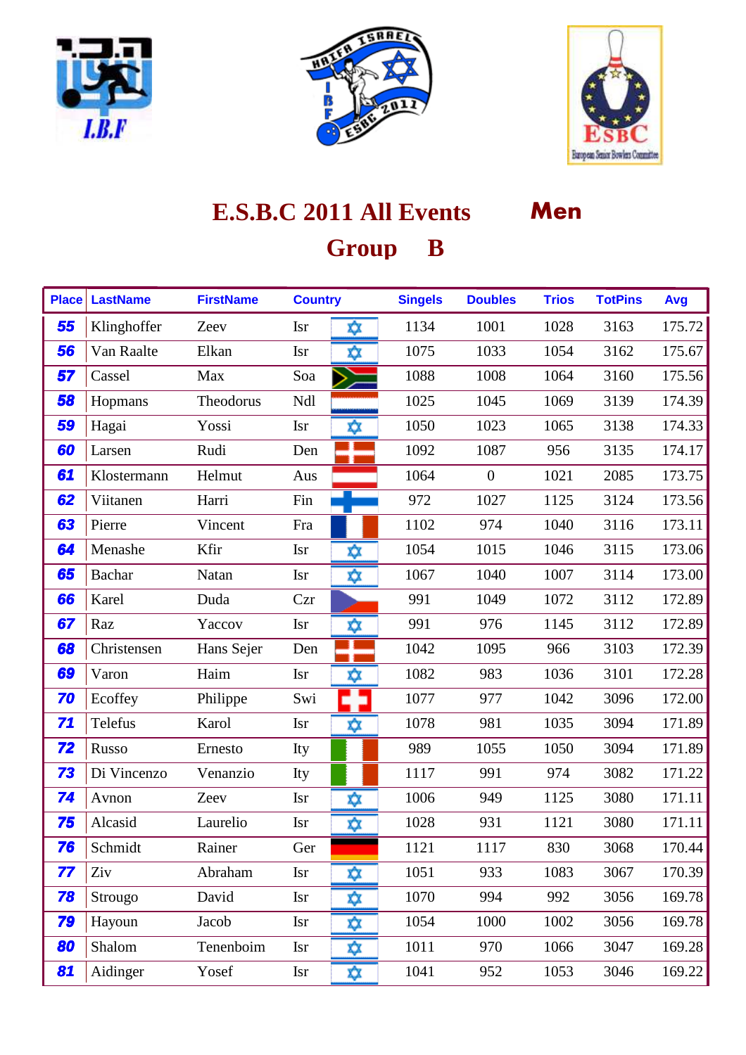





| <b>Place</b> | <b>LastName</b> | <b>FirstName</b> | <b>Country</b> |     | <b>Singels</b> | <b>Doubles</b> | <b>Trios</b> | <b>TotPins</b> | Avg    |
|--------------|-----------------|------------------|----------------|-----|----------------|----------------|--------------|----------------|--------|
| 55           | Klinghoffer     | Zeev             | <b>Isr</b>     | ΧŷΣ | 1134           | 1001           | 1028         | 3163           | 175.72 |
| 56           | Van Raalte      | Elkan            | <b>Isr</b>     | χχ  | 1075           | 1033           | 1054         | 3162           | 175.67 |
| 57           | Cassel          | Max              | Soa            |     | 1088           | 1008           | 1064         | 3160           | 175.56 |
| 58           | Hopmans         | Theodorus        | Ndl            |     | 1025           | 1045           | 1069         | 3139           | 174.39 |
| 59           | Hagai           | Yossi            | <b>Isr</b>     | ΧX  | 1050           | 1023           | 1065         | 3138           | 174.33 |
| 60           | Larsen          | Rudi             | Den            |     | 1092           | 1087           | 956          | 3135           | 174.17 |
| 61           | Klostermann     | Helmut           | Aus            |     | 1064           | $\overline{0}$ | 1021         | 2085           | 173.75 |
| 62           | Viitanen        | Harri            | Fin            |     | 972            | 1027           | 1125         | 3124           | 173.56 |
| 63           | Pierre          | Vincent          | Fra            |     | 1102           | 974            | 1040         | 3116           | 173.11 |
| 64           | Menashe         | Kfir             | <b>Isr</b>     | xχ  | 1054           | 1015           | 1046         | 3115           | 173.06 |
| 65           | <b>Bachar</b>   | Natan            | <b>Isr</b>     | X)X | 1067           | 1040           | 1007         | 3114           | 173.00 |
| 66           | Karel           | Duda             | Czr            |     | 991            | 1049           | 1072         | 3112           | 172.89 |
| 67           | Raz             | Yaccov           | <b>Isr</b>     | ✿   | 991            | 976            | 1145         | 3112           | 172.89 |
| 68           | Christensen     | Hans Sejer       | Den            |     | 1042           | 1095           | 966          | 3103           | 172.39 |
| 69           | Varon           | Haim             | <b>Isr</b>     | ΧX  | 1082           | 983            | 1036         | 3101           | 172.28 |
| 70           | Ecoffey         | Philippe         | Swi            |     | 1077           | 977            | 1042         | 3096           | 172.00 |
| 71           | Telefus         | Karol            | <b>Isr</b>     | ΧX  | 1078           | 981            | 1035         | 3094           | 171.89 |
| 72           | Russo           | Ernesto          | Ity            |     | 989            | 1055           | 1050         | 3094           | 171.89 |
| 73           | Di Vincenzo     | Venanzio         | Ity            |     | 1117           | 991            | 974          | 3082           | 171.22 |
| 74           | Avnon           | Zeev             | <b>Isr</b>     | Χ¢χ | 1006           | 949            | 1125         | 3080           | 171.11 |
| 75           | Alcasid         | Laurelio         | <b>Isr</b>     | X)X | 1028           | 931            | 1121         | 3080           | 171.11 |
| 76           | Schmidt         | Rainer           | Ger            |     | 1121           | 1117           | 830          | 3068           | 170.44 |
| 77           | Ziv             | Abraham          | <b>Isr</b>     | χχ  | 1051           | 933            | 1083         | 3067           | 170.39 |
| 78           | Strougo         | David            | <b>Isr</b>     | X)X | 1070           | 994            | 992          | 3056           | 169.78 |
| 79           | Hayoun          | Jacob            | <b>Isr</b>     | Χŷ. | 1054           | 1000           | 1002         | 3056           | 169.78 |
| 80           | Shalom          | Tenenboim        | <b>Isr</b>     | х≵х | 1011           | 970            | 1066         | 3047           | 169.28 |
| 81           | Aidinger        | Yosef            | <b>Isr</b>     | ☆   | 1041           | 952            | 1053         | 3046           | 169.22 |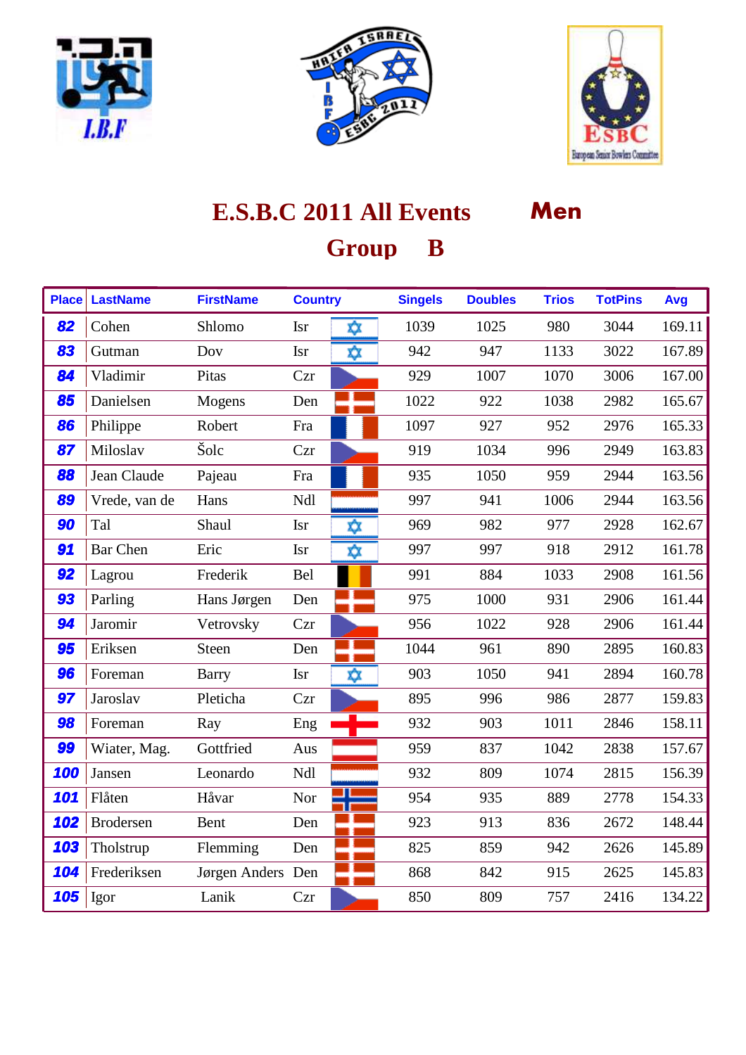





| <b>Place</b> | <b>LastName</b>  | <b>FirstName</b>  | <b>Country</b> |    | <b>Singels</b> | <b>Doubles</b> | <b>Trios</b> | <b>TotPins</b> | Avg    |
|--------------|------------------|-------------------|----------------|----|----------------|----------------|--------------|----------------|--------|
| 82           | Cohen            | Shlomo            | <b>Isr</b>     | χχ | 1039           | 1025           | 980          | 3044           | 169.11 |
| 83           | Gutman           | Dov               | Isr            | χχ | 942            | 947            | 1133         | 3022           | 167.89 |
| 84           | Vladimir         | Pitas             | Czr            |    | 929            | 1007           | 1070         | 3006           | 167.00 |
| 85           | Danielsen        | Mogens            | Den            |    | 1022           | 922            | 1038         | 2982           | 165.67 |
| 86           | Philippe         | Robert            | Fra            |    | 1097           | 927            | 952          | 2976           | 165.33 |
| 87           | Miloslav         | Šolc              | Czr            |    | 919            | 1034           | 996          | 2949           | 163.83 |
| 88           | Jean Claude      | Pajeau            | Fra            |    | 935            | 1050           | 959          | 2944           | 163.56 |
| 89           | Vrede, van de    | Hans              | Ndl            |    | 997            | 941            | 1006         | 2944           | 163.56 |
| 90           | Tal              | Shaul             | <b>Isr</b>     | χχ | 969            | 982            | 977          | 2928           | 162.67 |
| 91           | <b>Bar Chen</b>  | Eric              | <b>Isr</b>     | ☆  | 997            | 997            | 918          | 2912           | 161.78 |
| 92           | Lagrou           | Frederik          | Bel            |    | 991            | 884            | 1033         | 2908           | 161.56 |
| 93           | Parling          | Hans Jørgen       | Den            |    | 975            | 1000           | 931          | 2906           | 161.44 |
| 94           | Jaromir          | Vetrovsky         | Czr            |    | 956            | 1022           | 928          | 2906           | 161.44 |
| 95           | Eriksen          | <b>Steen</b>      | Den            |    | 1044           | 961            | 890          | 2895           | 160.83 |
| 96           | Foreman          | <b>Barry</b>      | <b>Isr</b>     | xχ | 903            | 1050           | 941          | 2894           | 160.78 |
| 97           | Jaroslav         | Pleticha          | Czr            |    | 895            | 996            | 986          | 2877           | 159.83 |
| 98           | Foreman          | Ray               | Eng            |    | 932            | 903            | 1011         | 2846           | 158.11 |
| 99           | Wiater, Mag.     | Gottfried         | Aus            |    | 959            | 837            | 1042         | 2838           | 157.67 |
| 100          | Jansen           | Leonardo          | Ndl            |    | 932            | 809            | 1074         | 2815           | 156.39 |
| 101          | Flåten           | Håvar             | Nor            |    | 954            | 935            | 889          | 2778           | 154.33 |
| 102          | <b>Brodersen</b> | Bent              | Den            |    | 923            | 913            | 836          | 2672           | 148.44 |
| 103          | Tholstrup        | Flemming          | Den            |    | 825            | 859            | 942          | 2626           | 145.89 |
| 104          | Frederiksen      | Jørgen Anders Den |                |    | 868            | 842            | 915          | 2625           | 145.83 |
| 105          | Igor             | Lanik             | Czr            |    | 850            | 809            | 757          | 2416           | 134.22 |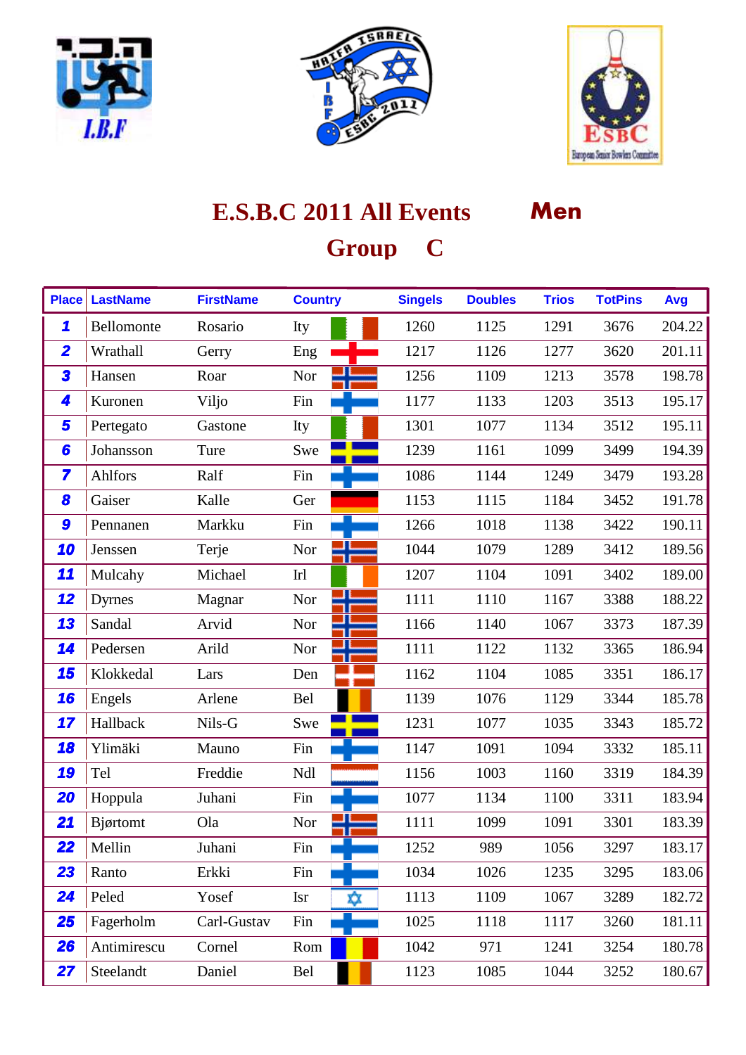





| <b>Place</b>            | <b>LastName</b> | <b>FirstName</b> | <b>Country</b> | <b>Singels</b> | <b>Doubles</b> | <b>Trios</b> | <b>TotPins</b> | Avg    |
|-------------------------|-----------------|------------------|----------------|----------------|----------------|--------------|----------------|--------|
| $\mathbf{\mathcal{L}}$  | Bellomonte      | Rosario          | Ity            | 1260           | 1125           | 1291         | 3676           | 204.22 |
| $\overline{\mathbf{2}}$ | Wrathall        | Gerry            | Eng            | 1217           | 1126           | 1277         | 3620           | 201.11 |
| 3                       | Hansen          | Roar             | Nor            | 1256           | 1109           | 1213         | 3578           | 198.78 |
| 4                       | Kuronen         | Viljo            | Fin            | 1177           | 1133           | 1203         | 3513           | 195.17 |
| 5                       | Pertegato       | Gastone          | Ity            | 1301           | 1077           | 1134         | 3512           | 195.11 |
| 6                       | Johansson       | Ture             | Swe            | 1239           | 1161           | 1099         | 3499           | 194.39 |
| 7                       | Ahlfors         | Ralf             | Fin            | 1086           | 1144           | 1249         | 3479           | 193.28 |
| 8                       | Gaiser          | Kalle            | Ger            | 1153           | 1115           | 1184         | 3452           | 191.78 |
| 9                       | Pennanen        | Markku           | Fin            | 1266           | 1018           | 1138         | 3422           | 190.11 |
| 10                      | Jenssen         | Terje            | Nor            | 1044           | 1079           | 1289         | 3412           | 189.56 |
| 11                      | Mulcahy         | Michael          | Ir1            | 1207           | 1104           | 1091         | 3402           | 189.00 |
| 12                      | Dyrnes          | Magnar           | Nor            | 1111           | 1110           | 1167         | 3388           | 188.22 |
| 13                      | Sandal          | Arvid            | Nor            | 1166           | 1140           | 1067         | 3373           | 187.39 |
| 14                      | Pedersen        | Arild            | Nor            | 1111           | 1122           | 1132         | 3365           | 186.94 |
| 15                      | Klokkedal       | Lars             | Den            | 1162           | 1104           | 1085         | 3351           | 186.17 |
| 16                      | Engels          | Arlene           | Bel            | 1139           | 1076           | 1129         | 3344           | 185.78 |
| 17                      | Hallback        | Nils-G           | Swe            | 1231           | 1077           | 1035         | 3343           | 185.72 |
| 18                      | Ylimäki         | Mauno            | Fin            | 1147           | 1091           | 1094         | 3332           | 185.11 |
| 19                      | Tel             | Freddie          | Ndl            | 1156           | 1003           | 1160         | 3319           | 184.39 |
| 20                      | Hoppula         | Juhani           | Fin            | 1077           | 1134           | 1100         | 3311           | 183.94 |
| 21                      | Bjørtomt        | Ola              | Nor            | 1111           | 1099           | 1091         | 3301           | 183.39 |
| 22                      | Mellin          | Juhani           | Fin            | 1252           | 989            | 1056         | 3297           | 183.17 |
| 23                      | Ranto           | Erkki            | Fin            | 1034           | 1026           | 1235         | 3295           | 183.06 |
| 24                      | Peled           | Yosef            | Isr<br>Xχ      | 1113           | 1109           | 1067         | 3289           | 182.72 |
| 25                      | Fagerholm       | Carl-Gustav      | Fin            | 1025           | 1118           | 1117         | 3260           | 181.11 |
| <b>26</b>               | Antimirescu     | Cornel           | Rom            | 1042           | 971            | 1241         | 3254           | 180.78 |
| 27                      | Steelandt       | Daniel           | Bel            | 1123           | 1085           | 1044         | 3252           | 180.67 |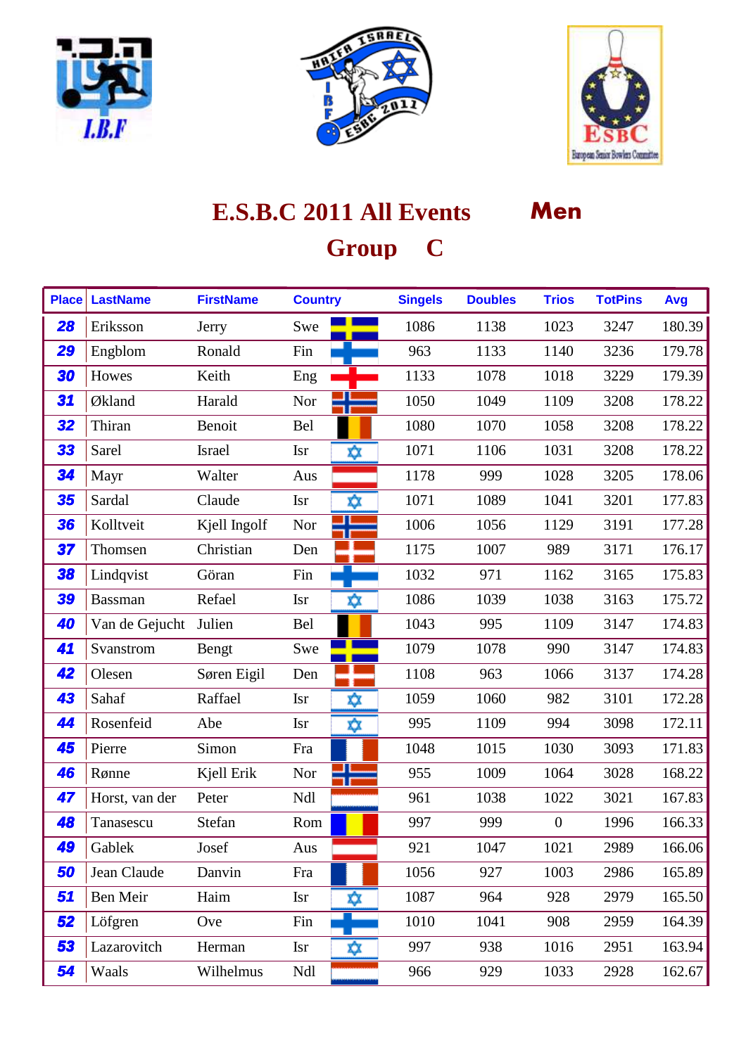





| <b>Place</b> | <b>LastName</b> | <b>FirstName</b> | <b>Country</b>    | <b>Singels</b> | <b>Doubles</b> | <b>Trios</b>   | <b>TotPins</b> | Avg    |
|--------------|-----------------|------------------|-------------------|----------------|----------------|----------------|----------------|--------|
| 28           | Eriksson        | Jerry            | Swe               | 1086           | 1138           | 1023           | 3247           | 180.39 |
| 29           | Engblom         | Ronald           | Fin               | 963            | 1133           | 1140           | 3236           | 179.78 |
| 30           | Howes           | Keith            | Eng               | 1133           | 1078           | 1018           | 3229           | 179.39 |
| 31           | Økland          | Harald           | Nor               | 1050           | 1049           | 1109           | 3208           | 178.22 |
| 32           | Thiran          | Benoit           | Bel               | 1080           | 1070           | 1058           | 3208           | 178.22 |
| 33           | Sarel           | Israel           | <b>Isr</b><br>Χŷ. | 1071           | 1106           | 1031           | 3208           | 178.22 |
| 34           | Mayr            | Walter           | Aus               | 1178           | 999            | 1028           | 3205           | 178.06 |
| 35           | Sardal          | Claude           | <b>Isr</b><br>X)X | 1071           | 1089           | 1041           | 3201           | 177.83 |
| 36           | Kolltveit       | Kjell Ingolf     | Nor               | 1006           | 1056           | 1129           | 3191           | 177.28 |
| 37           | Thomsen         | Christian        | Den               | 1175           | 1007           | 989            | 3171           | 176.17 |
| 38           | Lindqvist       | Göran            | Fin               | 1032           | 971            | 1162           | 3165           | 175.83 |
| 39           | <b>Bassman</b>  | Refael           | <b>Isr</b><br>X)X | 1086           | 1039           | 1038           | 3163           | 175.72 |
| 40           | Van de Gejucht  | Julien           | Bel               | 1043           | 995            | 1109           | 3147           | 174.83 |
| 41           | Svanstrom       | Bengt            | Swe               | 1079           | 1078           | 990            | 3147           | 174.83 |
| 42           | Olesen          | Søren Eigil      | Den               | 1108           | 963            | 1066           | 3137           | 174.28 |
| 43           | Sahaf           | Raffael          | <b>Isr</b><br>ΧX  | 1059           | 1060           | 982            | 3101           | 172.28 |
| 44           | Rosenfeid       | Abe              | Χŷχ<br><b>Isr</b> | 995            | 1109           | 994            | 3098           | 172.11 |
| 45           | Pierre          | Simon            | Fra               | 1048           | 1015           | 1030           | 3093           | 171.83 |
| 46           | Rønne           | Kjell Erik       | Nor               | 955            | 1009           | 1064           | 3028           | 168.22 |
| 47           | Horst, van der  | Peter            | Ndl               | 961            | 1038           | 1022           | 3021           | 167.83 |
| 48           | Tanasescu       | Stefan           | Rom               | 997            | 999            | $\overline{0}$ | 1996           | 166.33 |
| 49           | Gablek          | Josef            | Aus               | 921            | 1047           | 1021           | 2989           | 166.06 |
| 50           | Jean Claude     | Danvin           | Fra               | 1056           | 927            | 1003           | 2986           | 165.89 |
| 51           | Ben Meir        | Haim             | Isr<br>X)X        | 1087           | 964            | 928            | 2979           | 165.50 |
| 52           | Löfgren         | Ove              | Fin               | 1010           | 1041           | 908            | 2959           | 164.39 |
| 53           | Lazarovitch     | Herman           | <b>Isr</b><br>ΧX  | 997            | 938            | 1016           | 2951           | 163.94 |
| 54           | Waals           | Wilhelmus        | Ndl               | 966            | 929            | 1033           | 2928           | 162.67 |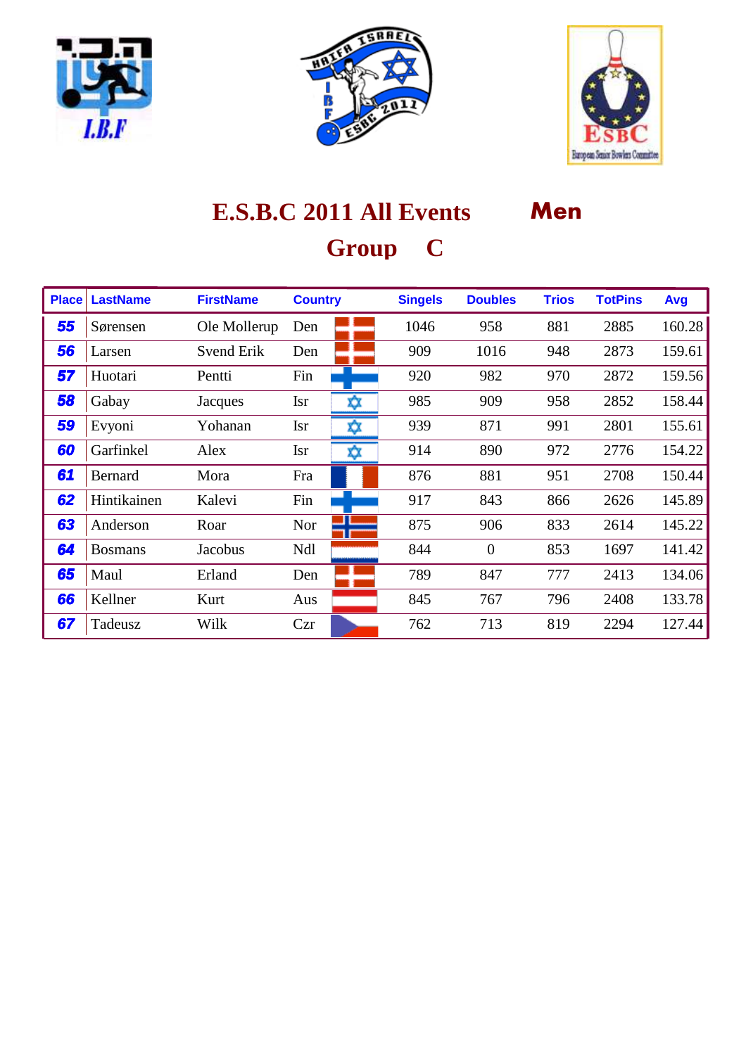





| <b>Place</b> | <b>LastName</b> | <b>FirstName</b>  | <b>Country</b> |     | <b>Singels</b> | <b>Doubles</b> | <b>Trios</b> | <b>TotPins</b> | Avg    |
|--------------|-----------------|-------------------|----------------|-----|----------------|----------------|--------------|----------------|--------|
| 55           | Sørensen        | Ole Mollerup      | Den            |     | 1046           | 958            | 881          | 2885           | 160.28 |
| 56           | Larsen          | <b>Svend Erik</b> | Den            |     | 909            | 1016           | 948          | 2873           | 159.61 |
| 57           | Huotari         | Pentti            | Fin            |     | 920            | 982            | 970          | 2872           | 159.56 |
| 58           | Gabay           | Jacques           | <b>Isr</b>     | xχ  | 985            | 909            | 958          | 2852           | 158.44 |
| 59           | Evyoni          | Yohanan           | <b>Isr</b>     | x)x | 939            | 871            | 991          | 2801           | 155.61 |
| 60           | Garfinkel       | Alex              | <b>Isr</b>     | xχ  | 914            | 890            | 972          | 2776           | 154.22 |
| 61           | Bernard         | Mora              | Fra            |     | 876            | 881            | 951          | 2708           | 150.44 |
| 62           | Hintikainen     | Kalevi            | Fin            |     | 917            | 843            | 866          | 2626           | 145.89 |
| 63           | Anderson        | Roar              | <b>Nor</b>     |     | 875            | 906            | 833          | 2614           | 145.22 |
| 64           | <b>Bosmans</b>  | Jacobus           | Ndl            |     | 844            | $\overline{0}$ | 853          | 1697           | 141.42 |
| 65           | Maul            | Erland            | Den            |     | 789            | 847            | 777          | 2413           | 134.06 |
| 66           | Kellner         | Kurt              | Aus            |     | 845            | 767            | 796          | 2408           | 133.78 |
| 67           | Tadeusz         | Wilk              | Czr            |     | 762            | 713            | 819          | 2294           | 127.44 |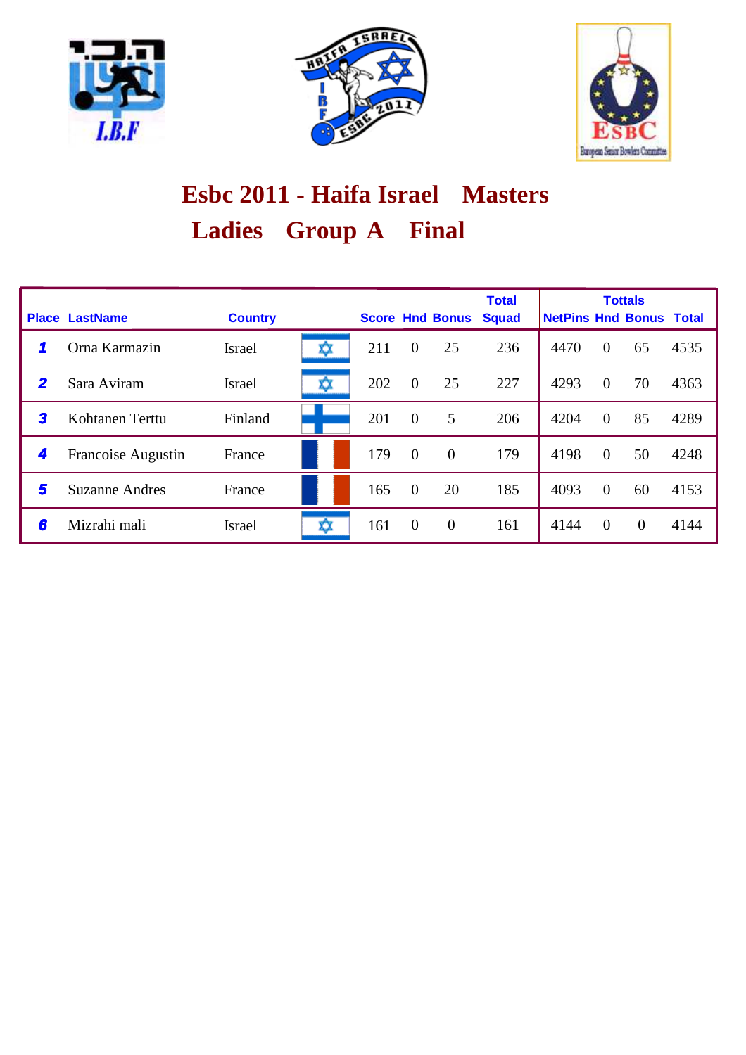





# **Ladies Group A Final Esbc 2011 - Haifa Israel Masters**

| <b>Place</b>            | <b>LastName</b>       | <b>Country</b> |     |     |                | <b>Score Hnd Bonus</b> | <b>Total</b><br><b>Squad</b> | <b>NetPins Hnd Bonus Total</b> |                | <b>Tottals</b> |      |
|-------------------------|-----------------------|----------------|-----|-----|----------------|------------------------|------------------------------|--------------------------------|----------------|----------------|------|
| 1                       | Orna Karmazin         | <b>Israel</b>  | x   | 211 | $\overline{0}$ | 25                     | 236                          | 4470                           | $\overline{0}$ | 65             | 4535 |
| $\overline{\mathbf{2}}$ | Sara Aviram           | Israel         | XX. | 202 | $\overline{0}$ | 25                     | 227                          | 4293                           | $\overline{0}$ | 70             | 4363 |
| 3                       | Kohtanen Terttu       | Finland        |     | 201 | $\overline{0}$ | 5                      | 206                          | 4204                           | $\theta$       | 85             | 4289 |
| 4                       | Francoise Augustin    | France         |     | 179 | $\overline{0}$ | $\overline{0}$         | 179                          | 4198                           | $\theta$       | 50             | 4248 |
| 5                       | <b>Suzanne Andres</b> | France         |     | 165 | $\theta$       | 20                     | 185                          | 4093                           | $\overline{0}$ | 60             | 4153 |
| 6                       | Mizrahi mali          | Israel         | xx  | 161 | $\overline{0}$ | $\theta$               | 161                          | 4144                           | $\theta$       | $\Omega$       | 4144 |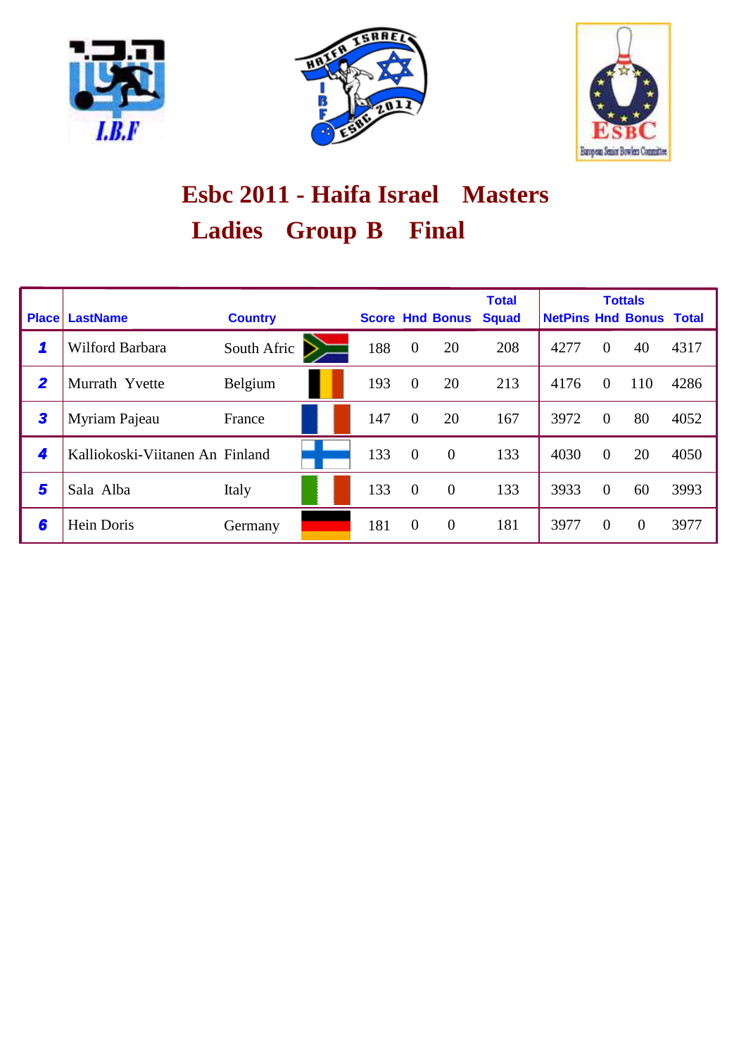





# Ladies Group B Final **Esbc 2011 - Haifa Israel Masters**

| <b>Place</b>   | <b>LastName</b>                 | <b>Country</b> |     |                | <b>Score Hnd Bonus</b> | <b>Total</b><br><b>Squad</b> | <b>NetPins Hnd Bonus Total</b> |                | <b>Tottals</b> |      |
|----------------|---------------------------------|----------------|-----|----------------|------------------------|------------------------------|--------------------------------|----------------|----------------|------|
| 1              | Wilford Barbara                 | South Afric    | 188 | $\overline{0}$ | 20                     | 208                          | 4277                           | $\overline{0}$ | 40             | 4317 |
| $\overline{2}$ | Murrath Yvette                  | Belgium        | 193 | $\overline{0}$ | 20                     | 213                          | 4176                           | $\Omega$       | 110            | 4286 |
| 3              | Myriam Pajeau                   | France         | 147 | $\overline{0}$ | 20                     | 167                          | 3972                           | $\theta$       | 80             | 4052 |
| 4              | Kalliokoski-Viitanen An Finland |                | 133 | $\overline{0}$ | $\overline{0}$         | 133                          | 4030                           | $\theta$       | 20             | 4050 |
| 5              | Sala Alba                       | Italy          | 133 | $\mathbf{0}$   | $\mathbf{0}$           | 133                          | 3933                           | $\overline{0}$ | 60             | 3993 |
| 6              | Hein Doris                      | Germany        | 181 | $\overline{0}$ | $\overline{0}$         | 181                          | 3977                           | $\theta$       | $\theta$       | 3977 |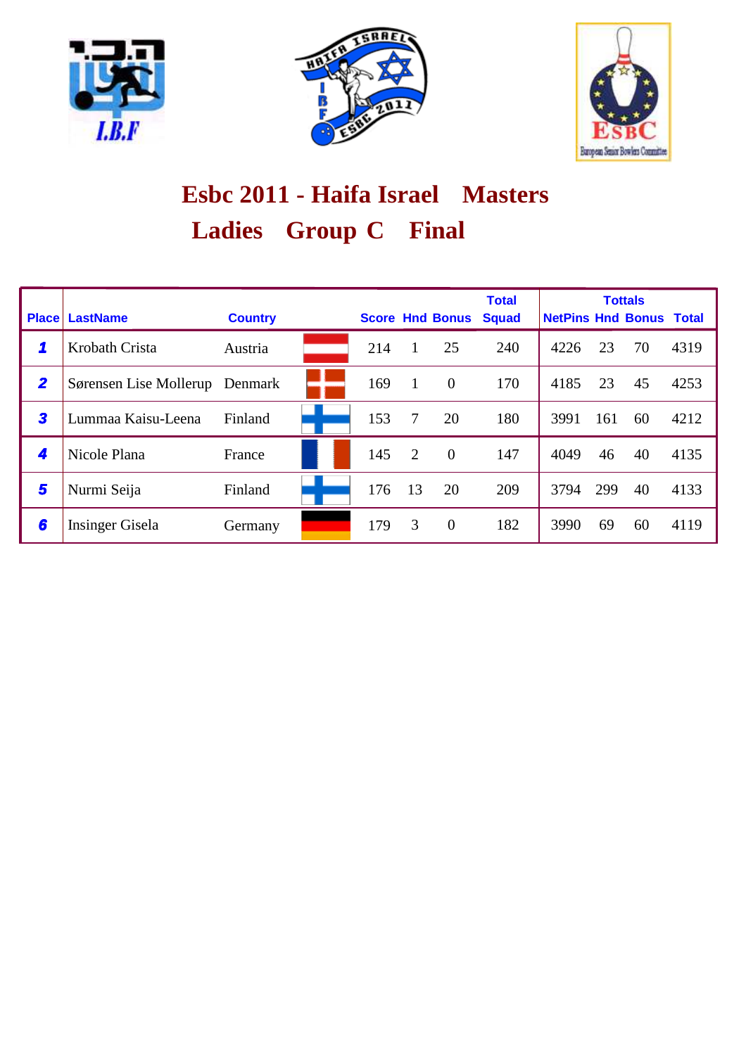





# Ladies Group C Final **Esbc 2011 - Haifa Israel Masters**

| <b>Place</b>            | <b>LastName</b>        | <b>Country</b> |     |    | <b>Score Hnd Bonus</b> | <b>Total</b><br><b>Squad</b> | <b>NetPins Hnd Bonus Total</b> |     | <b>Tottals</b> |      |
|-------------------------|------------------------|----------------|-----|----|------------------------|------------------------------|--------------------------------|-----|----------------|------|
| 1                       | Krobath Crista         | Austria        | 214 |    | 25                     | 240                          | 4226                           | 23  | 70             | 4319 |
| $\overline{\mathbf{2}}$ | Sørensen Lise Mollerup | Denmark        | 169 | 1  | $\theta$               | 170                          | 4185                           | 23  | 45             | 4253 |
| 3                       | Lummaa Kaisu-Leena     | Finland        | 153 | 7  | 20                     | 180                          | 3991                           | 161 | 60             | 4212 |
| 4                       | Nicole Plana           | France         | 145 | 2  | $\overline{0}$         | 147                          | 4049                           | 46  | 40             | 4135 |
| 5                       | Nurmi Seija            | Finland        | 176 | 13 | 20                     | 209                          | 3794                           | 299 | 40             | 4133 |
| 6                       | Insinger Gisela        | Germany        | 179 | 3  | $\theta$               | 182                          | 3990                           | 69  | 60             | 4119 |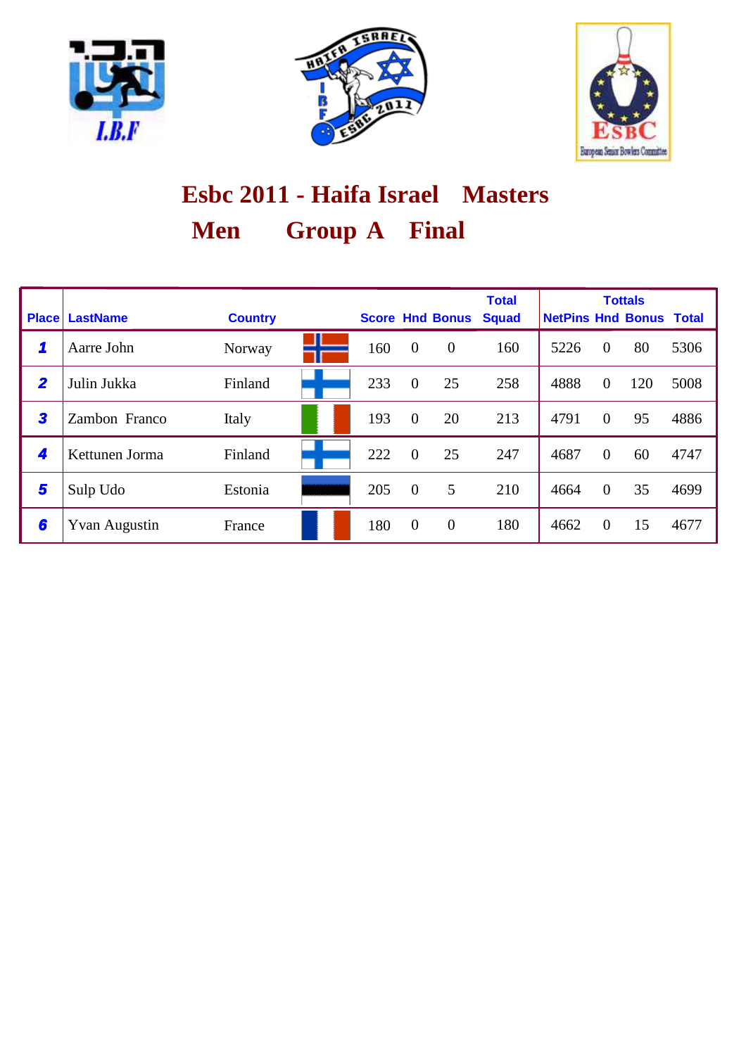





# **Men Group A Final Esbc 2011 - Haifa Israel Masters**

| <b>Place</b>            | <b>LastName</b>      | <b>Country</b> |     |                | <b>Score Hnd Bonus</b> | <b>Total</b><br><b>Squad</b> | <b>NetPins Hnd Bonus Total</b> |                | <b>Tottals</b> |      |
|-------------------------|----------------------|----------------|-----|----------------|------------------------|------------------------------|--------------------------------|----------------|----------------|------|
|                         |                      |                |     |                |                        |                              |                                |                |                |      |
| 1                       | Aarre John           | Norway         | 160 | $\overline{0}$ | $\overline{0}$         | 160                          | 5226                           | $\overline{0}$ | 80             | 5306 |
| $\overline{\mathbf{2}}$ | Julin Jukka          | Finland        | 233 | $\overline{0}$ | 25                     | 258                          | 4888                           | $\overline{0}$ | 120            | 5008 |
| 3                       | Zambon Franco        | Italy          | 193 | $\overline{0}$ | 20                     | 213                          | 4791                           | $\theta$       | 95             | 4886 |
| 4                       | Kettunen Jorma       | Finland        | 222 | $\theta$       | 25                     | 247                          | 4687                           | $\theta$       | 60             | 4747 |
| 5                       | Sulp Udo             | Estonia        | 205 | $\overline{0}$ | 5                      | 210                          | 4664                           | $\theta$       | 35             | 4699 |
| 6                       | <b>Yvan Augustin</b> | France         | 180 | $\overline{0}$ | $\theta$               | 180                          | 4662                           | $\theta$       | 15             | 4677 |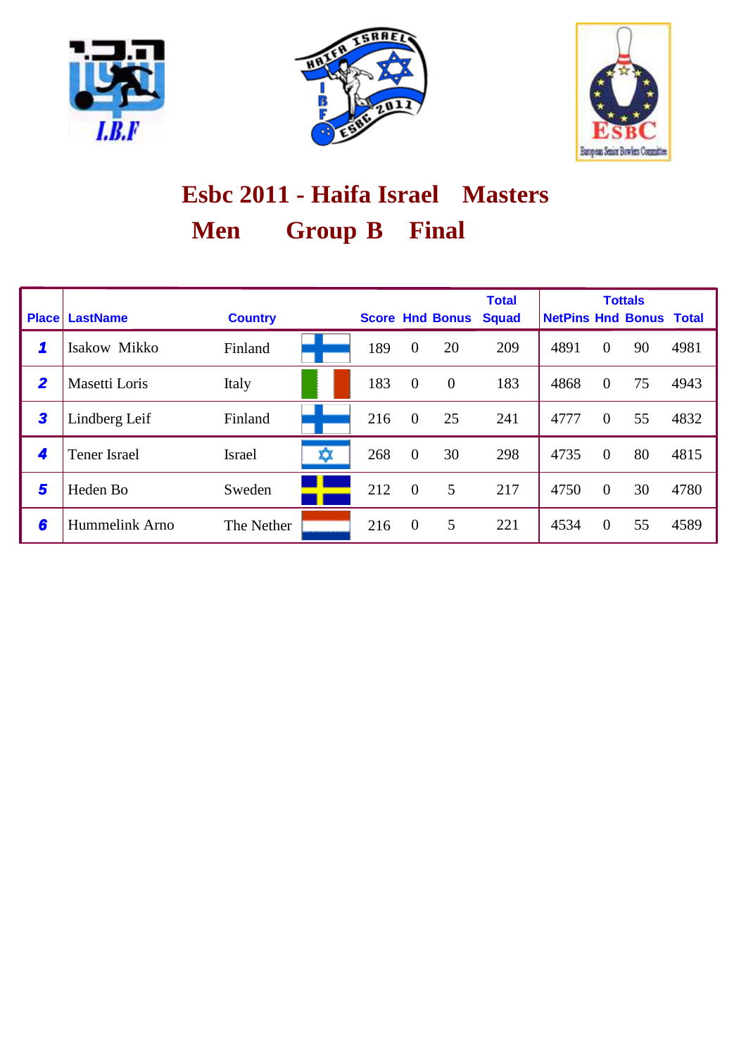





# **Men Group B Final Esbc 2011 - Haifa Israel Masters**

| <b>Place</b>   | <b>LastName</b>      | <b>Country</b> |   |     |                | <b>Score Hnd Bonus</b> | <b>Total</b><br><b>Squad</b> | <b>NetPins Hnd Bonus Total</b> |                | <b>Tottals</b> |      |
|----------------|----------------------|----------------|---|-----|----------------|------------------------|------------------------------|--------------------------------|----------------|----------------|------|
| 1              | Isakow Mikko         | Finland        |   | 189 | $\overline{0}$ | 20                     | 209                          | 4891                           | $\overline{0}$ | 90             | 4981 |
| $\overline{2}$ | <b>Masetti Loris</b> | Italy          |   | 183 | $\overline{0}$ | $\theta$               | 183                          | 4868                           | $\overline{0}$ | 75             | 4943 |
| 3              | Lindberg Leif        | Finland        |   | 216 | $\theta$       | 25                     | 241                          | 4777                           | $\theta$       | 55             | 4832 |
| 4              | <b>Tener Israel</b>  | Israel         | ☆ | 268 | $\overline{0}$ | 30                     | 298                          | 4735                           | $\theta$       | 80             | 4815 |
| 5              | Heden Bo             | Sweden         |   | 212 | $\overline{0}$ | 5                      | 217                          | 4750                           | $\overline{0}$ | 30             | 4780 |
| 6              | Hummelink Arno       | The Nether     |   | 216 | $\theta$       | 5                      | 221                          | 4534                           | $\Omega$       | 55             | 4589 |